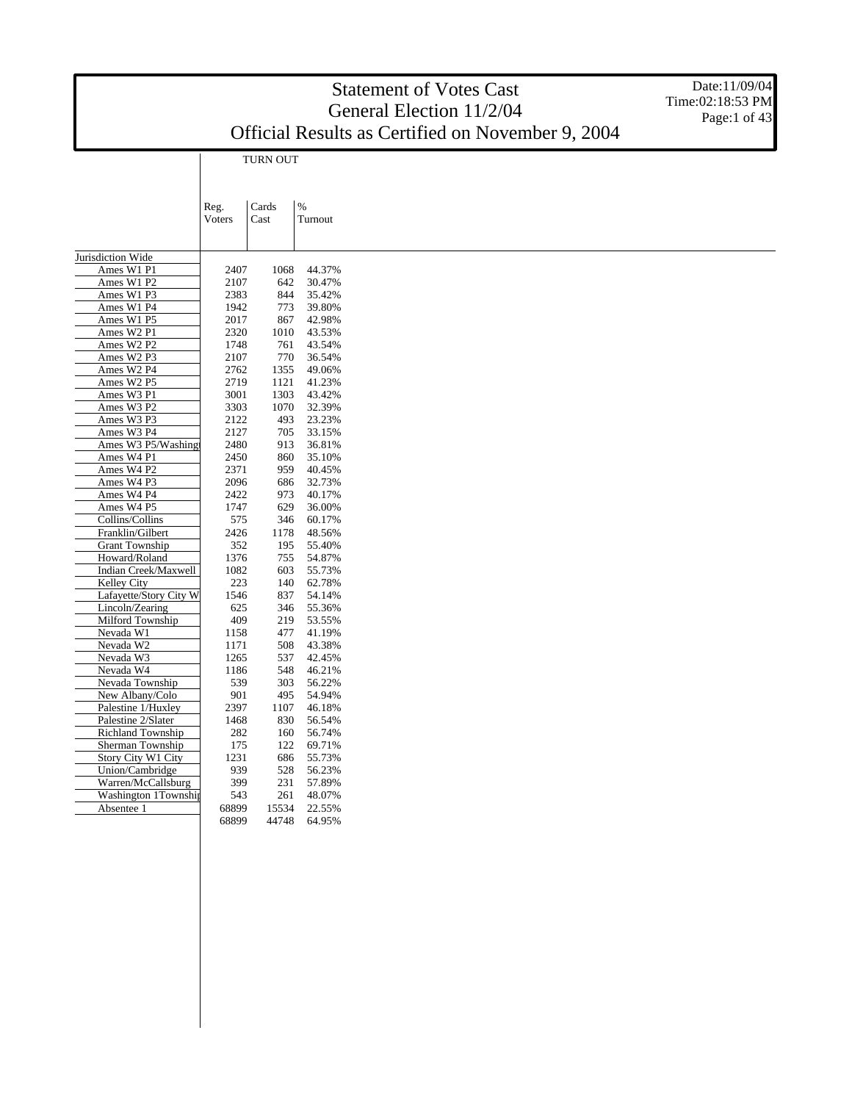Date:11/09/04 Time:02:18:53 PM Page:1 of 43

TURN OUT

|                                    | Reg.          | Cards | $\%$    |
|------------------------------------|---------------|-------|---------|
|                                    | <b>Voters</b> | Cast  | Turnout |
|                                    |               |       |         |
|                                    |               |       |         |
| Jurisdiction Wide                  |               |       |         |
| Ames W1 P1                         | 2407          | 1068  | 44.37%  |
| Ames W1 P2                         | 2107          | 642   | 30.47%  |
| Ames W1 P3                         | 2383          | 844   | 35.42%  |
| Ames W1 P4                         | 1942          | 773   | 39.80%  |
| Ames W1 P5                         | 2017          | 867   | 42.98%  |
| Ames W <sub>2</sub> P1             | 2320          | 1010  | 43.53%  |
| Ames W <sub>2</sub> P <sub>2</sub> | 1748          | 761   | 43.54%  |
| Ames W2 P3                         | 2107          | 770   | 36.54%  |
| Ames W2 P4                         | 2762          | 1355  | 49.06%  |
| Ames W2 P5                         | 2719          | 1121  | 41.23%  |
| Ames W3 P1                         | 3001          | 1303  | 43.42%  |
| Ames W3 P2                         | 3303          | 1070  | 32.39%  |
| Ames W3 P3                         | 2122          | 493   | 23.23%  |
| Ames W3 P4                         | 2127          | 705   | 33.15%  |
| Ames W3 P5/Washing                 | 2480          | 913   | 36.81%  |
| Ames W4 P1                         | 2450          | 860   | 35.10%  |
| Ames W4 P2                         | 2371          | 959   | 40.45%  |
| Ames W4 P3                         | 2096          | 686   | 32.73%  |
| Ames W4 P4                         | 2422          | 973   | 40.17%  |
| Ames W4 P5                         | 1747          | 629   | 36.00%  |
| Collins/Collins                    | 575           | 346   | 60.17%  |
| Franklin/Gilbert                   | 2426          | 1178  |         |
| <b>Grant Township</b>              | 352           |       | 48.56%  |
| Howard/Roland                      |               | 195   | 55.40%  |
|                                    | 1376          | 755   | 54.87%  |
| Indian Creek/Maxwell               | 1082          | 603   | 55.73%  |
| Kelley City                        | 223           | 140   | 62.78%  |
| Lafayette/Story City W             | 1546          | 837   | 54.14%  |
| Lincoln/Zearing                    | 625           | 346   | 55.36%  |
| Milford Township                   | 409           | 219   | 53.55%  |
| Nevada W1                          | 1158          | 477   | 41.19%  |
| Nevada W2                          | 1171          | 508   | 43.38%  |
| Nevada W3                          | 1265          | 537   | 42.45%  |
| Nevada W4                          | 1186          | 548   | 46.21%  |
| Nevada Township                    | 539           | 303   | 56.22%  |
| New Albany/Colo                    | 901           | 495   | 54.94%  |
| Palestine 1/Huxley                 | 2397          | 1107  | 46.18%  |
| Palestine 2/Slater                 | 1468          | 830   | 56.54%  |
| <b>Richland Township</b>           | 282           | 160   | 56.74%  |
| Sherman Township                   | 175           | 122   | 69.71%  |
| Story City W1 City                 | 1231          | 686   | 55.73%  |
| Union/Cambridge                    | 939           | 528   | 56.23%  |
| Warren/McCallsburg                 | 399           | 231   | 57.89%  |
| Washington 1Township               | 543           | 261   | 48.07%  |
| Absentee 1                         | 68899         | 15534 | 22.55%  |
|                                    | 68899         | 44748 | 64.95%  |
|                                    |               |       |         |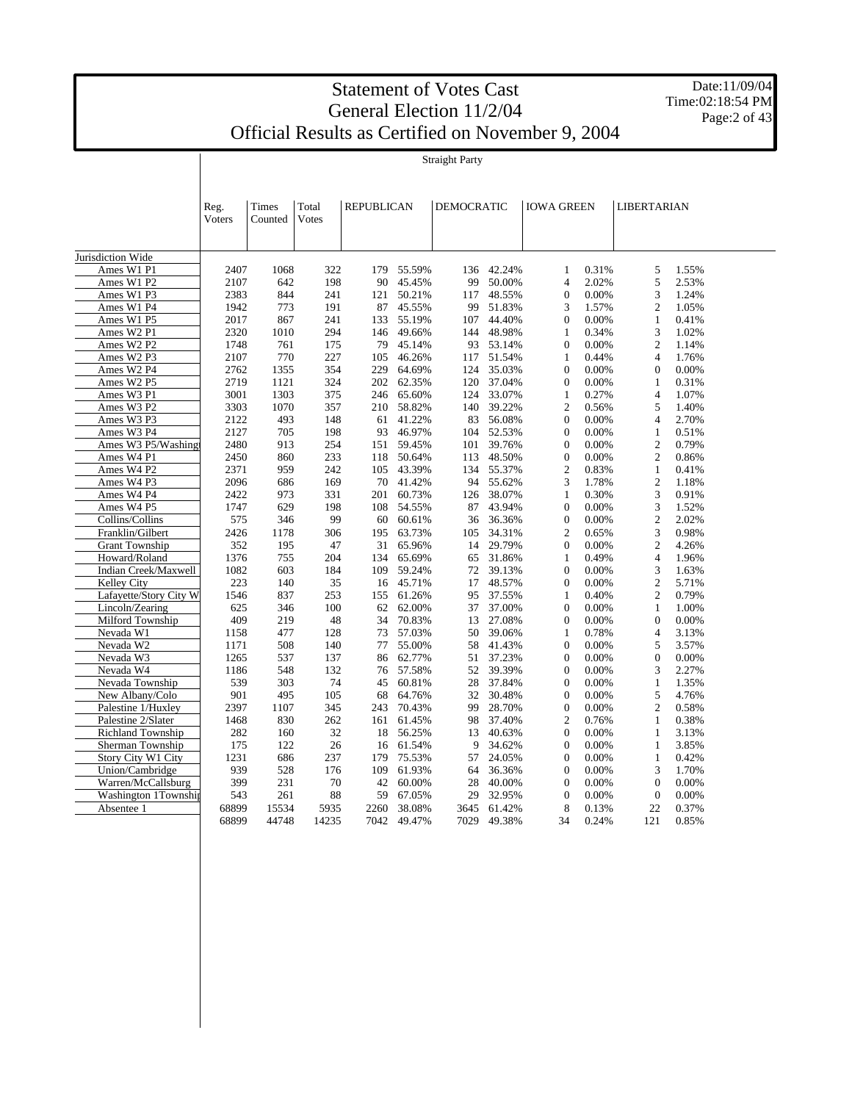Date:11/09/04 Time:02:18:54 PM Page:2 of 43

| Total<br><b>REPUBLICAN</b><br>DEMOCRATIC<br><b>IOWA GREEN</b><br>Reg.<br>Times<br>LIBERTARIAN<br>Voters<br>Counted<br>Votes<br>Jurisdiction Wide<br>Ames W1 P1<br>2407<br>322<br>55.59%<br>42.24%<br>0.31%<br>5<br>1.55%<br>1068<br>179<br>136<br>1<br>5<br>Ames W1 P2<br>2107<br>642<br>198<br>45.45%<br>99<br>50.00%<br>$\overline{4}$<br>2.02%<br>2.53%<br>90<br>Ames W1 P3<br>2383<br>844<br>241<br>50.21%<br>48.55%<br>$\boldsymbol{0}$<br>0.00%<br>3<br>1.24%<br>121<br>117<br>Ames W1 P4<br>191<br>45.55%<br>51.83%<br>1.57%<br>$\mathfrak{2}$<br>1.05%<br>1942<br>773<br>87<br>99<br>3<br>Ames W1 P5<br>44.40%<br>0.00%<br>0.41%<br>2017<br>867<br>241<br>133<br>55.19%<br>107<br>$\boldsymbol{0}$<br>$\mathbf{1}$<br>Ames W2 P1<br>2320<br>294<br>49.66%<br>48.98%<br>3<br>1.02%<br>1010<br>146<br>144<br>0.34%<br>1<br>Ames W2 P2<br>1748<br>45.14%<br>93<br>53.14%<br>$\overline{0}$<br>0.00%<br>$\overline{c}$<br>1.14%<br>761<br>175<br>79<br>Ames W2 P3<br>2107<br>770<br>227<br>46.26%<br>51.54%<br>0.44%<br>$\overline{4}$<br>1.76%<br>105<br>117<br>1<br>Ames W2 P4<br>1355<br>354<br>64.69%<br>35.03%<br>0.00%<br>$\overline{0}$<br>0.00%<br>2762<br>229<br>124<br>$\Omega$<br>Ames W2 P5<br>2719<br>1121<br>324<br>62.35%<br>120<br>37.04%<br>$\mathbf{0}$<br>0.00%<br>0.31%<br>202<br>$\mathbf{1}$<br>Ames W3 P1<br>3001<br>1303<br>375<br>65.60%<br>33.07%<br>0.27%<br>$\overline{4}$<br>1.07%<br>246<br>124<br>1<br>Ames W3 P2<br>3303<br>1070<br>58.82%<br>39.22%<br>$\overline{c}$<br>0.56%<br>5<br>1.40%<br>357<br>210<br>140<br>56.08%<br>0.00%<br>2.70%<br>Ames W3 P3<br>2122<br>493<br>148<br>61<br>41.22%<br>83<br>$\mathbf{0}$<br>4<br>Ames W3 P4<br>2127<br>705<br>46.97%<br>52.53%<br>$\Omega$<br>0.00%<br>$\mathbf{1}$<br>198<br>104<br>0.51%<br>93<br>Ames W3 P5/Washingt<br>2480<br>913<br>254<br>59.45%<br>39.76%<br>0.00%<br>$\boldsymbol{2}$<br>0.79%<br>151<br>101<br>$\mathbf{0}$<br>Ames W4 P1<br>2450<br>233<br>50.64%<br>48.50%<br>0.00%<br>$\overline{c}$<br>0.86%<br>860<br>118<br>113<br>$\overline{0}$<br>Ames W4 P2<br>2371<br>43.39%<br>55.37%<br>$\overline{c}$<br>0.83%<br>959<br>242<br>105<br>134<br>$\mathbf{1}$<br>0.41%<br>$\mathfrak{2}$<br>Ames W4 P3<br>2096<br>41.42%<br>55.62%<br>3<br>1.78%<br>1.18%<br>686<br>169<br>70<br>94<br>Ames W4 P4<br>2422<br>973<br>331<br>60.73%<br>38.07%<br>0.30%<br>3<br>0.91%<br>201<br>126<br>$\mathbf{1}$<br>Ames W4 P5<br>629<br>108 54.55%<br>43.94%<br>0.00%<br>3<br>1.52%<br>1747<br>198<br>87<br>$\mathbf{0}$<br>$\overline{c}$<br>Collins/Collins<br>99<br>36.36%<br>0.00%<br>2.02%<br>575<br>346<br>60<br>60.61%<br>36<br>$\overline{0}$<br>Franklin/Gilbert<br>2426<br>34.31%<br>$\overline{c}$<br>3<br>0.98%<br>1178<br>306<br>63.73%<br>0.65%<br>195<br>105<br>$\overline{c}$<br><b>Grant Township</b><br>352<br>195<br>47<br>31<br>65.96%<br>29.79%<br>$\overline{0}$<br>0.00%<br>4.26%<br>14<br>Howard/Roland<br>1376<br>755<br>65.69%<br>31.86%<br>0.49%<br>$\overline{4}$<br>1.96%<br>204<br>134<br>65<br>1<br>Indian Creek/Maxwell<br>1082<br>59.24%<br>39.13%<br>0.00%<br>3<br>1.63%<br>603<br>184<br>109<br>72<br>$\Omega$<br>223<br>$\boldsymbol{2}$<br><b>Kelley City</b><br>35<br>45.71%<br>48.57%<br>$\mathbf{0}$<br>0.00%<br>5.71%<br>140<br>16<br>17<br>Lafayette/Story City W<br>1546<br>837<br>253<br>61.26%<br>37.55%<br>0.40%<br>$\overline{c}$<br>0.79%<br>155<br>95<br>1<br>Lincoln/Zearing<br>625<br>62.00%<br>37.00%<br>$\overline{0}$<br>0.00%<br>$\mathbf{1}$<br>1.00%<br>346<br>100<br>62<br>37<br>Milford Township<br>409<br>$\overline{0}$<br>0.00%<br>219<br>48<br>34<br>70.83%<br>13<br>27.08%<br>$\mathbf{0}$<br>0.00%<br>Nevada W1<br>57.03%<br>39.06%<br>0.78%<br>$\overline{4}$<br>1158<br>477<br>128<br>73<br>50<br>1<br>3.13%<br>Nevada W2<br>140<br>55.00%<br>41.43%<br>0.00%<br>5<br>3.57%<br>1171<br>508<br>77<br>58<br>$\mathbf{0}$<br>Nevada W3<br>62.77%<br>37.23%<br>0.00%<br>$\overline{0}$<br>0.00%<br>1265<br>537<br>137<br>86<br>51<br>$\Omega$<br>Nevada W4<br>1186<br>57.58%<br>39.39%<br>0.00%<br>3<br>2.27%<br>548<br>132<br>52<br>$\overline{0}$<br>76<br>Nevada Township<br>539<br>303<br>74<br>60.81%<br>37.84%<br>0.00%<br>1.35%<br>28<br>$\Omega$<br>1<br>45<br>5<br>New Albany/Colo<br>901<br>495<br>105<br>64.76%<br>32<br>30.48%<br>$\overline{0}$<br>0.00%<br>4.76%<br>68<br>Palestine 1/Huxley<br>2397<br>70.43%<br>28.70%<br>0.00%<br>$\overline{c}$<br>0.58%<br>1107<br>345<br>243<br>99<br>$\mathbf{0}$<br>Palestine 2/Slater<br>37.40%<br>$\overline{c}$<br>0.38%<br>1468<br>830<br>262<br>161<br>61.45%<br>98<br>0.76%<br>$\mathbf{1}$<br><b>Richland Township</b><br>282<br>160<br>32<br>56.25%<br>40.63%<br>$\mathbf{0}$<br>0.00%<br>1<br>3.13%<br>18<br>13<br>Sherman Township<br>175<br>26<br>61.54%<br>9<br>34.62%<br>$\overline{0}$<br>0.00%<br>$\mathbf{1}$<br>3.85%<br>122<br>16<br>Story City W1 City<br>1231<br>237<br>75.53%<br>0.00%<br>0.42%<br>686<br>179<br>57<br>24.05%<br>$\mathbf{0}$<br>1<br>Union/Cambridge<br>939<br>61.93%<br>36.36%<br>0.00%<br>3<br>1.70%<br>528<br>176<br>109<br>64<br>$\overline{0}$<br>399<br>Warren/McCallsburg<br>231<br>70<br>0.00%<br>$\overline{0}$<br>0.00%<br>42<br>60.00%<br>28<br>40.00%<br>$\Omega$<br>Washington 1Township<br>543<br>88<br>67.05%<br>32.95%<br>0.00%<br>$\overline{0}$<br>0.00%<br>261<br>59<br>29<br>$\theta$<br>68899<br>5935<br>38.08%<br>8<br>0.37%<br>Absentee 1<br>15534<br>2260<br>3645<br>61.42%<br>0.13%<br>22<br>68899<br>44748<br>14235<br>7042<br>49.47%<br>7029<br>49.38%<br>34<br>0.24%<br>121<br>0.85% |  |  |  |  |  |  |  |
|-----------------------------------------------------------------------------------------------------------------------------------------------------------------------------------------------------------------------------------------------------------------------------------------------------------------------------------------------------------------------------------------------------------------------------------------------------------------------------------------------------------------------------------------------------------------------------------------------------------------------------------------------------------------------------------------------------------------------------------------------------------------------------------------------------------------------------------------------------------------------------------------------------------------------------------------------------------------------------------------------------------------------------------------------------------------------------------------------------------------------------------------------------------------------------------------------------------------------------------------------------------------------------------------------------------------------------------------------------------------------------------------------------------------------------------------------------------------------------------------------------------------------------------------------------------------------------------------------------------------------------------------------------------------------------------------------------------------------------------------------------------------------------------------------------------------------------------------------------------------------------------------------------------------------------------------------------------------------------------------------------------------------------------------------------------------------------------------------------------------------------------------------------------------------------------------------------------------------------------------------------------------------------------------------------------------------------------------------------------------------------------------------------------------------------------------------------------------------------------------------------------------------------------------------------------------------------------------------------------------------------------------------------------------------------------------------------------------------------------------------------------------------------------------------------------------------------------------------------------------------------------------------------------------------------------------------------------------------------------------------------------------------------------------------------------------------------------------------------------------------------------------------------------------------------------------------------------------------------------------------------------------------------------------------------------------------------------------------------------------------------------------------------------------------------------------------------------------------------------------------------------------------------------------------------------------------------------------------------------------------------------------------------------------------------------------------------------------------------------------------------------------------------------------------------------------------------------------------------------------------------------------------------------------------------------------------------------------------------------------------------------------------------------------------------------------------------------------------------------------------------------------------------------------------------------------------------------------------------------------------------------------------------------------------------------------------------------------------------------------------------------------------------------------------------------------------------------------------------------------------------------------------------------------------------------------------------------------------------------------------------------------------------------------------------------------------------------------------------------------------------------------------------------------------------------------------------------------------------------------------------------------------------------------------------------------------------------------------------------------------------------------------------------------------------------------------------------------------------------------------------------------------------------------------------------------------------------------------------------------------------------------------------------------------------------------------------------------------------------------------------------------------------------------------------------------------------------------------------------------------------------------------------------------------------------------------|--|--|--|--|--|--|--|
|                                                                                                                                                                                                                                                                                                                                                                                                                                                                                                                                                                                                                                                                                                                                                                                                                                                                                                                                                                                                                                                                                                                                                                                                                                                                                                                                                                                                                                                                                                                                                                                                                                                                                                                                                                                                                                                                                                                                                                                                                                                                                                                                                                                                                                                                                                                                                                                                                                                                                                                                                                                                                                                                                                                                                                                                                                                                                                                                                                                                                                                                                                                                                                                                                                                                                                                                                                                                                                                                                                                                                                                                                                                                                                                                                                                                                                                                                                                                                                                                                                                                                                                                                                                                                                                                                                                                                                                                                                                                                                                                                                                                                                                                                                                                                                                                                                                                                                                                                                                                                                                                                                                                                                                                                                                                                                                                                                                                                                                                                                                                                                       |  |  |  |  |  |  |  |
|                                                                                                                                                                                                                                                                                                                                                                                                                                                                                                                                                                                                                                                                                                                                                                                                                                                                                                                                                                                                                                                                                                                                                                                                                                                                                                                                                                                                                                                                                                                                                                                                                                                                                                                                                                                                                                                                                                                                                                                                                                                                                                                                                                                                                                                                                                                                                                                                                                                                                                                                                                                                                                                                                                                                                                                                                                                                                                                                                                                                                                                                                                                                                                                                                                                                                                                                                                                                                                                                                                                                                                                                                                                                                                                                                                                                                                                                                                                                                                                                                                                                                                                                                                                                                                                                                                                                                                                                                                                                                                                                                                                                                                                                                                                                                                                                                                                                                                                                                                                                                                                                                                                                                                                                                                                                                                                                                                                                                                                                                                                                                                       |  |  |  |  |  |  |  |
|                                                                                                                                                                                                                                                                                                                                                                                                                                                                                                                                                                                                                                                                                                                                                                                                                                                                                                                                                                                                                                                                                                                                                                                                                                                                                                                                                                                                                                                                                                                                                                                                                                                                                                                                                                                                                                                                                                                                                                                                                                                                                                                                                                                                                                                                                                                                                                                                                                                                                                                                                                                                                                                                                                                                                                                                                                                                                                                                                                                                                                                                                                                                                                                                                                                                                                                                                                                                                                                                                                                                                                                                                                                                                                                                                                                                                                                                                                                                                                                                                                                                                                                                                                                                                                                                                                                                                                                                                                                                                                                                                                                                                                                                                                                                                                                                                                                                                                                                                                                                                                                                                                                                                                                                                                                                                                                                                                                                                                                                                                                                                                       |  |  |  |  |  |  |  |
|                                                                                                                                                                                                                                                                                                                                                                                                                                                                                                                                                                                                                                                                                                                                                                                                                                                                                                                                                                                                                                                                                                                                                                                                                                                                                                                                                                                                                                                                                                                                                                                                                                                                                                                                                                                                                                                                                                                                                                                                                                                                                                                                                                                                                                                                                                                                                                                                                                                                                                                                                                                                                                                                                                                                                                                                                                                                                                                                                                                                                                                                                                                                                                                                                                                                                                                                                                                                                                                                                                                                                                                                                                                                                                                                                                                                                                                                                                                                                                                                                                                                                                                                                                                                                                                                                                                                                                                                                                                                                                                                                                                                                                                                                                                                                                                                                                                                                                                                                                                                                                                                                                                                                                                                                                                                                                                                                                                                                                                                                                                                                                       |  |  |  |  |  |  |  |
|                                                                                                                                                                                                                                                                                                                                                                                                                                                                                                                                                                                                                                                                                                                                                                                                                                                                                                                                                                                                                                                                                                                                                                                                                                                                                                                                                                                                                                                                                                                                                                                                                                                                                                                                                                                                                                                                                                                                                                                                                                                                                                                                                                                                                                                                                                                                                                                                                                                                                                                                                                                                                                                                                                                                                                                                                                                                                                                                                                                                                                                                                                                                                                                                                                                                                                                                                                                                                                                                                                                                                                                                                                                                                                                                                                                                                                                                                                                                                                                                                                                                                                                                                                                                                                                                                                                                                                                                                                                                                                                                                                                                                                                                                                                                                                                                                                                                                                                                                                                                                                                                                                                                                                                                                                                                                                                                                                                                                                                                                                                                                                       |  |  |  |  |  |  |  |
|                                                                                                                                                                                                                                                                                                                                                                                                                                                                                                                                                                                                                                                                                                                                                                                                                                                                                                                                                                                                                                                                                                                                                                                                                                                                                                                                                                                                                                                                                                                                                                                                                                                                                                                                                                                                                                                                                                                                                                                                                                                                                                                                                                                                                                                                                                                                                                                                                                                                                                                                                                                                                                                                                                                                                                                                                                                                                                                                                                                                                                                                                                                                                                                                                                                                                                                                                                                                                                                                                                                                                                                                                                                                                                                                                                                                                                                                                                                                                                                                                                                                                                                                                                                                                                                                                                                                                                                                                                                                                                                                                                                                                                                                                                                                                                                                                                                                                                                                                                                                                                                                                                                                                                                                                                                                                                                                                                                                                                                                                                                                                                       |  |  |  |  |  |  |  |
|                                                                                                                                                                                                                                                                                                                                                                                                                                                                                                                                                                                                                                                                                                                                                                                                                                                                                                                                                                                                                                                                                                                                                                                                                                                                                                                                                                                                                                                                                                                                                                                                                                                                                                                                                                                                                                                                                                                                                                                                                                                                                                                                                                                                                                                                                                                                                                                                                                                                                                                                                                                                                                                                                                                                                                                                                                                                                                                                                                                                                                                                                                                                                                                                                                                                                                                                                                                                                                                                                                                                                                                                                                                                                                                                                                                                                                                                                                                                                                                                                                                                                                                                                                                                                                                                                                                                                                                                                                                                                                                                                                                                                                                                                                                                                                                                                                                                                                                                                                                                                                                                                                                                                                                                                                                                                                                                                                                                                                                                                                                                                                       |  |  |  |  |  |  |  |
|                                                                                                                                                                                                                                                                                                                                                                                                                                                                                                                                                                                                                                                                                                                                                                                                                                                                                                                                                                                                                                                                                                                                                                                                                                                                                                                                                                                                                                                                                                                                                                                                                                                                                                                                                                                                                                                                                                                                                                                                                                                                                                                                                                                                                                                                                                                                                                                                                                                                                                                                                                                                                                                                                                                                                                                                                                                                                                                                                                                                                                                                                                                                                                                                                                                                                                                                                                                                                                                                                                                                                                                                                                                                                                                                                                                                                                                                                                                                                                                                                                                                                                                                                                                                                                                                                                                                                                                                                                                                                                                                                                                                                                                                                                                                                                                                                                                                                                                                                                                                                                                                                                                                                                                                                                                                                                                                                                                                                                                                                                                                                                       |  |  |  |  |  |  |  |
|                                                                                                                                                                                                                                                                                                                                                                                                                                                                                                                                                                                                                                                                                                                                                                                                                                                                                                                                                                                                                                                                                                                                                                                                                                                                                                                                                                                                                                                                                                                                                                                                                                                                                                                                                                                                                                                                                                                                                                                                                                                                                                                                                                                                                                                                                                                                                                                                                                                                                                                                                                                                                                                                                                                                                                                                                                                                                                                                                                                                                                                                                                                                                                                                                                                                                                                                                                                                                                                                                                                                                                                                                                                                                                                                                                                                                                                                                                                                                                                                                                                                                                                                                                                                                                                                                                                                                                                                                                                                                                                                                                                                                                                                                                                                                                                                                                                                                                                                                                                                                                                                                                                                                                                                                                                                                                                                                                                                                                                                                                                                                                       |  |  |  |  |  |  |  |
|                                                                                                                                                                                                                                                                                                                                                                                                                                                                                                                                                                                                                                                                                                                                                                                                                                                                                                                                                                                                                                                                                                                                                                                                                                                                                                                                                                                                                                                                                                                                                                                                                                                                                                                                                                                                                                                                                                                                                                                                                                                                                                                                                                                                                                                                                                                                                                                                                                                                                                                                                                                                                                                                                                                                                                                                                                                                                                                                                                                                                                                                                                                                                                                                                                                                                                                                                                                                                                                                                                                                                                                                                                                                                                                                                                                                                                                                                                                                                                                                                                                                                                                                                                                                                                                                                                                                                                                                                                                                                                                                                                                                                                                                                                                                                                                                                                                                                                                                                                                                                                                                                                                                                                                                                                                                                                                                                                                                                                                                                                                                                                       |  |  |  |  |  |  |  |
|                                                                                                                                                                                                                                                                                                                                                                                                                                                                                                                                                                                                                                                                                                                                                                                                                                                                                                                                                                                                                                                                                                                                                                                                                                                                                                                                                                                                                                                                                                                                                                                                                                                                                                                                                                                                                                                                                                                                                                                                                                                                                                                                                                                                                                                                                                                                                                                                                                                                                                                                                                                                                                                                                                                                                                                                                                                                                                                                                                                                                                                                                                                                                                                                                                                                                                                                                                                                                                                                                                                                                                                                                                                                                                                                                                                                                                                                                                                                                                                                                                                                                                                                                                                                                                                                                                                                                                                                                                                                                                                                                                                                                                                                                                                                                                                                                                                                                                                                                                                                                                                                                                                                                                                                                                                                                                                                                                                                                                                                                                                                                                       |  |  |  |  |  |  |  |
|                                                                                                                                                                                                                                                                                                                                                                                                                                                                                                                                                                                                                                                                                                                                                                                                                                                                                                                                                                                                                                                                                                                                                                                                                                                                                                                                                                                                                                                                                                                                                                                                                                                                                                                                                                                                                                                                                                                                                                                                                                                                                                                                                                                                                                                                                                                                                                                                                                                                                                                                                                                                                                                                                                                                                                                                                                                                                                                                                                                                                                                                                                                                                                                                                                                                                                                                                                                                                                                                                                                                                                                                                                                                                                                                                                                                                                                                                                                                                                                                                                                                                                                                                                                                                                                                                                                                                                                                                                                                                                                                                                                                                                                                                                                                                                                                                                                                                                                                                                                                                                                                                                                                                                                                                                                                                                                                                                                                                                                                                                                                                                       |  |  |  |  |  |  |  |
|                                                                                                                                                                                                                                                                                                                                                                                                                                                                                                                                                                                                                                                                                                                                                                                                                                                                                                                                                                                                                                                                                                                                                                                                                                                                                                                                                                                                                                                                                                                                                                                                                                                                                                                                                                                                                                                                                                                                                                                                                                                                                                                                                                                                                                                                                                                                                                                                                                                                                                                                                                                                                                                                                                                                                                                                                                                                                                                                                                                                                                                                                                                                                                                                                                                                                                                                                                                                                                                                                                                                                                                                                                                                                                                                                                                                                                                                                                                                                                                                                                                                                                                                                                                                                                                                                                                                                                                                                                                                                                                                                                                                                                                                                                                                                                                                                                                                                                                                                                                                                                                                                                                                                                                                                                                                                                                                                                                                                                                                                                                                                                       |  |  |  |  |  |  |  |
|                                                                                                                                                                                                                                                                                                                                                                                                                                                                                                                                                                                                                                                                                                                                                                                                                                                                                                                                                                                                                                                                                                                                                                                                                                                                                                                                                                                                                                                                                                                                                                                                                                                                                                                                                                                                                                                                                                                                                                                                                                                                                                                                                                                                                                                                                                                                                                                                                                                                                                                                                                                                                                                                                                                                                                                                                                                                                                                                                                                                                                                                                                                                                                                                                                                                                                                                                                                                                                                                                                                                                                                                                                                                                                                                                                                                                                                                                                                                                                                                                                                                                                                                                                                                                                                                                                                                                                                                                                                                                                                                                                                                                                                                                                                                                                                                                                                                                                                                                                                                                                                                                                                                                                                                                                                                                                                                                                                                                                                                                                                                                                       |  |  |  |  |  |  |  |
|                                                                                                                                                                                                                                                                                                                                                                                                                                                                                                                                                                                                                                                                                                                                                                                                                                                                                                                                                                                                                                                                                                                                                                                                                                                                                                                                                                                                                                                                                                                                                                                                                                                                                                                                                                                                                                                                                                                                                                                                                                                                                                                                                                                                                                                                                                                                                                                                                                                                                                                                                                                                                                                                                                                                                                                                                                                                                                                                                                                                                                                                                                                                                                                                                                                                                                                                                                                                                                                                                                                                                                                                                                                                                                                                                                                                                                                                                                                                                                                                                                                                                                                                                                                                                                                                                                                                                                                                                                                                                                                                                                                                                                                                                                                                                                                                                                                                                                                                                                                                                                                                                                                                                                                                                                                                                                                                                                                                                                                                                                                                                                       |  |  |  |  |  |  |  |
|                                                                                                                                                                                                                                                                                                                                                                                                                                                                                                                                                                                                                                                                                                                                                                                                                                                                                                                                                                                                                                                                                                                                                                                                                                                                                                                                                                                                                                                                                                                                                                                                                                                                                                                                                                                                                                                                                                                                                                                                                                                                                                                                                                                                                                                                                                                                                                                                                                                                                                                                                                                                                                                                                                                                                                                                                                                                                                                                                                                                                                                                                                                                                                                                                                                                                                                                                                                                                                                                                                                                                                                                                                                                                                                                                                                                                                                                                                                                                                                                                                                                                                                                                                                                                                                                                                                                                                                                                                                                                                                                                                                                                                                                                                                                                                                                                                                                                                                                                                                                                                                                                                                                                                                                                                                                                                                                                                                                                                                                                                                                                                       |  |  |  |  |  |  |  |
|                                                                                                                                                                                                                                                                                                                                                                                                                                                                                                                                                                                                                                                                                                                                                                                                                                                                                                                                                                                                                                                                                                                                                                                                                                                                                                                                                                                                                                                                                                                                                                                                                                                                                                                                                                                                                                                                                                                                                                                                                                                                                                                                                                                                                                                                                                                                                                                                                                                                                                                                                                                                                                                                                                                                                                                                                                                                                                                                                                                                                                                                                                                                                                                                                                                                                                                                                                                                                                                                                                                                                                                                                                                                                                                                                                                                                                                                                                                                                                                                                                                                                                                                                                                                                                                                                                                                                                                                                                                                                                                                                                                                                                                                                                                                                                                                                                                                                                                                                                                                                                                                                                                                                                                                                                                                                                                                                                                                                                                                                                                                                                       |  |  |  |  |  |  |  |
|                                                                                                                                                                                                                                                                                                                                                                                                                                                                                                                                                                                                                                                                                                                                                                                                                                                                                                                                                                                                                                                                                                                                                                                                                                                                                                                                                                                                                                                                                                                                                                                                                                                                                                                                                                                                                                                                                                                                                                                                                                                                                                                                                                                                                                                                                                                                                                                                                                                                                                                                                                                                                                                                                                                                                                                                                                                                                                                                                                                                                                                                                                                                                                                                                                                                                                                                                                                                                                                                                                                                                                                                                                                                                                                                                                                                                                                                                                                                                                                                                                                                                                                                                                                                                                                                                                                                                                                                                                                                                                                                                                                                                                                                                                                                                                                                                                                                                                                                                                                                                                                                                                                                                                                                                                                                                                                                                                                                                                                                                                                                                                       |  |  |  |  |  |  |  |
|                                                                                                                                                                                                                                                                                                                                                                                                                                                                                                                                                                                                                                                                                                                                                                                                                                                                                                                                                                                                                                                                                                                                                                                                                                                                                                                                                                                                                                                                                                                                                                                                                                                                                                                                                                                                                                                                                                                                                                                                                                                                                                                                                                                                                                                                                                                                                                                                                                                                                                                                                                                                                                                                                                                                                                                                                                                                                                                                                                                                                                                                                                                                                                                                                                                                                                                                                                                                                                                                                                                                                                                                                                                                                                                                                                                                                                                                                                                                                                                                                                                                                                                                                                                                                                                                                                                                                                                                                                                                                                                                                                                                                                                                                                                                                                                                                                                                                                                                                                                                                                                                                                                                                                                                                                                                                                                                                                                                                                                                                                                                                                       |  |  |  |  |  |  |  |
|                                                                                                                                                                                                                                                                                                                                                                                                                                                                                                                                                                                                                                                                                                                                                                                                                                                                                                                                                                                                                                                                                                                                                                                                                                                                                                                                                                                                                                                                                                                                                                                                                                                                                                                                                                                                                                                                                                                                                                                                                                                                                                                                                                                                                                                                                                                                                                                                                                                                                                                                                                                                                                                                                                                                                                                                                                                                                                                                                                                                                                                                                                                                                                                                                                                                                                                                                                                                                                                                                                                                                                                                                                                                                                                                                                                                                                                                                                                                                                                                                                                                                                                                                                                                                                                                                                                                                                                                                                                                                                                                                                                                                                                                                                                                                                                                                                                                                                                                                                                                                                                                                                                                                                                                                                                                                                                                                                                                                                                                                                                                                                       |  |  |  |  |  |  |  |
|                                                                                                                                                                                                                                                                                                                                                                                                                                                                                                                                                                                                                                                                                                                                                                                                                                                                                                                                                                                                                                                                                                                                                                                                                                                                                                                                                                                                                                                                                                                                                                                                                                                                                                                                                                                                                                                                                                                                                                                                                                                                                                                                                                                                                                                                                                                                                                                                                                                                                                                                                                                                                                                                                                                                                                                                                                                                                                                                                                                                                                                                                                                                                                                                                                                                                                                                                                                                                                                                                                                                                                                                                                                                                                                                                                                                                                                                                                                                                                                                                                                                                                                                                                                                                                                                                                                                                                                                                                                                                                                                                                                                                                                                                                                                                                                                                                                                                                                                                                                                                                                                                                                                                                                                                                                                                                                                                                                                                                                                                                                                                                       |  |  |  |  |  |  |  |
|                                                                                                                                                                                                                                                                                                                                                                                                                                                                                                                                                                                                                                                                                                                                                                                                                                                                                                                                                                                                                                                                                                                                                                                                                                                                                                                                                                                                                                                                                                                                                                                                                                                                                                                                                                                                                                                                                                                                                                                                                                                                                                                                                                                                                                                                                                                                                                                                                                                                                                                                                                                                                                                                                                                                                                                                                                                                                                                                                                                                                                                                                                                                                                                                                                                                                                                                                                                                                                                                                                                                                                                                                                                                                                                                                                                                                                                                                                                                                                                                                                                                                                                                                                                                                                                                                                                                                                                                                                                                                                                                                                                                                                                                                                                                                                                                                                                                                                                                                                                                                                                                                                                                                                                                                                                                                                                                                                                                                                                                                                                                                                       |  |  |  |  |  |  |  |
|                                                                                                                                                                                                                                                                                                                                                                                                                                                                                                                                                                                                                                                                                                                                                                                                                                                                                                                                                                                                                                                                                                                                                                                                                                                                                                                                                                                                                                                                                                                                                                                                                                                                                                                                                                                                                                                                                                                                                                                                                                                                                                                                                                                                                                                                                                                                                                                                                                                                                                                                                                                                                                                                                                                                                                                                                                                                                                                                                                                                                                                                                                                                                                                                                                                                                                                                                                                                                                                                                                                                                                                                                                                                                                                                                                                                                                                                                                                                                                                                                                                                                                                                                                                                                                                                                                                                                                                                                                                                                                                                                                                                                                                                                                                                                                                                                                                                                                                                                                                                                                                                                                                                                                                                                                                                                                                                                                                                                                                                                                                                                                       |  |  |  |  |  |  |  |
|                                                                                                                                                                                                                                                                                                                                                                                                                                                                                                                                                                                                                                                                                                                                                                                                                                                                                                                                                                                                                                                                                                                                                                                                                                                                                                                                                                                                                                                                                                                                                                                                                                                                                                                                                                                                                                                                                                                                                                                                                                                                                                                                                                                                                                                                                                                                                                                                                                                                                                                                                                                                                                                                                                                                                                                                                                                                                                                                                                                                                                                                                                                                                                                                                                                                                                                                                                                                                                                                                                                                                                                                                                                                                                                                                                                                                                                                                                                                                                                                                                                                                                                                                                                                                                                                                                                                                                                                                                                                                                                                                                                                                                                                                                                                                                                                                                                                                                                                                                                                                                                                                                                                                                                                                                                                                                                                                                                                                                                                                                                                                                       |  |  |  |  |  |  |  |
|                                                                                                                                                                                                                                                                                                                                                                                                                                                                                                                                                                                                                                                                                                                                                                                                                                                                                                                                                                                                                                                                                                                                                                                                                                                                                                                                                                                                                                                                                                                                                                                                                                                                                                                                                                                                                                                                                                                                                                                                                                                                                                                                                                                                                                                                                                                                                                                                                                                                                                                                                                                                                                                                                                                                                                                                                                                                                                                                                                                                                                                                                                                                                                                                                                                                                                                                                                                                                                                                                                                                                                                                                                                                                                                                                                                                                                                                                                                                                                                                                                                                                                                                                                                                                                                                                                                                                                                                                                                                                                                                                                                                                                                                                                                                                                                                                                                                                                                                                                                                                                                                                                                                                                                                                                                                                                                                                                                                                                                                                                                                                                       |  |  |  |  |  |  |  |
|                                                                                                                                                                                                                                                                                                                                                                                                                                                                                                                                                                                                                                                                                                                                                                                                                                                                                                                                                                                                                                                                                                                                                                                                                                                                                                                                                                                                                                                                                                                                                                                                                                                                                                                                                                                                                                                                                                                                                                                                                                                                                                                                                                                                                                                                                                                                                                                                                                                                                                                                                                                                                                                                                                                                                                                                                                                                                                                                                                                                                                                                                                                                                                                                                                                                                                                                                                                                                                                                                                                                                                                                                                                                                                                                                                                                                                                                                                                                                                                                                                                                                                                                                                                                                                                                                                                                                                                                                                                                                                                                                                                                                                                                                                                                                                                                                                                                                                                                                                                                                                                                                                                                                                                                                                                                                                                                                                                                                                                                                                                                                                       |  |  |  |  |  |  |  |
|                                                                                                                                                                                                                                                                                                                                                                                                                                                                                                                                                                                                                                                                                                                                                                                                                                                                                                                                                                                                                                                                                                                                                                                                                                                                                                                                                                                                                                                                                                                                                                                                                                                                                                                                                                                                                                                                                                                                                                                                                                                                                                                                                                                                                                                                                                                                                                                                                                                                                                                                                                                                                                                                                                                                                                                                                                                                                                                                                                                                                                                                                                                                                                                                                                                                                                                                                                                                                                                                                                                                                                                                                                                                                                                                                                                                                                                                                                                                                                                                                                                                                                                                                                                                                                                                                                                                                                                                                                                                                                                                                                                                                                                                                                                                                                                                                                                                                                                                                                                                                                                                                                                                                                                                                                                                                                                                                                                                                                                                                                                                                                       |  |  |  |  |  |  |  |
|                                                                                                                                                                                                                                                                                                                                                                                                                                                                                                                                                                                                                                                                                                                                                                                                                                                                                                                                                                                                                                                                                                                                                                                                                                                                                                                                                                                                                                                                                                                                                                                                                                                                                                                                                                                                                                                                                                                                                                                                                                                                                                                                                                                                                                                                                                                                                                                                                                                                                                                                                                                                                                                                                                                                                                                                                                                                                                                                                                                                                                                                                                                                                                                                                                                                                                                                                                                                                                                                                                                                                                                                                                                                                                                                                                                                                                                                                                                                                                                                                                                                                                                                                                                                                                                                                                                                                                                                                                                                                                                                                                                                                                                                                                                                                                                                                                                                                                                                                                                                                                                                                                                                                                                                                                                                                                                                                                                                                                                                                                                                                                       |  |  |  |  |  |  |  |
|                                                                                                                                                                                                                                                                                                                                                                                                                                                                                                                                                                                                                                                                                                                                                                                                                                                                                                                                                                                                                                                                                                                                                                                                                                                                                                                                                                                                                                                                                                                                                                                                                                                                                                                                                                                                                                                                                                                                                                                                                                                                                                                                                                                                                                                                                                                                                                                                                                                                                                                                                                                                                                                                                                                                                                                                                                                                                                                                                                                                                                                                                                                                                                                                                                                                                                                                                                                                                                                                                                                                                                                                                                                                                                                                                                                                                                                                                                                                                                                                                                                                                                                                                                                                                                                                                                                                                                                                                                                                                                                                                                                                                                                                                                                                                                                                                                                                                                                                                                                                                                                                                                                                                                                                                                                                                                                                                                                                                                                                                                                                                                       |  |  |  |  |  |  |  |
|                                                                                                                                                                                                                                                                                                                                                                                                                                                                                                                                                                                                                                                                                                                                                                                                                                                                                                                                                                                                                                                                                                                                                                                                                                                                                                                                                                                                                                                                                                                                                                                                                                                                                                                                                                                                                                                                                                                                                                                                                                                                                                                                                                                                                                                                                                                                                                                                                                                                                                                                                                                                                                                                                                                                                                                                                                                                                                                                                                                                                                                                                                                                                                                                                                                                                                                                                                                                                                                                                                                                                                                                                                                                                                                                                                                                                                                                                                                                                                                                                                                                                                                                                                                                                                                                                                                                                                                                                                                                                                                                                                                                                                                                                                                                                                                                                                                                                                                                                                                                                                                                                                                                                                                                                                                                                                                                                                                                                                                                                                                                                                       |  |  |  |  |  |  |  |
|                                                                                                                                                                                                                                                                                                                                                                                                                                                                                                                                                                                                                                                                                                                                                                                                                                                                                                                                                                                                                                                                                                                                                                                                                                                                                                                                                                                                                                                                                                                                                                                                                                                                                                                                                                                                                                                                                                                                                                                                                                                                                                                                                                                                                                                                                                                                                                                                                                                                                                                                                                                                                                                                                                                                                                                                                                                                                                                                                                                                                                                                                                                                                                                                                                                                                                                                                                                                                                                                                                                                                                                                                                                                                                                                                                                                                                                                                                                                                                                                                                                                                                                                                                                                                                                                                                                                                                                                                                                                                                                                                                                                                                                                                                                                                                                                                                                                                                                                                                                                                                                                                                                                                                                                                                                                                                                                                                                                                                                                                                                                                                       |  |  |  |  |  |  |  |
|                                                                                                                                                                                                                                                                                                                                                                                                                                                                                                                                                                                                                                                                                                                                                                                                                                                                                                                                                                                                                                                                                                                                                                                                                                                                                                                                                                                                                                                                                                                                                                                                                                                                                                                                                                                                                                                                                                                                                                                                                                                                                                                                                                                                                                                                                                                                                                                                                                                                                                                                                                                                                                                                                                                                                                                                                                                                                                                                                                                                                                                                                                                                                                                                                                                                                                                                                                                                                                                                                                                                                                                                                                                                                                                                                                                                                                                                                                                                                                                                                                                                                                                                                                                                                                                                                                                                                                                                                                                                                                                                                                                                                                                                                                                                                                                                                                                                                                                                                                                                                                                                                                                                                                                                                                                                                                                                                                                                                                                                                                                                                                       |  |  |  |  |  |  |  |
|                                                                                                                                                                                                                                                                                                                                                                                                                                                                                                                                                                                                                                                                                                                                                                                                                                                                                                                                                                                                                                                                                                                                                                                                                                                                                                                                                                                                                                                                                                                                                                                                                                                                                                                                                                                                                                                                                                                                                                                                                                                                                                                                                                                                                                                                                                                                                                                                                                                                                                                                                                                                                                                                                                                                                                                                                                                                                                                                                                                                                                                                                                                                                                                                                                                                                                                                                                                                                                                                                                                                                                                                                                                                                                                                                                                                                                                                                                                                                                                                                                                                                                                                                                                                                                                                                                                                                                                                                                                                                                                                                                                                                                                                                                                                                                                                                                                                                                                                                                                                                                                                                                                                                                                                                                                                                                                                                                                                                                                                                                                                                                       |  |  |  |  |  |  |  |
|                                                                                                                                                                                                                                                                                                                                                                                                                                                                                                                                                                                                                                                                                                                                                                                                                                                                                                                                                                                                                                                                                                                                                                                                                                                                                                                                                                                                                                                                                                                                                                                                                                                                                                                                                                                                                                                                                                                                                                                                                                                                                                                                                                                                                                                                                                                                                                                                                                                                                                                                                                                                                                                                                                                                                                                                                                                                                                                                                                                                                                                                                                                                                                                                                                                                                                                                                                                                                                                                                                                                                                                                                                                                                                                                                                                                                                                                                                                                                                                                                                                                                                                                                                                                                                                                                                                                                                                                                                                                                                                                                                                                                                                                                                                                                                                                                                                                                                                                                                                                                                                                                                                                                                                                                                                                                                                                                                                                                                                                                                                                                                       |  |  |  |  |  |  |  |
|                                                                                                                                                                                                                                                                                                                                                                                                                                                                                                                                                                                                                                                                                                                                                                                                                                                                                                                                                                                                                                                                                                                                                                                                                                                                                                                                                                                                                                                                                                                                                                                                                                                                                                                                                                                                                                                                                                                                                                                                                                                                                                                                                                                                                                                                                                                                                                                                                                                                                                                                                                                                                                                                                                                                                                                                                                                                                                                                                                                                                                                                                                                                                                                                                                                                                                                                                                                                                                                                                                                                                                                                                                                                                                                                                                                                                                                                                                                                                                                                                                                                                                                                                                                                                                                                                                                                                                                                                                                                                                                                                                                                                                                                                                                                                                                                                                                                                                                                                                                                                                                                                                                                                                                                                                                                                                                                                                                                                                                                                                                                                                       |  |  |  |  |  |  |  |
|                                                                                                                                                                                                                                                                                                                                                                                                                                                                                                                                                                                                                                                                                                                                                                                                                                                                                                                                                                                                                                                                                                                                                                                                                                                                                                                                                                                                                                                                                                                                                                                                                                                                                                                                                                                                                                                                                                                                                                                                                                                                                                                                                                                                                                                                                                                                                                                                                                                                                                                                                                                                                                                                                                                                                                                                                                                                                                                                                                                                                                                                                                                                                                                                                                                                                                                                                                                                                                                                                                                                                                                                                                                                                                                                                                                                                                                                                                                                                                                                                                                                                                                                                                                                                                                                                                                                                                                                                                                                                                                                                                                                                                                                                                                                                                                                                                                                                                                                                                                                                                                                                                                                                                                                                                                                                                                                                                                                                                                                                                                                                                       |  |  |  |  |  |  |  |
|                                                                                                                                                                                                                                                                                                                                                                                                                                                                                                                                                                                                                                                                                                                                                                                                                                                                                                                                                                                                                                                                                                                                                                                                                                                                                                                                                                                                                                                                                                                                                                                                                                                                                                                                                                                                                                                                                                                                                                                                                                                                                                                                                                                                                                                                                                                                                                                                                                                                                                                                                                                                                                                                                                                                                                                                                                                                                                                                                                                                                                                                                                                                                                                                                                                                                                                                                                                                                                                                                                                                                                                                                                                                                                                                                                                                                                                                                                                                                                                                                                                                                                                                                                                                                                                                                                                                                                                                                                                                                                                                                                                                                                                                                                                                                                                                                                                                                                                                                                                                                                                                                                                                                                                                                                                                                                                                                                                                                                                                                                                                                                       |  |  |  |  |  |  |  |
|                                                                                                                                                                                                                                                                                                                                                                                                                                                                                                                                                                                                                                                                                                                                                                                                                                                                                                                                                                                                                                                                                                                                                                                                                                                                                                                                                                                                                                                                                                                                                                                                                                                                                                                                                                                                                                                                                                                                                                                                                                                                                                                                                                                                                                                                                                                                                                                                                                                                                                                                                                                                                                                                                                                                                                                                                                                                                                                                                                                                                                                                                                                                                                                                                                                                                                                                                                                                                                                                                                                                                                                                                                                                                                                                                                                                                                                                                                                                                                                                                                                                                                                                                                                                                                                                                                                                                                                                                                                                                                                                                                                                                                                                                                                                                                                                                                                                                                                                                                                                                                                                                                                                                                                                                                                                                                                                                                                                                                                                                                                                                                       |  |  |  |  |  |  |  |
|                                                                                                                                                                                                                                                                                                                                                                                                                                                                                                                                                                                                                                                                                                                                                                                                                                                                                                                                                                                                                                                                                                                                                                                                                                                                                                                                                                                                                                                                                                                                                                                                                                                                                                                                                                                                                                                                                                                                                                                                                                                                                                                                                                                                                                                                                                                                                                                                                                                                                                                                                                                                                                                                                                                                                                                                                                                                                                                                                                                                                                                                                                                                                                                                                                                                                                                                                                                                                                                                                                                                                                                                                                                                                                                                                                                                                                                                                                                                                                                                                                                                                                                                                                                                                                                                                                                                                                                                                                                                                                                                                                                                                                                                                                                                                                                                                                                                                                                                                                                                                                                                                                                                                                                                                                                                                                                                                                                                                                                                                                                                                                       |  |  |  |  |  |  |  |
|                                                                                                                                                                                                                                                                                                                                                                                                                                                                                                                                                                                                                                                                                                                                                                                                                                                                                                                                                                                                                                                                                                                                                                                                                                                                                                                                                                                                                                                                                                                                                                                                                                                                                                                                                                                                                                                                                                                                                                                                                                                                                                                                                                                                                                                                                                                                                                                                                                                                                                                                                                                                                                                                                                                                                                                                                                                                                                                                                                                                                                                                                                                                                                                                                                                                                                                                                                                                                                                                                                                                                                                                                                                                                                                                                                                                                                                                                                                                                                                                                                                                                                                                                                                                                                                                                                                                                                                                                                                                                                                                                                                                                                                                                                                                                                                                                                                                                                                                                                                                                                                                                                                                                                                                                                                                                                                                                                                                                                                                                                                                                                       |  |  |  |  |  |  |  |
|                                                                                                                                                                                                                                                                                                                                                                                                                                                                                                                                                                                                                                                                                                                                                                                                                                                                                                                                                                                                                                                                                                                                                                                                                                                                                                                                                                                                                                                                                                                                                                                                                                                                                                                                                                                                                                                                                                                                                                                                                                                                                                                                                                                                                                                                                                                                                                                                                                                                                                                                                                                                                                                                                                                                                                                                                                                                                                                                                                                                                                                                                                                                                                                                                                                                                                                                                                                                                                                                                                                                                                                                                                                                                                                                                                                                                                                                                                                                                                                                                                                                                                                                                                                                                                                                                                                                                                                                                                                                                                                                                                                                                                                                                                                                                                                                                                                                                                                                                                                                                                                                                                                                                                                                                                                                                                                                                                                                                                                                                                                                                                       |  |  |  |  |  |  |  |
|                                                                                                                                                                                                                                                                                                                                                                                                                                                                                                                                                                                                                                                                                                                                                                                                                                                                                                                                                                                                                                                                                                                                                                                                                                                                                                                                                                                                                                                                                                                                                                                                                                                                                                                                                                                                                                                                                                                                                                                                                                                                                                                                                                                                                                                                                                                                                                                                                                                                                                                                                                                                                                                                                                                                                                                                                                                                                                                                                                                                                                                                                                                                                                                                                                                                                                                                                                                                                                                                                                                                                                                                                                                                                                                                                                                                                                                                                                                                                                                                                                                                                                                                                                                                                                                                                                                                                                                                                                                                                                                                                                                                                                                                                                                                                                                                                                                                                                                                                                                                                                                                                                                                                                                                                                                                                                                                                                                                                                                                                                                                                                       |  |  |  |  |  |  |  |
|                                                                                                                                                                                                                                                                                                                                                                                                                                                                                                                                                                                                                                                                                                                                                                                                                                                                                                                                                                                                                                                                                                                                                                                                                                                                                                                                                                                                                                                                                                                                                                                                                                                                                                                                                                                                                                                                                                                                                                                                                                                                                                                                                                                                                                                                                                                                                                                                                                                                                                                                                                                                                                                                                                                                                                                                                                                                                                                                                                                                                                                                                                                                                                                                                                                                                                                                                                                                                                                                                                                                                                                                                                                                                                                                                                                                                                                                                                                                                                                                                                                                                                                                                                                                                                                                                                                                                                                                                                                                                                                                                                                                                                                                                                                                                                                                                                                                                                                                                                                                                                                                                                                                                                                                                                                                                                                                                                                                                                                                                                                                                                       |  |  |  |  |  |  |  |
|                                                                                                                                                                                                                                                                                                                                                                                                                                                                                                                                                                                                                                                                                                                                                                                                                                                                                                                                                                                                                                                                                                                                                                                                                                                                                                                                                                                                                                                                                                                                                                                                                                                                                                                                                                                                                                                                                                                                                                                                                                                                                                                                                                                                                                                                                                                                                                                                                                                                                                                                                                                                                                                                                                                                                                                                                                                                                                                                                                                                                                                                                                                                                                                                                                                                                                                                                                                                                                                                                                                                                                                                                                                                                                                                                                                                                                                                                                                                                                                                                                                                                                                                                                                                                                                                                                                                                                                                                                                                                                                                                                                                                                                                                                                                                                                                                                                                                                                                                                                                                                                                                                                                                                                                                                                                                                                                                                                                                                                                                                                                                                       |  |  |  |  |  |  |  |
|                                                                                                                                                                                                                                                                                                                                                                                                                                                                                                                                                                                                                                                                                                                                                                                                                                                                                                                                                                                                                                                                                                                                                                                                                                                                                                                                                                                                                                                                                                                                                                                                                                                                                                                                                                                                                                                                                                                                                                                                                                                                                                                                                                                                                                                                                                                                                                                                                                                                                                                                                                                                                                                                                                                                                                                                                                                                                                                                                                                                                                                                                                                                                                                                                                                                                                                                                                                                                                                                                                                                                                                                                                                                                                                                                                                                                                                                                                                                                                                                                                                                                                                                                                                                                                                                                                                                                                                                                                                                                                                                                                                                                                                                                                                                                                                                                                                                                                                                                                                                                                                                                                                                                                                                                                                                                                                                                                                                                                                                                                                                                                       |  |  |  |  |  |  |  |
|                                                                                                                                                                                                                                                                                                                                                                                                                                                                                                                                                                                                                                                                                                                                                                                                                                                                                                                                                                                                                                                                                                                                                                                                                                                                                                                                                                                                                                                                                                                                                                                                                                                                                                                                                                                                                                                                                                                                                                                                                                                                                                                                                                                                                                                                                                                                                                                                                                                                                                                                                                                                                                                                                                                                                                                                                                                                                                                                                                                                                                                                                                                                                                                                                                                                                                                                                                                                                                                                                                                                                                                                                                                                                                                                                                                                                                                                                                                                                                                                                                                                                                                                                                                                                                                                                                                                                                                                                                                                                                                                                                                                                                                                                                                                                                                                                                                                                                                                                                                                                                                                                                                                                                                                                                                                                                                                                                                                                                                                                                                                                                       |  |  |  |  |  |  |  |
|                                                                                                                                                                                                                                                                                                                                                                                                                                                                                                                                                                                                                                                                                                                                                                                                                                                                                                                                                                                                                                                                                                                                                                                                                                                                                                                                                                                                                                                                                                                                                                                                                                                                                                                                                                                                                                                                                                                                                                                                                                                                                                                                                                                                                                                                                                                                                                                                                                                                                                                                                                                                                                                                                                                                                                                                                                                                                                                                                                                                                                                                                                                                                                                                                                                                                                                                                                                                                                                                                                                                                                                                                                                                                                                                                                                                                                                                                                                                                                                                                                                                                                                                                                                                                                                                                                                                                                                                                                                                                                                                                                                                                                                                                                                                                                                                                                                                                                                                                                                                                                                                                                                                                                                                                                                                                                                                                                                                                                                                                                                                                                       |  |  |  |  |  |  |  |
|                                                                                                                                                                                                                                                                                                                                                                                                                                                                                                                                                                                                                                                                                                                                                                                                                                                                                                                                                                                                                                                                                                                                                                                                                                                                                                                                                                                                                                                                                                                                                                                                                                                                                                                                                                                                                                                                                                                                                                                                                                                                                                                                                                                                                                                                                                                                                                                                                                                                                                                                                                                                                                                                                                                                                                                                                                                                                                                                                                                                                                                                                                                                                                                                                                                                                                                                                                                                                                                                                                                                                                                                                                                                                                                                                                                                                                                                                                                                                                                                                                                                                                                                                                                                                                                                                                                                                                                                                                                                                                                                                                                                                                                                                                                                                                                                                                                                                                                                                                                                                                                                                                                                                                                                                                                                                                                                                                                                                                                                                                                                                                       |  |  |  |  |  |  |  |

Straight Party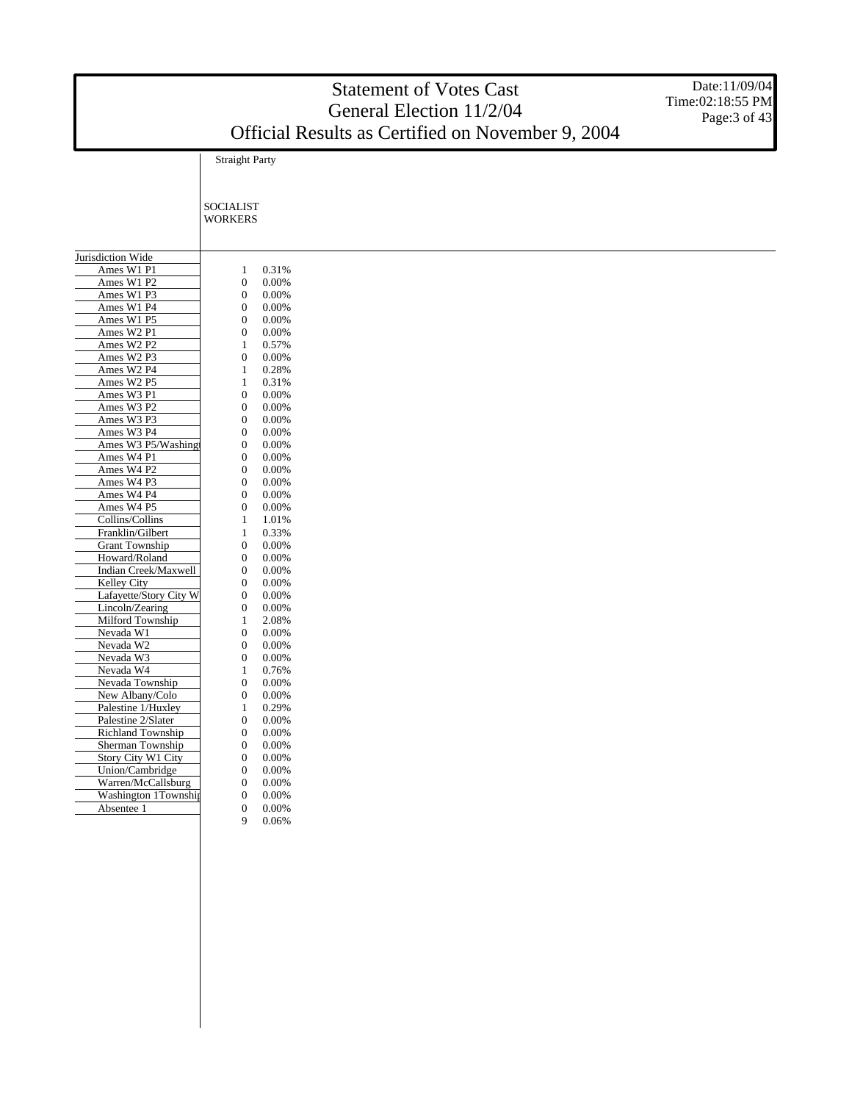|                                           |                                      |                | <b>Statement of Votes Cast</b><br>General Election 11/2/04 | Date: 11/09/04<br>Time:02:18:55 PM |
|-------------------------------------------|--------------------------------------|----------------|------------------------------------------------------------|------------------------------------|
|                                           |                                      |                | Official Results as Certified on November 9, 2004          | Page: 3 of 43                      |
|                                           | <b>Straight Party</b>                |                |                                                            |                                    |
|                                           |                                      |                |                                                            |                                    |
|                                           |                                      |                |                                                            |                                    |
|                                           | <b>SOCIALIST</b><br><b>WORKERS</b>   |                |                                                            |                                    |
|                                           |                                      |                |                                                            |                                    |
| Jurisdiction Wide                         |                                      |                |                                                            |                                    |
| Ames W1 P1                                | 1                                    | 0.31%          |                                                            |                                    |
| Ames W1 P2                                | $\boldsymbol{0}$                     | 0.00%          |                                                            |                                    |
| Ames W1 P3                                | $\boldsymbol{0}$                     | 0.00%          |                                                            |                                    |
| Ames W1 P4                                | $\boldsymbol{0}$                     | 0.00%          |                                                            |                                    |
| Ames W1 P5                                | $\boldsymbol{0}$                     | 0.00%          |                                                            |                                    |
| Ames W2 P1                                | $\boldsymbol{0}$                     | 0.00%          |                                                            |                                    |
| Ames W2 P2                                | 1                                    | 0.57%          |                                                            |                                    |
| Ames W2 P3                                | $\boldsymbol{0}$                     | 0.00%          |                                                            |                                    |
| Ames W2 P4                                | 1                                    | 0.28%          |                                                            |                                    |
| Ames W2 P5<br>Ames W3 P1                  | 1<br>$\boldsymbol{0}$                | 0.31%<br>0.00% |                                                            |                                    |
| Ames W3 P2                                | $\boldsymbol{0}$                     | 0.00%          |                                                            |                                    |
| Ames W3 P3                                | $\boldsymbol{0}$                     | 0.00%          |                                                            |                                    |
| Ames W3 P4                                | $\mathbf{0}$                         | 0.00%          |                                                            |                                    |
| Ames W3 P5/Washing                        | $\boldsymbol{0}$                     | 0.00%          |                                                            |                                    |
| Ames W4 P1                                | $\boldsymbol{0}$                     | 0.00%          |                                                            |                                    |
| Ames W4 P2                                | $\mathbf 0$                          | 0.00%          |                                                            |                                    |
| Ames W4 P3                                | $\boldsymbol{0}$                     | 0.00%          |                                                            |                                    |
| Ames W4 P4                                | $\boldsymbol{0}$                     | 0.00%          |                                                            |                                    |
| Ames W4 P5                                | $\boldsymbol{0}$                     | 0.00%          |                                                            |                                    |
| Collins/Collins                           | 1                                    | 1.01%          |                                                            |                                    |
| Franklin/Gilbert                          | 1                                    | 0.33%          |                                                            |                                    |
| <b>Grant Township</b>                     | $\boldsymbol{0}$                     | 0.00%          |                                                            |                                    |
| Howard/Roland                             | $\boldsymbol{0}$                     | 0.00%          |                                                            |                                    |
| Indian Creek/Maxwell                      | $\boldsymbol{0}$                     | 0.00%          |                                                            |                                    |
| Kelley City                               | $\boldsymbol{0}$                     | 0.00%          |                                                            |                                    |
| Lafayette/Story City W<br>Lincoln/Zearing | $\boldsymbol{0}$<br>$\boldsymbol{0}$ | 0.00%          |                                                            |                                    |
| Milford Township                          | 1                                    | 0.00%<br>2.08% |                                                            |                                    |
| Nevada W1                                 | $\boldsymbol{0}$                     | 0.00%          |                                                            |                                    |
| Nevada W2                                 | $\boldsymbol{0}$                     | 0.00%          |                                                            |                                    |
| Nevada W3                                 | $\boldsymbol{0}$                     | 0.00%          |                                                            |                                    |
| Nevada W4                                 | 1                                    | 0.76%          |                                                            |                                    |
| Nevada Township                           | $\boldsymbol{0}$                     | 0.00%          |                                                            |                                    |
| New Albany/Colo                           | $\mathbf{0}$                         | 0.00%          |                                                            |                                    |
| Palestine 1/Huxley                        | 1                                    | 0.29%          |                                                            |                                    |
| Palestine 2/Slater                        | $\boldsymbol{0}$                     | 0.00%          |                                                            |                                    |
| Richland Township                         | $\mathbf{0}$                         | 0.00%          |                                                            |                                    |
| Sherman Township                          | $\mathbf{0}$                         | $0.00\%$       |                                                            |                                    |
| Story City W1 City                        | $\mathbf{0}$                         | 0.00%          |                                                            |                                    |
| Union/Cambridge                           | $\mathbf{0}$                         | 0.00%          |                                                            |                                    |
| Warren/McCallsburg                        | $\mathbf{0}$                         | 0.00%          |                                                            |                                    |
| Washington 1Township<br>Absentee 1        | $\mathbf{0}$                         | 0.00%          |                                                            |                                    |
|                                           | $\mathbf{0}$<br>9                    | 0.00%<br>0.06% |                                                            |                                    |
|                                           |                                      |                |                                                            |                                    |
|                                           |                                      |                |                                                            |                                    |

# Statement of Votes Cast

Date:11/09/04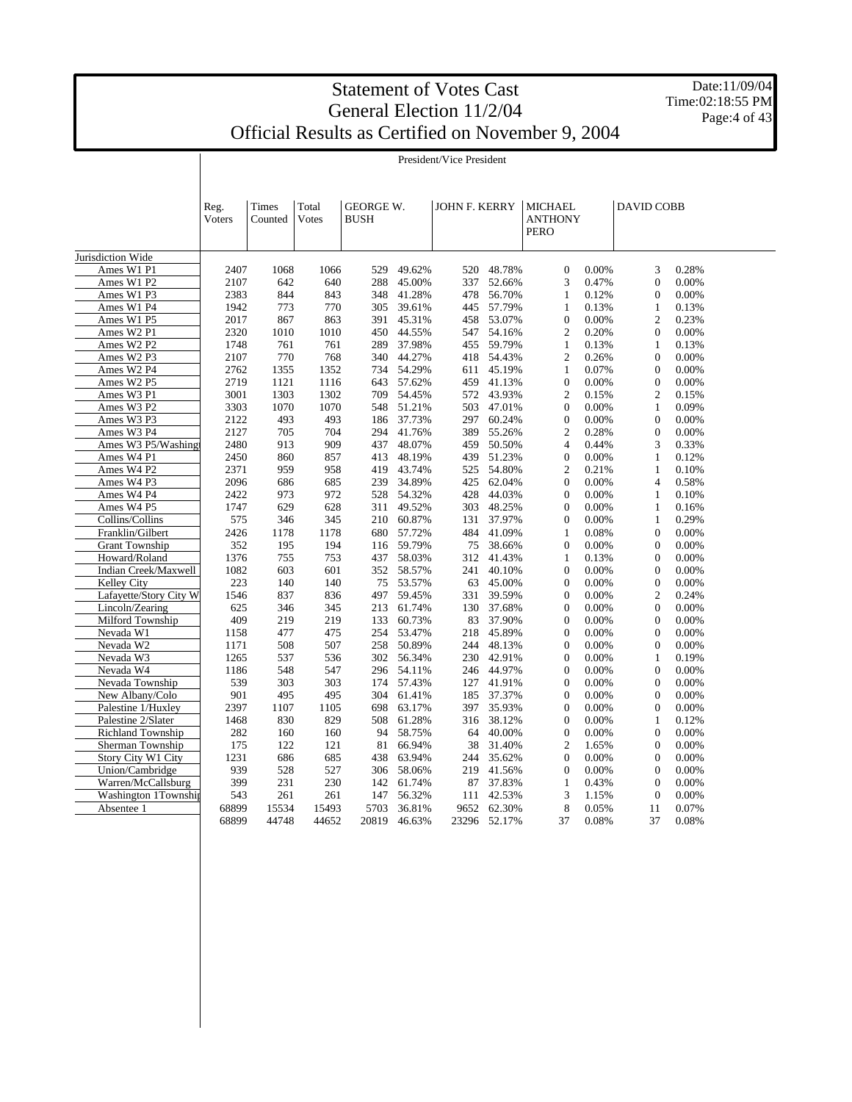Date:11/09/04 Time:02:18:55 PM Page:4 of 43

President/Vice President

|                          | Reg.<br>Voters | Times<br>Counted | Total<br>Votes | <b>GEORGE W.</b><br><b>BUSH</b> |                  | JOHN F. KERRY |                  | <b>MICHAEL</b><br><b>ANTHONY</b><br><b>PERO</b> |                | <b>DAVID COBB</b> |                |  |
|--------------------------|----------------|------------------|----------------|---------------------------------|------------------|---------------|------------------|-------------------------------------------------|----------------|-------------------|----------------|--|
| Jurisdiction Wide        |                |                  |                |                                 |                  |               |                  |                                                 |                |                   |                |  |
| Ames W1 P1               | 2407           | 1068             | 1066           | 529                             | 49.62%           | 520           | 48.78%           | $\mathbf{0}$                                    | 0.00%          | 3                 | 0.28%          |  |
| Ames W1 P2               | 2107           | 642              | 640            | 288                             | 45.00%           | 337           | 52.66%           | 3                                               | 0.47%          | $\overline{0}$    | 0.00%          |  |
| Ames W1 P3               | 2383           | 844              | 843            | 348                             | 41.28%           | 478           | 56.70%           | 1                                               | 0.12%          | $\mathbf{0}$      | 0.00%          |  |
| Ames W1 P4               | 1942           | 773              | 770            | 305                             | 39.61%           | 445           | 57.79%           | $\mathbf{1}$                                    | 0.13%          | $\mathbf{1}$      | 0.13%          |  |
| Ames W1 P5               | 2017           | 867              | 863            | 391                             | 45.31%           | 458           | 53.07%           | $\boldsymbol{0}$                                | 0.00%          | $\mathfrak{2}$    | 0.23%          |  |
| Ames W2 P1               | 2320           | 1010             | 1010           | 450                             | 44.55%           | 547           | 54.16%           | $\overline{c}$                                  | 0.20%          | $\Omega$          | 0.00%          |  |
| Ames W2 P2               | 1748           | 761              | 761            | 289                             | 37.98%           | 455           | 59.79%           | $\mathbf{1}$                                    | 0.13%          | $\mathbf{1}$      | 0.13%          |  |
| Ames W2 P3               | 2107           | 770              | 768            | 340                             | 44.27%           | 418           | 54.43%           | $\overline{2}$                                  | 0.26%          | $\Omega$          | 0.00%          |  |
| Ames W2 P4               | 2762           | 1355             | 1352           | 734                             | 54.29%           | 611           | 45.19%           | $\mathbf{1}$                                    | 0.07%          | $\mathbf{0}$      | 0.00%          |  |
| Ames W2 P5               | 2719           | 1121             | 1116           | 643                             | 57.62%           | 459           | 41.13%           | $\mathbf{0}$                                    | 0.00%          | $\mathbf{0}$      | 0.00%          |  |
| Ames W3 P1               | 3001           | 1303             | 1302           | 709                             | 54.45%           | 572           | 43.93%           | $\overline{2}$                                  | 0.15%          | $\mathfrak{2}$    | 0.15%          |  |
| Ames W3 P2               | 3303           | 1070             | 1070           | 548                             | 51.21%           | 503           | 47.01%           | $\theta$                                        | 0.00%          | $\mathbf{1}$      | 0.09%          |  |
| Ames W3 P3               | 2122           | 493              | 493            | 186                             | 37.73%           | 297           | 60.24%           | $\boldsymbol{0}$                                | 0.00%          | $\Omega$          | 0.00%          |  |
| Ames W3 P4               | 2127           | 705              | 704            | 294                             | 41.76%           | 389           | 55.26%           | $\overline{2}$                                  | 0.28%          | $\mathbf{0}$      | 0.00%          |  |
| Ames W3 P5/Washingt      | 2480           | 913              | 909            | 437                             | 48.07%           | 459           | 50.50%           | $\overline{4}$                                  | 0.44%          | 3                 | 0.33%          |  |
| Ames W4 P1               | 2450           | 860              | 857            | 413                             | 48.19%           | 439           | 51.23%           | $\boldsymbol{0}$                                | 0.00%          | 1                 | 0.12%          |  |
| Ames W4 P2               | 2371           | 959              | 958            | 419                             | 43.74%           | 525           | 54.80%           | $\overline{2}$                                  | 0.21%          | $\mathbf{1}$      | 0.10%          |  |
| Ames W4 P3               | 2096           | 686              | 685            | 239                             | 34.89%           | 425           | 62.04%           | $\boldsymbol{0}$                                | 0.00%          | $\overline{4}$    | 0.58%          |  |
| Ames W4 P4               | 2422           | 973              | 972            | 528                             | 54.32%           | 428           | 44.03%           | $\theta$                                        | 0.00%          | $\mathbf{1}$      | 0.10%          |  |
| Ames W4 P5               | 1747           | 629              | 628            | 311                             | 49.52%           | 303           | 48.25%           | $\boldsymbol{0}$                                | 0.00%          | $\mathbf{1}$      | 0.16%          |  |
| Collins/Collins          | 575            | 346              | 345            | 210                             | 60.87%           | 131           | 37.97%           | $\overline{0}$                                  | 0.00%          | 1                 | 0.29%          |  |
| Franklin/Gilbert         | 2426           | 1178             | 1178           | 680                             | 57.72%           | 484           | 41.09%           | $\mathbf{1}$                                    | 0.08%          | $\Omega$          | 0.00%          |  |
| <b>Grant Township</b>    | 352            | 195              | 194            | 116                             | 59.79%           | 75            | 38.66%           | $\overline{0}$                                  | 0.00%          | $\Omega$          | 0.00%          |  |
| Howard/Roland            | 1376           | 755              | 753            | 437                             | 58.03%           | 312           | 41.43%           | $\mathbf{1}$                                    | 0.13%          | $\mathbf{0}$      | 0.00%          |  |
| Indian Creek/Maxwell     | 1082           | 603              | 601            | 352                             | 58.57%           | 241           | 40.10%           | $\overline{0}$                                  | 0.00%          | $\mathbf{0}$      | 0.00%          |  |
| <b>Kelley City</b>       | 223            | 140              | 140            | 75                              | 53.57%           | 63            | 45.00%           | $\mathbf{0}$                                    | 0.00%          | $\overline{0}$    | 0.00%          |  |
| Lafayette/Story City W   | 1546           | 837              | 836            | 497                             | 59.45%           | 331           | 39.59%           | $\boldsymbol{0}$                                | 0.00%          | $\overline{c}$    | 0.24%          |  |
| Lincoln/Zearing          | 625            | 346              | 345            | 213                             | 61.74%           | 130           | 37.68%           | $\theta$                                        | 0.00%          | $\mathbf{0}$      | 0.00%          |  |
| Milford Township         | 409            | 219              | 219            | 133                             | 60.73%           | 83            | 37.90%           | $\mathbf{0}$                                    | 0.00%          | $\Omega$          | 0.00%          |  |
| Nevada W1                | 1158           | 477              | 475            | 254                             | 53.47%           | 218           | 45.89%           | $\theta$                                        | 0.00%          | $\mathbf{0}$      | 0.00%          |  |
| Nevada W2                | 1171           | 508              | 507            | 258                             | 50.89%           | 244           | 48.13%           | $\mathbf{0}$                                    | 0.00%          | $\Omega$          | 0.00%          |  |
| Nevada W3                | 1265           | 537              | 536            | 302                             | 56.34%           | 230           | 42.91%           | $\boldsymbol{0}$                                | 0.00%          | $\mathbf{1}$      | 0.19%          |  |
| Nevada W4                | 1186           | 548              | 547            | 296                             | 54.11%           | 246           | 44.97%           | $\mathbf{0}$                                    | 0.00%          | $\mathbf{0}$      | 0.00%          |  |
| Nevada Township          | 539            | 303              | 303            | 174                             | 57.43%           | 127           | 41.91%           | $\overline{0}$                                  | 0.00%          | $\mathbf{0}$      | 0.00%          |  |
| New Albany/Colo          | 901            | 495              | 495            | 304                             | 61.41%           | 185           | 37.37%           | $\boldsymbol{0}$                                | 0.00%          | $\mathbf{0}$      | 0.00%          |  |
| Palestine 1/Huxley       | 2397           | 1107             | 1105           | 698                             | 63.17%           | 397           | 35.93%           | $\mathbf{0}$                                    | 0.00%          | $\overline{0}$    | 0.00%          |  |
| Palestine 2/Slater       | 1468           | 830              | 829            | 508                             | 61.28%           | 316           | 38.12%           | $\mathbf{0}$                                    | 0.00%          | 1                 | 0.12%          |  |
| <b>Richland Township</b> | 282            | 160              | 160            | 94                              | 58.75%           | 64            | 40.00%           | $\mathbf{0}$                                    | 0.00%          | $\Omega$          | 0.00%          |  |
| Sherman Township         | 175            | 122              | 121            | 81                              | 66.94%           | 38            |                  | $\overline{2}$                                  | 1.65%          | $\mathbf{0}$      | 0.00%          |  |
| Story City W1 City       | 1231           | 686              | 685            | 438                             | 63.94%           | 244           | 31.40%<br>35.62% | $\overline{0}$                                  | 0.00%          | $\Omega$          | 0.00%          |  |
| Union/Cambridge          | 939            |                  | 527            | 306                             | 58.06%           |               | 41.56%           | $\mathbf{0}$                                    | 0.00%          | $\mathbf{0}$      | 0.00%          |  |
| Warren/McCallsburg       | 399            | 528              | 230            |                                 | 61.74%           | 219           | 37.83%           |                                                 |                | $\mathbf{0}$      |                |  |
| Washington 1Township     | 543            | 231<br>261       | 261            | 142<br>147                      | 56.32%           | 87<br>111     | 42.53%           | $\mathbf{1}$<br>3                               | 0.43%<br>1.15% | $\Omega$          | 0.00%<br>0.00% |  |
|                          | 68899          |                  |                |                                 |                  |               | 62.30%           | 8                                               |                | 11                |                |  |
| Absentee 1               | 68899          | 15534<br>44748   | 15493<br>44652 | 5703<br>20819                   | 36.81%<br>46.63% | 9652<br>23296 | 52.17%           | 37                                              | 0.05%<br>0.08% | 37                | 0.07%<br>0.08% |  |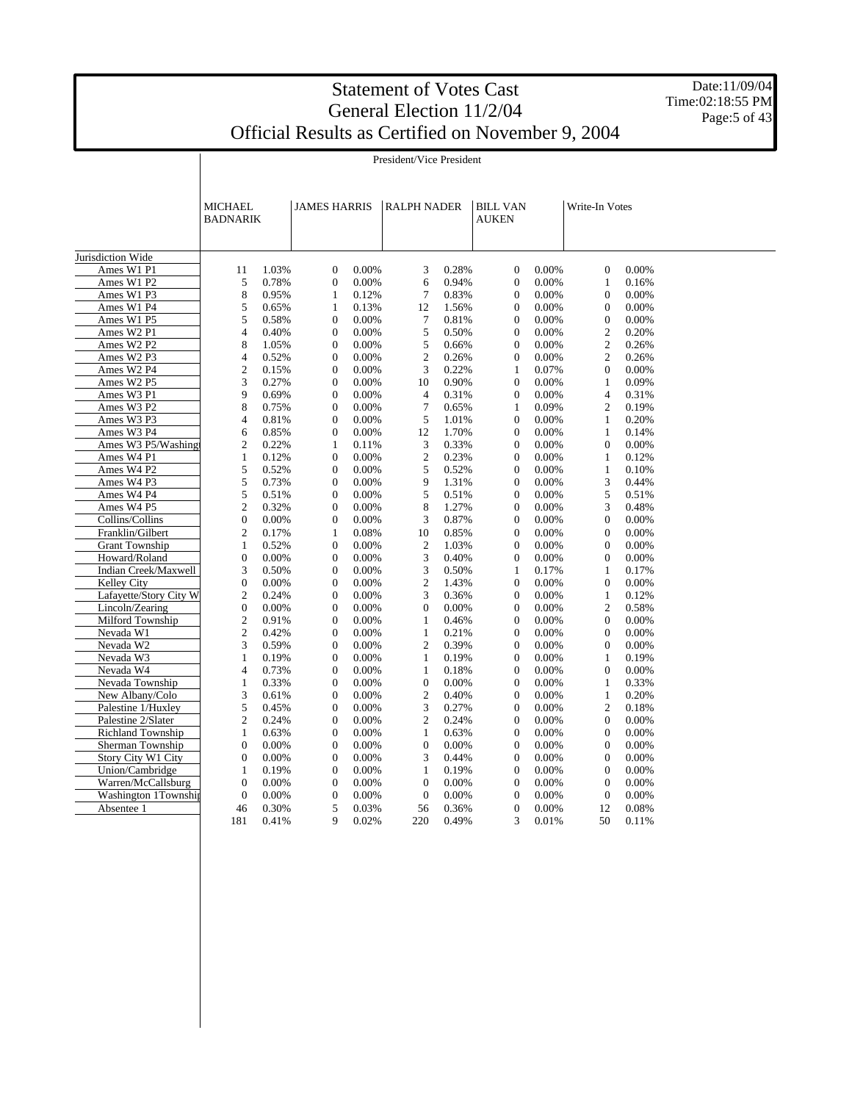President/Vice President

Date:11/09/04 Time:02:18:55 PM Page:5 of 43

Jurisdiction Wide Ames W1 P1 Ames W1 P2 Ames W1 P3 Ames W1 P4 Ames W1 P5 Ames W2 P1 Ames W2 P2 Ames W2 P3 Ames W2 P4 Ames W2 P5 Ames W3 P1 Ames W3 P2 Ames W3 P3 Ames W3 P4 Ames W3 P5/Washing Ames W4 P1 Ames W4 P2 Ames W4 P3 Ames W4 P4 Ames W4 P5 Collins/Collins Franklin/Gilbert Grant Township Howard/Roland Indian Creek/Maxwell Kelley City Lafayette/Story City W2 Lincoln/Zearing Milford Township Nevada W1 Nevada W2 Nevada W3 Nevada W4 Nevada Township New Albany/Colo Palestine 1/Huxley Palestine 2/Slater Richland Township Sherman Township Story City W1 City Union/Cambridge Warren/McCallsburg Washington 1Township Absentee 1 MICHAEL BADNARIK JAMES HARRIS | RALPH NADER | BILL VAN **AUKEN** Write-In Votes 11 1.03% 0 0.00% 3 0.28% 0 0.00% 0 0.00% 5 0.78% 0 0.00% 6 0.94% 0 0.00% 1 0.16% 8 0.95% 1 0.12% 7 0.83% 0 0.00% 0 0.00% 5 0.65% 1 0.13% 12 1.56% 0 0.00% 0 0.00% 5 0.58% 0 0.00% 7 0.81% 0 0.00% 0 0.00% 4 0.40% 0 0.00% 5 0.50% 0 0.00% 2 0.20% 8 1.05% 0 0.00% 5 0.66% 0 0.00% 2 0.26% 4 0.52% 0 0.00% 2 0.26% 0 0.00% 2 0.26% 2 0.15% 0 0.00% 3 0.22% 1 0.07% 0 0.00% 3 0.27% 0 0.00% 10 0.90% 0 0.00% 1 0.09% 9 0.69% 0 0.00% 4 0.31% 0 0.00% 4 0.31% 8 0.75% 0 0.00% 7 0.65% 1 0.09% 2 0.19% 4 0.81% 0 0.00% 5 1.01% 0 0.00% 1 0.20% 6 0.85% 0 0.00% 12 1.70% 0 0.00% 1 0.14% 2 0.22% 1 0.11% 3 0.33% 0 0.00% 0 0.00% 1 0.12% 0 0.00% 2 0.23% 0 0.00% 1 0.12% 5 0.52% 0 0.00% 5 0.52% 0 0.00% 1 0.10% 5 0.73% 0 0.00% 9 1.31% 0 0.00% 3 0.44% 5 0.51% 0 0.00% 5 0.51% 0 0.00% 5 0.51% 2 0.32% 0 0.00% 8 1.27% 0 0.00% 3 0.48% 0 0.00% 0 0.00% 3 0.87% 0 0.00% 0 0.00% 2 0.17% 1 0.08% 10 0.85% 0 0.00% 0 0.00% 1 0.52% 0 0.00% 2 1.03% 0 0.00% 0 0.00% 0 0.00% 0 0.00% 3 0.40% 0 0.00% 0 0.00% 3 0.50% 0 0.00% 3 0.50% 1 0.17% 1 0.17% 0 0.00% 0 0.00% 2 1.43% 0 0.00% 0 0.00% 2 0.24% 0 0.00% 3 0.36% 0 0.00% 1 0.12% 0 0.00% 0 0.00% 0 0.00% 0 0.00% 2 0.58% 2 0.91% 0 0.00% 1 0.46% 0 0.00% 0 0.00% 2 0.42% 0 0.00% 1 0.21% 0 0.00% 0 0.00% 3 0.59% 0 0.00% 2 0.39% 0 0.00% 0 0.00% 1 0.19% 0 0.00% 1 0.19% 0 0.00% 1 0.19% 4 0.73% 0 0.00% 1 0.18% 0 0.00% 0 0.00% 1 0.33% 0 0.00% 0 0.00% 0 0.00% 1 0.33% 3 0.61% 0 0.00% 2 0.40% 0 0.00% 1 0.20% 5 0.45% 0 0.00% 3 0.27% 0 0.00% 2 0.18% 2 0.24% 0 0.00% 2 0.24% 0 0.00% 0 0.00% 1 0.63% 0 0.00% 1 0.63% 0 0.00% 0 0.00% 0 0.00% 0 0.00% 0 0.00% 0 0.00% 0 0.00% 0 0.00% 0 0.00% 3 0.44% 0 0.00% 0 0.00% 1 0.19% 0 0.00% 1 0.19% 0 0.00% 0 0.00% 0 0.00% 0 0.00% 0 0.00% 0 0.00% 0 0.00% 0 0.00% 0 0.00% 0 0.00% 0 0.00% 0 0.00% 46 0.30% 5 0.03% 56 0.36% 0 0.00% 12 0.08% 181 0.41% 9 0.02% 220 0.49% 3 0.01% 50 0.11%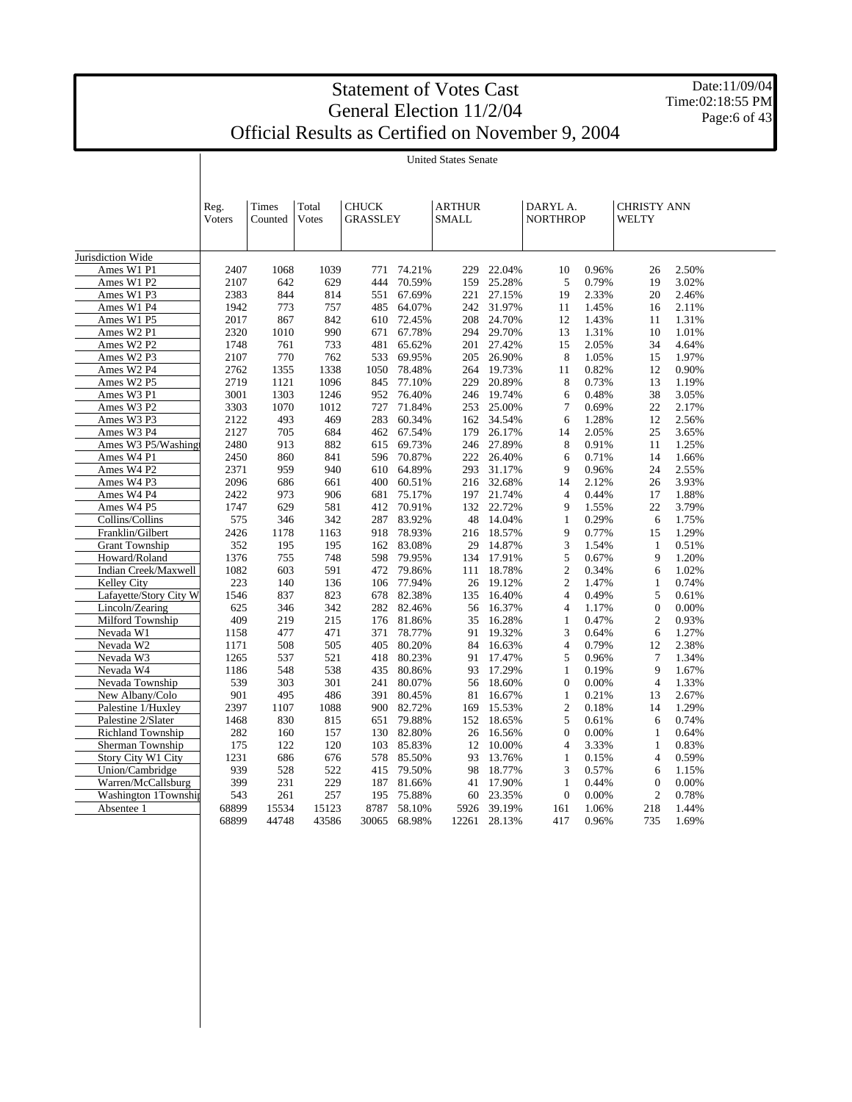Ī

Date:11/09/04 Time:02:18:55 PM Page:6 of 43

|                        | Reg.         | Times      | Total      | <b>CHUCK</b>    |                  | <b>ARTHUR</b> |                  | DARYL A.          |                | <b>CHRISTY ANN</b> |                |  |
|------------------------|--------------|------------|------------|-----------------|------------------|---------------|------------------|-------------------|----------------|--------------------|----------------|--|
|                        | Voters       | Counted    | Votes      | <b>GRASSLEY</b> |                  | <b>SMALL</b>  |                  | <b>NORTHROP</b>   |                | WELTY              |                |  |
|                        |              |            |            |                 |                  |               |                  |                   |                |                    |                |  |
|                        |              |            |            |                 |                  |               |                  |                   |                |                    |                |  |
| Jurisdiction Wide      |              |            |            |                 |                  |               |                  |                   |                |                    |                |  |
| Ames W1 P1             | 2407         | 1068       | 1039       |                 | 771 74.21%       | 229           | 22.04%           | 10                | 0.96%          | 26                 | 2.50%          |  |
| Ames W1 P2             | 2107         | 642        | 629        | 444             | 70.59%           | 159           | 25.28%           | 5                 | 0.79%          | 19                 | 3.02%          |  |
| Ames W1 P3             | 2383         | 844        | 814        | 551             | 67.69%           | 221           | 27.15%           | 19                | 2.33%          | 20                 | 2.46%          |  |
| Ames W1 P4             | 1942         | 773        | 757        | 485             | 64.07%           | 242           | 31.97%           | 11                | 1.45%          | 16                 | 2.11%          |  |
| Ames W1 P5             | 2017         | 867        | 842        | 610             | 72.45%           | 208           | 24.70%           | 12                | 1.43%          | 11                 | 1.31%          |  |
| Ames W2 P1             | 2320         | 1010       | 990        | 671             | 67.78%           | 294           | 29.70%           | 13                | 1.31%          | 10                 | 1.01%          |  |
| Ames W2 P2             | 1748         | 761        | 733        | 481             | 65.62%           | 201           | 27.42%           | 15                | 2.05%          | 34                 | 4.64%          |  |
| Ames W2 P3             | 2107         | 770        | 762        | 533             | 69.95%           | 205           | 26.90%           | 8                 | 1.05%          | 15                 | 1.97%          |  |
| Ames W2 P4             | 2762         | 1355       | 1338       | 1050            | 78.48%           | 264           | 19.73%           | 11                | 0.82%          | 12                 | 0.90%          |  |
| Ames W2 P5             | 2719         | 1121       | 1096       | 845             | 77.10%           | 229           | 20.89%           | 8                 | 0.73%          | 13                 | 1.19%          |  |
| Ames W3 P1             | 3001         | 1303       | 1246       | 952             | 76.40%           | 246           | 19.74%           | 6                 | 0.48%          | 38                 | 3.05%          |  |
| Ames W3 P2             | 3303         | 1070       | 1012       | 727             | 71.84%           | 253           | 25.00%           | 7                 | 0.69%          | 22                 | 2.17%          |  |
| Ames W3 P3             | 2122         | 493        | 469        | 283             | 60.34%           | 162           | 34.54%           | 6                 | 1.28%          | 12                 | 2.56%          |  |
| Ames W3 P4             | 2127         | 705        | 684        | 462             | 67.54%           | 179           | 26.17%           | 14                | 2.05%          | 25                 | 3.65%          |  |
| Ames W3 P5/Washingt    | 2480         | 913        | 882        | 615             | 69.73%           | 246           | 27.89%           | 8                 | 0.91%          | 11                 | 1.25%          |  |
| Ames W4 P1             | 2450         | 860        | 841        | 596             | 70.87%           | 222           | 26.40%           | 6                 | 0.71%          | 14                 | 1.66%          |  |
| Ames W4 P2             | 2371         | 959        | 940        | 610             | 64.89%           | 293           | 31.17%           | 9                 | 0.96%          | 24                 | 2.55%          |  |
| Ames W4 P3             | 2096         | 686        | 661        | 400             | 60.51%           | 216           | 32.68%           | 14                | 2.12%          | 26                 | 3.93%          |  |
| Ames W4 P4             | 2422         | 973        | 906        | 681             | 75.17%           | 197           | 21.74%           | $\overline{4}$    | 0.44%          | 17                 | 1.88%          |  |
| Ames W4 P5             | 1747         | 629        | 581        | 412             | 70.91%           | 132           | 22.72%           | 9                 | 1.55%          | 22                 | 3.79%          |  |
| Collins/Collins        | 575          | 346        | 342        | 287             | 83.92%           | 48            | 14.04%           | $\mathbf{1}$      | 0.29%          | 6                  | 1.75%          |  |
| Franklin/Gilbert       | 2426         | 1178       | 1163       | 918             | 78.93%           | 216           | 18.57%           | 9                 | 0.77%          | 15                 | 1.29%          |  |
| <b>Grant Township</b>  | 352          | 195        | 195        | 162             | 83.08%           | 29            | 14.87%           | 3                 | 1.54%          | $\mathbf{1}$       | 0.51%          |  |
| Howard/Roland          | 1376         | 755        | 748        | 598             | 79.95%           | 134           | 17.91%           | 5                 | 0.67%          | 9                  | 1.20%          |  |
| Indian Creek/Maxwell   | 1082         | 603        | 591        | 472             | 79.86%           | 111           | 18.78%           | $\overline{c}$    | 0.34%          | 6                  | 1.02%          |  |
| Kelley City            | 223          | 140        | 136        | 106             | 77.94%           | 26            | 19.12%           | $\mathfrak{2}$    | 1.47%          | $\mathbf{1}$       | 0.74%          |  |
| Lafayette/Story City W | 1546         | 837        | 823        | 678             | 82.38%           | 135           | 16.40%           | $\overline{4}$    | 0.49%          | 5                  | 0.61%          |  |
| Lincoln/Zearing        | 625          | 346        | 342        | 282             | 82.46%           | 56            | 16.37%           | 4                 | 1.17%          | $\mathbf{0}$       | 0.00%          |  |
| Milford Township       | 409          | 219        | 215        | 176             | 81.86%           | 35            | 16.28%           | $\mathbf{1}$      | 0.47%          | $\overline{2}$     | 0.93%          |  |
| Nevada W1              | 1158         | 477        | 471        | 371             | 78.77%           | 91            | 19.32%           | 3                 | 0.64%          | 6                  | 1.27%          |  |
| Nevada W2              | 1171         | 508        | 505        | 405             | 80.20%           | 84            | 16.63%           | 4                 | 0.79%          | 12                 | 2.38%          |  |
| Nevada W3<br>Nevada W4 | 1265<br>1186 | 537<br>548 | 521<br>538 | 418<br>435      | 80.23%<br>80.86% | 91<br>93      | 17.47%<br>17.29% | 5<br>$\mathbf{1}$ | 0.96%<br>0.19% | 7<br>9             | 1.34%<br>1.67% |  |
| Nevada Township        | 539          | 303        | 301        | 241             | 80.07%           | 56            | 18.60%           | $\boldsymbol{0}$  | 0.00%          | $\overline{4}$     | 1.33%          |  |
| New Albany/Colo        | 901          | 495        | 486        | 391             | 80.45%           | 81            | 16.67%           | $\mathbf{1}$      | 0.21%          | 13                 | 2.67%          |  |
| Palestine 1/Huxley     | 2397         | 1107       | 1088       | 900             | 82.72%           | 169           | 15.53%           | $\overline{c}$    | 0.18%          | 14                 | 1.29%          |  |
| Palestine 2/Slater     | 1468         | 830        | 815        | 651             | 79.88%           | 152           | 18.65%           | 5                 | 0.61%          | 6                  | 0.74%          |  |
| Richland Township      | 282          | 160        | 157        | 130             | 82.80%           | 26            | 16.56%           | $\mathbf{0}$      | 0.00%          | 1                  | 0.64%          |  |
| Sherman Township       | 175          | 122        | 120        | 103             | 85.83%           | 12            | 10.00%           | 4                 | 3.33%          | $\mathbf{1}$       | 0.83%          |  |
| Story City W1 City     | 1231         | 686        | 676        | 578             | 85.50%           | 93            | 13.76%           | $\mathbf{1}$      | 0.15%          | $\overline{4}$     | 0.59%          |  |
| Union/Cambridge        | 939          | 528        | 522        | 415             | 79.50%           | 98            | 18.77%           | 3                 | 0.57%          | 6                  | 1.15%          |  |
| Warren/McCallsburg     | 399          | 231        | 229        | 187             | 81.66%           | 41            | 17.90%           | $\mathbf{1}$      | 0.44%          | $\mathbf{0}$       | 0.00%          |  |
| Washington 1Township   | 543          | 261        | 257        | 195             | 75.88%           | 60            | 23.35%           | $\overline{0}$    | 0.00%          | $\overline{c}$     | 0.78%          |  |
| Absentee 1             | 68899        | 15534      | 15123      | 8787            | 58.10%           | 5926          | 39.19%           | 161               | 1.06%          | 218                | 1.44%          |  |
|                        | 68899        | 44748      | 43586      | 30065           | 68.98%           | 12261         | 28.13%           | 417               | 0.96%          | 735                | 1.69%          |  |
|                        |              |            |            |                 |                  |               |                  |                   |                |                    |                |  |

United States Senate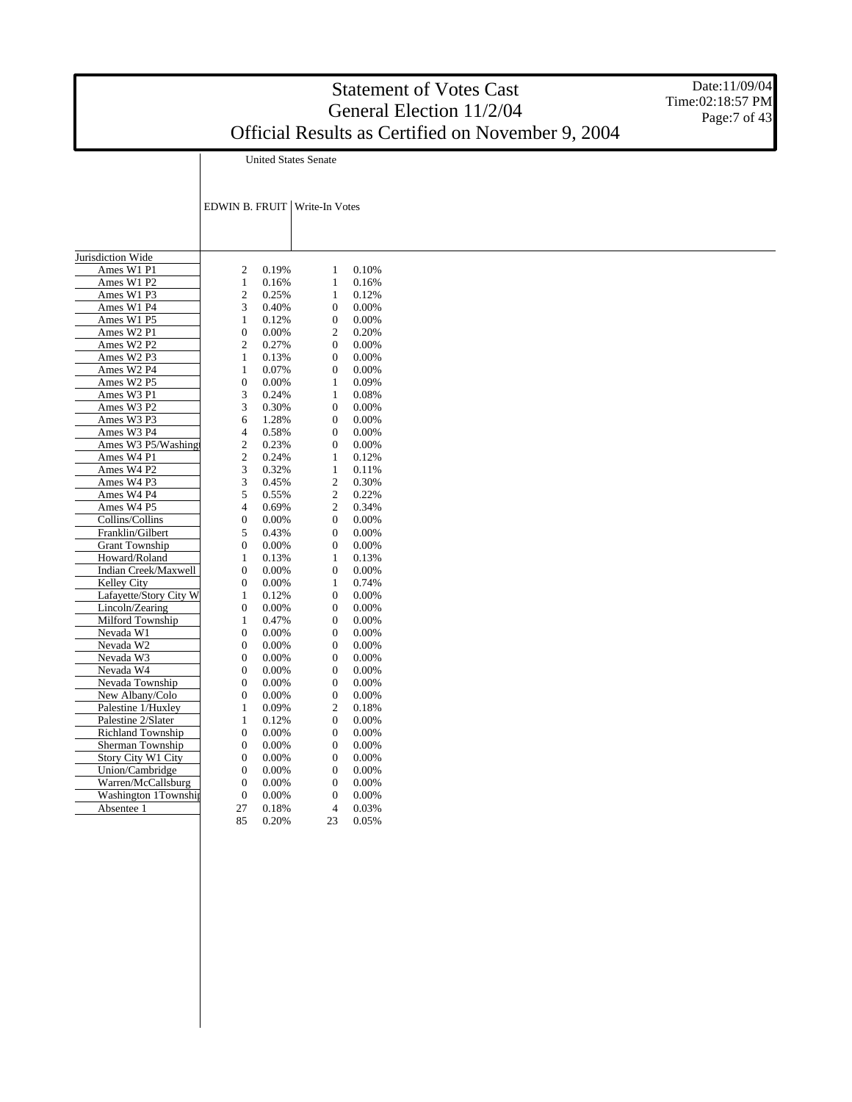|                                           |                                      |                |                                      |                | <b>Statement of Votes Cast</b><br>General Election 11/2/04 | Date:11/09/04<br>Time:02:18:57 PM<br>Page:7 of 43 |
|-------------------------------------------|--------------------------------------|----------------|--------------------------------------|----------------|------------------------------------------------------------|---------------------------------------------------|
|                                           |                                      |                |                                      |                | Official Results as Certified on November 9, 2004          |                                                   |
|                                           |                                      |                | <b>United States Senate</b>          |                |                                                            |                                                   |
|                                           |                                      |                |                                      |                |                                                            |                                                   |
|                                           |                                      |                |                                      |                |                                                            |                                                   |
|                                           |                                      |                | EDWIN B. FRUIT   Write-In Votes      |                |                                                            |                                                   |
|                                           |                                      |                |                                      |                |                                                            |                                                   |
| Jurisdiction Wide                         |                                      |                |                                      |                |                                                            |                                                   |
| Ames W1 P1                                | 2                                    | 0.19%          | 1                                    | 0.10%          |                                                            |                                                   |
| Ames W1 P2                                | 1                                    | 0.16%          | $\mathbf{1}$                         | 0.16%          |                                                            |                                                   |
| Ames W1 P3                                | $\overline{c}$                       | 0.25%          | 1                                    | 0.12%          |                                                            |                                                   |
| Ames W1 P4                                | 3                                    | 0.40%          | $\boldsymbol{0}$                     | 0.00%          |                                                            |                                                   |
| Ames W1 P5                                | 1                                    | 0.12%          | $\boldsymbol{0}$                     | 0.00%          |                                                            |                                                   |
| Ames W2 P1                                | $\boldsymbol{0}$                     | 0.00%          | $\boldsymbol{2}$                     | 0.20%          |                                                            |                                                   |
| Ames W2 P2                                | $\boldsymbol{2}$                     | 0.27%          | $\boldsymbol{0}$                     | 0.00%          |                                                            |                                                   |
| Ames W2 P3                                | 1                                    | 0.13%          | $\boldsymbol{0}$                     | 0.00%          |                                                            |                                                   |
| Ames W2 P4                                | 1                                    | 0.07%          | $\boldsymbol{0}$                     | 0.00%          |                                                            |                                                   |
| Ames W2 P5                                | $\boldsymbol{0}$                     | 0.00%          | $\mathbf{1}$                         | 0.09%          |                                                            |                                                   |
| Ames W3 P1<br>Ames W3 P2                  | 3<br>3                               | 0.24%<br>0.30% | 1<br>$\boldsymbol{0}$                | 0.08%<br>0.00% |                                                            |                                                   |
| Ames W3 P3                                | 6                                    | 1.28%          | $\boldsymbol{0}$                     | 0.00%          |                                                            |                                                   |
| Ames W3 P4                                | 4                                    | 0.58%          | $\boldsymbol{0}$                     | 0.00%          |                                                            |                                                   |
| Ames W3 P5/Washing                        | $\boldsymbol{2}$                     | 0.23%          | $\boldsymbol{0}$                     | 0.00%          |                                                            |                                                   |
| Ames W4 P1                                | $\boldsymbol{2}$                     | 0.24%          | 1                                    | 0.12%          |                                                            |                                                   |
| Ames W4 P2                                | 3                                    | 0.32%          | 1                                    | 0.11%          |                                                            |                                                   |
| Ames W4 P3                                | 3                                    | 0.45%          | $\boldsymbol{2}$                     | 0.30%          |                                                            |                                                   |
| Ames W4 P4                                | 5                                    | 0.55%          | $\boldsymbol{2}$                     | 0.22%          |                                                            |                                                   |
| Ames W4 P5                                | $\overline{4}$                       | 0.69%          | $\boldsymbol{2}$                     | 0.34%          |                                                            |                                                   |
| Collins/Collins                           | $\mathbf{0}$                         | 0.00%          | $\boldsymbol{0}$                     | 0.00%          |                                                            |                                                   |
| Franklin/Gilbert                          | 5                                    | 0.43%          | $\boldsymbol{0}$                     | 0.00%          |                                                            |                                                   |
| <b>Grant Township</b>                     | $\boldsymbol{0}$                     | 0.00%          | $\boldsymbol{0}$                     | 0.00%          |                                                            |                                                   |
| Howard/Roland                             | 1                                    | 0.13%          | $\mathbf{1}$                         | 0.13%          |                                                            |                                                   |
| Indian Creek/Maxwell                      | $\boldsymbol{0}$                     | 0.00%          | $\boldsymbol{0}$                     | 0.00%          |                                                            |                                                   |
| Kelley City                               | $\boldsymbol{0}$                     | 0.00%          | $\mathbf{1}$                         | 0.74%          |                                                            |                                                   |
| Lafayette/Story City W<br>Lincoln/Zearing | 1<br>$\boldsymbol{0}$                | 0.12%<br>0.00% | $\boldsymbol{0}$<br>$\boldsymbol{0}$ | 0.00%<br>0.00% |                                                            |                                                   |
| Milford Township                          | 1                                    | 0.47%          | $\boldsymbol{0}$                     | 0.00%          |                                                            |                                                   |
| Nevada W1                                 | $\boldsymbol{0}$                     | 0.00%          | $\boldsymbol{0}$                     | 0.00%          |                                                            |                                                   |
| Nevada W2                                 | $\boldsymbol{0}$                     | 0.00%          | $\boldsymbol{0}$                     | 0.00%          |                                                            |                                                   |
| Nevada W3                                 | $\boldsymbol{0}$                     | 0.00%          | $\boldsymbol{0}$                     | 0.00%          |                                                            |                                                   |
| Nevada W4                                 | $\overline{0}$                       | 0.00%          | $\boldsymbol{0}$                     | 0.00%          |                                                            |                                                   |
| Nevada Township                           | $\mathbf{0}$                         | 0.00%          | $\boldsymbol{0}$                     | 0.00%          |                                                            |                                                   |
| New Albany/Colo                           | $\Omega$                             | 0.00%          | $\mathbf{0}$                         | 0.00%          |                                                            |                                                   |
| Palestine 1/Huxley                        | $\mathbf{1}$                         | 0.09%          | $\boldsymbol{2}$                     | 0.18%          |                                                            |                                                   |
| Palestine 2/Slater                        | $\mathbf{1}$                         | 0.12%          | $\boldsymbol{0}$                     | 0.00%          |                                                            |                                                   |
| Richland Township                         | $\boldsymbol{0}$                     | 0.00%          | $\boldsymbol{0}$                     | $0.00\%$       |                                                            |                                                   |
| Sherman Township                          | $\boldsymbol{0}$                     | 0.00%          | $\boldsymbol{0}$                     | 0.00%          |                                                            |                                                   |
| Story City W1 City<br>Union/Cambridge     | $\boldsymbol{0}$<br>$\boldsymbol{0}$ | 0.00%<br>0.00% | $\boldsymbol{0}$<br>$\boldsymbol{0}$ | 0.00%<br>0.00% |                                                            |                                                   |
| Warren/McCallsburg                        | $\boldsymbol{0}$                     | 0.00%          | $\boldsymbol{0}$                     | 0.00%          |                                                            |                                                   |
| Washington 1Township                      | $\boldsymbol{0}$                     | 0.00%          | $\boldsymbol{0}$                     | 0.00%          |                                                            |                                                   |
| Absentee 1                                | 27                                   | 0.18%          | $\overline{4}$                       | 0.03%          |                                                            |                                                   |
|                                           | 85                                   | 0.20%          | 23                                   | 0.05%          |                                                            |                                                   |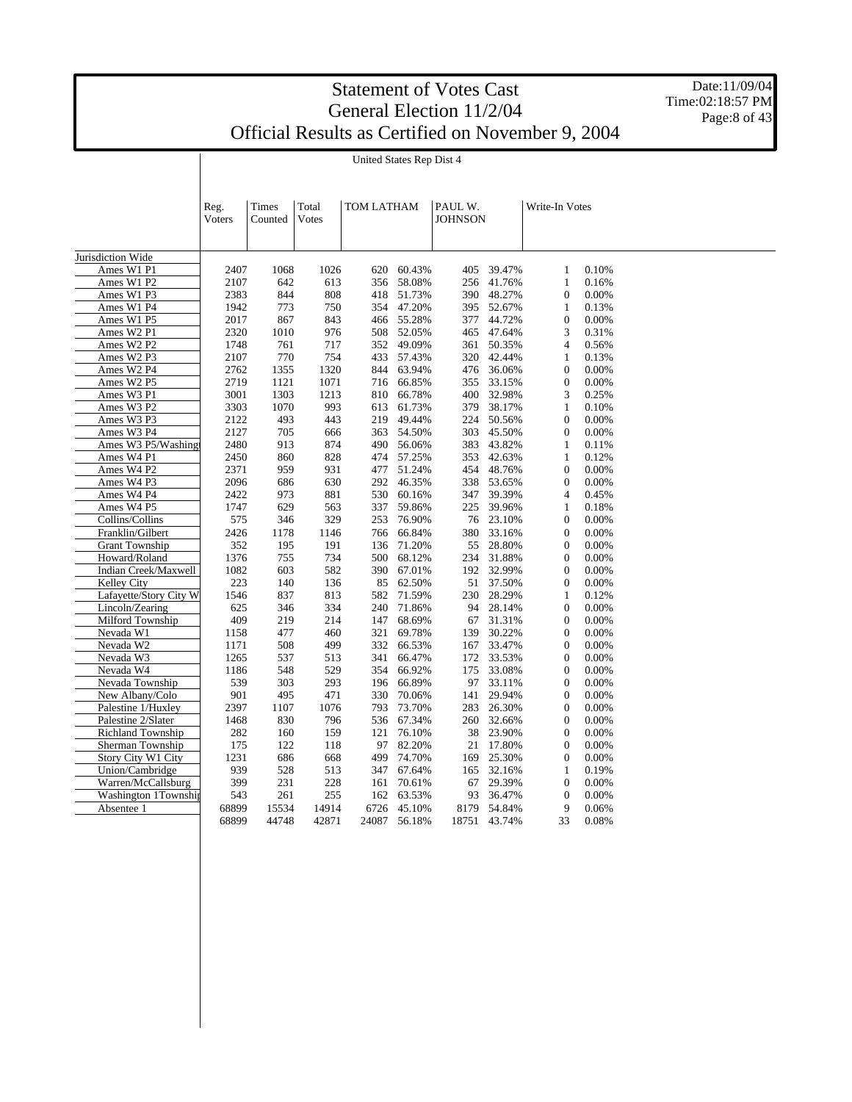Date:11/09/04 Time:02:18:57 PM Page:8 of 43

United States Rep Dist 4

|                          | Reg.<br>Voters | Times<br>Counted | Total<br>Votes | TOM LATHAM |        | PAUL W.<br><b>JOHNSON</b> |              |                  | Write-In Votes |  |  |
|--------------------------|----------------|------------------|----------------|------------|--------|---------------------------|--------------|------------------|----------------|--|--|
|                          |                |                  |                |            |        |                           |              |                  |                |  |  |
| Jurisdiction Wide        |                |                  |                |            |        |                           |              |                  |                |  |  |
| Ames W1 P1               | 2407           | 1068             | 1026           | 620        | 60.43% | 405                       | 39.47%       | 1                | 0.10%          |  |  |
| Ames W1 P2               | 2107           | 642              | 613            | 356        | 58.08% | 256                       | 41.76%       | $\mathbf{1}$     | 0.16%          |  |  |
| Ames W1 P3               | 2383           | 844              | 808            | 418        | 51.73% | 390                       | 48.27%       | $\boldsymbol{0}$ | 0.00%          |  |  |
| Ames W1 P4               | 1942           | 773              | 750            | 354        | 47.20% |                           | 395 52.67%   | $\mathbf{1}$     | 0.13%          |  |  |
| Ames W1 P5               | 2017           | 867              | 843            | 466        | 55.28% | 377                       | 44.72%       | $\boldsymbol{0}$ | 0.00%          |  |  |
| Ames W2 P1               | 2320           | 1010             | 976            | 508        | 52.05% |                           | 465 47.64%   | 3                | 0.31%          |  |  |
| Ames W2 P2               | 1748           | 761              | 717            | 352        | 49.09% | 361                       | 50.35%       | 4                | 0.56%          |  |  |
| Ames W2 P3               | 2107           | 770              | 754            | 433        | 57.43% | 320                       | 42.44%       | 1                | 0.13%          |  |  |
| Ames W2 P4               | 2762           | 1355             | 1320           | 844        | 63.94% | 476                       | 36.06%       | $\overline{0}$   | 0.00%          |  |  |
| Ames W2 P5               | 2719           | 1121             | 1071           | 716        | 66.85% | 355                       | 33.15%       | $\boldsymbol{0}$ | 0.00%          |  |  |
| Ames W3 P1               | 3001           | 1303             | 1213           | 810        | 66.78% | 400                       | 32.98%       | 3                | 0.25%          |  |  |
| Ames W3 P2               | 3303           | 1070             | 993            | 613        | 61.73% | 379                       | 38.17%       | $\mathbf{1}$     | 0.10%          |  |  |
| Ames W3 P3               | 2122           | 493              | 443            | 219        | 49.44% | 224                       | 50.56%       | $\mathbf{0}$     | 0.00%          |  |  |
| Ames W3 P4               | 2127           | 705              | 666            | 363        | 54.50% | 303                       | 45.50%       | $\boldsymbol{0}$ | 0.00%          |  |  |
| Ames W3 P5/Washingt      | 2480           | 913              | 874            | 490        | 56.06% | 383                       | 43.82%       | 1                | 0.11%          |  |  |
| Ames W4 P1               | 2450           | 860              | 828            | 474        | 57.25% | 353                       | 42.63%       | 1                | 0.12%          |  |  |
| Ames W4 P2               | 2371           | 959              | 931            | 477        | 51.24% | 454                       | 48.76%       | $\mathbf{0}$     | 0.00%          |  |  |
| Ames W4 P3               | 2096           | 686              | 630            | 292        | 46.35% | 338                       | 53.65%       | $\boldsymbol{0}$ | 0.00%          |  |  |
| Ames W4 P4               | 2422           | 973              | 881            | 530        | 60.16% | 347                       | 39.39%       | 4                | 0.45%          |  |  |
| Ames W4 P5               | 1747           | 629              | 563            | 337        | 59.86% | 225                       | 39.96%       | 1                | 0.18%          |  |  |
| Collins/Collins          | 575            | 346              | 329            | 253        | 76.90% | 76                        | 23.10%       | $\overline{0}$   | 0.00%          |  |  |
| Franklin/Gilbert         | 2426           | 1178             | 1146           | 766        | 66.84% | 380                       | 33.16%       | $\boldsymbol{0}$ | 0.00%          |  |  |
| <b>Grant Township</b>    | 352            | 195              | 191            | 136        | 71.20% | 55                        | 28.80%       | $\boldsymbol{0}$ | 0.00%          |  |  |
| Howard/Roland            | 1376           | 755              | 734            | 500        | 68.12% | 234                       | 31.88%       | $\boldsymbol{0}$ | 0.00%          |  |  |
| Indian Creek/Maxwell     | 1082           | 603              | 582            | 390        | 67.01% | 192                       | 32.99%       | $\boldsymbol{0}$ | 0.00%          |  |  |
| Kelley City              | 223            | 140              | 136            | 85         | 62.50% | 51                        | 37.50%       | $\mathbf{0}$     | 0.00%          |  |  |
| Lafayette/Story City W   | 1546           | 837              | 813            | 582        | 71.59% | 230                       | 28.29%       | 1                | 0.12%          |  |  |
| Lincoln/Zearing          | 625            | 346              | 334            | 240        | 71.86% | 94                        | 28.14%       | $\overline{0}$   | 0.00%          |  |  |
| Milford Township         | 409            | 219              | 214            | 147        | 68.69% | 67                        | 31.31%       | $\boldsymbol{0}$ | 0.00%          |  |  |
| Nevada W1                | 1158           | 477              | 460            | 321        | 69.78% | 139                       | 30.22%       | $\overline{0}$   | 0.00%          |  |  |
| Nevada W2                | 1171           | 508              | 499            | 332        | 66.53% | 167                       | 33.47%       | $\boldsymbol{0}$ | 0.00%          |  |  |
| Nevada W3                | 1265           | 537              | 513            | 341        | 66.47% | 172                       | 33.53%       | $\boldsymbol{0}$ | 0.00%          |  |  |
| Nevada W4                | 1186           | 548              | 529            | 354        | 66.92% | 175                       | 33.08%       | $\mathbf{0}$     | 0.00%          |  |  |
| Nevada Township          | 539            | 303              | 293            | 196        | 66.89% | 97                        | 33.11%       | $\boldsymbol{0}$ | 0.00%          |  |  |
| New Albany/Colo          | 901            | 495              | 471            | 330        | 70.06% | 141                       | 29.94%       | $\boldsymbol{0}$ | 0.00%          |  |  |
| Palestine 1/Huxley       | 2397           | 1107             | 1076           | 793        | 73.70% | 283                       | 26.30%       | $\boldsymbol{0}$ | 0.00%          |  |  |
| Palestine 2/Slater       | 1468           | 830              | 796            | 536        | 67.34% | 260                       | 32.66%       | $\boldsymbol{0}$ | 0.00%          |  |  |
| <b>Richland Township</b> | 282            | 160              | 159            | 121        | 76.10% | 38                        | 23.90%       | $\overline{0}$   | 0.00%          |  |  |
| Sherman Township         | 175            | 122              | 118            | 97         | 82.20% | 21                        | 17.80%       | $\boldsymbol{0}$ | 0.00%          |  |  |
| Story City W1 City       | 1231           | 686              | 668            | 499        | 74.70% | 169                       | 25.30%       | $\overline{0}$   | 0.00%          |  |  |
| Union/Cambridge          | 939            | 528              | 513            | 347        | 67.64% | 165                       | 32.16%       | 1                | 0.19%          |  |  |
| Warren/McCallsburg       | 399            | 231              | 228            | 161        | 70.61% | 67                        | 29.39%       | $\boldsymbol{0}$ | 0.00%          |  |  |
| Washington 1Township     | 543            | 261              | 255            | 162        | 63.53% | 93                        | 36.47%       | $\mathbf{0}$     | 0.00%          |  |  |
| Absentee 1               | 68899          | 15534            | 14914          | 6726       | 45.10% | 8179                      | 54.84%       | 9                | 0.06%          |  |  |
|                          | 68899          | 44748            | 42871          | 24087      | 56.18% |                           | 18751 43.74% | 33               | 0.08%          |  |  |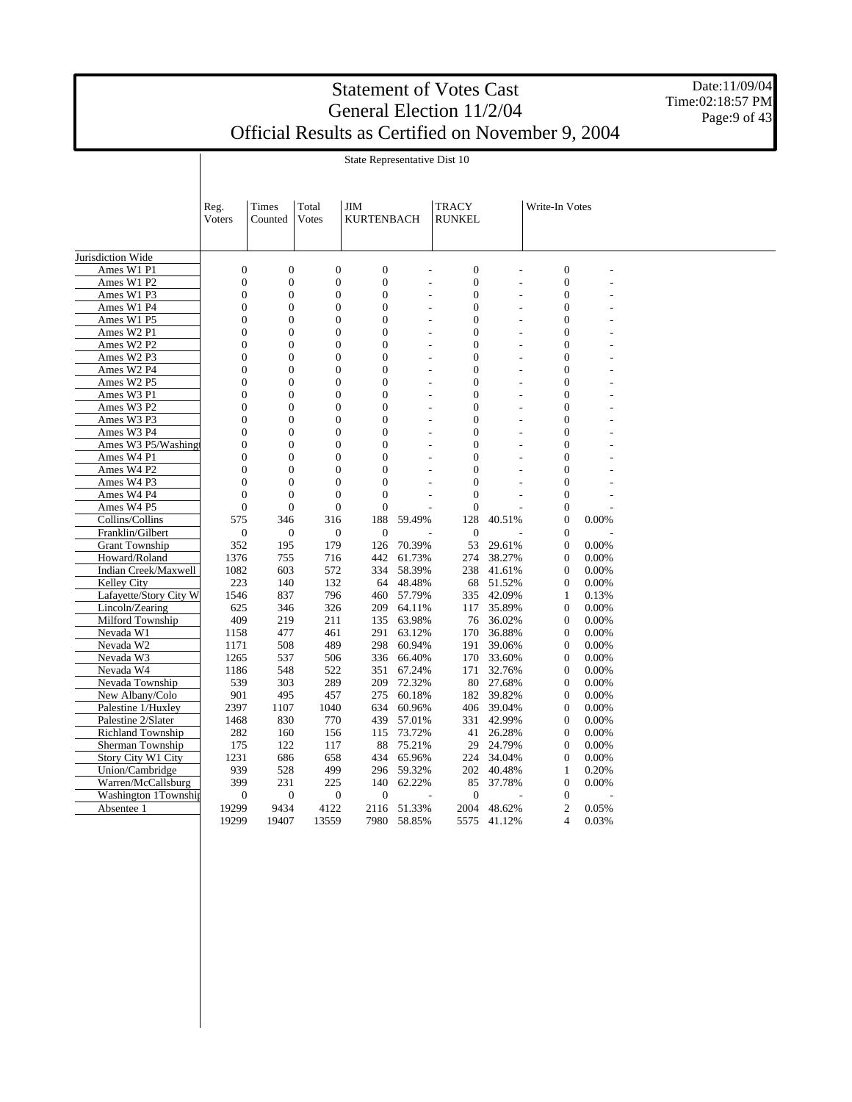Date:11/09/04 Time:02:18:57 PM Page: 9 of 43

State Representative Dist 10

|                          | Reg.<br>Voters   | Times<br>Counted | Total<br>Votes   | <b>JIM</b><br><b>KURTENBACH</b> |            | TRACY<br>RUNKEL                    |                          | Write-In Votes   |       |  |
|--------------------------|------------------|------------------|------------------|---------------------------------|------------|------------------------------------|--------------------------|------------------|-------|--|
| Jurisdiction Wide        |                  |                  |                  |                                 |            |                                    |                          |                  |       |  |
| Ames W1 P1               | $\mathbf{0}$     | $\boldsymbol{0}$ | $\boldsymbol{0}$ | $\boldsymbol{0}$                |            | $\boldsymbol{0}$                   |                          | $\boldsymbol{0}$ |       |  |
| Ames W1 P2               | $\mathbf{0}$     | $\boldsymbol{0}$ | $\boldsymbol{0}$ | $\boldsymbol{0}$                |            | $\boldsymbol{0}$<br>$\overline{a}$ | $\overline{a}$           | $\boldsymbol{0}$ |       |  |
| Ames W1 P3               | $\mathbf{0}$     | $\mathbf{0}$     | $\boldsymbol{0}$ | $\overline{0}$                  |            | $\overline{0}$<br>L,               | L,                       | $\boldsymbol{0}$ |       |  |
| Ames W1 P4               | $\overline{0}$   | $\overline{0}$   | $\boldsymbol{0}$ | $\overline{0}$                  |            | $\overline{0}$<br>L,               | $\overline{a}$           | $\boldsymbol{0}$ |       |  |
| Ames W1 P5               | $\overline{0}$   | $\mathbf{0}$     | $\overline{0}$   | $\overline{0}$                  |            | $\overline{0}$<br>÷.               | $\overline{a}$           | $\boldsymbol{0}$ |       |  |
| Ames W2 P1               | $\overline{0}$   | $\overline{0}$   | $\overline{0}$   | $\overline{0}$                  |            | $\overline{0}$<br>÷,               | $\overline{\phantom{a}}$ | $\overline{0}$   |       |  |
| Ames W2 P2               | $\overline{0}$   | $\overline{0}$   | $\overline{0}$   | $\theta$                        |            | $\theta$                           |                          | $\overline{0}$   |       |  |
|                          | $\overline{0}$   | $\overline{0}$   | $\overline{0}$   | $\overline{0}$                  |            | $\overline{0}$                     |                          | $\overline{0}$   |       |  |
| Ames W2 P3               |                  |                  |                  | $\Omega$                        |            | $\overline{a}$                     | $\overline{a}$           |                  |       |  |
| Ames W2 P4               | $\mathbf{0}$     | $\mathbf{0}$     | $\boldsymbol{0}$ |                                 |            | $\boldsymbol{0}$                   |                          | $\mathbf{0}$     |       |  |
| Ames W2 P5               | $\mathbf{0}$     | $\mathbf{0}$     | $\overline{0}$   | $\overline{0}$                  |            | $\mathbf{0}$<br>$\overline{a}$     | $\overline{a}$           | $\overline{0}$   |       |  |
| Ames W3 P1               | $\mathbf{0}$     | $\mathbf{0}$     | $\boldsymbol{0}$ | $\overline{0}$                  |            | $\overline{0}$<br>ä,               | ÷.                       | $\boldsymbol{0}$ |       |  |
| Ames W3 P2               | $\overline{0}$   | $\mathbf{0}$     | $\boldsymbol{0}$ | $\overline{0}$                  |            | $\mathbf{0}$<br>$\overline{a}$     | $\overline{\phantom{a}}$ | $\boldsymbol{0}$ |       |  |
| Ames W3 P3               | $\mathbf{0}$     | $\mathbf{0}$     | $\boldsymbol{0}$ | $\boldsymbol{0}$                |            | $\overline{0}$<br>L,               |                          | $\boldsymbol{0}$ |       |  |
| Ames W3 P4               | $\overline{0}$   | $\mathbf{0}$     | $\boldsymbol{0}$ | $\overline{0}$                  |            | $\overline{0}$<br>L,               |                          | $\boldsymbol{0}$ |       |  |
| Ames W3 P5/Washing       | $\mathbf{0}$     | $\overline{0}$   | $\boldsymbol{0}$ | $\overline{0}$                  |            | $\overline{0}$                     |                          | $\boldsymbol{0}$ |       |  |
| Ames W4 P1               | $\overline{0}$   | $\mathbf{0}$     | $\overline{0}$   | $\overline{0}$                  |            | $\overline{0}$                     |                          | $\boldsymbol{0}$ |       |  |
| Ames W4 P2               | $\overline{0}$   | $\overline{0}$   | $\mathbf{0}$     | $\overline{0}$                  |            | $\mathbf{0}$                       |                          | $\boldsymbol{0}$ |       |  |
| Ames W4 P3               | $\mathbf{0}$     | $\mathbf{0}$     | $\overline{0}$   | $\overline{0}$                  |            | $\overline{0}$                     |                          | $\overline{0}$   |       |  |
| Ames W4 P4               | $\overline{0}$   | $\overline{0}$   | $\overline{0}$   | $\overline{0}$                  |            | $\mathbf{0}$                       |                          | $\boldsymbol{0}$ |       |  |
| Ames W4 P5               | $\mathbf{0}$     | $\boldsymbol{0}$ | $\boldsymbol{0}$ | $\boldsymbol{0}$                |            | $\boldsymbol{0}$                   |                          | $\boldsymbol{0}$ |       |  |
| Collins/Collins          | 575              | 346              | 316              | 188                             | 59.49%     | 128                                | 40.51%                   | $\mathbf{0}$     | 0.00% |  |
| Franklin/Gilbert         | $\boldsymbol{0}$ | $\mathbf{0}$     | $\boldsymbol{0}$ | $\boldsymbol{0}$                |            | $\mathbf{0}$                       |                          | $\mathbf{0}$     |       |  |
| <b>Grant Township</b>    | 352              | 195              | 179              | 126                             | 70.39%     | 53                                 | 29.61%                   | $\mathbf{0}$     | 0.00% |  |
| Howard/Roland            | 1376             | 755              | 716              | 442                             | 61.73%     | 274                                | 38.27%                   | $\mathbf{0}$     | 0.00% |  |
| Indian Creek/Maxwell     | 1082             | 603              | 572              | 334                             | 58.39%     | 238                                | 41.61%                   | $\mathbf{0}$     | 0.00% |  |
| Kelley City              | 223              | 140              | 132              | 64                              | 48.48%     | 68                                 | 51.52%                   | $\boldsymbol{0}$ | 0.00% |  |
| Lafayette/Story City W   | 1546             | 837              | 796              |                                 | 460 57.79% |                                    | 335 42.09%               | $\mathbf{1}$     | 0.13% |  |
| Lincoln/Zearing          | 625              | 346              | 326              | 209                             | 64.11%     | 117                                | 35.89%                   | $\boldsymbol{0}$ | 0.00% |  |
| Milford Township         | 409              | 219              | 211              | 135                             | 63.98%     |                                    | 76 36.02%                | $\boldsymbol{0}$ | 0.00% |  |
| Nevada W1                | 1158             | 477              | 461              | 291                             | 63.12%     | 170                                | 36.88%                   | $\mathbf{0}$     | 0.00% |  |
| Nevada W2                | 1171             | 508              | 489              | 298                             | 60.94%     | 191                                | 39.06%                   | $\boldsymbol{0}$ | 0.00% |  |
| Nevada W3                | 1265             | 537              | 506              | 336                             | 66.40%     | 170                                | 33.60%                   | $\boldsymbol{0}$ | 0.00% |  |
| Nevada W4                | 1186             | 548              | 522              | 351                             | 67.24%     | 171                                | 32.76%                   | $\boldsymbol{0}$ | 0.00% |  |
| Nevada Township          | 539              | 303              | 289              | 209                             | 72.32%     | 80                                 | 27.68%                   | $\mathbf{0}$     | 0.00% |  |
| New Albany/Colo          | 901              | 495              | 457              | 275                             | 60.18%     |                                    | 182 39.82%               | $\mathbf{0}$     | 0.00% |  |
| Palestine 1/Huxley       | 2397             | 1107             | 1040             | 634                             | 60.96%     |                                    | 406 39.04%               | $\mathbf{0}$     | 0.00% |  |
| Palestine 2/Slater       | 1468             | 830              | 770              | 439                             | 57.01%     | 331                                | 42.99%                   | $\mathbf{0}$     | 0.00% |  |
| <b>Richland Township</b> | 282              | 160              | 156              |                                 | 115 73.72% | 41                                 | 26.28%                   | $\mathbf{0}$     | 0.00% |  |
| Sherman Township         | 175              | 122              | 117              | 88                              | 75.21%     | 29                                 | 24.79%                   | $\mathbf{0}$     | 0.00% |  |
| Story City W1 City       | 1231             | 686              | 658              | 434                             | 65.96%     |                                    | 224 34.04%               | $\overline{0}$   | 0.00% |  |
| Union/Cambridge          | 939              | 528              | 499              | 296                             | 59.32%     | 202                                | 40.48%                   | $\mathbf{1}$     | 0.20% |  |
| Warren/McCallsburg       | 399              | 231              | 225              | 140                             | 62.22%     | 85                                 | 37.78%                   | $\boldsymbol{0}$ | 0.00% |  |
| Washington 1Township     | $\mathbf{0}$     | $\boldsymbol{0}$ | $\mathbf{0}$     | $\overline{0}$                  |            | $\overline{0}$                     |                          | $\boldsymbol{0}$ |       |  |
| Absentee 1               | 19299            | 9434             | 4122             | 2116                            | 51.33%     | 2004                               | 48.62%                   | $\mathbf{2}$     | 0.05% |  |
|                          | 19299            | 19407            | 13559            | 7980                            | 58.85%     | 5575                               | 41.12%                   | 4                | 0.03% |  |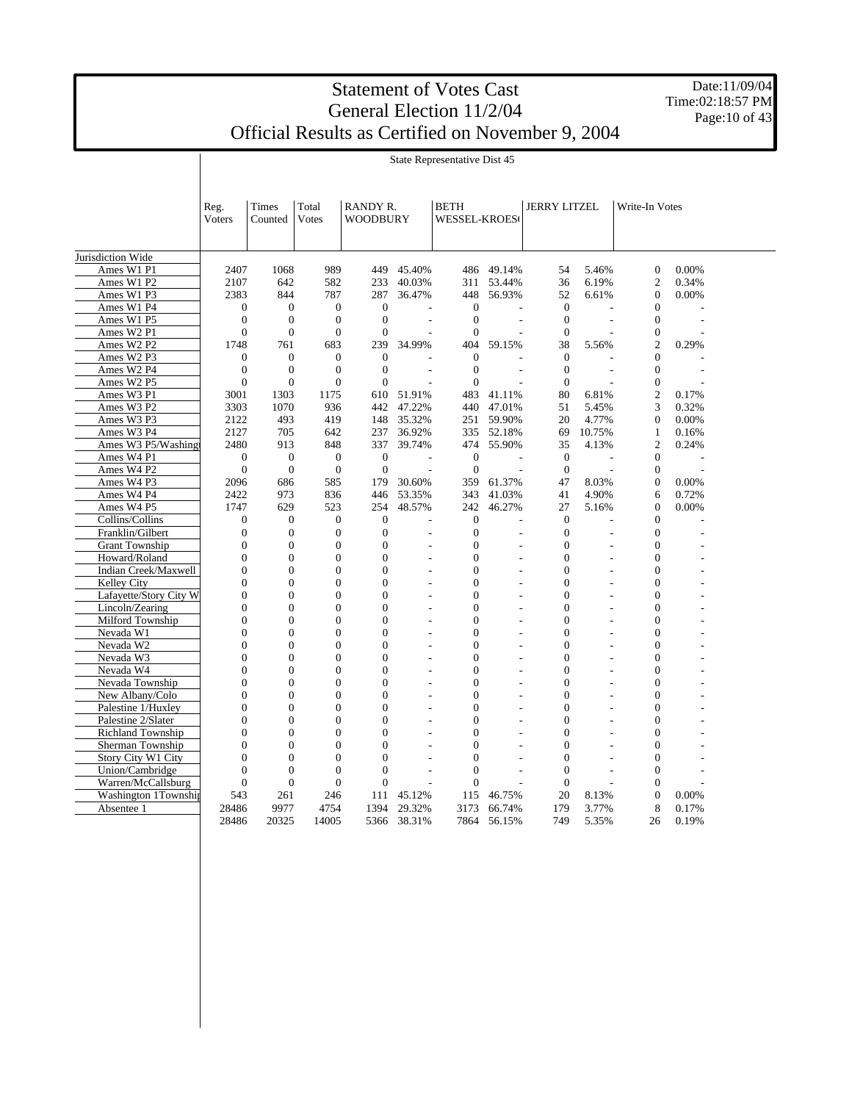Date:11/09/04 Time:02:18:57 PM Page: 10 of 43

|                        | Reg.<br>Voters | Times<br>Counted | Total<br>Votes   | RANDY R.<br>WOODBURY |                | BETH<br><b>WESSEL-KROES</b> |        | <b>JERRY LITZEL</b> |                          | Write-In Votes   |                          |  |
|------------------------|----------------|------------------|------------------|----------------------|----------------|-----------------------------|--------|---------------------|--------------------------|------------------|--------------------------|--|
|                        |                |                  |                  |                      |                |                             |        |                     |                          |                  |                          |  |
| Jurisdiction Wide      |                |                  |                  |                      |                |                             |        |                     |                          |                  |                          |  |
| Ames W1 P1             | 2407           | 1068             | 989              | 449                  | 45.40%         | 486                         | 49.14% | 54                  | 5.46%                    | $\boldsymbol{0}$ | 0.00%                    |  |
| Ames W1 P2             | 2107           | 642              | 582              | 233                  | 40.03%         | 311                         | 53.44% | 36                  | 6.19%                    | $\overline{c}$   | 0.34%                    |  |
| Ames W1 P3             | 2383           | 844              | 787              | 287                  | 36.47%         | 448                         | 56.93% | 52                  | 6.61%                    | $\overline{0}$   | 0.00%                    |  |
| Ames W1 P4             | $\overline{0}$ | $\boldsymbol{0}$ | $\boldsymbol{0}$ | $\boldsymbol{0}$     |                | $\boldsymbol{0}$            |        | $\mathbf{0}$        |                          | $\boldsymbol{0}$ |                          |  |
| Ames W1 P5             | $\mathbf{0}$   | $\mathbf{0}$     | $\overline{0}$   | $\boldsymbol{0}$     |                | $\boldsymbol{0}$            |        | $\boldsymbol{0}$    | $\overline{a}$           | $\overline{0}$   |                          |  |
| Ames W2 P1             | $\overline{0}$ | $\overline{0}$   | $\overline{0}$   | $\overline{0}$       |                | $\Omega$                    |        | $\overline{0}$      | $\overline{a}$           | $\boldsymbol{0}$ |                          |  |
| Ames W2 P2             | 1748           | 761              | 683              | 239                  | 34.99%         | 404                         | 59.15% | 38                  | 5.56%                    | $\overline{c}$   | 0.29%                    |  |
| Ames W2 P3             | $\overline{0}$ | $\overline{0}$   | $\overline{0}$   | $\overline{0}$       |                | $\mathbf{0}$                |        | $\boldsymbol{0}$    |                          | $\overline{0}$   |                          |  |
| Ames W2 P4             | $\overline{0}$ | $\overline{0}$   | $\theta$         | $\overline{0}$       | L,             | $\overline{0}$              | ÷,     | $\mathbf{0}$        | $\overline{\phantom{a}}$ | $\theta$         | $\overline{\phantom{a}}$ |  |
| Ames W2 P5             | $\overline{0}$ | $\overline{0}$   | $\overline{0}$   | $\overline{0}$       |                | $\theta$                    |        | $\overline{0}$      |                          | $\overline{0}$   |                          |  |
| Ames W3 P1             | 3001           | 1303             | 1175             |                      | 610 51.91%     | 483                         | 41.11% | 80                  | 6.81%                    | $\overline{c}$   | 0.17%                    |  |
| Ames W3 P2             | 3303           | 1070             | 936              | 442                  | 47.22%         | 440                         | 47.01% | 51                  | 5.45%                    | 3                | 0.32%                    |  |
| Ames W3 P3             | 2122           | 493              | 419              | 148                  | 35.32%         | 251                         | 59.90% | 20                  | 4.77%                    | $\mathbf{0}$     | 0.00%                    |  |
| Ames W3 P4             | 2127           | 705              | 642              | 237                  | 36.92%         | 335                         | 52.18% | 69                  | 10.75%                   | 1                | 0.16%                    |  |
| Ames W3 P5/Washingt    | 2480           | 913              | 848              | 337                  | 39.74%         | 474                         | 55.90% | 35                  | 4.13%                    | 2                | 0.24%                    |  |
| Ames W4 P1             | $\overline{0}$ | $\mathbf{0}$     | $\mathbf{0}$     | $\mathbf{0}$         | L,             | $\mathbf{0}$                |        | $\mathbf{0}$        | ÷,                       | 0                |                          |  |
| Ames W4 P2             | $\overline{0}$ | $\overline{0}$   | $\overline{0}$   | $\overline{0}$       |                | $\Omega$                    |        | $\Omega$            |                          | $\mathbf{0}$     |                          |  |
| Ames W4 P3             | 2096           | 686              | 585              | 179                  | 30.60%         | 359                         | 61.37% | 47                  | 8.03%                    | $\Omega$         | 0.00%                    |  |
| Ames W4 P4             | 2422           | 973              | 836              | 446                  | 53.35%         | 343                         | 41.03% | 41                  | 4.90%                    | 6                | 0.72%                    |  |
| Ames W4 P5             | 1747           | 629              | 523              | 254                  | 48.57%         | 242                         | 46.27% | 27                  | 5.16%                    | $\mathbf{0}$     | 0.00%                    |  |
| Collins/Collins        | $\overline{0}$ | $\overline{0}$   | $\mathbf{0}$     | $\overline{0}$       |                | $\overline{0}$              |        | $\mathbf{0}$        |                          | $\theta$         |                          |  |
| Franklin/Gilbert       | $\mathbf{0}$   | $\mathbf{0}$     | $\boldsymbol{0}$ | $\boldsymbol{0}$     | L,             | $\boldsymbol{0}$            |        | $\boldsymbol{0}$    | L                        | $\boldsymbol{0}$ |                          |  |
| <b>Grant Township</b>  | $\overline{0}$ | $\mathbf{0}$     | $\boldsymbol{0}$ | $\overline{0}$       | $\overline{a}$ | $\overline{0}$              | L.     | $\boldsymbol{0}$    | $\overline{a}$           | $\overline{0}$   |                          |  |
| Howard/Roland          | $\mathbf{0}$   | $\mathbf{0}$     | $\boldsymbol{0}$ | $\overline{0}$       | ÷.             | $\overline{0}$              | L,     | $\boldsymbol{0}$    | L,                       | $\overline{0}$   |                          |  |
| Indian Creek/Maxwell   | $\overline{0}$ | $\overline{0}$   | $\overline{0}$   | $\overline{0}$       | $\overline{a}$ | $\overline{0}$              | L,     | $\overline{0}$      | L                        | $\theta$         |                          |  |
| Kelley City            | $\mathbf{0}$   | $\overline{0}$   | $\overline{0}$   | $\overline{0}$       |                | $\overline{0}$              |        | $\overline{0}$      |                          | $\overline{0}$   |                          |  |
| Lafayette/Story City W | $\mathbf{0}$   | $\mathbf{0}$     | $\overline{0}$   | $\overline{0}$       | L,             | $\overline{0}$              | L,     | $\overline{0}$      | L                        | 0                |                          |  |
| Lincoln/Zearing        | $\mathbf{0}$   | $\mathbf{0}$     | $\boldsymbol{0}$ | $\overline{0}$       | L,             | $\overline{0}$              | L,     | $\overline{0}$      | L                        | 0                |                          |  |
| Milford Township       | $\overline{0}$ | $\mathbf{0}$     | $\overline{0}$   | $\overline{0}$       | $\overline{a}$ | $\overline{0}$              |        | $\overline{0}$      |                          | $\overline{0}$   |                          |  |
| Nevada W1              | $\overline{0}$ | $\overline{0}$   | $\overline{0}$   | $\overline{0}$       | $\overline{a}$ | $\overline{0}$              |        | $\overline{0}$      | L,                       | $\overline{0}$   |                          |  |
| Nevada W2              | $\overline{0}$ | $\overline{0}$   | $\overline{0}$   | $\overline{0}$       | L.             | $\overline{0}$              | L.     | $\overline{0}$      | L,                       | $\overline{0}$   |                          |  |
| Nevada W3              | $\overline{0}$ | $\overline{0}$   | $\overline{0}$   | $\overline{0}$       | ÷,             | $\theta$                    | ÷,     | $\theta$            | L                        | $\theta$         | L,                       |  |
| Nevada W4              | $\overline{0}$ | $\overline{0}$   | $\overline{0}$   | $\theta$             |                | $\overline{0}$              |        | $\overline{0}$      |                          | $\theta$         |                          |  |
| Nevada Township        | $\overline{0}$ | $\overline{0}$   | $\overline{0}$   | $\overline{0}$       | $\overline{a}$ | $\overline{0}$              | L,     | $\overline{0}$      | $\overline{a}$           | $\overline{0}$   |                          |  |
| New Albany/Colo        | $\overline{0}$ | $\overline{0}$   | $\overline{0}$   | $\overline{0}$       | L.             | $\overline{0}$              | L.     | $\overline{0}$      | $\overline{a}$           | 0                |                          |  |
| Palestine 1/Huxley     | $\overline{0}$ | $\mathbf{0}$     | $\overline{0}$   | $\overline{0}$       | L,             | $\overline{0}$              | L,     | $\overline{0}$      | L                        | $\overline{0}$   |                          |  |
| Palestine 2/Slater     | $\overline{0}$ | $\overline{0}$   | $\overline{0}$   | $\overline{0}$       |                | $\overline{0}$              |        | $\overline{0}$      |                          | $\theta$         |                          |  |
| Richland Township      | $\overline{0}$ | $\overline{0}$   | $\overline{0}$   | $\overline{0}$       |                | $\overline{0}$              |        | $\overline{0}$      |                          | $\overline{0}$   |                          |  |
| Sherman Township       | $\overline{0}$ | $\overline{0}$   | $\overline{0}$   | $\overline{0}$       | ÷.             | $\theta$                    | ÷      | $\overline{0}$      | L,                       | $\theta$         |                          |  |
| Story City W1 City     | $\overline{0}$ | $\overline{0}$   | $\theta$         | $\theta$             |                | $\theta$                    |        | $\theta$            |                          | $\theta$         |                          |  |
| Union/Cambridge        | $\Omega$       | $\overline{0}$   | $\theta$         | $\overline{0}$       | L,             | $\theta$                    |        | $\theta$            | L                        | $\theta$         |                          |  |
| Warren/McCallsburg     | $\overline{0}$ | $\overline{0}$   | $\overline{0}$   | $\overline{0}$       |                | $\overline{0}$              |        | $\overline{0}$      |                          | $\overline{0}$   |                          |  |
| Washington 1Township   | 543            | 261              | 246              | 111                  | 45.12%         | 115                         | 46.75% | 20                  | 8.13%                    | $\overline{0}$   | 0.00%                    |  |
| Absentee 1             | 28486          | 9977             | 4754             | 1394                 | 29.32%         | 3173                        | 66.74% | 179                 | 3.77%                    | 8                | 0.17%                    |  |
|                        | 28486          | 20325            | 14005            | 5366                 | 38.31%         | 7864                        | 56.15% | 749                 | 5.35%                    | 26               | 0.19%                    |  |

State Representative Dist 45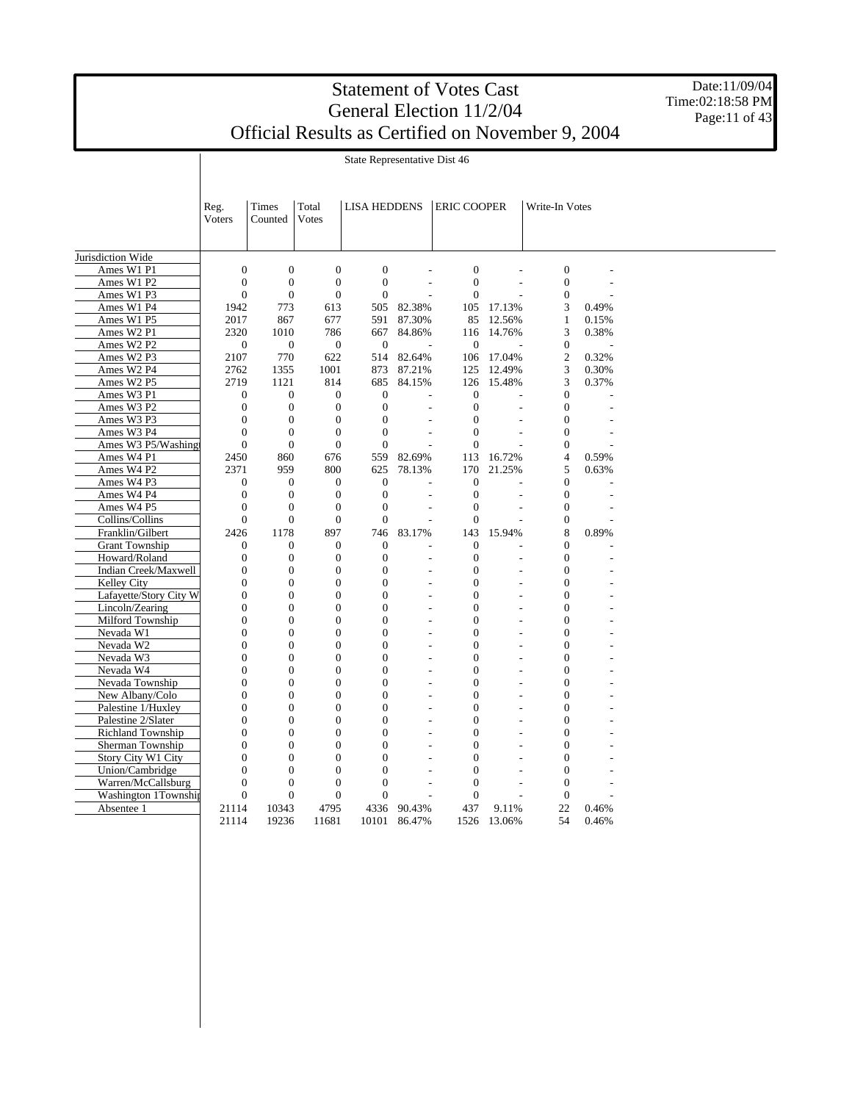Date:11/09/04 Time:02:18:58 PM Page:11 of 43

State Representative Dist 46

|                                              | Reg.<br><b>Voters</b> | Times<br>Counted | Total<br><b>Votes</b> | <b>LISA HEDDENS</b> |                | <b>ERIC COOPER</b> |                          | Write-In Votes   |       |  |
|----------------------------------------------|-----------------------|------------------|-----------------------|---------------------|----------------|--------------------|--------------------------|------------------|-------|--|
| Jurisdiction Wide                            |                       |                  |                       |                     |                |                    |                          |                  |       |  |
| Ames W1 P1                                   | $\overline{0}$        | $\overline{0}$   | $\boldsymbol{0}$      | $\boldsymbol{0}$    |                | $\boldsymbol{0}$   |                          | $\boldsymbol{0}$ |       |  |
| Ames W1 P2                                   | $\overline{0}$        | $\boldsymbol{0}$ | $\boldsymbol{0}$      | $\boldsymbol{0}$    | $\overline{a}$ | $\mathbf{0}$       | $\overline{a}$           | $\boldsymbol{0}$ |       |  |
| Ames W1 P3                                   | $\mathbf{0}$          | $\overline{0}$   | $\mathbf{0}$          | $\overline{0}$      |                | $\mathbf{0}$       |                          | $\boldsymbol{0}$ |       |  |
| Ames W1 P4                                   | 1942                  | 773              | 613                   | 505                 | 82.38%         | 105                | 17.13%                   | 3                | 0.49% |  |
| Ames W1 P5                                   | 2017                  | 867              | 677                   | 591                 | 87.30%         | 85                 | 12.56%                   | $\mathbf{1}$     | 0.15% |  |
| Ames W2 P1                                   | 2320                  | 1010             | 786                   | 667                 | 84.86%         | 116                | 14.76%                   | 3                | 0.38% |  |
| Ames W2 P2                                   | $\mathbf{0}$          | $\overline{0}$   | $\overline{0}$        | $\mathbf{0}$        |                | $\overline{0}$     |                          | $\boldsymbol{0}$ |       |  |
| Ames W2 P3                                   | 2107                  | 770              | 622                   | 514                 | 82.64%         | 106                | 17.04%                   | $\overline{c}$   | 0.32% |  |
| Ames W2 P4                                   | 2762                  | 1355             | 1001                  | 873                 | 87.21%         | 125                | 12.49%                   | 3                | 0.30% |  |
| Ames W2 P5                                   | 2719                  | 1121             | 814                   | 685                 | 84.15%         | 126                | 15.48%                   | 3                | 0.37% |  |
| Ames W3 P1                                   | $\mathbf{0}$          | $\boldsymbol{0}$ | $\boldsymbol{0}$      | $\boldsymbol{0}$    |                | $\boldsymbol{0}$   |                          | $\boldsymbol{0}$ |       |  |
| Ames W3 P2                                   | $\boldsymbol{0}$      | $\boldsymbol{0}$ | $\boldsymbol{0}$      | $\boldsymbol{0}$    |                | $\boldsymbol{0}$   | L,                       | $\boldsymbol{0}$ |       |  |
| Ames W3 P3                                   | $\boldsymbol{0}$      | $\boldsymbol{0}$ | $\boldsymbol{0}$      | $\boldsymbol{0}$    |                | $\boldsymbol{0}$   |                          | $\boldsymbol{0}$ |       |  |
| Ames W3 P4                                   | $\Omega$              | $\overline{0}$   | $\overline{0}$        | $\overline{0}$      |                | $\overline{0}$     |                          | $\boldsymbol{0}$ |       |  |
| Ames W3 P5/Washing                           | $\overline{0}$        | $\boldsymbol{0}$ | $\boldsymbol{0}$      | $\boldsymbol{0}$    |                | $\overline{0}$     |                          | $\boldsymbol{0}$ |       |  |
| Ames W4 P1                                   | 2450                  | 860              | 676                   | 559                 | 82.69%         | 113                | 16.72%                   | $\overline{4}$   | 0.59% |  |
| Ames W4 P2                                   | 2371                  | 959              | 800                   | 625                 | 78.13%         | 170                | 21.25%                   | 5                | 0.63% |  |
| Ames W4 P3                                   | $\theta$              | $\mathbf{0}$     | $\mathbf{0}$          | $\overline{0}$      |                | $\overline{0}$     |                          | $\overline{0}$   |       |  |
| Ames W4 P4                                   | $\mathbf{0}$          | $\overline{0}$   | $\boldsymbol{0}$      | $\boldsymbol{0}$    | $\overline{a}$ | $\boldsymbol{0}$   | L,                       | $\boldsymbol{0}$ |       |  |
| Ames W4 P5                                   | $\mathbf{0}$          | $\boldsymbol{0}$ | $\boldsymbol{0}$      | $\boldsymbol{0}$    |                | $\boldsymbol{0}$   |                          | $\boldsymbol{0}$ |       |  |
| Collins/Collins                              | $\mathbf{0}$          | $\overline{0}$   | $\overline{0}$        | $\overline{0}$      |                | $\overline{0}$     |                          | $\boldsymbol{0}$ |       |  |
| Franklin/Gilbert                             | 2426                  | 1178             | 897                   | 746                 | 83.17%         | 143                | 15.94%                   | 8                | 0.89% |  |
| <b>Grant Township</b>                        | $\theta$              | $\mathbf{0}$     | $\mathbf{0}$          | $\overline{0}$      |                | $\overline{0}$     |                          | $\overline{0}$   |       |  |
| Howard/Roland                                | $\mathbf{0}$          | $\boldsymbol{0}$ | $\boldsymbol{0}$      | $\boldsymbol{0}$    |                | $\boldsymbol{0}$   |                          | $\boldsymbol{0}$ |       |  |
| Indian Creek/Maxwell                         | $\overline{0}$        | $\overline{0}$   | $\overline{0}$        | $\overline{0}$      | $\overline{a}$ | $\overline{0}$     | L,                       | $\overline{0}$   |       |  |
| Kelley City                                  | $\overline{0}$        | $\overline{0}$   | $\boldsymbol{0}$      | $\overline{0}$      | ÷.             | $\overline{0}$     | $\overline{a}$           | $\boldsymbol{0}$ |       |  |
| Lafayette/Story City W                       | $\overline{0}$        | $\overline{0}$   | $\overline{0}$        | $\overline{0}$      | ÷,             | $\overline{0}$     | L,                       | $\overline{0}$   |       |  |
| Lincoln/Zearing                              | $\overline{0}$        | $\overline{0}$   | $\boldsymbol{0}$      | $\overline{0}$      | L,             | $\overline{0}$     | L,                       | $\boldsymbol{0}$ |       |  |
| Milford Township                             | $\overline{0}$        | $\overline{0}$   | $\overline{0}$        | $\overline{0}$      | L,             | $\theta$           | L,                       | $\overline{0}$   |       |  |
| Nevada W1                                    | $\overline{0}$        | $\overline{0}$   | $\boldsymbol{0}$      | $\overline{0}$      | L,             | $\theta$           | L,                       | $\overline{0}$   |       |  |
| Nevada W2                                    | $\overline{0}$        | $\boldsymbol{0}$ | $\boldsymbol{0}$      | $\boldsymbol{0}$    |                | $\overline{0}$     |                          | $\boldsymbol{0}$ |       |  |
| Nevada W3                                    | $\overline{0}$        | $\overline{0}$   | $\overline{0}$        | $\overline{0}$      | L,             | $\overline{0}$     | L,                       | $\overline{0}$   |       |  |
| Nevada W4                                    | $\overline{0}$        | $\overline{0}$   | $\boldsymbol{0}$      | $\boldsymbol{0}$    | L,             | $\overline{0}$     |                          | $\boldsymbol{0}$ |       |  |
| Nevada Township                              | $\Omega$              | $\overline{0}$   | $\overline{0}$        | $\overline{0}$      | ÷,             | $\theta$           | $\overline{\phantom{a}}$ | $\overline{0}$   |       |  |
| New Albany/Colo                              | $\overline{0}$        | $\boldsymbol{0}$ | $\boldsymbol{0}$      | $\boldsymbol{0}$    |                | $\overline{0}$     |                          | $\boldsymbol{0}$ |       |  |
| Palestine 1/Huxley                           | $\Omega$              | $\theta$         | $\overline{0}$        | $\overline{0}$      | L,             | $\theta$           | L,                       | $\Omega$         |       |  |
| Palestine 2/Slater                           | $\overline{0}$        | $\overline{0}$   | $\overline{0}$        | $\overline{0}$      |                | $\overline{0}$     |                          | $\overline{0}$   |       |  |
|                                              | $\Omega$              | $\overline{0}$   | $\overline{0}$        | $\overline{0}$      |                | $\theta$           |                          | $\overline{0}$   |       |  |
| <b>Richland Township</b><br>Sherman Township | $\mathbf{0}$          | $\overline{0}$   | $\overline{0}$        | $\overline{0}$      | L,             | $\overline{0}$     | $\overline{a}$           | $\overline{0}$   |       |  |
| Story City W1 City                           | $\Omega$              | $\theta$         | $\overline{0}$        | $\overline{0}$      | L,             | $\theta$           | L,                       | $\overline{0}$   |       |  |
|                                              |                       | $\overline{0}$   | $\overline{0}$        | $\overline{0}$      |                | $\overline{0}$     |                          |                  |       |  |
| Union/Cambridge                              | $\overline{0}$        |                  |                       |                     |                |                    |                          | $\boldsymbol{0}$ |       |  |
| Warren/McCallsburg                           | $\boldsymbol{0}$      | $\boldsymbol{0}$ | $\boldsymbol{0}$      | $\boldsymbol{0}$    | L.             | $\boldsymbol{0}$   | $\overline{a}$           | $\boldsymbol{0}$ |       |  |
| Washington 1Township                         | $\overline{0}$        | $\overline{0}$   | $\overline{0}$        | $\overline{0}$      |                | $\overline{0}$     |                          | $\boldsymbol{0}$ |       |  |
| Absentee 1                                   | 21114                 | 10343            | 4795                  | 4336                | 90.43%         | 437                | 9.11%                    | 22               | 0.46% |  |
|                                              | 21114                 | 19236            | 11681                 | 10101               | 86.47%         | 1526               | 13.06%                   | 54               | 0.46% |  |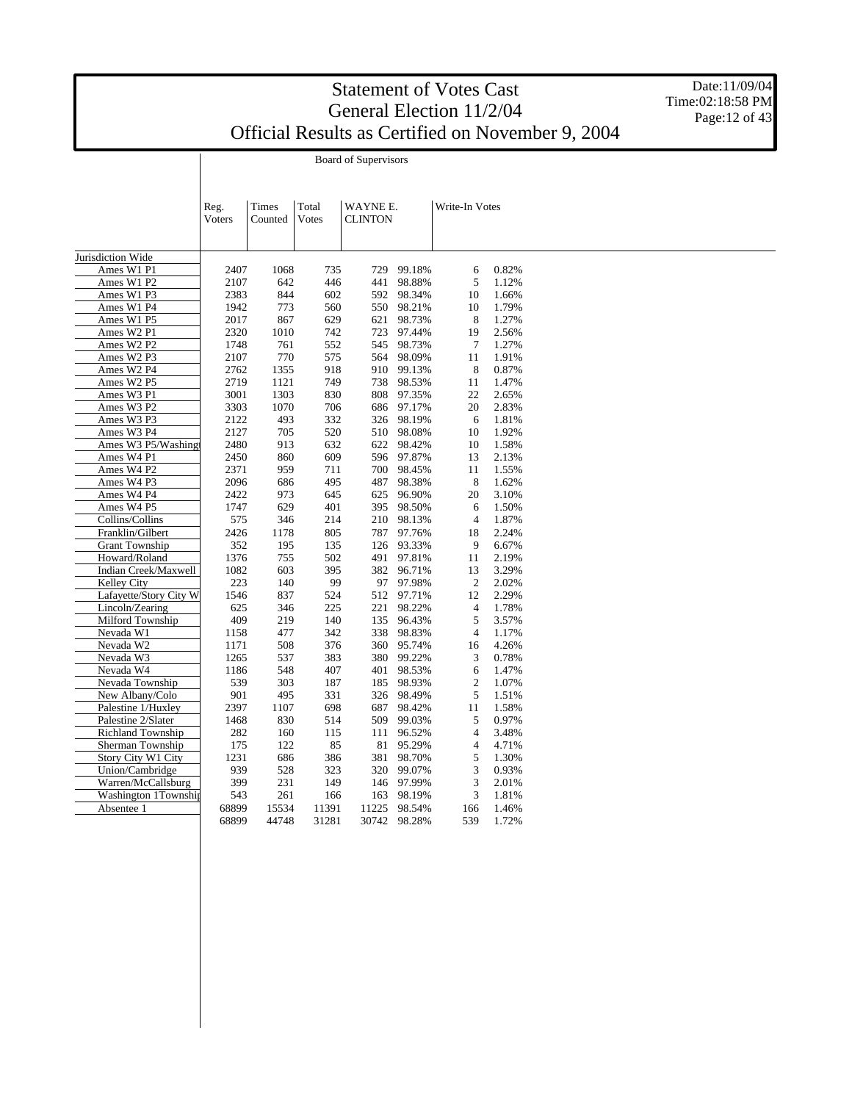Date:11/09/04 Time:02:18:58 PM Page: 12 of 43

Board of Supervisors

|                          | Reg.<br><b>Voters</b> | Times<br>Counted | Total<br>Votes | WAYNE E.<br><b>CLINTON</b> |              | Write-In Votes |       |  |
|--------------------------|-----------------------|------------------|----------------|----------------------------|--------------|----------------|-------|--|
|                          |                       |                  |                |                            |              |                |       |  |
| Jurisdiction Wide        |                       |                  |                |                            |              |                |       |  |
| Ames W1 P1               | 2407                  | 1068             | 735            | 729                        | 99.18%       | 6              | 0.82% |  |
| Ames W1 P2               | 2107                  | 642              | 446            | 441                        | 98.88%       | 5              | 1.12% |  |
| Ames W1 P3               | 2383                  | 844              | 602            | 592                        | 98.34%       | 10             | 1.66% |  |
| Ames W1 P4               | 1942                  | 773              | 560            | 550                        | 98.21%       | 10             | 1.79% |  |
| Ames W1 P5               | 2017                  | 867              | 629            | 621                        | 98.73%       | 8              | 1.27% |  |
| Ames W2 P1               | 2320                  | 1010             | 742            | 723                        | 97.44%       | 19             | 2.56% |  |
| Ames W2 P2               | 1748                  | 761              | 552            | 545                        | 98.73%       | $\tau$         | 1.27% |  |
| Ames W2 P3               | 2107                  | 770              | 575            | 564                        | 98.09%       | 11             | 1.91% |  |
| Ames W2 P4               | 2762                  | 1355             | 918            | 910                        | 99.13%       | 8              | 0.87% |  |
| Ames W2 P5               | 2719                  | 1121             | 749            | 738                        | 98.53%       | 11             | 1.47% |  |
| Ames W3 P1               | 3001                  | 1303             | 830            | 808                        | 97.35%       | 22             | 2.65% |  |
| Ames W3 P2               | 3303                  | 1070             | 706            |                            | 686 97.17%   | 20             | 2.83% |  |
| Ames W3 P3               | 2122                  | 493              | 332            | 326                        | 98.19%       | 6              | 1.81% |  |
| Ames W3 P4               | 2127                  | 705              | 520            |                            | 510 98.08%   | 10             | 1.92% |  |
| Ames W3 P5/Washingt      | 2480                  | 913              | 632            | 622                        | 98.42%       | 10             | 1.58% |  |
| Ames W4 P1               | 2450                  | 860              | 609            | 596                        | 97.87%       | 13             | 2.13% |  |
| Ames W4 P2               | 2371                  | 959              | 711            | 700                        | 98.45%       | 11             | 1.55% |  |
| Ames W4 P3               | 2096                  | 686              | 495            | 487                        | 98.38%       | 8              | 1.62% |  |
| Ames W4 P4               | 2422                  | 973              | 645            | 625                        | 96.90%       | 20             | 3.10% |  |
| Ames W4 P5               | 1747                  | 629              | 401            | 395                        | 98.50%       | 6              | 1.50% |  |
| Collins/Collins          | 575                   | 346              | 214            | 210                        | 98.13%       | $\overline{4}$ | 1.87% |  |
| Franklin/Gilbert         | 2426                  | 1178             | 805            | 787                        | 97.76%       | 18             | 2.24% |  |
| <b>Grant Township</b>    | 352                   | 195              | 135            |                            | 126 93.33%   | 9              | 6.67% |  |
| Howard/Roland            | 1376                  | 755              | 502            | 491                        | 97.81%       | 11             | 2.19% |  |
| Indian Creek/Maxwell     | 1082                  | 603              | 395            |                            | 382 96.71%   | 13             | 3.29% |  |
| Kelley City              | 223                   | 140              | 99             | 97                         | 97.98%       | $\overline{2}$ | 2.02% |  |
| Lafayette/Story City W   | 1546                  | 837              | 524            | 512                        | 97.71%       | 12             | 2.29% |  |
| Lincoln/Zearing          | 625                   | 346              | 225            | 221                        | 98.22%       | $\overline{4}$ | 1.78% |  |
| Milford Township         | 409                   | 219              | 140            | 135                        | 96.43%       | 5              | 3.57% |  |
| Nevada W1                | 1158                  | 477              | 342            | 338                        | 98.83%       | $\overline{4}$ | 1.17% |  |
| Nevada W2                | 1171                  | 508              | 376            | 360                        | 95.74%       | 16             | 4.26% |  |
| Nevada W3                | 1265                  | 537              | 383            | 380                        | 99.22%       | 3              | 0.78% |  |
| Nevada W4                | 1186                  | 548              | 407            | 401                        | 98.53%       | 6              | 1.47% |  |
| Nevada Township          | 539                   | 303              | 187            |                            | 185 98.93%   | $\overline{2}$ | 1.07% |  |
| New Albany/Colo          | 901                   | 495              | 331            | 326                        | 98.49%       | 5              | 1.51% |  |
| Palestine 1/Huxley       | 2397                  | 1107             | 698            | 687                        | 98.42%       | 11             | 1.58% |  |
| Palestine 2/Slater       | 1468                  | 830              | 514            | 509                        | 99.03%       | 5              | 0.97% |  |
| <b>Richland Township</b> | 282                   | 160              | 115            | 111                        | 96.52%       | $\overline{4}$ | 3.48% |  |
| Sherman Township         | 175                   | 122              | 85             | 81                         | 95.29%       | $\overline{4}$ | 4.71% |  |
| Story City W1 City       | 1231                  | 686              | 386            | 381                        | 98.70%       | 5              | 1.30% |  |
| Union/Cambridge          | 939                   | 528              | 323            | 320                        | 99.07%       | $\mathfrak{Z}$ | 0.93% |  |
| Warren/McCallsburg       | 399                   | 231              | 149            | 146                        | 97.99%       | 3              | 2.01% |  |
| Washington 1Township     | 543                   | 261              | 166            | 163                        | 98.19%       | 3              | 1.81% |  |
| Absentee 1               | 68899                 | 15534            | 11391          | 11225                      | 98.54%       | 166            | 1.46% |  |
|                          | 68899                 | 44748            | 31281          |                            | 30742 98.28% | 539            | 1.72% |  |
|                          |                       |                  |                |                            |              |                |       |  |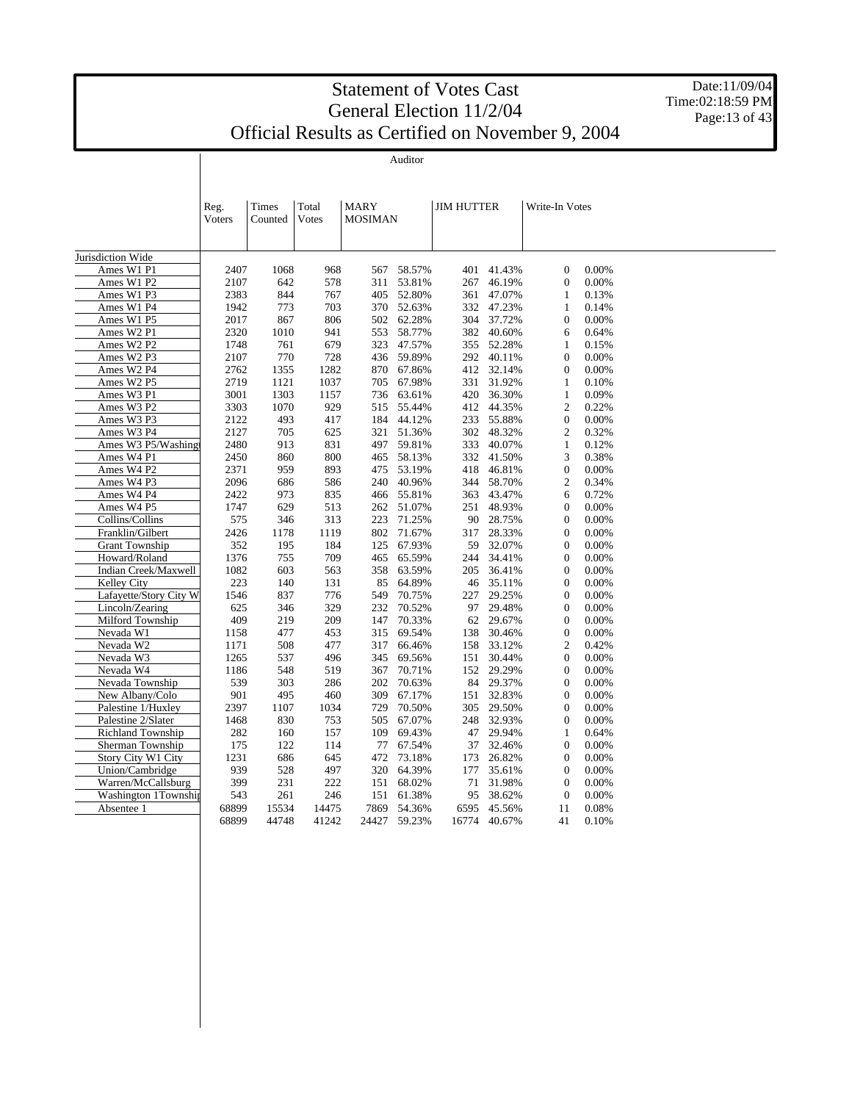Date:11/09/04 Time:02:18:59 PM Page:  $13$  of  $43$ 

Auditor

|                          | Reg.<br>Voters | Times<br>Counted | Total<br><b>Votes</b> | <b>MARY</b><br><b>MOSIMAN</b> |            | <b>JIM HUTTER</b> |        | Write-In Votes   |       |  |
|--------------------------|----------------|------------------|-----------------------|-------------------------------|------------|-------------------|--------|------------------|-------|--|
| Jurisdiction Wide        |                |                  |                       |                               |            |                   |        |                  |       |  |
| Ames W1 P1               | 2407           | 1068             | 968                   | 567                           | 58.57%     | 401               | 41.43% | $\overline{0}$   | 0.00% |  |
| Ames W1 P2               | 2107           | 642              | 578                   | 311                           | 53.81%     | 267               | 46.19% | $\mathbf{0}$     | 0.00% |  |
| Ames W1 P3               | 2383           | 844              | 767                   | 405                           | 52.80%     | 361               | 47.07% | 1                | 0.13% |  |
| Ames W1 P4               | 1942           | 773              | 703                   |                               | 370 52.63% | 332               | 47.23% | 1                | 0.14% |  |
| Ames W1 P5               | 2017           | 867              | 806                   | 502                           | 62.28%     | 304               | 37.72% | $\boldsymbol{0}$ | 0.00% |  |
| Ames W2 P1               | 2320           | 1010             | 941                   | 553                           | 58.77%     | 382               | 40.60% | 6                | 0.64% |  |
| Ames W2 P2               | 1748           | 761              | 679                   | 323                           | 47.57%     | 355               | 52.28% | $\mathbf{1}$     | 0.15% |  |
| Ames W2 P3               | 2107           | 770              | 728                   | 436                           | 59.89%     | 292               | 40.11% | $\boldsymbol{0}$ | 0.00% |  |
| Ames W2 P4               | 2762           | 1355             | 1282                  | 870                           | 67.86%     | 412               | 32.14% | $\mathbf{0}$     | 0.00% |  |
| Ames W2 P5               | 2719           | 1121             | 1037                  | 705                           | 67.98%     | 331               | 31.92% | 1                | 0.10% |  |
| Ames W3 P1               | 3001           | 1303             | 1157                  | 736                           | 63.61%     | 420               | 36.30% | $\mathbf{1}$     | 0.09% |  |
| Ames W3 P2               | 3303           | 1070             | 929                   | 515                           | 55.44%     | 412               | 44.35% | $\overline{c}$   | 0.22% |  |
| Ames W3 P3               | 2122           | 493              | 417                   | 184                           | 44.12%     | 233               | 55.88% | $\overline{0}$   | 0.00% |  |
| Ames W3 P4               | 2127           | 705              | 625                   | 321                           | 51.36%     | 302               | 48.32% | $\overline{2}$   | 0.32% |  |
| Ames W3 P5/Washing       | 2480           | 913              | 831                   | 497                           | 59.81%     | 333               | 40.07% | $\mathbf{1}$     | 0.12% |  |
| Ames W4 P1               | 2450           | 860              | 800                   | 465                           | 58.13%     | 332               | 41.50% | 3                | 0.38% |  |
| Ames W4 P2               | 2371           | 959              | 893                   | 475                           | 53.19%     | 418               | 46.81% | $\mathbf{0}$     | 0.00% |  |
| Ames W4 P3               | 2096           | 686              | 586                   | 240                           | 40.96%     | 344               | 58.70% | $\overline{2}$   | 0.34% |  |
| Ames W4 P4               | 2422           | 973              | 835                   | 466                           | 55.81%     | 363               | 43.47% | 6                | 0.72% |  |
| Ames W4 P5               | 1747           | 629              | 513                   | 262                           | 51.07%     | 251               | 48.93% | $\boldsymbol{0}$ | 0.00% |  |
| Collins/Collins          | 575            | 346              | 313                   | 223                           | 71.25%     | 90                | 28.75% | $\overline{0}$   | 0.00% |  |
| Franklin/Gilbert         | 2426           | 1178             | 1119                  | 802                           | 71.67%     | 317               | 28.33% | $\boldsymbol{0}$ | 0.00% |  |
| <b>Grant Township</b>    | 352            | 195              | 184                   | 125                           | 67.93%     | 59                | 32.07% | $\overline{0}$   | 0.00% |  |
| Howard/Roland            | 1376           | 755              | 709                   | 465                           | 65.59%     | 244               | 34.41% | $\boldsymbol{0}$ | 0.00% |  |
| Indian Creek/Maxwell     | 1082           | 603              | 563                   | 358                           | 63.59%     | 205               | 36.41% | $\mathbf{0}$     | 0.00% |  |
| <b>Kelley City</b>       | 223            | 140              | 131                   | 85                            | 64.89%     | 46                | 35.11% | $\overline{0}$   | 0.00% |  |
| Lafayette/Story City W   | 1546           | 837              | 776                   | 549                           | 70.75%     | 227               | 29.25% | $\mathbf{0}$     | 0.00% |  |
| Lincoln/Zearing          | 625            | 346              | 329                   | 232                           | 70.52%     | 97                | 29.48% | $\mathbf{0}$     | 0.00% |  |
| Milford Township         | 409            | 219              | 209                   | 147                           | 70.33%     | 62                | 29.67% | $\boldsymbol{0}$ | 0.00% |  |
| Nevada W1                | 1158           | 477              | 453                   | 315                           | 69.54%     | 138               | 30.46% | $\mathbf{0}$     | 0.00% |  |
| Nevada W2                | 1171           | 508              | 477                   | 317                           | 66.46%     | 158               | 33.12% | $\overline{c}$   | 0.42% |  |
| Nevada W3                | 1265           | 537              | 496                   | 345                           | 69.56%     | 151               | 30.44% | $\mathbf{0}$     | 0.00% |  |
| Nevada W4                | 1186           | 548              | 519                   | 367                           | 70.71%     | 152               | 29.29% | $\mathbf{0}$     | 0.00% |  |
| Nevada Township          | 539            | 303              | 286                   | 202                           | 70.63%     | 84                | 29.37% | $\overline{0}$   | 0.00% |  |
| New Albany/Colo          | 901            | 495              | 460                   | 309                           | 67.17%     | 151               | 32.83% | $\overline{0}$   | 0.00% |  |
| Palestine 1/Huxley       | 2397           | 1107             | 1034                  | 729                           | 70.50%     | 305               | 29.50% | $\overline{0}$   | 0.00% |  |
| Palestine 2/Slater       | 1468           | 830              | 753                   | 505                           | 67.07%     | 248               | 32.93% | $\mathbf{0}$     | 0.00% |  |
| <b>Richland Township</b> | 282            | 160              | 157                   | 109                           | 69.43%     | 47                | 29.94% | 1                | 0.64% |  |
| Sherman Township         | 175            | 122              | 114                   | 77                            | 67.54%     | 37                | 32.46% | $\boldsymbol{0}$ | 0.00% |  |
| Story City W1 City       | 1231           | 686              | 645                   | 472                           | 73.18%     | 173               | 26.82% | $\mathbf{0}$     | 0.00% |  |
| Union/Cambridge          | 939            | 528              | 497                   | 320                           | 64.39%     | 177               | 35.61% | $\boldsymbol{0}$ | 0.00% |  |
| Warren/McCallsburg       | 399            | 231              | 222                   | 151                           | 68.02%     | 71                | 31.98% | $\mathbf{0}$     | 0.00% |  |
| Washington 1Township     | 543            | 261              | 246                   | 151                           | 61.38%     | 95                | 38.62% | $\theta$         | 0.00% |  |
| Absentee 1               | 68899          | 15534            | 14475                 | 7869                          | 54.36%     | 6595              | 45.56% | 11               | 0.08% |  |
|                          | 68899          | 44748            | 41242                 | 24427                         | 59.23%     | 16774             | 40.67% | 41               | 0.10% |  |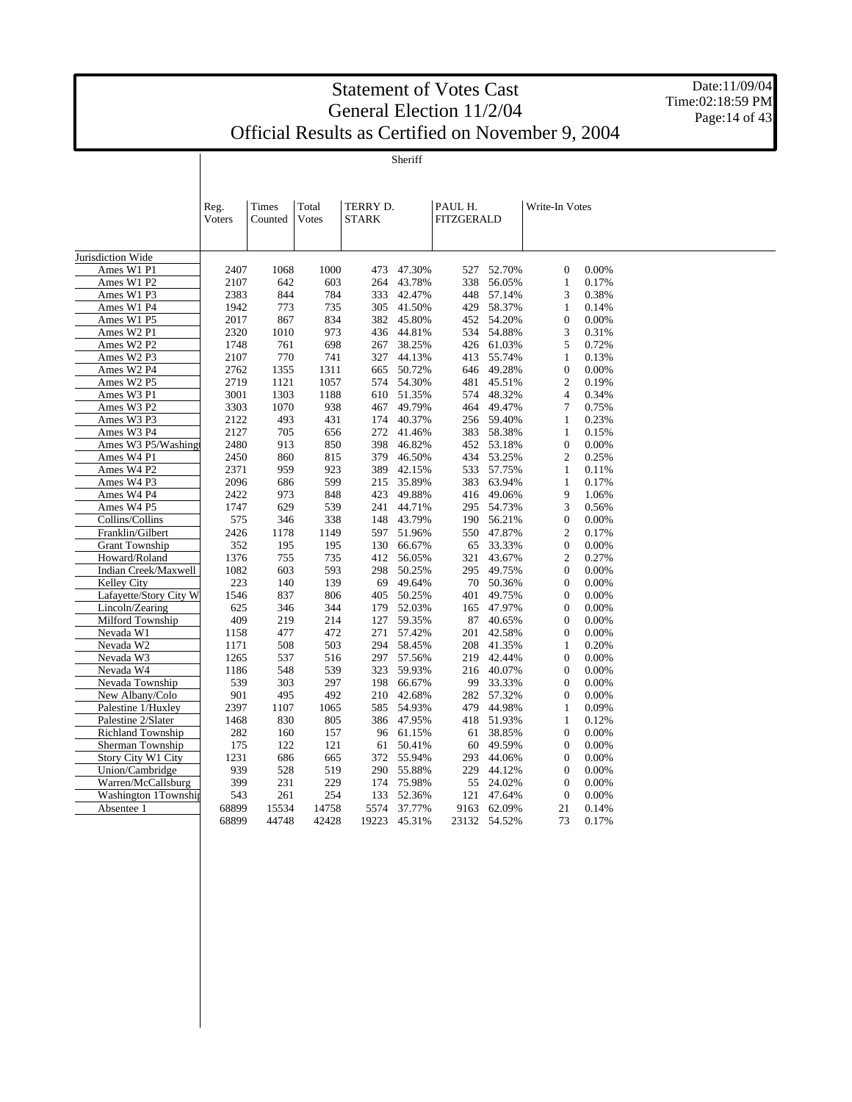Date:11/09/04 Time:02:18:59 PM Page: $14$  of  $43$ 

Sheriff

|                           | Reg.<br>Voters | Times<br>Counted | Total<br>Votes | TERRY D.<br><b>STARK</b> |                  | PAUL H.<br><b>FITZGERALD</b> |                  | Write-In Votes   |                |  |
|---------------------------|----------------|------------------|----------------|--------------------------|------------------|------------------------------|------------------|------------------|----------------|--|
|                           |                |                  |                |                          |                  |                              |                  |                  |                |  |
|                           |                |                  |                |                          |                  |                              |                  |                  |                |  |
| Jurisdiction Wide         | 2407           | 1068             |                |                          | 47.30%           |                              | 52.70%           | $\overline{0}$   | 0.00%          |  |
| Ames W1 P1<br>Ames W1 P2  |                |                  | 1000           | 473                      |                  | 527                          |                  |                  |                |  |
| Ames W1 P3                | 2107<br>2383   | 642<br>844       | 603<br>784     | 264<br>333               | 43.78%<br>42.47% | 338                          | 56.05%<br>57.14% | 1<br>3           | 0.17%<br>0.38% |  |
|                           | 1942           |                  |                |                          |                  | 448                          |                  |                  | 0.14%          |  |
| Ames W1 P4                |                | 773              | 735            | 305                      | 41.50%           | 429                          | 58.37%           | 1                |                |  |
| Ames W1 P5                | 2017           | 867              | 834            | 382                      | 45.80%           | 452                          | 54.20%           | $\boldsymbol{0}$ | 0.00%          |  |
| Ames W2 P1                | 2320           | 1010             | 973            |                          | 436 44.81%       | 534                          | 54.88%           | 3                | 0.31%          |  |
| Ames W2 P2                | 1748           | 761              | 698            | 267                      | 38.25%           | 426                          | 61.03%           | 5                | 0.72%          |  |
| Ames W2 P3                | 2107           | 770              | 741            | 327                      | 44.13%<br>50.72% | 413                          | 55.74%           | 1                | 0.13%          |  |
| Ames W2 P4                | 2762           | 1355             | 1311<br>1057   | 665                      |                  | 646                          | 49.28%           | $\boldsymbol{0}$ | 0.00%          |  |
| Ames W2 P5                | 2719           | 1121             |                |                          | 574 54.30%       | 481                          | 45.51%           | $\mathfrak{2}$   | 0.19%          |  |
| Ames W3 P1                | 3001           | 1303             | 1188           | 610                      | 51.35%           | 574                          | 48.32%           | 4                | 0.34%          |  |
| Ames W3 P2                | 3303           | 1070             | 938            | 467                      | 49.79%           | 464                          | 49.47%           | 7                | 0.75%          |  |
| Ames W3 P3                | 2122           | 493              | 431            | 174                      | 40.37%           |                              | 256 59.40%       | 1                | 0.23%          |  |
| Ames W3 P4                | 2127           | 705              | 656            | 272                      | 41.46%           | 383                          | 58.38%           | 1                | 0.15%          |  |
| Ames W3 P5/Washing        | 2480           | 913              | 850            | 398                      | 46.82%           |                              | 452 53.18%       | $\boldsymbol{0}$ | 0.00%          |  |
| Ames W4 P1                | 2450           | 860              | 815            | 379                      | 46.50%           | 434                          | 53.25%           | $\overline{c}$   | 0.25%          |  |
| Ames W4 P2                | 2371           | 959              | 923            | 389                      | 42.15%           |                              | 533 57.75%       | $\mathbf{1}$     | 0.11%          |  |
| Ames W4 P3                | 2096           | 686              | 599            | 215                      | 35.89%           | 383                          | 63.94%           | $\mathbf{1}$     | 0.17%          |  |
| Ames W4 P4                | 2422           | 973              | 848            | 423                      | 49.88%           |                              | 416 49.06%       | 9                | 1.06%          |  |
| Ames W4 P5                | 1747           | 629              | 539            | 241                      | 44.71%           | 295                          | 54.73%           | 3                | 0.56%          |  |
| Collins/Collins           | 575            | 346              | 338            | 148                      | 43.79%           |                              | 190 56.21%       | $\boldsymbol{0}$ | 0.00%          |  |
| Franklin/Gilbert          | 2426           | 1178             | 1149           | 597                      | 51.96%           | 550                          | 47.87%           | 2                | 0.17%          |  |
| <b>Grant Township</b>     | 352            | 195              | 195            | 130                      | 66.67%           | 65                           | 33.33%           | $\boldsymbol{0}$ | 0.00%          |  |
| Howard/Roland             | 1376           | 755              | 735            | 412                      | 56.05%           | 321                          | 43.67%           | $\overline{c}$   | 0.27%          |  |
| Indian Creek/Maxwell      | 1082           | 603              | 593            | 298                      | 50.25%           | 295                          | 49.75%           | $\boldsymbol{0}$ | 0.00%          |  |
| Kelley City               | 223            | 140              | 139            | 69                       | 49.64%           | 70                           | 50.36%           | $\mathbf{0}$     | 0.00%          |  |
| Lafayette/Story City W    | 1546           | 837              | 806            | 405                      | 50.25%           | 401                          | 49.75%           | $\boldsymbol{0}$ | 0.00%          |  |
| Lincoln/Zearing           | 625            | 346              | 344            | 179                      | 52.03%           | 165                          | 47.97%           | $\boldsymbol{0}$ | 0.00%          |  |
| Milford Township          | 409            | 219              | 214            | 127                      | 59.35%           | 87                           | 40.65%           | $\boldsymbol{0}$ | 0.00%          |  |
| Nevada W1                 | 1158           | 477              | 472            | 271                      | 57.42%           | 201                          | 42.58%           | $\overline{0}$   | 0.00%          |  |
| Nevada W2                 | 1171           | 508              | 503            | 294                      | 58.45%           | 208                          | 41.35%           | 1                | 0.20%          |  |
| Nevada W3                 | 1265           | 537              | 516            | 297                      | 57.56%           | 219                          | 42.44%           | $\mathbf{0}$     | 0.00%          |  |
| Nevada W4                 | 1186           | 548              | 539            | 323                      | 59.93%           | 216                          | 40.07%           | $\boldsymbol{0}$ | 0.00%          |  |
| Nevada Township           | 539            | 303              | 297            | 198                      | 66.67%           | 99                           | 33.33%           | $\overline{0}$   | 0.00%          |  |
| New Albany/Colo           | 901            | 495              | 492            | 210                      | 42.68%           |                              | 282 57.32%       | $\boldsymbol{0}$ | $0.00\%$       |  |
| Palestine 1/Huxley        | 2397           | 1107             | 1065           | 585                      | 54.93%           | 479                          | 44.98%           | 1                | 0.09%          |  |
| Palestine 2/Slater        | 1468           | 830              | 805            | 386                      | 47.95%           |                              | 418 51.93%       | $\mathbf{1}$     | 0.12%          |  |
| <b>Richland Township</b>  | 282            | 160              | 157            | 96                       | 61.15%           | 61                           | 38.85%           | $\boldsymbol{0}$ | 0.00%          |  |
| Sherman Township          | 175            | 122              | 121            | 61                       | 50.41%           | 60                           | 49.59%           | $\boldsymbol{0}$ | 0.00%          |  |
| <b>Story City W1 City</b> | 1231           | 686              | 665            | 372                      | 55.94%           | 293                          | 44.06%           | $\boldsymbol{0}$ | 0.00%          |  |
| Union/Cambridge           | 939            | 528              | 519            | 290                      | 55.88%           | 229                          | 44.12%           | $\mathbf{0}$     | 0.00%          |  |
| Warren/McCallsburg        | 399            | 231              | 229            | 174                      | 75.98%           | 55                           | 24.02%           | $\mathbf{0}$     | 0.00%          |  |
| Washington 1Township      | 543            | 261              | 254            | 133                      | 52.36%           | 121                          | 47.64%           | $\mathbf{0}$     | 0.00%          |  |
| Absentee 1                | 68899          | 15534            | 14758          | 5574                     | 37.77%           | 9163                         | 62.09%           | 21               | 0.14%          |  |
|                           | 68899          | 44748            | 42428          | 19223                    | 45.31%           |                              | 23132 54.52%     | 73               | 0.17%          |  |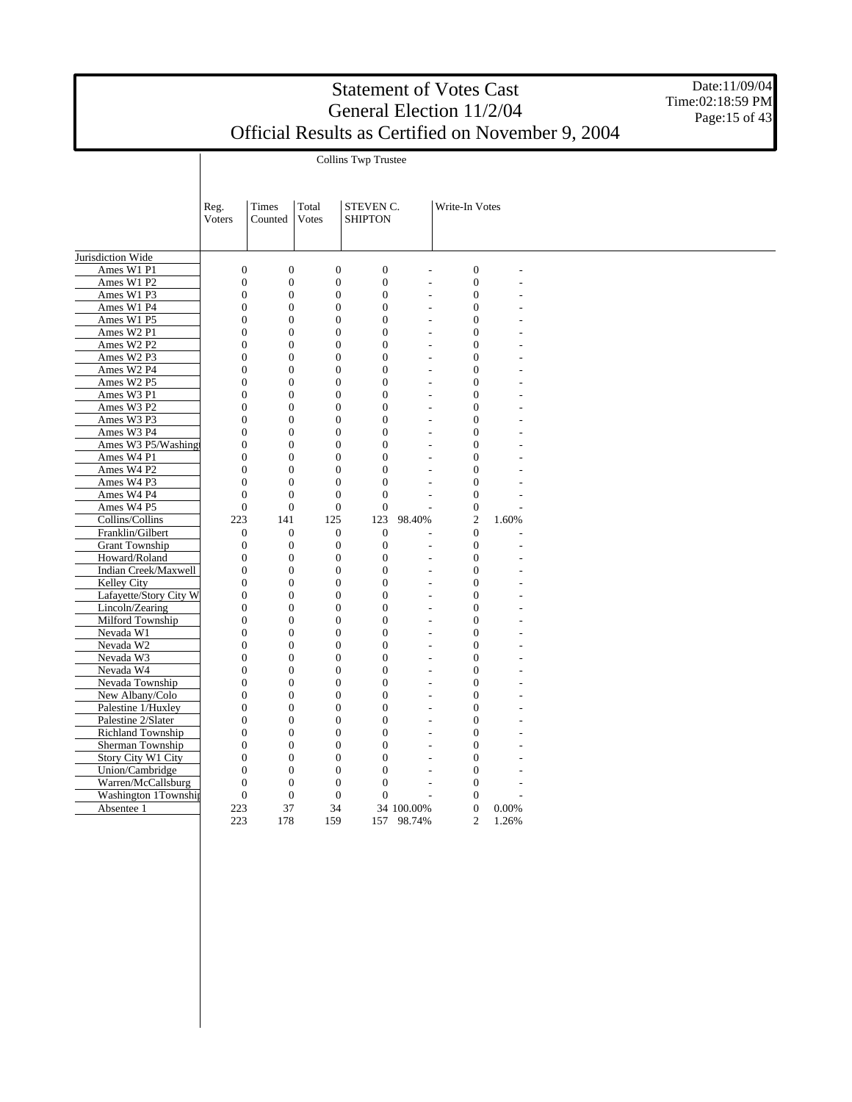Collins Twp Trustee

Date:11/09/04 Time:02:18:59 PM Page: $15$  of  $43$ 

|                          | Reg.                                 | Times                                | Total                                | STEVEN C.                |                                  | Write-In Votes           |       |  |
|--------------------------|--------------------------------------|--------------------------------------|--------------------------------------|--------------------------|----------------------------------|--------------------------|-------|--|
|                          | Voters                               | Counted                              | <b>Votes</b>                         | <b>SHIPTON</b>           |                                  |                          |       |  |
|                          |                                      |                                      |                                      |                          |                                  |                          |       |  |
|                          |                                      |                                      |                                      |                          |                                  |                          |       |  |
| Jurisdiction Wide        |                                      |                                      |                                      |                          |                                  |                          |       |  |
| Ames W1 P1               | $\boldsymbol{0}$                     | $\boldsymbol{0}$                     | $\boldsymbol{0}$                     | $\boldsymbol{0}$         |                                  | $\overline{0}$           |       |  |
| Ames W1 P2               | $\overline{0}$                       | $\boldsymbol{0}$                     | $\mathbf{0}$                         | $\mathbf{0}$             | $\overline{a}$                   | $\overline{0}$           |       |  |
| Ames W1 P3               | $\overline{0}$                       | $\mathbf{0}$                         | $\mathbf{0}$                         | $\mathbf{0}$             | $\overline{a}$                   | $\overline{0}$           |       |  |
| Ames W1 P4               | $\theta$                             | $\overline{0}$                       | $\overline{0}$                       | $\Omega$                 | $\overline{a}$                   | $\mathbf{0}$             |       |  |
| Ames W1 P5               | $\overline{0}$                       | $\overline{0}$                       | $\mathbf{0}$                         | $\Omega$                 | L,                               | $\mathbf{0}$             |       |  |
| Ames W2 P1               | $\overline{0}$                       | $\mathbf{0}$                         | $\mathbf{0}$                         | $\mathbf{0}$             | $\overline{a}$                   | $\mathbf{0}$             |       |  |
| Ames W2 P2               | $\overline{0}$<br>$\overline{0}$     | $\overline{0}$<br>$\overline{0}$     | $\mathbf{0}$<br>$\overline{0}$       | $\Omega$                 | $\overline{a}$                   | $\mathbf{0}$             |       |  |
| Ames W2 P3               |                                      |                                      |                                      | $\mathbf{0}$<br>$\Omega$ | $\overline{a}$                   | $\mathbf{0}$<br>$\Omega$ |       |  |
| Ames W2 P4               | $\boldsymbol{0}$<br>$\boldsymbol{0}$ | $\boldsymbol{0}$<br>$\boldsymbol{0}$ | $\boldsymbol{0}$<br>$\boldsymbol{0}$ | $\boldsymbol{0}$         | $\overline{a}$<br>$\overline{a}$ | $\mathbf{0}$             |       |  |
| Ames W2 P5<br>Ames W3 P1 | $\overline{0}$                       | $\mathbf{0}$                         | $\mathbf{0}$                         | $\mathbf{0}$             | $\overline{a}$                   | $\mathbf{0}$             |       |  |
| Ames W3 P2               | $\overline{0}$                       | $\boldsymbol{0}$                     | $\mathbf{0}$                         | $\mathbf{0}$             | L.                               | $\overline{0}$           |       |  |
| Ames W3 P3               | $\overline{0}$                       | $\boldsymbol{0}$                     | $\boldsymbol{0}$                     | $\mathbf{0}$             | $\overline{a}$                   | $\mathbf{0}$             |       |  |
| Ames W3 P4               | $\overline{0}$                       | $\boldsymbol{0}$                     | $\boldsymbol{0}$                     | $\mathbf{0}$             | $\overline{a}$                   | $\mathbf{0}$             |       |  |
| Ames W3 P5/Washing       | $\overline{0}$                       | $\boldsymbol{0}$                     | $\mathbf{0}$                         | $\mathbf{0}$             | $\overline{a}$                   | $\mathbf{0}$             |       |  |
| Ames W4 P1               | $\overline{0}$                       | $\overline{0}$                       | $\mathbf{0}$                         | $\mathbf{0}$             | L,                               | $\mathbf{0}$             |       |  |
| Ames W4 P2               | $\overline{0}$                       | $\boldsymbol{0}$                     | $\mathbf{0}$                         | $\mathbf{0}$             | L,                               | $\mathbf{0}$             |       |  |
| Ames W4 P3               | $\overline{0}$                       | $\overline{0}$                       | $\mathbf{0}$                         | $\overline{0}$           | $\overline{a}$                   | $\mathbf{0}$             |       |  |
| Ames W4 P4               | $\overline{0}$                       | $\overline{0}$                       | $\mathbf{0}$                         | $\overline{0}$           | L,                               | $\overline{0}$           |       |  |
| Ames W4 P5               | $\overline{0}$                       | $\overline{0}$                       | $\mathbf{0}$                         | $\overline{0}$           | L,                               | $\overline{0}$           |       |  |
| Collins/Collins          | 223                                  | 141                                  | 125                                  | 123                      | 98.40%                           | $\overline{c}$           | 1.60% |  |
| Franklin/Gilbert         | $\boldsymbol{0}$                     | $\overline{0}$                       | $\mathbf{0}$                         | $\mathbf{0}$             | ÷                                | $\mathbf{0}$             |       |  |
| <b>Grant Township</b>    | $\overline{0}$                       | $\mathbf{0}$                         | $\mathbf{0}$                         | $\overline{0}$           | $\overline{a}$                   | $\overline{0}$           |       |  |
| Howard/Roland            | $\overline{0}$                       | $\boldsymbol{0}$                     | $\boldsymbol{0}$                     | $\mathbf{0}$             | $\overline{a}$                   | $\mathbf{0}$             |       |  |
| Indian Creek/Maxwell     | $\overline{0}$                       | $\overline{0}$                       | $\mathbf{0}$                         | $\mathbf{0}$             | $\overline{a}$                   | $\mathbf{0}$             |       |  |
| Kelley City              | $\overline{0}$                       | $\mathbf{0}$                         | $\mathbf{0}$                         | $\mathbf{0}$             | $\overline{a}$                   | $\mathbf{0}$             |       |  |
| Lafayette/Story City W   | $\theta$                             | $\mathbf{0}$                         | $\overline{0}$                       | $\Omega$                 | $\overline{\phantom{a}}$         | $\Omega$                 |       |  |
| Lincoln/Zearing          | $\Omega$                             | $\overline{0}$                       | $\mathbf{0}$                         | $\Omega$                 | $\overline{a}$                   | $\Omega$                 |       |  |
| Milford Township         | $\boldsymbol{0}$                     | $\boldsymbol{0}$                     | $\boldsymbol{0}$                     | $\boldsymbol{0}$         | $\overline{a}$                   | $\mathbf{0}$             |       |  |
| Nevada W1                | $\boldsymbol{0}$                     | $\boldsymbol{0}$                     | $\boldsymbol{0}$                     | $\mathbf{0}$             | $\overline{a}$                   | $\mathbf{0}$             |       |  |
| Nevada W2                | $\overline{0}$                       | $\boldsymbol{0}$                     | $\mathbf{0}$                         | $\mathbf{0}$             | ÷.                               | $\mathbf{0}$             |       |  |
| Nevada W3                | $\overline{0}$                       | $\boldsymbol{0}$                     | $\mathbf{0}$                         | $\mathbf{0}$             | $\overline{a}$                   | $\mathbf{0}$             |       |  |
| Nevada W4                | $\overline{0}$                       | $\boldsymbol{0}$                     | $\boldsymbol{0}$                     | $\mathbf{0}$             | $\overline{a}$                   | $\mathbf{0}$             |       |  |
| Nevada Township          | $\overline{0}$                       | $\overline{0}$                       | $\overline{0}$                       | $\mathbf{0}$             | $\overline{a}$                   | $\mathbf{0}$             |       |  |
| New Albany/Colo          | $\overline{0}$                       | $\boldsymbol{0}$                     | $\mathbf{0}$                         | $\mathbf{0}$             | $\overline{a}$                   | $\overline{0}$           |       |  |
| Palestine 1/Huxley       | $\overline{0}$                       | $\boldsymbol{0}$                     | $\mathbf{0}$                         | $\mathbf{0}$             | $\overline{a}$                   | $\mathbf{0}$             |       |  |
| Palestine 2/Slater       | $\overline{0}$                       | $\boldsymbol{0}$                     | $\boldsymbol{0}$                     | $\mathbf{0}$             | ÷.                               | $\mathbf{0}$             |       |  |
| Richland Township        | $\overline{0}$                       | $\boldsymbol{0}$                     | $\boldsymbol{0}$                     | $\mathbf{0}$             | $\overline{a}$                   | $\mathbf{0}$             |       |  |
| Sherman Township         | $\overline{0}$                       | $\overline{0}$                       | $\mathbf{0}$                         | $\mathbf{0}$             |                                  | $\overline{0}$           |       |  |
| Story City W1 City       | $\overline{0}$                       | $\mathbf{0}$                         | $\boldsymbol{0}$                     | $\mathbf{0}$             |                                  | $\overline{0}$           |       |  |
| Union/Cambridge          | $\theta$                             | $\overline{0}$                       | $\overline{0}$                       | $\overline{0}$           | ÷                                | $\overline{0}$           |       |  |
| Warren/McCallsburg       | $\overline{0}$                       | $\overline{0}$                       | $\overline{0}$                       | $\overline{0}$           |                                  | $\overline{0}$           |       |  |
| Washington 1Township     | $\overline{0}$                       | $\overline{0}$                       | $\overline{0}$                       | $\Omega$                 |                                  | $\mathbf{0}$             |       |  |
| Absentee 1               | 223                                  | 37                                   | 34                                   |                          | 34 100.00%                       | $\mathbf{0}$             | 0.00% |  |
|                          | 223                                  | 178                                  | 159                                  | 157                      | 98.74%                           | $\overline{2}$           | 1.26% |  |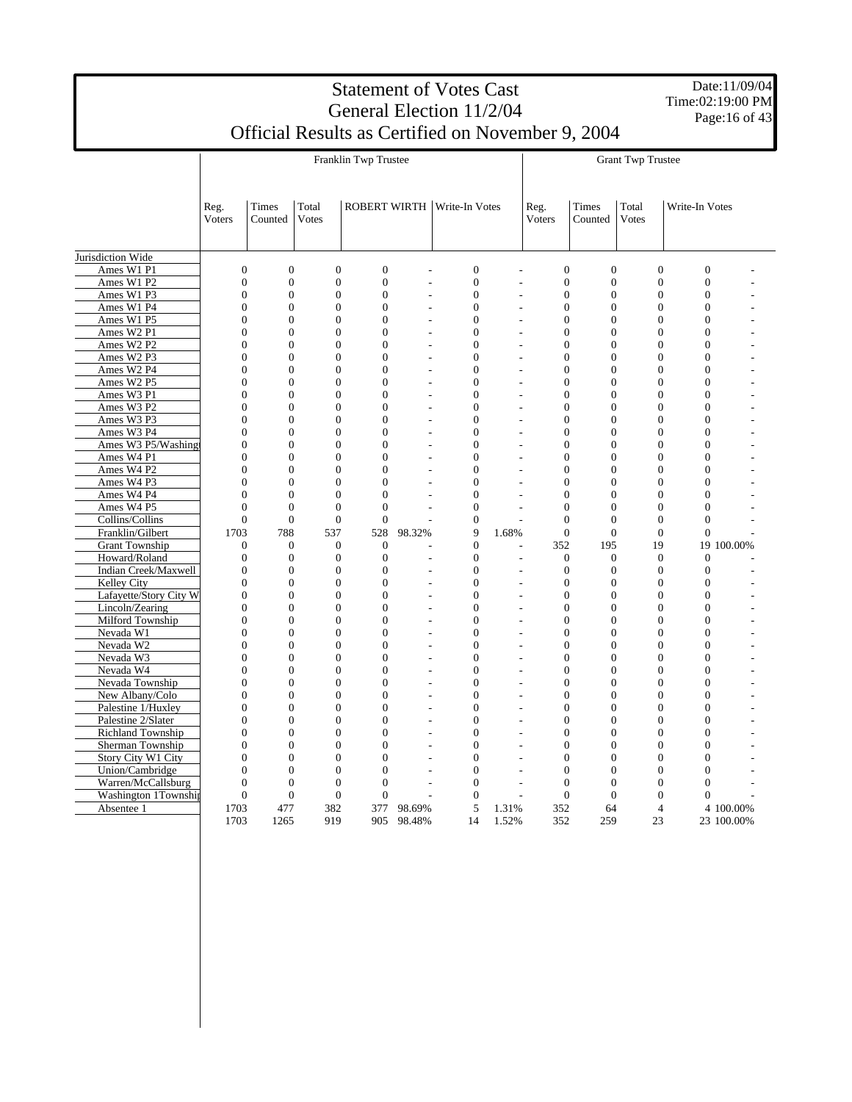|                                    | Page: 16 of 43   |                  |                  |                      |                |                                                   |       |                                          |                  |                          |                  |            |
|------------------------------------|------------------|------------------|------------------|----------------------|----------------|---------------------------------------------------|-------|------------------------------------------|------------------|--------------------------|------------------|------------|
|                                    |                  |                  |                  |                      |                | Official Results as Certified on November 9, 2004 |       |                                          |                  |                          |                  |            |
|                                    |                  |                  |                  | Franklin Twp Trustee |                |                                                   |       |                                          |                  | <b>Grant Twp Trustee</b> |                  |            |
|                                    | Reg.<br>Voters   | Times<br>Counted | Total<br>Votes   |                      |                | <b>ROBERT WIRTH Write-In Votes</b>                |       | Reg.<br>Voters                           | Times<br>Counted | Total<br>Votes           | Write-In Votes   |            |
| Jurisdiction Wide                  |                  |                  |                  |                      |                |                                                   |       |                                          |                  |                          |                  |            |
| Ames W1 P1                         | $\overline{0}$   | $\overline{0}$   | $\overline{0}$   | $\overline{0}$       | L.             | $\overline{0}$                                    |       | $\boldsymbol{0}$<br>$\overline{a}$       | $\overline{0}$   | $\overline{0}$           | $\overline{0}$   |            |
| Ames W1 P2                         | $\boldsymbol{0}$ | $\boldsymbol{0}$ | $\boldsymbol{0}$ | $\boldsymbol{0}$     | L,             | $\mathbf{0}$                                      |       | $\boldsymbol{0}$<br>$\overline{a}$       | $\boldsymbol{0}$ | $\boldsymbol{0}$         | $\boldsymbol{0}$ |            |
| Ames W1 P3                         | $\overline{0}$   | $\overline{0}$   | $\overline{0}$   | $\overline{0}$       |                | $\overline{0}$                                    |       | $\overline{0}$                           | $\mathbf{0}$     | $\overline{0}$           | $\overline{0}$   |            |
| Ames W1 P4                         | $\overline{0}$   | $\overline{0}$   | $\overline{0}$   | $\overline{0}$       |                | $\overline{0}$                                    |       | $\boldsymbol{0}$                         | $\mathbf{0}$     | $\overline{0}$           | $\overline{0}$   |            |
| Ames W1 P5                         | $\overline{0}$   | $\overline{0}$   | $\overline{0}$   | $\overline{0}$       |                | $\overline{0}$<br>L.                              |       | $\boldsymbol{0}$<br>$\overline{a}$       | $\overline{0}$   | $\boldsymbol{0}$         | $\overline{0}$   |            |
| Ames W2 P1                         | $\overline{0}$   | $\theta$         | $\Omega$         | $\theta$             |                | $\theta$                                          |       | $\overline{0}$<br>L,                     | $\overline{0}$   | $\overline{0}$           | $\theta$         |            |
| Ames W <sub>2</sub> P <sub>2</sub> | $\overline{0}$   | $\boldsymbol{0}$ | $\boldsymbol{0}$ | $\overline{0}$       |                | $\overline{0}$                                    |       | $\boldsymbol{0}$                         | $\overline{0}$   | $\boldsymbol{0}$         | $\overline{0}$   |            |
| Ames W2 P3                         | $\overline{0}$   | $\overline{0}$   | $\overline{0}$   | $\overline{0}$       |                | $\overline{0}$                                    |       | $\overline{0}$                           | $\overline{0}$   | $\overline{0}$           | $\overline{0}$   |            |
| Ames W2 P4                         | $\overline{0}$   | $\overline{0}$   | $\overline{0}$   | $\theta$             | $\overline{a}$ | $\theta$                                          |       | $\overline{0}$<br>$\overline{a}$         | $\Omega$         | $\overline{0}$           | $\theta$         |            |
| Ames W2 P5                         | $\overline{0}$   | $\overline{0}$   | $\overline{0}$   | $\overline{0}$       | ÷.             | $\overline{0}$                                    |       | $\overline{0}$<br>$\overline{a}$         | $\Omega$         | $\overline{0}$           | $\theta$         |            |
| Ames W3 P1                         | $\boldsymbol{0}$ | $\boldsymbol{0}$ | $\overline{0}$   | $\overline{0}$       |                | $\overline{0}$                                    |       | $\boldsymbol{0}$<br>÷                    | $\boldsymbol{0}$ | $\boldsymbol{0}$         | $\mathbf{0}$     |            |
| Ames W3 P2                         | $\overline{0}$   | $\overline{0}$   | $\overline{0}$   | $\overline{0}$       | $\overline{a}$ | $\overline{0}$                                    |       | $\overline{0}$<br>$\overline{a}$         | $\overline{0}$   | $\overline{0}$           | $\overline{0}$   |            |
| Ames W3 P3                         | $\overline{0}$   | $\overline{0}$   | $\overline{0}$   | $\overline{0}$       |                | $\overline{0}$                                    |       | $\overline{0}$                           | $\overline{0}$   | $\overline{0}$           | $\overline{0}$   |            |
| Ames W3 P4                         | $\overline{0}$   | $\overline{0}$   | $\Omega$         | $\theta$             |                | $\theta$                                          |       | $\overline{0}$                           | $\Omega$         | $\theta$                 | $\theta$         |            |
| Ames W3 P5/Washing                 | $\boldsymbol{0}$ | $\boldsymbol{0}$ | $\boldsymbol{0}$ | $\theta$             | L.             | $\theta$                                          |       | $\boldsymbol{0}$<br>L,                   | $\Omega$         | $\boldsymbol{0}$         | $\theta$         |            |
| Ames W4 P1                         | $\overline{0}$   | $\overline{0}$   | $\overline{0}$   | $\overline{0}$       |                | $\overline{0}$                                    |       | $\boldsymbol{0}$<br>L,                   | $\mathbf{0}$     | $\boldsymbol{0}$         | $\mathbf{0}$     |            |
| Ames W4 P2                         | $\overline{0}$   | $\overline{0}$   | $\overline{0}$   | $\overline{0}$       | $\overline{a}$ | $\overline{0}$                                    |       | $\overline{0}$<br>$\overline{a}$         | $\overline{0}$   | $\overline{0}$           | $\overline{0}$   |            |
| Ames W4 P3                         | $\overline{0}$   | $\overline{0}$   | $\overline{0}$   | $\overline{0}$       |                | $\overline{0}$                                    |       | $\overline{0}$                           | $\overline{0}$   | $\overline{0}$           | $\overline{0}$   |            |
| Ames W4 P4                         | $\theta$         | $\theta$         | $\theta$         | $\theta$             |                | $\theta$                                          |       | $\Omega$                                 | $\theta$         | $\theta$                 | $\theta$         |            |
| Ames W4 P5                         | $\overline{0}$   | $\overline{0}$   | $\mathbf{0}$     | $\overline{0}$       |                | $\overline{0}$                                    |       | $\mathbf{0}$                             | $\mathbf{0}$     | $\mathbf{0}$             | $\mathbf{0}$     |            |
| Collins/Collins                    | $\overline{0}$   | $\boldsymbol{0}$ | $\mathbf{0}$     | $\mathbf{0}$         |                | $\overline{0}$                                    |       | $\boldsymbol{0}$                         | $\overline{0}$   | $\boldsymbol{0}$         | $\boldsymbol{0}$ |            |
| Franklin/Gilbert                   | 1703             | 788              | 537              | 528                  | 98.32%         | 9                                                 | 1.68% | $\overline{0}$                           | $\overline{0}$   | $\boldsymbol{0}$         | $\boldsymbol{0}$ |            |
| <b>Grant Township</b>              | $\boldsymbol{0}$ | $\boldsymbol{0}$ | $\boldsymbol{0}$ | $\boldsymbol{0}$     |                | $\theta$                                          |       | 352                                      | 195              | 19                       |                  | 19 100.00% |
| Howard/Roland                      | $\overline{0}$   | $\boldsymbol{0}$ | $\mathbf{0}$     | $\overline{0}$       |                | $\overline{0}$                                    |       | $\boldsymbol{0}$<br>$\overline{a}$       | $\overline{0}$   | $\overline{0}$           | $\mathbf{0}$     |            |
| Indian Creek/Maxwell               | $\overline{0}$   | $\overline{0}$   | $\overline{0}$   | $\overline{0}$       |                | $\overline{0}$                                    |       | $\boldsymbol{0}$                         | $\mathbf{0}$     | $\overline{0}$           | $\overline{0}$   |            |
| Kelley City                        | $\overline{0}$   | $\overline{0}$   | $\overline{0}$   | $\Omega$             | ÷.             | $\theta$                                          |       | $\mathbf{0}$<br>$\overline{\phantom{a}}$ | $\overline{0}$   | $\overline{0}$           | $\overline{0}$   |            |
| Lafayette/Story City W             | $\overline{0}$   | $\overline{0}$   | $\overline{0}$   | $\overline{0}$       | L.             | $\overline{0}$                                    |       | $\overline{0}$<br>$\overline{a}$         | $\overline{0}$   | $\overline{0}$           | $\overline{0}$   |            |
| Lincoln/Zearing                    | $\boldsymbol{0}$ | $\boldsymbol{0}$ | $\boldsymbol{0}$ | $\overline{0}$       |                | $\overline{0}$                                    |       | $\boldsymbol{0}$<br>$\overline{a}$       | $\mathbf{0}$     | $\boldsymbol{0}$         | $\overline{0}$   |            |
| Milford Township                   | $\overline{0}$   | $\overline{0}$   | $\overline{0}$   | $\overline{0}$       |                | $\overline{0}$                                    |       | $\overline{0}$<br>$\overline{a}$         | $\overline{0}$   | $\overline{0}$           | $\overline{0}$   |            |
| Nevada W1                          | $\overline{0}$   | $\overline{0}$   | $\overline{0}$   | $\overline{0}$       |                | $\theta$                                          |       | $\mathbf{0}$                             | $\Omega$         | $\mathbf{0}$             | $\theta$         |            |
| Nevada W2                          | $\overline{0}$   | $\theta$         | $\Omega$         | $\theta$             |                | $\theta$                                          |       | $\mathbf{0}$<br>$\overline{\phantom{a}}$ | $\Omega$         | $\overline{0}$           | $\theta$         |            |
| Nevada W3                          | $\boldsymbol{0}$ | $\boldsymbol{0}$ | $\boldsymbol{0}$ | $\boldsymbol{0}$     | L.             | $\mathbf{0}$                                      |       | $\boldsymbol{0}$<br>$\overline{a}$       | $\boldsymbol{0}$ | $\boldsymbol{0}$         | $\boldsymbol{0}$ |            |
| Nevada W4                          | $\overline{0}$   | $\overline{0}$   | $\overline{0}$   | $\overline{0}$       | L.             | $\overline{0}$                                    |       | $\mathbf{0}$<br>$\overline{a}$           | $\mathbf{0}$     | $\overline{0}$           | $\overline{0}$   |            |
| Nevada Township                    | $\overline{0}$   | $\overline{0}$   | $\overline{0}$   | $\overline{0}$       |                | $\overline{0}$                                    |       | $\overline{0}$                           | $\overline{0}$   | $\overline{0}$           | $\overline{0}$   |            |
| New Albany/Colo                    | $\overline{0}$   | $\overline{0}$   | $\overline{0}$   | $\overline{0}$       |                | $\theta$                                          |       | $\overline{0}$                           | $\Omega$         | $\overline{0}$           | $\theta$         |            |
| Palestine 1/Huxley                 | $\Omega$         | $\theta$         | $\Omega$         | $\theta$             |                | $\theta$                                          |       | $\boldsymbol{0}$<br>$\overline{a}$       | $\Omega$         | $\theta$                 | $\theta$         |            |
| Palestine 2/Slater                 | $\boldsymbol{0}$ | $\overline{0}$   | $\boldsymbol{0}$ | $\overline{0}$       |                | $\mathbf{0}$                                      |       | $\boldsymbol{0}$<br>$\overline{a}$       | $\mathbf{0}$     | $\boldsymbol{0}$         | $\mathbf{0}$     |            |
| Richland Township                  | $\overline{0}$   | $\overline{0}$   | $\overline{0}$   | $\overline{0}$       | ä,             | $\overline{0}$                                    |       | $\boldsymbol{0}$<br>$\overline{a}$       | $\overline{0}$   | $\overline{0}$           | $\overline{0}$   |            |
| Sherman Township                   | $\overline{0}$   | $\overline{0}$   | $\overline{0}$   | $\overline{0}$       |                | $\theta$                                          |       | $\overline{0}$                           | $\overline{0}$   | $\overline{0}$           | $\overline{0}$   |            |
| Story City W1 City                 | $\theta$         | $\theta$         | $\theta$         | $\theta$             |                | $\theta$                                          |       | $\Omega$                                 | $\Omega$         | $\theta$                 | $\theta$         |            |
| Union/Cambridge                    | $\overline{0}$   | $\overline{0}$   | $\overline{0}$   | $\overline{0}$       |                | $\overline{0}$                                    |       | $\boldsymbol{0}$                         | $\mathbf{0}$     | $\mathbf{0}$             | $\mathbf{0}$     |            |
| Warren/McCallsburg                 | $\overline{0}$   | $\boldsymbol{0}$ | $\boldsymbol{0}$ | $\overline{0}$       |                | $\overline{0}$                                    |       | $\boldsymbol{0}$<br>÷                    | $\mathbf{0}$     | $\boldsymbol{0}$         | $\mathbf{0}$     |            |
| Washington 1Township               | $\overline{0}$   | $\overline{0}$   | $\overline{0}$   | $\overline{0}$       |                | $\theta$                                          |       | $\overline{0}$<br>$\overline{a}$         | $\overline{0}$   | $\overline{0}$           | $\overline{0}$   |            |
| Absentee 1                         | 1703             | 477              | 382              | 377                  | 98.69%         | 5                                                 | 1.31% | 352                                      | 64               | $\overline{4}$           |                  | 4 100.00%  |
|                                    | 1703             | 1265             | 919              | 905                  | 98.48%         | 14                                                | 1.52% | 352                                      | 259              | 23                       |                  | 23 100.00% |

# Statement of Votes Cast General Election 11/2/04

ι

Date:11/09/04 Time:02:19:00 PM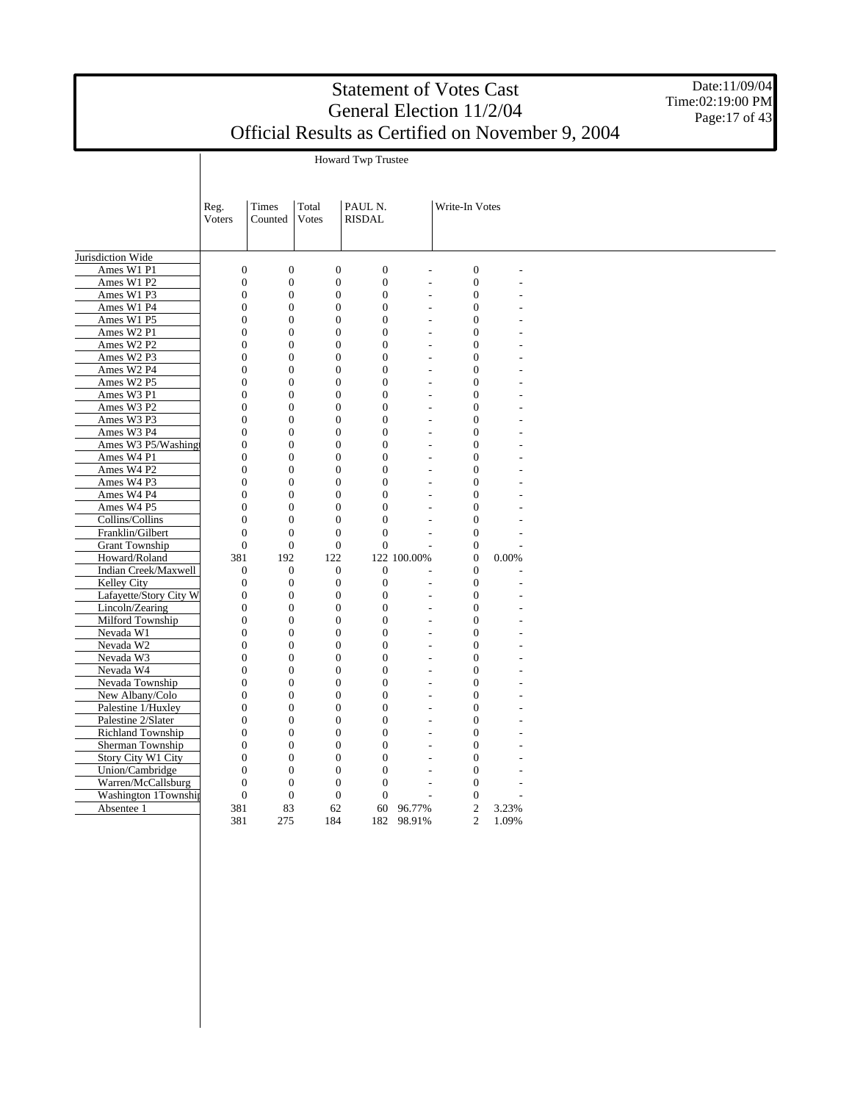Date:11/09/04 Time:02:19:00 PM Page: 17 of 43

Howard Twp Trustee

|                          | Reg.<br>Voters   | <b>Times</b><br>Counted | Total<br>Votes   | PAUL N.<br><b>RISDAL</b> | Write-In Votes           |                  |       |  |
|--------------------------|------------------|-------------------------|------------------|--------------------------|--------------------------|------------------|-------|--|
| Jurisdiction Wide        |                  |                         |                  |                          |                          |                  |       |  |
| Ames W1 P1               | $\boldsymbol{0}$ | $\boldsymbol{0}$        | $\mathbf{0}$     | $\mathbf{0}$             | L,                       | $\boldsymbol{0}$ |       |  |
| Ames W1 P2               | $\boldsymbol{0}$ | $\boldsymbol{0}$        | $\boldsymbol{0}$ | $\boldsymbol{0}$         |                          | $\boldsymbol{0}$ |       |  |
| Ames W1 P3               | $\boldsymbol{0}$ | $\boldsymbol{0}$        | $\boldsymbol{0}$ | $\boldsymbol{0}$         | L,                       | $\boldsymbol{0}$ |       |  |
| Ames W1 P4               | $\boldsymbol{0}$ | $\overline{0}$          | $\mathbf{0}$     | $\mathbf{0}$             | $\overline{a}$           | $\mathbf{0}$     |       |  |
| Ames W1 P5               | $\boldsymbol{0}$ | $\boldsymbol{0}$        | $\boldsymbol{0}$ | $\mathbf{0}$             | ۰                        | $\boldsymbol{0}$ |       |  |
| Ames W2 P1               | $\boldsymbol{0}$ | $\boldsymbol{0}$        | $\boldsymbol{0}$ | $\mathbf{0}$             | L.                       | $\boldsymbol{0}$ |       |  |
| Ames W2 P2               | $\overline{0}$   | $\overline{0}$          | $\mathbf{0}$     | $\mathbf{0}$             | ÷,                       | $\mathbf{0}$     |       |  |
| Ames W2 P3               | $\overline{0}$   | $\overline{0}$          | $\mathbf{0}$     | $\mathbf{0}$             |                          | $\mathbf{0}$     |       |  |
| Ames W2 P4               | $\boldsymbol{0}$ | $\boldsymbol{0}$        | $\boldsymbol{0}$ | $\boldsymbol{0}$         | $\overline{a}$           | $\boldsymbol{0}$ |       |  |
| Ames W2 P5               | $\overline{0}$   | $\overline{0}$          | $\mathbf{0}$     | $\Omega$                 | $\overline{\phantom{a}}$ | $\overline{0}$   |       |  |
| Ames W3 P1               | $\overline{0}$   | $\overline{0}$          | $\boldsymbol{0}$ | $\mathbf{0}$             | ۰                        | $\overline{0}$   |       |  |
| Ames W3 P2               | $\overline{0}$   | $\overline{0}$          | $\overline{0}$   | $\mathbf{0}$             | $\frac{1}{2}$            | $\mathbf{0}$     |       |  |
| Ames W3 P3               | $\overline{0}$   | $\overline{0}$          | $\overline{0}$   | $\Omega$                 | L,                       | $\mathbf{0}$     |       |  |
| Ames W3 P4               | $\overline{0}$   | $\overline{0}$          | $\overline{0}$   | $\mathbf{0}$             | $\overline{a}$           | $\mathbf{0}$     |       |  |
| Ames W3 P5/Washing       | $\boldsymbol{0}$ | $\boldsymbol{0}$        | $\boldsymbol{0}$ | $\mathbf{0}$             | L,                       | $\boldsymbol{0}$ |       |  |
| Ames W4 P1               | $\overline{0}$   | $\overline{0}$          | $\mathbf{0}$     | $\mathbf{0}$             | ٠                        | $\mathbf{0}$     |       |  |
| Ames W4 P2               | $\boldsymbol{0}$ | $\overline{0}$          | $\boldsymbol{0}$ | $\mathbf{0}$             | L,                       | $\boldsymbol{0}$ |       |  |
| Ames W4 P3               | $\overline{0}$   | $\boldsymbol{0}$        | $\boldsymbol{0}$ | $\mathbf{0}$             | L,                       | $\boldsymbol{0}$ |       |  |
| Ames W4 P4               | $\overline{0}$   | $\overline{0}$          | $\mathbf{0}$     | $\Omega$                 | L,                       | $\mathbf{0}$     |       |  |
| Ames W4 P5               | $\overline{0}$   | $\overline{0}$          | $\boldsymbol{0}$ | $\mathbf{0}$             |                          | $\boldsymbol{0}$ |       |  |
| Collins/Collins          | $\overline{0}$   | $\overline{0}$          | $\mathbf{0}$     | $\mathbf{0}$             | L,                       | $\boldsymbol{0}$ |       |  |
| Franklin/Gilbert         | $\overline{0}$   | $\overline{0}$          | $\mathbf{0}$     | $\mathbf{0}$             | ÷.                       | $\overline{0}$   |       |  |
| <b>Grant Township</b>    | $\mathbf{0}$     | $\overline{0}$          | $\mathbf{0}$     | $\mathbf{0}$             | L,                       | $\boldsymbol{0}$ |       |  |
| Howard/Roland            | 381              | 192                     | 122              | 122 100.00%              |                          | $\boldsymbol{0}$ | 0.00% |  |
| Indian Creek/Maxwell     | $\mathbf{0}$     | $\overline{0}$          | $\boldsymbol{0}$ | $\mathbf{0}$             |                          | $\mathbf{0}$     |       |  |
| Kelley City              | $\boldsymbol{0}$ | $\overline{0}$          | $\boldsymbol{0}$ | $\mathbf{0}$             | L,                       | $\mathbf{0}$     |       |  |
| Lafayette/Story City W   | $\boldsymbol{0}$ | $\boldsymbol{0}$        | $\boldsymbol{0}$ | $\boldsymbol{0}$         | L,                       | $\boldsymbol{0}$ |       |  |
| Lincoln/Zearing          | $\boldsymbol{0}$ | $\boldsymbol{0}$        | $\boldsymbol{0}$ | $\boldsymbol{0}$         | $\overline{a}$           | $\boldsymbol{0}$ |       |  |
| Milford Township         | $\overline{0}$   | $\overline{0}$          | $\boldsymbol{0}$ | $\mathbf{0}$             | ÷,                       | $\overline{0}$   |       |  |
| Nevada W1                | $\overline{0}$   | $\overline{0}$          | $\mathbf{0}$     | $\mathbf{0}$             | L,                       | $\mathbf{0}$     |       |  |
| Nevada W2                | $\boldsymbol{0}$ | $\boldsymbol{0}$        | $\boldsymbol{0}$ | $\boldsymbol{0}$         | ÷,                       | $\boldsymbol{0}$ |       |  |
| Nevada W3                | $\overline{0}$   | $\overline{0}$          | $\mathbf{0}$     | $\mathbf{0}$             | $\overline{a}$           | $\overline{0}$   |       |  |
| Nevada W4                | $\overline{0}$   | $\boldsymbol{0}$        | $\boldsymbol{0}$ | $\mathbf{0}$             | ÷,                       | $\boldsymbol{0}$ |       |  |
| Nevada Township          | $\overline{0}$   | $\overline{0}$          | $\boldsymbol{0}$ | $\mathbf{0}$             | $\overline{\phantom{a}}$ | $\boldsymbol{0}$ |       |  |
| New Albany/Colo          | $\overline{0}$   | $\overline{0}$          | $\overline{0}$   | $\Omega$                 | L,                       | $\overline{0}$   |       |  |
| Palestine 1/Huxley       | $\theta$         | $\overline{0}$          | $\overline{0}$   | $\Omega$                 | $\overline{\phantom{a}}$ | $\mathbf{0}$     |       |  |
| Palestine 2/Slater       | $\boldsymbol{0}$ | $\overline{0}$          | $\boldsymbol{0}$ | $\mathbf{0}$             |                          | $\boldsymbol{0}$ |       |  |
| <b>Richland Township</b> | $\overline{0}$   | $\overline{0}$          | $\mathbf{0}$     | $\mathbf{0}$             | $\overline{a}$           | $\mathbf{0}$     |       |  |
| Sherman Township         | $\boldsymbol{0}$ | $\overline{0}$          | $\boldsymbol{0}$ | $\mathbf{0}$             | $\overline{a}$           | $\boldsymbol{0}$ |       |  |
| Story City W1 City       | $\boldsymbol{0}$ | $\boldsymbol{0}$        | $\boldsymbol{0}$ | $\boldsymbol{0}$         | ÷,                       | $\boldsymbol{0}$ |       |  |
| Union/Cambridge          | $\overline{0}$   | $\overline{0}$          | $\mathbf{0}$     | $\Omega$                 |                          | $\mathbf{0}$     |       |  |
| Warren/McCallsburg       | $\boldsymbol{0}$ | $\boldsymbol{0}$        | $\boldsymbol{0}$ | $\mathbf{0}$             | L,                       | $\mathbf{0}$     |       |  |
| Washington 1Township     | $\boldsymbol{0}$ | $\boldsymbol{0}$        | $\mathbf{0}$     | $\boldsymbol{0}$         | $\overline{a}$           | $\boldsymbol{0}$ |       |  |
| Absentee 1               | 381              | 83                      | 62               | 60<br>96.77%             |                          | $\overline{c}$   | 3.23% |  |
|                          | 381              | 275                     | 184              | 98.91%<br>182            |                          | $\overline{c}$   | 1.09% |  |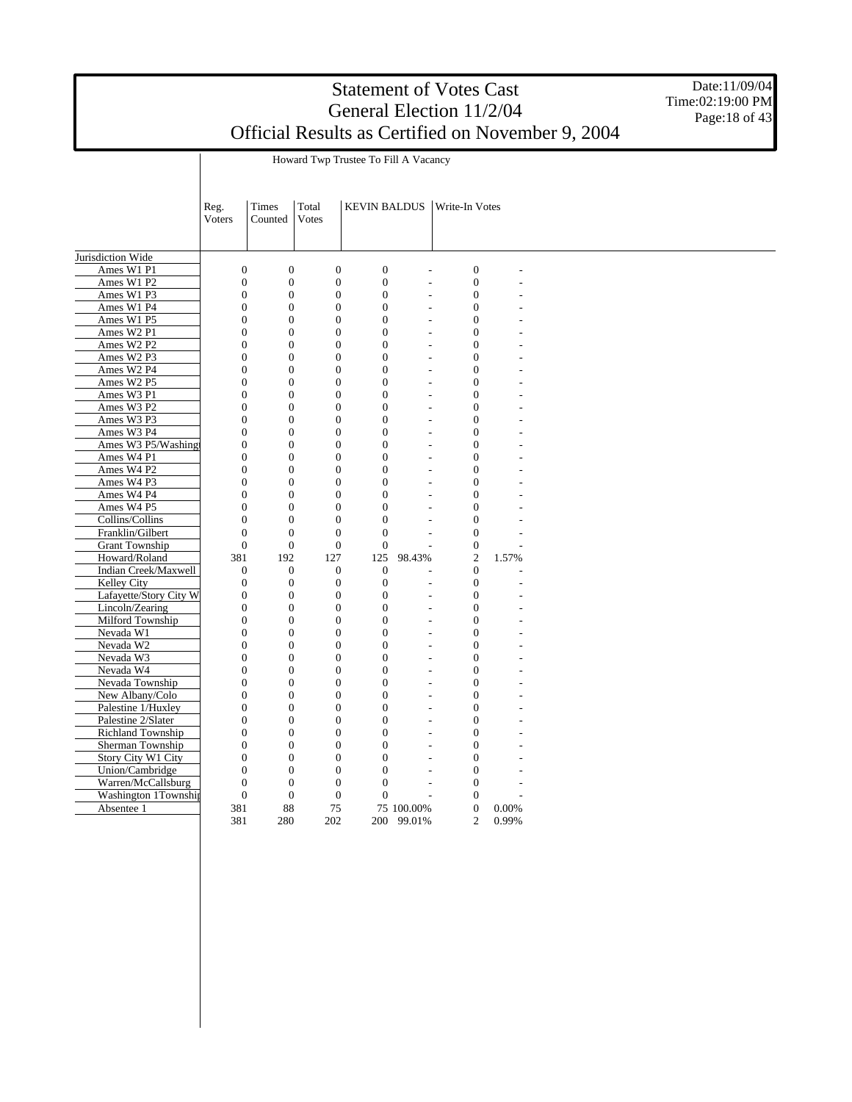Date:11/09/04 Time:02:19:00 PM Page: 18 of 43

|                        | Reg.             | Times            | Total            | <b>KEVIN BALDUS</b> |                          | Write-In Votes                             |       |  |
|------------------------|------------------|------------------|------------------|---------------------|--------------------------|--------------------------------------------|-------|--|
|                        | <b>Voters</b>    | Counted          | <b>Votes</b>     |                     |                          |                                            |       |  |
|                        |                  |                  |                  |                     |                          |                                            |       |  |
|                        |                  |                  |                  |                     |                          |                                            |       |  |
| Jurisdiction Wide      |                  |                  |                  |                     |                          |                                            |       |  |
| Ames W1 P1             | $\boldsymbol{0}$ | $\boldsymbol{0}$ | $\boldsymbol{0}$ | $\boldsymbol{0}$    | $\overline{a}$           | $\boldsymbol{0}$                           |       |  |
| Ames W1 P2             | $\boldsymbol{0}$ | $\boldsymbol{0}$ | $\boldsymbol{0}$ | $\mathbf{0}$        | $\overline{a}$           | $\boldsymbol{0}$                           |       |  |
| Ames W1 P3             | $\overline{0}$   | $\boldsymbol{0}$ | $\boldsymbol{0}$ | $\mathbf{0}$        |                          | $\boldsymbol{0}$                           |       |  |
| Ames W1 P4             | $\overline{0}$   | $\overline{0}$   | $\mathbf{0}$     | $\overline{0}$      | $\overline{a}$           | $\overline{0}$                             |       |  |
| Ames W1 P5             | $\overline{0}$   | $\overline{0}$   | $\mathbf{0}$     | $\mathbf{0}$        | $\overline{a}$           | $\boldsymbol{0}$                           |       |  |
| Ames W2 P1             | $\overline{0}$   | $\overline{0}$   | $\mathbf{0}$     | $\Omega$            | $\overline{\phantom{a}}$ | $\overline{0}$                             |       |  |
| Ames W2 P2             | $\overline{0}$   | $\overline{0}$   | $\mathbf{0}$     | $\Omega$            |                          | $\overline{0}$                             |       |  |
| Ames W2 P3             | $\overline{0}$   | $\overline{0}$   | $\overline{0}$   | $\mathbf{0}$        | $\overline{a}$           | $\overline{0}$                             |       |  |
| Ames W2 P4             | $\boldsymbol{0}$ | $\boldsymbol{0}$ | $\boldsymbol{0}$ | $\mathbf{0}$        | $\overline{a}$           | $\boldsymbol{0}$                           |       |  |
| Ames W2 P5             | $\boldsymbol{0}$ | $\boldsymbol{0}$ | $\boldsymbol{0}$ | $\overline{0}$      |                          | $\boldsymbol{0}$                           |       |  |
| Ames W3 P1             | $\overline{0}$   | $\boldsymbol{0}$ | $\boldsymbol{0}$ | $\mathbf{0}$        |                          | $\overline{0}$                             |       |  |
| Ames W3 P2             | $\boldsymbol{0}$ | $\boldsymbol{0}$ | $\boldsymbol{0}$ | $\mathbf{0}$        | $\overline{a}$           | $\boldsymbol{0}$                           |       |  |
| Ames W3 P3             | $\overline{0}$   | $\overline{0}$   | $\mathbf{0}$     | $\overline{0}$      | $\overline{a}$           | $\overline{0}$                             |       |  |
| Ames W3 P4             | $\overline{0}$   | $\overline{0}$   | $\mathbf{0}$     | $\Omega$            |                          | $\overline{0}$                             |       |  |
| Ames W3 P5/Washing     | $\overline{0}$   | $\overline{0}$   | $\mathbf{0}$     | $\mathbf{0}$        |                          | $\overline{0}$<br>$\overline{\phantom{a}}$ |       |  |
| Ames W4 P1             | $\overline{0}$   | $\overline{0}$   | $\boldsymbol{0}$ | $\overline{0}$      | $\overline{a}$           | $\mathbf{0}$                               |       |  |
| Ames W4 P2             | $\overline{0}$   | $\overline{0}$   | $\mathbf{0}$     | $\mathbf{0}$        |                          | $\overline{0}$                             |       |  |
| Ames W4 P3             | $\overline{0}$   | $\overline{0}$   | $\mathbf{0}$     | $\Omega$            |                          | $\overline{0}$                             |       |  |
| Ames W4 P4             | $\boldsymbol{0}$ | $\boldsymbol{0}$ | $\boldsymbol{0}$ | $\mathbf{0}$        | ÷                        | $\boldsymbol{0}$                           |       |  |
| Ames W4 P5             | $\overline{0}$   | $\boldsymbol{0}$ | $\boldsymbol{0}$ | $\overline{0}$      | $\overline{a}$           | $\overline{0}$                             |       |  |
| Collins/Collins        | $\overline{0}$   | $\overline{0}$   | $\mathbf{0}$     | $\overline{0}$      |                          | $\overline{0}$                             |       |  |
| Franklin/Gilbert       | $\overline{0}$   | $\overline{0}$   | $\overline{0}$   | $\overline{0}$      | $\overline{a}$           | $\overline{0}$                             |       |  |
| <b>Grant Township</b>  | $\overline{0}$   | $\overline{0}$   | $\boldsymbol{0}$ | $\mathbf{0}$        | $\overline{a}$           | $\boldsymbol{0}$                           |       |  |
| Howard/Roland          | 381              | 192              | 127              | 125                 | 98.43%                   | $\overline{2}$                             | 1.57% |  |
| Indian Creek/Maxwell   | $\overline{0}$   | $\mathbf{0}$     | $\overline{0}$   | $\overline{0}$      |                          | $\mathbf{0}$                               |       |  |
| Kelley City            | $\overline{0}$   | $\overline{0}$   | $\mathbf{0}$     | $\mathbf{0}$        | $\overline{a}$           | $\mathbf{0}$                               |       |  |
| Lafayette/Story City W | $\overline{0}$   | $\overline{0}$   | $\mathbf{0}$     | $\Omega$            | $\overline{a}$           | $\overline{0}$                             |       |  |
| Lincoln/Zearing        | $\overline{0}$   | $\boldsymbol{0}$ | $\boldsymbol{0}$ | $\mathbf{0}$        |                          | $\overline{0}$                             |       |  |
| Milford Township       | $\overline{0}$   | $\boldsymbol{0}$ | $\boldsymbol{0}$ | $\mathbf{0}$        |                          | $\overline{0}$<br>$\overline{\phantom{a}}$ |       |  |
| Nevada W1              | $\overline{0}$   | $\boldsymbol{0}$ | $\boldsymbol{0}$ | $\mathbf{0}$        | $\overline{a}$           | $\overline{0}$                             |       |  |
| Nevada W2              | $\overline{0}$   | $\boldsymbol{0}$ | $\boldsymbol{0}$ | $\overline{0}$      | $\overline{a}$           | $\boldsymbol{0}$                           |       |  |
| Nevada W3              | $\overline{0}$   | $\overline{0}$   | $\boldsymbol{0}$ | $\overline{0}$      |                          | $\overline{0}$                             |       |  |
| Nevada W4              | $\overline{0}$   | $\overline{0}$   | $\mathbf{0}$     | $\mathbf{0}$        | ÷,                       | $\mathbf{0}$                               |       |  |
| Nevada Township        | $\overline{0}$   | $\overline{0}$   | $\mathbf{0}$     | $\overline{0}$      | $\overline{a}$           | $\overline{0}$                             |       |  |
| New Albany/Colo        | $\overline{0}$   | $\overline{0}$   | $\overline{0}$   | $\theta$            |                          | $\overline{0}$                             |       |  |
| Palestine 1/Huxley     | $\Omega$         | $\overline{0}$   | $\mathbf{0}$     | $\Omega$            |                          | $\Omega$<br>$\overline{\phantom{a}}$       |       |  |
| Palestine 2/Slater     | $\boldsymbol{0}$ | $\boldsymbol{0}$ | $\boldsymbol{0}$ | $\Omega$            | $\overline{a}$           | $\boldsymbol{0}$                           |       |  |
| Richland Township      | $\overline{0}$   | $\boldsymbol{0}$ | $\boldsymbol{0}$ | $\mathbf{0}$        | $\overline{a}$           | $\boldsymbol{0}$                           |       |  |
| Sherman Township       | $\overline{0}$   | $\overline{0}$   | $\boldsymbol{0}$ | $\overline{0}$      |                          | $\overline{0}$                             |       |  |
| Story City W1 City     | $\overline{0}$   | $\boldsymbol{0}$ | $\boldsymbol{0}$ | $\mathbf{0}$        |                          | $\boldsymbol{0}$                           |       |  |
| Union/Cambridge        | $\overline{0}$   | $\overline{0}$   | $\mathbf{0}$     | $\overline{0}$      |                          | $\overline{0}$                             |       |  |
| Warren/McCallsburg     | $\overline{0}$   | $\overline{0}$   | $\mathbf{0}$     | $\overline{0}$      |                          | $\overline{0}$                             |       |  |
| Washington 1Township   | $\overline{0}$   | $\overline{0}$   | $\overline{0}$   | $\overline{0}$      |                          | $\overline{0}$                             |       |  |
| Absentee 1             | 381              | 88               | 75               |                     | 75 100.00%               | $\overline{0}$                             | 0.00% |  |
|                        | 381              | 280              | 202              | 200                 | 99.01%                   | $\overline{2}$                             | 0.99% |  |

Howard Twp Trustee To Fill A Vacancy

 $\overline{\phantom{a}}$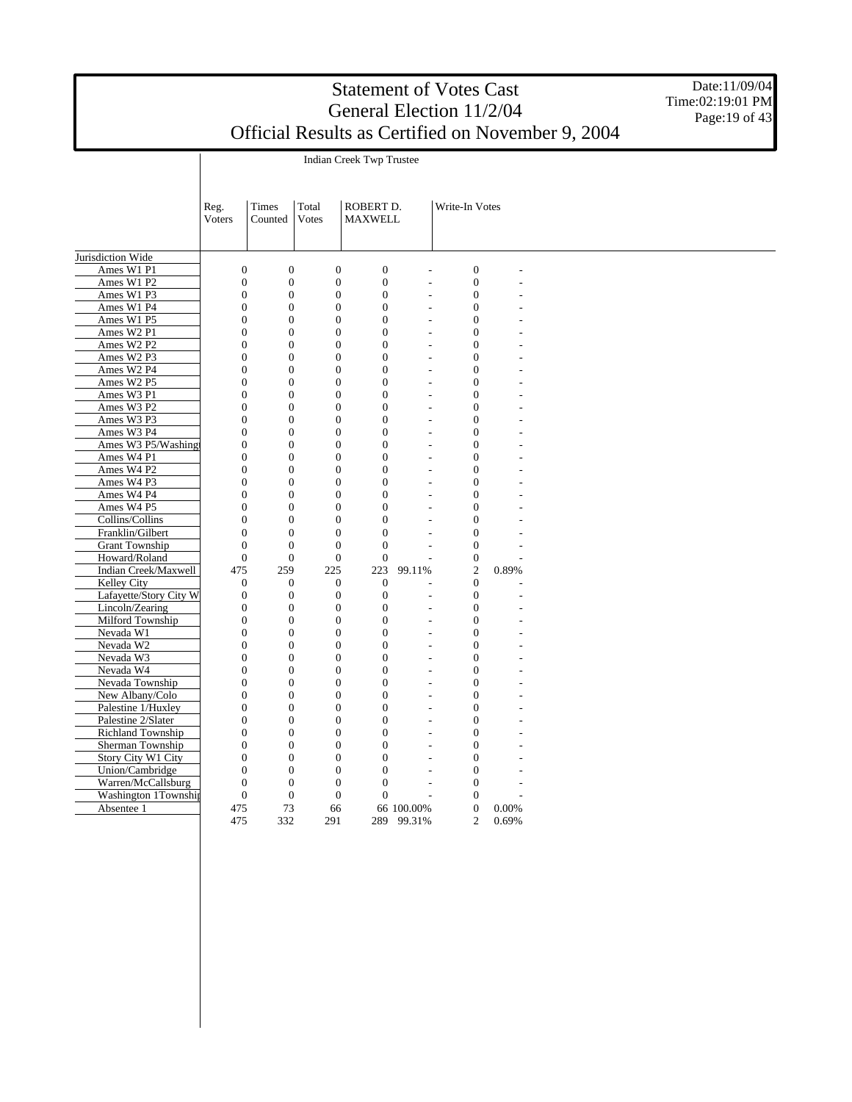Indian Creek Twp Trustee

Date:11/09/04 Time:02:19:01 PM Page: 19 of 43

|                        | Reg.             | Times            | Total            | ROBERT D.        |                          | Write-In Votes                   |                |  |
|------------------------|------------------|------------------|------------------|------------------|--------------------------|----------------------------------|----------------|--|
|                        | <b>Voters</b>    | Counted          | Votes            | <b>MAXWELL</b>   |                          |                                  |                |  |
|                        |                  |                  |                  |                  |                          |                                  |                |  |
| Jurisdiction Wide      |                  |                  |                  |                  |                          |                                  |                |  |
|                        |                  |                  |                  |                  |                          |                                  |                |  |
| Ames W1 P1             | $\mathbf{0}$     | $\boldsymbol{0}$ | $\boldsymbol{0}$ | $\boldsymbol{0}$ | $\overline{a}$           | $\boldsymbol{0}$                 | L,             |  |
| Ames W1 P2             | $\boldsymbol{0}$ | $\boldsymbol{0}$ | $\overline{0}$   | $\boldsymbol{0}$ | $\overline{a}$           | $\overline{0}$                   | L,             |  |
| Ames W1 P3             | $\boldsymbol{0}$ | $\boldsymbol{0}$ | $\boldsymbol{0}$ | $\boldsymbol{0}$ | L,                       | $\boldsymbol{0}$                 |                |  |
| Ames W1 P4             | $\overline{0}$   | $\boldsymbol{0}$ | $\boldsymbol{0}$ | $\boldsymbol{0}$ | $\overline{a}$           | $\boldsymbol{0}$                 |                |  |
| Ames W1 P5             | $\overline{0}$   | $\boldsymbol{0}$ | $\boldsymbol{0}$ | $\overline{0}$   | $\frac{1}{2}$            | $\overline{0}$                   |                |  |
| Ames W2 P1             | $\boldsymbol{0}$ | $\boldsymbol{0}$ | $\boldsymbol{0}$ | $\boldsymbol{0}$ | $\overline{a}$           | $\boldsymbol{0}$                 |                |  |
| Ames W2 P2             | $\overline{0}$   | $\boldsymbol{0}$ | $\boldsymbol{0}$ | $\boldsymbol{0}$ | $\overline{a}$           | $\boldsymbol{0}$                 | $\overline{a}$ |  |
| Ames W2 P3             | $\overline{0}$   | $\boldsymbol{0}$ | $\boldsymbol{0}$ | $\overline{0}$   | $\overline{a}$           | $\boldsymbol{0}$                 |                |  |
| Ames W2 P4             | $\theta$         | $\overline{0}$   | $\overline{0}$   | $\Omega$         | $\overline{a}$           | $\overline{0}$                   |                |  |
| Ames W2 P5             | $\overline{0}$   | $\overline{0}$   | $\overline{0}$   | $\overline{0}$   | $\overline{a}$           | $\overline{0}$                   |                |  |
| Ames W3 P1             | $\overline{0}$   | $\overline{0}$   | $\overline{0}$   | $\mathbf{0}$     | $\overline{\phantom{a}}$ | $\overline{0}$                   |                |  |
| Ames W3 P2             | $\overline{0}$   | $\overline{0}$   | $\boldsymbol{0}$ | $\overline{0}$   | L,                       | $\overline{0}$                   |                |  |
| Ames W3 P3             | $\overline{0}$   | $\overline{0}$   | $\overline{0}$   | $\mathbf{0}$     | $\overline{a}$           | $\overline{0}$                   |                |  |
| Ames W3 P4             | $\overline{0}$   | $\overline{0}$   | $\overline{0}$   | $\overline{0}$   | $\overline{a}$           | $\overline{0}$                   |                |  |
| Ames W3 P5/Washingt    | $\overline{0}$   | $\overline{0}$   | $\boldsymbol{0}$ | $\mathbf{0}$     | $\overline{a}$           | $\boldsymbol{0}$                 |                |  |
| Ames W4 P1             | $\overline{0}$   | $\overline{0}$   | $\overline{0}$   | $\overline{0}$   | $\overline{a}$           | $\overline{0}$                   |                |  |
| Ames W4 P2             | $\overline{0}$   | $\overline{0}$   | $\overline{0}$   | $\theta$         | $\overline{a}$           | $\overline{0}$                   |                |  |
| Ames W4 P3             | $\overline{0}$   | $\overline{0}$   | $\boldsymbol{0}$ | $\overline{0}$   | $\frac{1}{2}$            | $\overline{0}$                   |                |  |
| Ames W4 P4             | $\overline{0}$   | $\boldsymbol{0}$ | $\boldsymbol{0}$ | $\overline{0}$   | $\overline{a}$           | $\overline{0}$                   |                |  |
| Ames W4 P5             | $\overline{0}$   | $\boldsymbol{0}$ | $\boldsymbol{0}$ | $\boldsymbol{0}$ | L.                       | $\boldsymbol{0}$                 |                |  |
| Collins/Collins        | $\overline{0}$   | $\overline{0}$   | $\boldsymbol{0}$ | $\overline{0}$   | $\overline{a}$           | $\overline{0}$                   |                |  |
| Franklin/Gilbert       | $\overline{0}$   | $\boldsymbol{0}$ | $\boldsymbol{0}$ | $\boldsymbol{0}$ | $\overline{a}$           | $\boldsymbol{0}$                 |                |  |
| <b>Grant Township</b>  | $\overline{0}$   | $\overline{0}$   | $\boldsymbol{0}$ | $\boldsymbol{0}$ | $\overline{a}$           | $\boldsymbol{0}$                 |                |  |
| Howard/Roland          | $\mathbf{0}$     | $\boldsymbol{0}$ | $\boldsymbol{0}$ | $\boldsymbol{0}$ | L.                       | $\boldsymbol{0}$                 |                |  |
| Indian Creek/Maxwell   | 475              | 259              | 225              | 223              | 99.11%                   | $\overline{c}$                   | 0.89%          |  |
| Kelley City            | $\mathbf{0}$     | $\mathbf{0}$     | $\overline{0}$   | $\overline{0}$   |                          | $\Omega$                         |                |  |
| Lafayette/Story City W | $\overline{0}$   | $\overline{0}$   | $\overline{0}$   | $\overline{0}$   | $\overline{a}$           | $\overline{0}$                   | L,             |  |
| Lincoln/Zearing        | $\overline{0}$   | $\overline{0}$   | $\overline{0}$   | $\mathbf{0}$     | $\overline{a}$           | $\overline{0}$                   |                |  |
| Milford Township       | $\overline{0}$   | $\overline{0}$   | $\boldsymbol{0}$ | $\mathbf{0}$     | L,                       | $\overline{0}$                   |                |  |
| Nevada W1              | $\overline{0}$   | $\overline{0}$   | $\overline{0}$   | $\overline{0}$   | $\overline{a}$           | $\overline{0}$                   |                |  |
| Nevada W2              | $\overline{0}$   | $\overline{0}$   | $\overline{0}$   | $\mathbf{0}$     | $\overline{a}$           | $\overline{0}$                   |                |  |
| Nevada W3              | $\overline{0}$   | $\overline{0}$   | $\overline{0}$   | $\overline{0}$   | $\overline{a}$           | $\overline{0}$                   |                |  |
| Nevada W4              | $\overline{0}$   | $\overline{0}$   | $\boldsymbol{0}$ | $\overline{0}$   | $\overline{a}$           | $\overline{0}$                   |                |  |
| Nevada Township        | $\overline{0}$   | $\overline{0}$   | $\overline{0}$   | $\overline{0}$   | $\overline{a}$           | $\overline{0}$                   |                |  |
| New Albany/Colo        | $\overline{0}$   | $\boldsymbol{0}$ | $\overline{0}$   | $\overline{0}$   |                          | $\overline{0}$<br>$\overline{a}$ |                |  |
| Palestine 1/Huxley     | $\overline{0}$   | $\boldsymbol{0}$ | $\boldsymbol{0}$ | $\mathbf{0}$     | $\overline{\phantom{a}}$ | $\boldsymbol{0}$                 |                |  |
| Palestine 2/Slater     | $\overline{0}$   | $\boldsymbol{0}$ | $\boldsymbol{0}$ | $\boldsymbol{0}$ | $\overline{a}$           | $\boldsymbol{0}$                 |                |  |
| Richland Township      | $\overline{0}$   | $\boldsymbol{0}$ | $\boldsymbol{0}$ | $\overline{0}$   | $\overline{a}$           | $\boldsymbol{0}$                 |                |  |
| Sherman Township       | $\overline{0}$   | $\boldsymbol{0}$ | $\boldsymbol{0}$ | $\overline{0}$   | $\overline{a}$           | $\overline{0}$                   |                |  |
| Story City W1 City     | $\boldsymbol{0}$ | $\boldsymbol{0}$ | $\boldsymbol{0}$ | $\boldsymbol{0}$ | $\overline{a}$           | $\boldsymbol{0}$                 |                |  |
| Union/Cambridge        | $\overline{0}$   | $\boldsymbol{0}$ | $\boldsymbol{0}$ | $\boldsymbol{0}$ | $\overline{a}$           | $\overline{0}$                   |                |  |
| Warren/McCallsburg     | $\overline{0}$   | $\boldsymbol{0}$ | $\boldsymbol{0}$ | $\overline{0}$   | L                        | $\overline{0}$                   |                |  |
| Washington 1Township   | $\overline{0}$   | $\mathbf{0}$     | $\overline{0}$   | $\Omega$         |                          | $\Omega$                         |                |  |
| Absentee 1             | 475              | 73               | 66               |                  | 66 100.00%               | $\overline{0}$                   | 0.00%          |  |
|                        | 475              | 332              |                  |                  |                          | $\overline{c}$                   | 0.69%          |  |
|                        |                  |                  | 291              | 289              | 99.31%                   |                                  |                |  |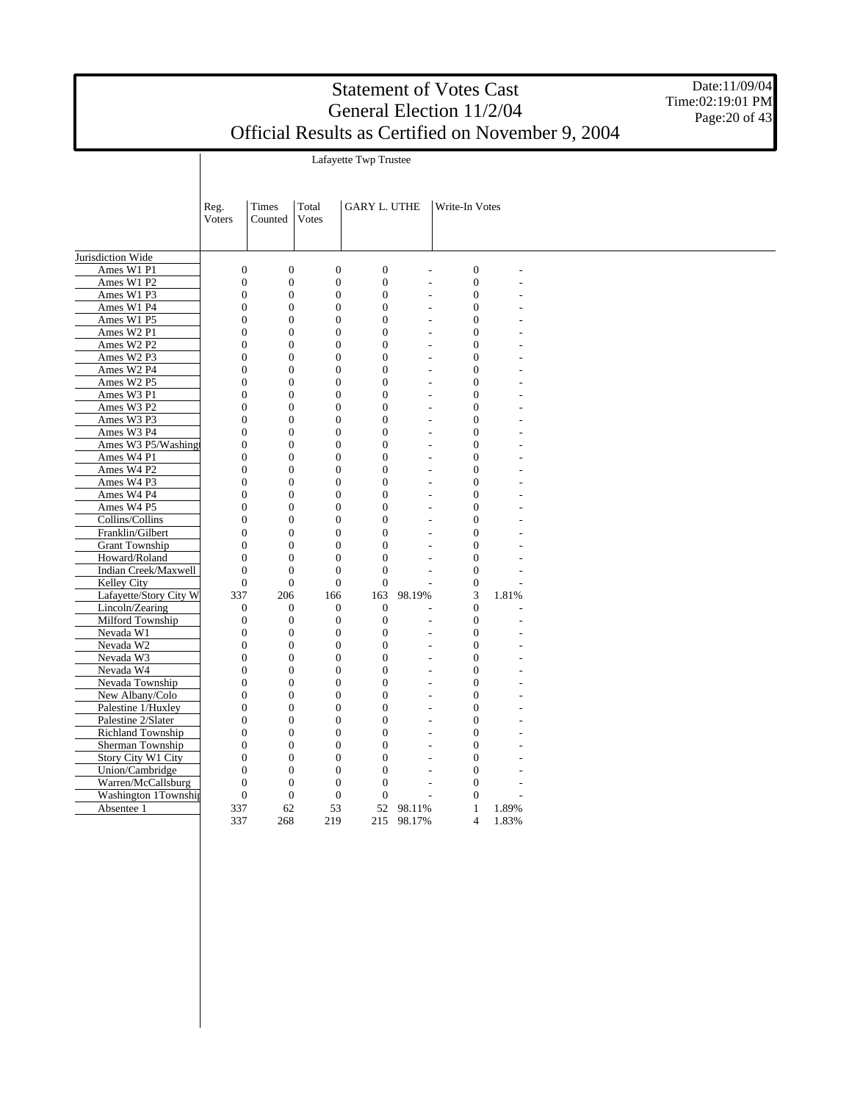Date:11/09/04 Time:02:19:01 PM Page: 20 of 43

Lafayette Twp Trustee

|                        | Reg.<br>Voters   | Times<br>Counted | Total<br>Votes               | <b>GARY L. UTHE</b> |            | Write-In Votes           |                  |       |  |  |
|------------------------|------------------|------------------|------------------------------|---------------------|------------|--------------------------|------------------|-------|--|--|
| Jurisdiction Wide      |                  |                  |                              |                     |            |                          |                  |       |  |  |
| Ames W1 P1             | $\mathbf{0}$     | $\mathbf{0}$     | $\overline{0}$               | $\overline{0}$      |            |                          | $\mathbf{0}$     |       |  |  |
| Ames W1 P2             | $\mathbf{0}$     |                  | $\mathbf{0}$<br>$\mathbf{0}$ | $\mathbf{0}$        |            |                          | $\mathbf{0}$     |       |  |  |
| Ames W1 P3             | $\overline{0}$   | $\boldsymbol{0}$ | $\boldsymbol{0}$             | $\overline{0}$      |            | L.                       | $\boldsymbol{0}$ |       |  |  |
| Ames W1 P4             | $\boldsymbol{0}$ | $\boldsymbol{0}$ | $\mathbf{0}$                 | $\overline{0}$      |            |                          | $\boldsymbol{0}$ |       |  |  |
| Ames W1 P5             | $\overline{0}$   | $\mathbf{0}$     | $\overline{0}$               | $\overline{0}$      |            |                          | $\mathbf{0}$     |       |  |  |
| Ames W2 P1             | $\overline{0}$   | $\overline{0}$   | $\overline{0}$               | $\overline{0}$      |            |                          | $\boldsymbol{0}$ |       |  |  |
| Ames W2 P2             | $\mathbf{0}$     | $\mathbf{0}$     | $\mathbf{0}$                 | $\overline{0}$      |            |                          | $\boldsymbol{0}$ |       |  |  |
| Ames W2 P3             | $\theta$         | $\Omega$         | $\theta$                     | $\theta$            |            | ÷.                       | $\mathbf{0}$     |       |  |  |
| Ames W2 P4             | $\overline{0}$   | $\mathbf{0}$     | $\overline{0}$               | $\overline{0}$      |            | $\overline{\phantom{a}}$ | $\mathbf{0}$     |       |  |  |
| Ames W2 P5             | $\overline{0}$   | $\mathbf{0}$     | $\overline{0}$               | $\overline{0}$      |            | $\overline{\phantom{a}}$ | $\overline{0}$   |       |  |  |
| Ames W3 P1             | $\overline{0}$   | $\mathbf{0}$     | $\mathbf{0}$                 | $\overline{0}$      |            |                          | $\mathbf{0}$     |       |  |  |
| Ames W3 P2             | $\Omega$         | $\Omega$         | $\mathbf{0}$                 | $\theta$            |            | $\overline{a}$           | $\mathbf{0}$     |       |  |  |
| Ames W3 P3             | $\mathbf{0}$     | $\mathbf{0}$     | $\mathbf{0}$                 | $\theta$            |            | L.                       | $\mathbf{0}$     |       |  |  |
| Ames W3 P4             | $\overline{0}$   | $\mathbf{0}$     | $\mathbf{0}$                 | $\overline{0}$      |            | $\overline{a}$           | $\boldsymbol{0}$ |       |  |  |
| Ames W3 P5/Washing     | $\overline{0}$   | $\overline{0}$   | $\overline{0}$               | $\theta$            |            |                          | $\mathbf{0}$     |       |  |  |
| Ames W4 P1             | $\overline{0}$   | $\mathbf{0}$     | $\overline{0}$               | $\overline{0}$      |            |                          | $\mathbf{0}$     |       |  |  |
| Ames W4 P2             | $\overline{0}$   | $\overline{0}$   | $\overline{0}$               | $\overline{0}$      |            |                          | $\boldsymbol{0}$ |       |  |  |
| Ames W4 P3             | $\overline{0}$   | $\mathbf{0}$     | $\boldsymbol{0}$             | $\overline{0}$      |            |                          | $\boldsymbol{0}$ |       |  |  |
| Ames W4 P4             | $\theta$         | $\mathbf{0}$     | $\overline{0}$               | $\theta$            |            | ÷.                       | $\mathbf{0}$     |       |  |  |
|                        |                  |                  |                              |                     |            |                          |                  |       |  |  |
| Ames W4 P5             | $\overline{0}$   | $\mathbf{0}$     | $\overline{0}$               | $\overline{0}$      |            | $\overline{\phantom{a}}$ | $\boldsymbol{0}$ |       |  |  |
| Collins/Collins        | $\overline{0}$   | $\mathbf{0}$     | $\overline{0}$               | $\overline{0}$      |            | $\overline{\phantom{a}}$ | $\boldsymbol{0}$ |       |  |  |
| Franklin/Gilbert       | $\Omega$         | $\Omega$         | $\Omega$                     | $\Omega$            |            |                          | $\mathbf{0}$     |       |  |  |
| <b>Grant Township</b>  | $\Omega$         | $\mathbf{0}$     | $\mathbf{0}$                 | $\Omega$            |            | $\overline{a}$           | $\mathbf{0}$     |       |  |  |
| Howard/Roland          | $\overline{0}$   | $\mathbf{0}$     | $\mathbf{0}$                 | $\overline{0}$      |            |                          | $\mathbf{0}$     |       |  |  |
| Indian Creek/Maxwell   | $\overline{0}$   | $\mathbf{0}$     | $\overline{0}$               | $\overline{0}$      |            | ÷.                       | $\boldsymbol{0}$ |       |  |  |
| Kelley City            | $\mathbf{0}$     | $\mathbf{0}$     | $\mathbf{0}$                 | $\overline{0}$      |            |                          | $\boldsymbol{0}$ |       |  |  |
| Lafayette/Story City W | 337              | 206              | 166                          | 163                 | 98.19%     |                          | 3                | 1.81% |  |  |
| Lincoln/Zearing        | $\mathbf{0}$     | $\mathbf{0}$     | $\mathbf{0}$                 | $\overline{0}$      |            |                          | $\boldsymbol{0}$ |       |  |  |
| Milford Township       | $\boldsymbol{0}$ | $\mathbf{0}$     | $\boldsymbol{0}$             | $\boldsymbol{0}$    |            |                          | $\boldsymbol{0}$ |       |  |  |
| Nevada W1              | $\overline{0}$   | $\mathbf{0}$     | $\overline{0}$               | $\overline{0}$      |            | $\overline{a}$           | $\mathbf{0}$     |       |  |  |
| Nevada W2              | $\overline{0}$   | $\mathbf{0}$     | $\mathbf{0}$                 | $\overline{0}$      |            | $\overline{\phantom{a}}$ | $\boldsymbol{0}$ |       |  |  |
| Nevada W3              | $\overline{0}$   | $\mathbf{0}$     | $\overline{0}$               | $\overline{0}$      |            | $\overline{a}$           | $\boldsymbol{0}$ |       |  |  |
| Nevada W4              | $\Omega$         | $\Omega$         | $\Omega$                     | $\Omega$            |            |                          | $\overline{0}$   |       |  |  |
| Nevada Township        | $\Omega$         | $\mathbf{0}$     | $\mathbf{0}$                 | $\theta$            |            | $\overline{\phantom{a}}$ | $\mathbf{0}$     |       |  |  |
| New Albany/Colo        | $\overline{0}$   | $\mathbf{0}$     | $\mathbf{0}$                 | $\overline{0}$      |            |                          | $\boldsymbol{0}$ |       |  |  |
| Palestine 1/Huxley     | $\overline{0}$   | $\boldsymbol{0}$ | $\boldsymbol{0}$             | $\overline{0}$      |            | ÷.                       | $\boldsymbol{0}$ |       |  |  |
| Palestine 2/Slater     | $\overline{0}$   | $\mathbf{0}$     | $\overline{0}$               | $\theta$            |            |                          | $\mathbf{0}$     |       |  |  |
| Richland Township      | $\overline{0}$   | $\mathbf{0}$     | $\mathbf{0}$                 | $\overline{0}$      |            | ÷                        | $\boldsymbol{0}$ |       |  |  |
| Sherman Township       | $\overline{0}$   | $\overline{0}$   | $\overline{0}$               | $\overline{0}$      |            |                          | $\boldsymbol{0}$ |       |  |  |
| Story City W1 City     | $\Omega$         | $\mathbf{0}$     | $\mathbf{0}$                 | $\overline{0}$      |            |                          | $\mathbf{0}$     |       |  |  |
| Union/Cambridge        | $\overline{0}$   | $\mathbf{0}$     | $\overline{0}$               | $\overline{0}$      |            | $\overline{\phantom{a}}$ | $\mathbf{0}$     |       |  |  |
| Warren/McCallsburg     | $\overline{0}$   | $\mathbf{0}$     | $\mathbf{0}$                 | $\overline{0}$      |            | $\overline{a}$           | $\boldsymbol{0}$ |       |  |  |
| Washington 1Township   | $\mathbf{0}$     | $\boldsymbol{0}$ | $\boldsymbol{0}$             | $\boldsymbol{0}$    |            | L,                       | $\boldsymbol{0}$ |       |  |  |
| Absentee 1             | 337              | 62               | 53                           | 52                  | 98.11%     |                          | $\mathbf{1}$     | 1.89% |  |  |
|                        | 337              | 268              | 219                          |                     | 215 98.17% |                          | $\overline{4}$   | 1.83% |  |  |
|                        |                  |                  |                              |                     |            |                          |                  |       |  |  |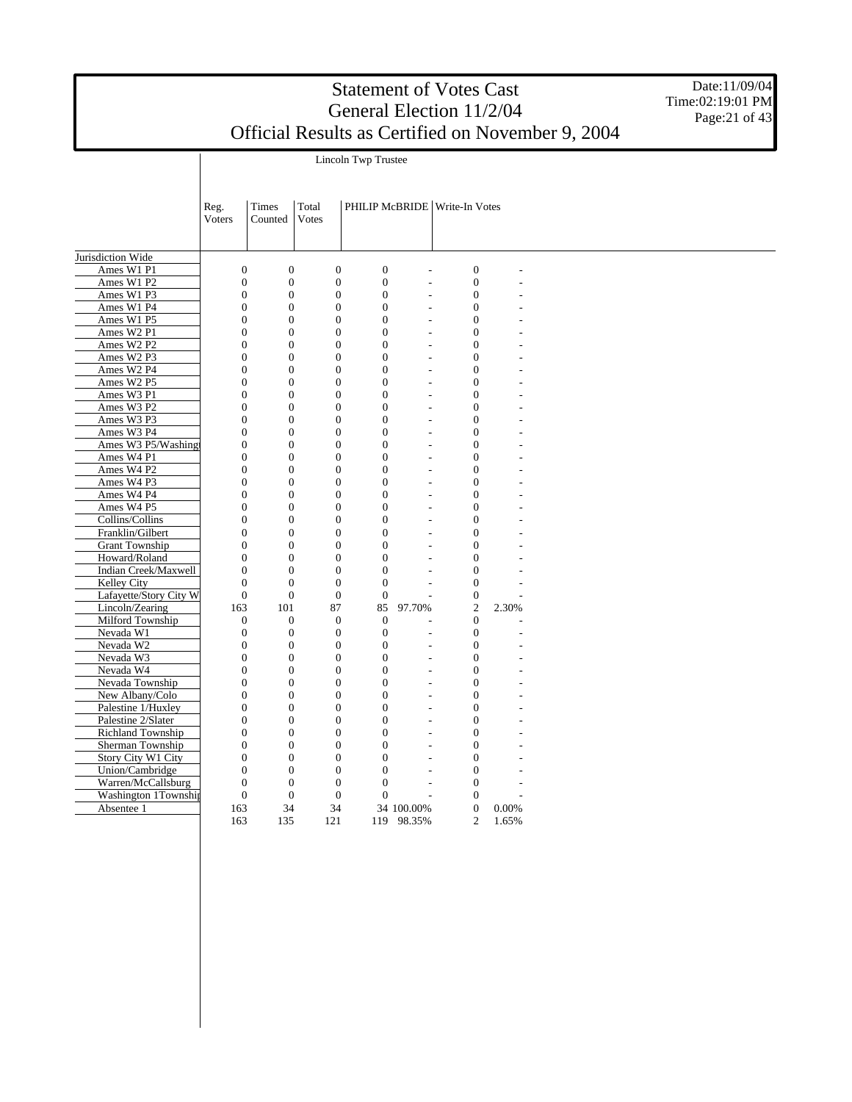Date:11/09/04 Time:02:19:01 PM Page: $21$  of  $43$ 

Lincoln Twp Trustee

|                        | Reg.<br>Voters   | Times<br>Counted | Total<br>Votes   |                  |                          | PHILIP McBRIDE   Write-In Votes |       |  |
|------------------------|------------------|------------------|------------------|------------------|--------------------------|---------------------------------|-------|--|
| Jurisdiction Wide      |                  |                  |                  |                  |                          |                                 |       |  |
| Ames W1 P1             | $\mathbf{0}$     | $\boldsymbol{0}$ | $\boldsymbol{0}$ | $\boldsymbol{0}$ | L,                       | $\boldsymbol{0}$                |       |  |
| Ames W1 P2             | $\mathbf{0}$     | $\overline{0}$   | $\overline{0}$   | $\mathbf{0}$     | ÷                        | $\overline{0}$                  |       |  |
| Ames W1 P3             | $\overline{0}$   | $\mathbf{0}$     | $\overline{0}$   | $\overline{0}$   | $\overline{a}$           | $\mathbf{0}$                    |       |  |
| Ames W1 P4             | $\overline{0}$   | $\mathbf{0}$     | $\overline{0}$   | $\mathbf{0}$     | L,                       | $\mathbf{0}$                    |       |  |
| Ames W1 P5             | $\overline{0}$   | $\mathbf{0}$     | $\overline{0}$   | $\mathbf{0}$     | L,                       | $\mathbf{0}$                    |       |  |
| Ames W2 P1             | $\overline{0}$   | $\mathbf{0}$     | $\overline{0}$   | $\Omega$         | L.                       | $\overline{0}$                  |       |  |
| Ames W2 P2             | $\overline{0}$   | $\mathbf{0}$     | $\overline{0}$   | $\overline{0}$   | $\overline{a}$           | $\overline{0}$                  |       |  |
| Ames W2 P3             | $\overline{0}$   | $\overline{0}$   | $\mathbf{0}$     | $\overline{0}$   |                          | $\boldsymbol{0}$                |       |  |
| Ames W2 P4             | $\boldsymbol{0}$ | $\boldsymbol{0}$ | $\mathbf{0}$     | $\Omega$         | L.                       | $\boldsymbol{0}$                |       |  |
| Ames W2 P5             | $\overline{0}$   | $\overline{0}$   | $\overline{0}$   | $\Omega$         | L,                       | $\overline{0}$                  |       |  |
| Ames W3 P1             | $\overline{0}$   | $\mathbf{0}$     | $\mathbf{0}$     | $\mathbf{0}$     | L,                       | $\mathbf{0}$                    |       |  |
| Ames W3 P2             | $\overline{0}$   | $\mathbf{0}$     | $\overline{0}$   | $\overline{0}$   | $\overline{a}$           | $\mathbf{0}$                    |       |  |
| Ames W3 P3             | $\overline{0}$   | $\mathbf{0}$     | $\overline{0}$   | $\Omega$         | ÷                        | $\mathbf{0}$                    |       |  |
| Ames W3 P4             | $\Omega$         | $\Omega$         | $\overline{0}$   | $\theta$         | $\overline{a}$           | $\overline{0}$                  |       |  |
| Ames W3 P5/Washingt    | $\overline{0}$   | $\mathbf{0}$     | $\overline{0}$   | $\theta$         | ÷,                       | $\overline{0}$                  |       |  |
| Ames W4 P1             | $\overline{0}$   | $\mathbf{0}$     | $\overline{0}$   | $\overline{0}$   | $\overline{a}$           | $\overline{0}$                  |       |  |
| Ames W4 P2             | $\overline{0}$   | $\mathbf{0}$     | $\overline{0}$   | $\Omega$         | L.                       | $\overline{0}$                  |       |  |
| Ames W4 P3             | $\overline{0}$   | $\mathbf{0}$     | $\overline{0}$   | $\overline{0}$   | $\overline{a}$           | $\overline{0}$                  |       |  |
| Ames W4 P4             | $\overline{0}$   | $\overline{0}$   | $\overline{0}$   | $\overline{0}$   |                          | $\boldsymbol{0}$                |       |  |
| Ames W4 P5             | $\overline{0}$   | $\mathbf{0}$     | $\mathbf{0}$     | $\mathbf{0}$     | L,                       | $\boldsymbol{0}$                |       |  |
| Collins/Collins        | $\Omega$         | $\overline{0}$   | $\overline{0}$   | $\Omega$         |                          | $\overline{0}$                  |       |  |
| Franklin/Gilbert       | $\overline{0}$   | $\mathbf{0}$     | $\overline{0}$   | $\mathbf{0}$     | ÷,                       | $\mathbf{0}$                    |       |  |
| <b>Grant Township</b>  | $\overline{0}$   | $\mathbf{0}$     | $\overline{0}$   | $\theta$         | $\overline{a}$           | $\mathbf{0}$                    |       |  |
| Howard/Roland          | $\overline{0}$   | $\boldsymbol{0}$ | $\mathbf{0}$     | $\mathbf{0}$     | ÷                        | $\boldsymbol{0}$                |       |  |
| Indian Creek/Maxwell   | $\Omega$         | $\theta$         | $\theta$         | $\theta$         | L,                       | $\overline{0}$                  |       |  |
| Kelley City            | $\mathbf{0}$     | $\Omega$         | $\overline{0}$   | $\overline{0}$   |                          | $\mathbf{0}$                    |       |  |
| Lafayette/Story City W | $\overline{0}$   | $\mathbf{0}$     | $\overline{0}$   | $\mathbf{0}$     | $\overline{a}$           | $\boldsymbol{0}$                |       |  |
| Lincoln/Zearing        | 163              | 101              | 87               | 85               | 97.70%                   | $\overline{c}$                  | 2.30% |  |
| Milford Township       | $\theta$         | $\mathbf{0}$     | $\mathbf{0}$     | $\theta$         |                          | $\mathbf{0}$                    |       |  |
| Nevada W1              | $\mathbf{0}$     | $\overline{0}$   | $\mathbf{0}$     | $\overline{0}$   | L.                       | $\boldsymbol{0}$                |       |  |
| Nevada W2              | $\overline{0}$   | $\boldsymbol{0}$ | $\mathbf{0}$     | $\mathbf{0}$     |                          | $\boldsymbol{0}$                |       |  |
| Nevada W3              | $\Omega$         | $\mathbf{0}$     | $\overline{0}$   | $\Omega$         | L,                       | $\overline{0}$                  |       |  |
| Nevada W4              | $\overline{0}$   | $\mathbf{0}$     | $\overline{0}$   | $\mathbf{0}$     | L,                       | $\mathbf{0}$                    |       |  |
| Nevada Township        | $\overline{0}$   | $\mathbf{0}$     | $\overline{0}$   | $\theta$         | $\overline{\phantom{a}}$ | $\mathbf{0}$                    |       |  |
| New Albany/Colo        | $\overline{0}$   | $\boldsymbol{0}$ | $\mathbf{0}$     | $\mathbf{0}$     | ÷,                       | $\boldsymbol{0}$                |       |  |
| Palestine 1/Huxley     | $\Omega$         | $\Omega$         | $\theta$         | $\theta$         | $\overline{a}$           | $\theta$                        |       |  |
| Palestine 2/Slater     | $\overline{0}$   | $\Omega$         | $\overline{0}$   | $\Omega$         |                          | $\mathbf{0}$                    |       |  |
| Richland Township      | $\overline{0}$   | $\mathbf{0}$     | $\overline{0}$   | $\mathbf{0}$     | $\overline{a}$           | $\overline{0}$                  |       |  |
| Sherman Township       | $\overline{0}$   | $\mathbf{0}$     | $\overline{0}$   | $\overline{0}$   | ÷.                       | $\boldsymbol{0}$                |       |  |
| Story City W1 City     | $\overline{0}$   | $\mathbf{0}$     | $\overline{0}$   | $\overline{0}$   | ÷                        | $\overline{0}$                  |       |  |
| Union/Cambridge        | $\overline{0}$   | $\overline{0}$   | $\overline{0}$   | $\overline{0}$   |                          | $\overline{0}$                  |       |  |
| Warren/McCallsburg     | $\overline{0}$   | $\mathbf{0}$     | $\overline{0}$   | $\mathbf{0}$     | L,                       | $\overline{0}$                  |       |  |
| Washington 1Township   | $\mathbf{0}$     | $\mathbf{0}$     | $\mathbf{0}$     | $\boldsymbol{0}$ | ÷.                       | $\mathbf{0}$                    |       |  |
| Absentee 1             | 163              | 34               | 34               |                  | 34 100.00%               | $\mathbf{0}$                    | 0.00% |  |
|                        | 163              | 135              | 121              | 119              | 98.35%                   | $\overline{2}$                  | 1.65% |  |
|                        |                  |                  |                  |                  |                          |                                 |       |  |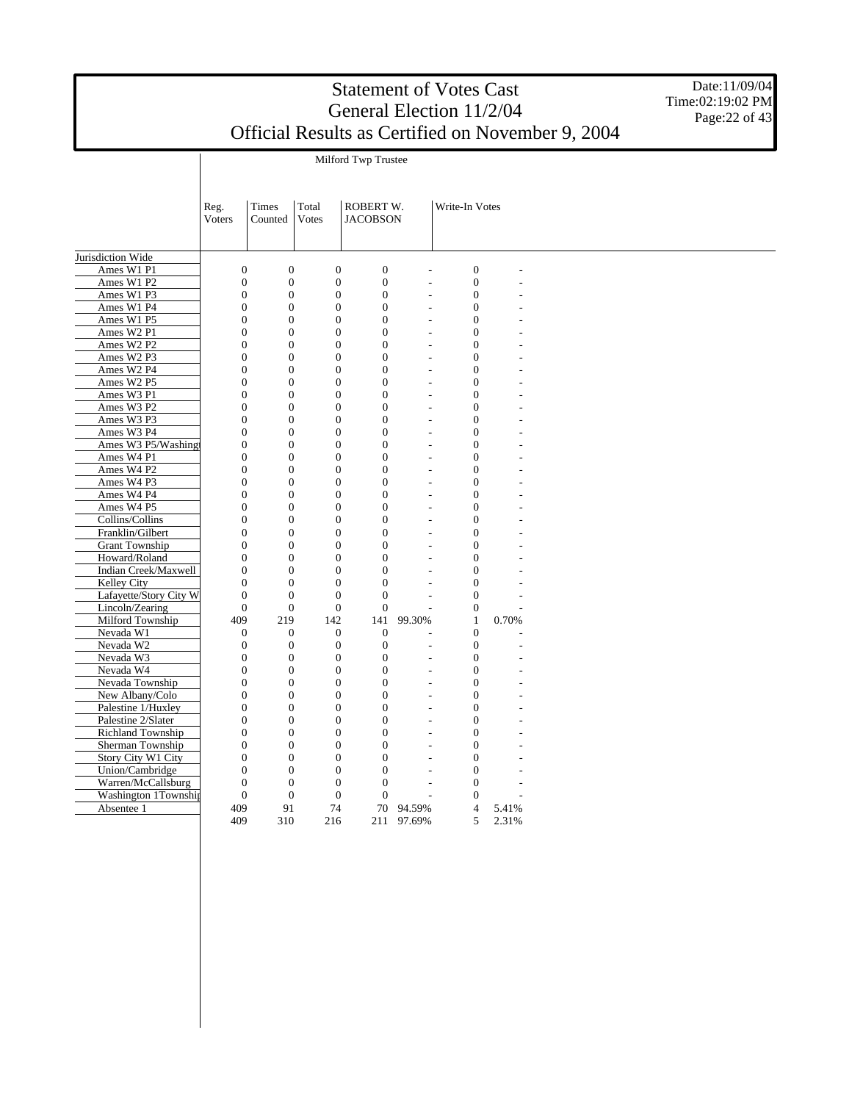Date:11/09/04 Time:02:19:02 PM Page: 22 of 43

Milford Twp Trustee

|                        | Reg.<br>Voters   | <b>Times</b><br>Counted | Total<br><b>Votes</b> | ROBERT W.<br><b>JACOBSON</b> |                          | Write-In Votes   |       |  |
|------------------------|------------------|-------------------------|-----------------------|------------------------------|--------------------------|------------------|-------|--|
| Jurisdiction Wide      |                  |                         |                       |                              |                          |                  |       |  |
| Ames W1 P1             | $\mathbf{0}$     | $\boldsymbol{0}$        | $\boldsymbol{0}$      | $\boldsymbol{0}$             |                          | $\boldsymbol{0}$ |       |  |
| Ames W1 P2             | $\overline{0}$   | $\overline{0}$          | $\overline{0}$        | $\mathbf{0}$                 | L.                       | $\boldsymbol{0}$ |       |  |
| Ames W1 P3             | $\overline{0}$   | $\overline{0}$          | $\overline{0}$        | $\mathbf{0}$                 | $\overline{\phantom{a}}$ | $\overline{0}$   |       |  |
| Ames W1 P4             | $\boldsymbol{0}$ | $\overline{0}$          | $\boldsymbol{0}$      | $\mathbf{0}$                 | L,                       | $\overline{0}$   |       |  |
| Ames W1 P5             | $\theta$         | $\theta$                | $\Omega$              | $\Omega$                     | L,                       | $\overline{0}$   |       |  |
| Ames W2 P1             | $\overline{0}$   | $\overline{0}$          | $\overline{0}$        | $\Omega$                     |                          | $\overline{0}$   |       |  |
| Ames W2 P2             | $\overline{0}$   | $\overline{0}$          | $\overline{0}$        | $\mathbf{0}$                 | $\overline{a}$           | $\overline{0}$   |       |  |
| Ames W2 P3             | $\boldsymbol{0}$ | $\boldsymbol{0}$        | $\boldsymbol{0}$      | $\mathbf{0}$                 | L.                       | $\overline{0}$   |       |  |
| Ames W2 P4             | $\overline{0}$   | $\overline{0}$          | $\overline{0}$        | $\mathbf{0}$                 | ÷.                       | $\overline{0}$   |       |  |
| Ames W2 P5             | $\mathbf{0}$     | $\overline{0}$          | $\mathbf{0}$          | $\overline{0}$               | L,                       | $\overline{0}$   |       |  |
| Ames W3 P1             | $\overline{0}$   | $\overline{0}$          | $\overline{0}$        | $\mathbf{0}$                 | $\overline{a}$           | $\mathbf{0}$     |       |  |
| Ames W3 P2             | $\Omega$         | $\Omega$                | $\Omega$              | $\Omega$                     |                          | $\overline{0}$   |       |  |
| Ames W3 P3             | $\overline{0}$   | $\overline{0}$          | $\overline{0}$        | $\mathbf{0}$                 | L,                       | $\overline{0}$   |       |  |
| Ames W3 P4             | $\overline{0}$   | $\overline{0}$          | $\overline{0}$        | $\mathbf{0}$                 | $\overline{a}$           | $\overline{0}$   |       |  |
| Ames W3 P5/Washing     | $\boldsymbol{0}$ | $\overline{0}$          | $\boldsymbol{0}$      | $\overline{0}$               | ÷.                       | $\overline{0}$   |       |  |
| Ames W4 P1             | $\theta$         | $\theta$                | $\Omega$              | $\Omega$                     | L,                       | $\overline{0}$   |       |  |
| Ames W4 P2             | $\overline{0}$   | $\overline{0}$          | $\overline{0}$        | $\Omega$                     |                          | $\overline{0}$   |       |  |
| Ames W4 P3             | $\overline{0}$   | $\overline{0}$          | $\overline{0}$        | $\mathbf{0}$                 | $\overline{a}$           | $\overline{0}$   |       |  |
| Ames W4 P4             | $\overline{0}$   | $\overline{0}$          | $\overline{0}$        | $\Omega$                     | L.                       | $\overline{0}$   |       |  |
| Ames W4 P5             | $\overline{0}$   | $\overline{0}$          | $\overline{0}$        | $\mathbf{0}$                 | ÷,                       | $\overline{0}$   |       |  |
| Collins/Collins        | $\overline{0}$   | $\overline{0}$          | $\overline{0}$        | $\overline{0}$               | L.                       | $\overline{0}$   |       |  |
| Franklin/Gilbert       | $\overline{0}$   | $\overline{0}$          | $\overline{0}$        | $\mathbf{0}$                 | $\overline{a}$           | $\overline{0}$   |       |  |
| <b>Grant Township</b>  | $\theta$         | $\Omega$                | $\overline{0}$        | $\Omega$                     |                          | $\overline{0}$   |       |  |
| Howard/Roland          | $\overline{0}$   | $\overline{0}$          | $\overline{0}$        | $\mathbf{0}$                 | L,                       | $\boldsymbol{0}$ |       |  |
| Indian Creek/Maxwell   | $\overline{0}$   | $\overline{0}$          | $\overline{0}$        | $\mathbf{0}$                 | L,                       | $\overline{0}$   |       |  |
| <b>Kelley City</b>     | $\theta$         | $\theta$                | $\overline{0}$        | $\Omega$                     |                          | $\overline{0}$   |       |  |
| Lafayette/Story City W | $\theta$         | $\Omega$                | $\theta$              | $\Omega$                     | L,                       | $\overline{0}$   |       |  |
| Lincoln/Zearing        | $\mathbf{0}$     | $\overline{0}$          | $\overline{0}$        | $\mathbf{0}$                 |                          | $\overline{0}$   |       |  |
| Milford Township       | 409              | 219                     | 142                   | 141                          | 99.30%                   | $\mathbf{1}$     | 0.70% |  |
| Nevada W1              | $\overline{0}$   | $\overline{0}$          | $\mathbf{0}$          | $\mathbf{0}$                 |                          | $\overline{0}$   |       |  |
| Nevada W2              | $\overline{0}$   | $\boldsymbol{0}$        | $\boldsymbol{0}$      | $\boldsymbol{0}$             | $\overline{\phantom{a}}$ | $\boldsymbol{0}$ |       |  |
| Nevada W3              | $\boldsymbol{0}$ | $\boldsymbol{0}$        | $\boldsymbol{0}$      | $\mathbf{0}$                 | L.                       | $\mathbf{0}$     |       |  |
| Nevada W4              | $\Omega$         | $\overline{0}$          | $\overline{0}$        | $\Omega$                     | $\overline{a}$           | $\overline{0}$   |       |  |
| Nevada Township        | $\overline{0}$   | $\overline{0}$          | $\overline{0}$        | $\Omega$                     | L,                       | $\overline{0}$   |       |  |
| New Albany/Colo        | $\overline{0}$   | $\overline{0}$          | $\overline{0}$        | $\mathbf{0}$                 | L,                       | $\mathbf 0$      |       |  |
| Palestine 1/Huxley     | $\overline{0}$   | $\overline{0}$          | $\overline{0}$        | $\mathbf{0}$                 | $\overline{a}$           | $\overline{0}$   |       |  |
| Palestine 2/Slater     | $\overline{0}$   | $\overline{0}$          | $\overline{0}$        | $\Omega$                     | $\overline{\phantom{a}}$ | $\overline{0}$   |       |  |
| Richland Township      | $\theta$         | $\theta$                | $\overline{0}$        | $\Omega$                     | ÷,                       | $\overline{0}$   |       |  |
| Sherman Township       | $\overline{0}$   | $\overline{0}$          | $\overline{0}$        | $\Omega$                     |                          | $\overline{0}$   |       |  |
| Story City W1 City     | $\Omega$         | $\Omega$                | $\boldsymbol{0}$      | $\Omega$                     |                          | $\overline{0}$   |       |  |
| Union/Cambridge        | $\mathbf{0}$     | $\overline{0}$          | $\overline{0}$        | $\mathbf{0}$                 |                          | $\overline{0}$   |       |  |
| Warren/McCallsburg     | $\overline{0}$   | $\boldsymbol{0}$        | $\boldsymbol{0}$      | $\boldsymbol{0}$             | $\overline{\phantom{a}}$ | $\boldsymbol{0}$ |       |  |
| Washington 1Township   | $\boldsymbol{0}$ | $\boldsymbol{0}$        | $\boldsymbol{0}$      | $\boldsymbol{0}$             |                          | $\boldsymbol{0}$ |       |  |
| Absentee 1             | 409              | 91                      | 74                    | 70                           | 94.59%                   | $\overline{4}$   | 5.41% |  |
|                        | 409              | 310                     | 216                   | 211                          | 97.69%                   | 5                | 2.31% |  |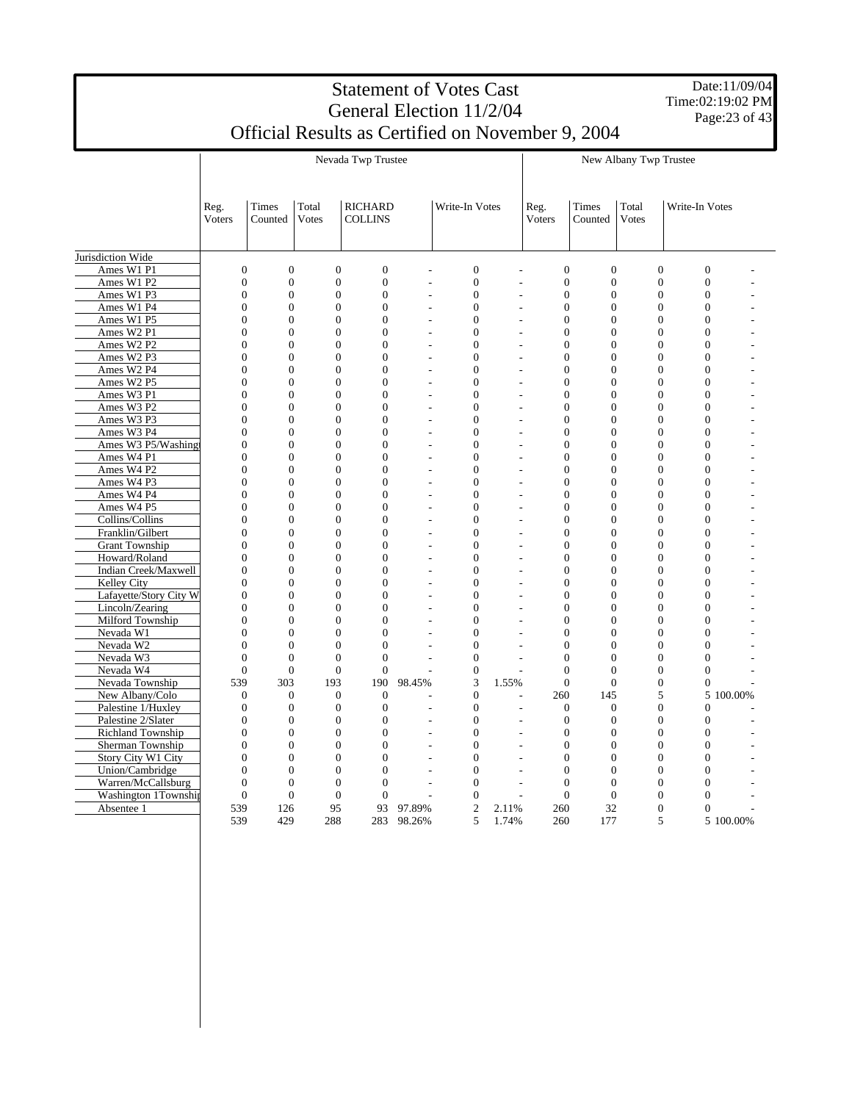Date:11/09/04 Time:02:19:02 PM Page:23 of 43

|                                    |        |                                                                      |                                  | Nevada Twp Trustee               |                |                                    | New Albany Twp Trustee           |                                  |                                  |                                  |                                  |           |
|------------------------------------|--------|----------------------------------------------------------------------|----------------------------------|----------------------------------|----------------|------------------------------------|----------------------------------|----------------------------------|----------------------------------|----------------------------------|----------------------------------|-----------|
|                                    |        |                                                                      |                                  |                                  |                |                                    |                                  |                                  |                                  |                                  |                                  |           |
|                                    |        |                                                                      |                                  |                                  |                |                                    |                                  |                                  |                                  |                                  |                                  |           |
|                                    | Reg.   | Times                                                                | Total                            | <b>RICHARD</b>                   |                | Write-In Votes                     |                                  | Reg.                             | Times                            | Total                            | Write-In Votes                   |           |
|                                    | Voters | Counted                                                              | Votes                            | <b>COLLINS</b>                   |                |                                    |                                  | Voters                           | Counted                          | Votes                            |                                  |           |
|                                    |        |                                                                      |                                  |                                  |                |                                    |                                  |                                  |                                  |                                  |                                  |           |
| Jurisdiction Wide                  |        |                                                                      |                                  |                                  |                |                                    |                                  |                                  |                                  |                                  |                                  |           |
| Ames W1 P1                         |        | $\overline{0}$<br>$\overline{0}$                                     | $\overline{0}$                   | $\overline{0}$                   |                | $\boldsymbol{0}$                   | $\overline{a}$                   | $\boldsymbol{0}$                 | $\boldsymbol{0}$                 | $\boldsymbol{0}$                 | $\boldsymbol{0}$                 |           |
| Ames W1 P2                         |        | $\overline{0}$<br>$\overline{0}$                                     | $\overline{0}$                   | $\overline{0}$                   |                | $\boldsymbol{0}$                   | $\overline{a}$                   | $\overline{0}$                   | $\overline{0}$                   | $\overline{0}$                   | $\overline{0}$                   |           |
| Ames W1 P3                         |        | $\overline{0}$<br>$\overline{0}$                                     | $\overline{0}$                   | $\overline{0}$                   |                | $\boldsymbol{0}$                   | $\overline{a}$                   | $\boldsymbol{0}$                 | $\overline{0}$                   | $\boldsymbol{0}$                 | $\overline{0}$                   |           |
| Ames W1 P4                         |        | $\overline{0}$<br>$\overline{0}$                                     | $\overline{0}$                   | $\overline{0}$                   |                | $\overline{0}$                     | $\overline{a}$                   | $\overline{0}$                   | $\overline{0}$                   | $\overline{0}$                   | $\overline{0}$                   |           |
| Ames W1 P5                         |        | $\boldsymbol{0}$<br>$\boldsymbol{0}$                                 | $\boldsymbol{0}$                 | $\boldsymbol{0}$                 |                | $\boldsymbol{0}$                   | L.                               | $\boldsymbol{0}$                 | $\overline{0}$                   | $\boldsymbol{0}$                 | $\overline{0}$                   |           |
| Ames W <sub>2</sub> P <sub>1</sub> |        | $\overline{0}$<br>$\overline{0}$                                     | $\overline{0}$                   | $\overline{0}$                   |                | $\boldsymbol{0}$                   | $\overline{a}$                   | $\overline{0}$                   | $\overline{0}$                   | $\boldsymbol{0}$                 | $\mathbf{0}$                     |           |
| Ames W2 P2                         |        | $\boldsymbol{0}$<br>$\boldsymbol{0}$                                 | $\theta$                         | $\Omega$                         |                | $\boldsymbol{0}$                   | ÷,                               | $\boldsymbol{0}$                 | $\Omega$                         | $\boldsymbol{0}$                 | $\Omega$                         |           |
| Ames W2 P3                         |        | $\theta$<br>$\overline{0}$                                           | $\theta$                         | $\theta$                         |                | $\overline{0}$                     | $\overline{a}$                   | $\overline{0}$                   | $\theta$                         | $\theta$                         | $\theta$                         |           |
| Ames W2 P4                         |        | $\overline{0}$<br>$\overline{0}$                                     | $\overline{0}$                   | $\overline{0}$                   | $\overline{a}$ | $\overline{0}$                     | $\overline{a}$                   | $\overline{0}$                   | $\overline{0}$                   | $\overline{0}$                   | $\overline{0}$                   |           |
| Ames W2 P5                         |        | $\overline{0}$<br>$\overline{0}$                                     | $\overline{0}$                   | $\overline{0}$                   |                | $\overline{0}$                     | $\overline{a}$                   | $\overline{0}$                   | $\Omega$                         | $\overline{0}$                   | $\Omega$                         |           |
| Ames W3 P1                         |        | $\overline{0}$<br>$\overline{0}$                                     | $\overline{0}$                   | $\overline{0}$                   |                | $\overline{0}$                     | $\overline{a}$                   | $\overline{0}$                   | $\overline{0}$                   | $\overline{0}$                   | $\mathbf{0}$                     |           |
| Ames W3 P2                         |        | $\overline{0}$<br>$\overline{0}$                                     | $\overline{0}$                   | $\overline{0}$                   |                | $\overline{0}$                     | $\overline{a}$                   | $\overline{0}$                   | $\Omega$                         | $\overline{0}$                   | $\Omega$                         |           |
| Ames W3 P3                         |        | $\overline{0}$<br>$\overline{0}$                                     | $\overline{0}$                   | $\overline{0}$                   |                | $\boldsymbol{0}$                   | $\overline{a}$                   | $\boldsymbol{0}$                 | $\overline{0}$                   | $\boldsymbol{0}$                 | $\overline{0}$                   |           |
| Ames W3 P4                         |        | $\overline{0}$<br>$\overline{0}$                                     | $\overline{0}$                   | $\overline{0}$                   |                | $\boldsymbol{0}$                   | $\overline{a}$                   | $\boldsymbol{0}$                 | $\overline{0}$                   | $\boldsymbol{0}$                 | $\mathbf{0}$                     |           |
| Ames W3 P5/Washing                 |        | $\Omega$<br>$\boldsymbol{0}$<br>$\theta$                             | $\theta$<br>$\theta$             | $\Omega$<br>$\theta$             |                | $\boldsymbol{0}$                   | $\overline{a}$                   | $\boldsymbol{0}$                 | $\Omega$                         | $\boldsymbol{0}$                 | $\Omega$<br>$\theta$             |           |
| Ames W4 P1                         |        | $\overline{0}$                                                       |                                  |                                  |                | $\overline{0}$                     | L                                | $\overline{0}$                   | $\Omega$                         | $\overline{0}$                   |                                  |           |
| Ames W4 P2                         |        | $\overline{0}$<br>$\overline{0}$<br>$\overline{0}$<br>$\overline{0}$ | $\overline{0}$<br>$\overline{0}$ | $\overline{0}$<br>$\overline{0}$ |                | $\overline{0}$                     | $\overline{a}$                   | $\overline{0}$                   | $\overline{0}$                   | $\overline{0}$<br>$\overline{0}$ | $\overline{0}$<br>$\overline{0}$ |           |
| Ames W4 P3<br>Ames W4 P4           |        | $\overline{0}$<br>$\overline{0}$                                     | $\overline{0}$                   | $\overline{0}$                   |                | $\boldsymbol{0}$<br>$\overline{0}$ | $\overline{a}$                   | $\overline{0}$<br>$\overline{0}$ | $\overline{0}$<br>$\overline{0}$ | $\overline{0}$                   | $\overline{0}$                   |           |
| Ames W4 P5                         |        | $\overline{0}$<br>$\overline{0}$                                     | $\overline{0}$                   | $\overline{0}$                   |                | $\boldsymbol{0}$                   | $\overline{a}$<br>$\overline{a}$ | $\overline{0}$                   | $\overline{0}$                   | $\overline{0}$                   | $\Omega$                         |           |
| Collins/Collins                    |        | $\overline{0}$<br>$\overline{0}$                                     | $\overline{0}$                   | $\overline{0}$                   |                | $\overline{0}$                     | $\overline{a}$                   | $\overline{0}$                   | $\overline{0}$                   | $\overline{0}$                   | $\overline{0}$                   |           |
| Franklin/Gilbert                   |        | $\boldsymbol{0}$<br>$\boldsymbol{0}$                                 | $\boldsymbol{0}$                 | $\boldsymbol{0}$                 |                | $\boldsymbol{0}$                   | L.                               | $\boldsymbol{0}$                 | $\boldsymbol{0}$                 | $\boldsymbol{0}$                 | $\overline{0}$                   |           |
| <b>Grant Township</b>              |        | $\overline{0}$<br>$\overline{0}$                                     | $\overline{0}$                   | $\overline{0}$                   |                | $\boldsymbol{0}$                   | $\overline{a}$                   | $\overline{0}$                   | $\overline{0}$                   | $\overline{0}$                   | $\overline{0}$                   |           |
| Howard/Roland                      |        | $\overline{0}$<br>$\overline{0}$                                     | $\overline{0}$                   | $\overline{0}$                   |                | $\overline{0}$                     | ÷,                               | $\overline{0}$                   | $\overline{0}$                   | $\overline{0}$                   | $\mathbf{0}$                     |           |
| Indian Creek/Maxwell               |        | $\theta$<br>$\theta$                                                 | $\theta$                         | $\theta$                         |                | $\overline{0}$                     | $\overline{a}$                   | $\Omega$                         | $\theta$                         | $\theta$                         | $\theta$                         |           |
| Kelley City                        |        | $\overline{0}$<br>$\overline{0}$                                     | $\overline{0}$                   | $\overline{0}$                   |                | $\overline{0}$                     | $\overline{a}$                   | $\overline{0}$                   | $\overline{0}$                   | $\overline{0}$                   | $\mathbf{0}$                     |           |
| Lafayette/Story City W             |        | $\mathbf{0}$<br>$\mathbf{0}$                                         | $\overline{0}$                   | $\mathbf{0}$                     |                | $\overline{0}$                     | $\overline{a}$                   | $\overline{0}$                   | $\overline{0}$                   | $\overline{0}$                   | $\Omega$                         |           |
| Lincoln/Zearing                    |        | $\mathbf{0}$<br>$\overline{0}$                                       | $\overline{0}$                   | $\overline{0}$                   |                | $\mathbf{0}$                       | $\overline{a}$                   | $\overline{0}$                   | $\overline{0}$                   | $\overline{0}$                   | $\mathbf{0}$                     |           |
| Milford Township                   |        | $\mathbf{0}$<br>$\mathbf{0}$                                         | $\overline{0}$                   | $\mathbf{0}$                     |                | $\mathbf{0}$                       |                                  | $\overline{0}$                   | $\Omega$                         | $\overline{0}$                   | $\Omega$                         |           |
| Nevada W1                          |        | $\overline{0}$<br>$\overline{0}$                                     | $\overline{0}$                   | $\overline{0}$                   |                | $\boldsymbol{0}$                   | $\overline{a}$                   | $\boldsymbol{0}$                 | $\overline{0}$                   | $\boldsymbol{0}$                 | $\overline{0}$                   |           |
| Nevada W2                          |        | $\overline{0}$<br>$\overline{0}$                                     | $\boldsymbol{0}$                 | $\overline{0}$                   |                | $\boldsymbol{0}$                   | $\overline{a}$                   | $\overline{0}$                   | $\overline{0}$                   | $\overline{0}$                   | $\overline{0}$                   |           |
| Nevada W3                          |        | $\theta$<br>$\Omega$                                                 | $\Omega$                         | $\Omega$                         |                | $\boldsymbol{0}$                   | $\overline{a}$                   | $\boldsymbol{0}$                 | $\Omega$                         | $\boldsymbol{0}$                 | $\boldsymbol{0}$                 |           |
| Nevada W4                          |        | $\theta$<br>$\theta$                                                 | $\theta$                         | $\theta$                         |                | $\overline{0}$                     |                                  | $\theta$                         | $\theta$                         | $\overline{0}$                   | $\theta$                         |           |
| Nevada Township                    | 539    | 303                                                                  | 193                              | 190                              | 98.45%         | 3                                  | 1.55%                            | $\mathbf{0}$                     | $\overline{0}$                   | $\overline{0}$                   | $\overline{0}$                   |           |
| New Albany/Colo                    |        | $\mathbf{0}$<br>$\mathbf{0}$                                         | $\theta$                         | $\mathbf{0}$                     |                | $\boldsymbol{0}$                   | L                                | 260                              | 145                              | 5                                |                                  | 5 100.00% |
| Palestine 1/Huxley                 |        | $\overline{0}$<br>$\overline{0}$                                     | $\mathbf{0}$                     | $\overline{0}$                   |                | $\boldsymbol{0}$                   | $\overline{a}$                   | $\mathbf{0}$                     | $\overline{0}$                   | $\overline{0}$                   | $\mathbf{0}$                     |           |
| Palestine 2/Slater                 |        | $\overline{0}$<br>$\boldsymbol{0}$                                   | $\overline{0}$                   | $\overline{0}$                   |                | $\boldsymbol{0}$                   | $\overline{a}$                   | $\boldsymbol{0}$                 | $\overline{0}$                   | $\boldsymbol{0}$                 | $\overline{0}$                   |           |
| Richland Township                  |        | $\overline{0}$<br>$\overline{0}$                                     | $\overline{0}$                   | $\overline{0}$                   |                | $\overline{0}$                     | $\overline{\phantom{0}}$         | $\overline{0}$                   | $\overline{0}$                   | $\overline{0}$                   | $\overline{0}$                   |           |
| Sherman Township                   |        | $\boldsymbol{0}$<br>$\boldsymbol{0}$                                 | $\boldsymbol{0}$                 | $\boldsymbol{0}$                 |                | $\boldsymbol{0}$                   | L.                               | $\boldsymbol{0}$                 | $\boldsymbol{0}$                 | $\boldsymbol{0}$                 | $\mathbf{0}$                     |           |
| Story City W1 City                 |        | $\theta$<br>$\theta$                                                 | $\theta$                         | $\theta$                         |                | $\boldsymbol{0}$                   | $\overline{a}$                   | $\Omega$                         | $\theta$                         | $\boldsymbol{0}$                 | $\Omega$                         |           |
| Union/Cambridge                    |        | $\mathbf{0}$<br>$\mathbf{0}$                                         | $\overline{0}$                   | $\mathbf{0}$                     |                | $\mathbf{0}$                       | $\overline{a}$                   | $\overline{0}$                   | $\Omega$                         | $\overline{0}$                   | $\Omega$                         |           |
| Warren/McCallsburg                 |        | $\theta$<br>$\overline{0}$                                           | $\overline{0}$                   | $\overline{0}$                   |                | $\overline{0}$                     | $\overline{a}$                   | $\overline{0}$                   | $\Omega$                         | $\theta$                         | $\Omega$                         |           |
| Washington 1Township               |        | $\overline{0}$<br>$\overline{0}$                                     | $\mathbf{0}$                     | $\overline{0}$                   |                | $\overline{0}$                     | $\overline{a}$                   | $\overline{0}$                   | $\mathbf{0}$                     | $\mathbf{0}$                     | $\overline{0}$                   |           |
| Absentee 1                         | 539    | 126                                                                  | 95                               | 93                               | 97.89%         | $\overline{2}$                     | 2.11%                            | 260                              | 32                               | $\overline{0}$                   | $\overline{0}$                   |           |
|                                    | 539    | 429                                                                  | 288                              | 283                              | 98.26%         | 5                                  | 1.74%                            | 260                              | 177                              | 5                                |                                  | 5 100.00% |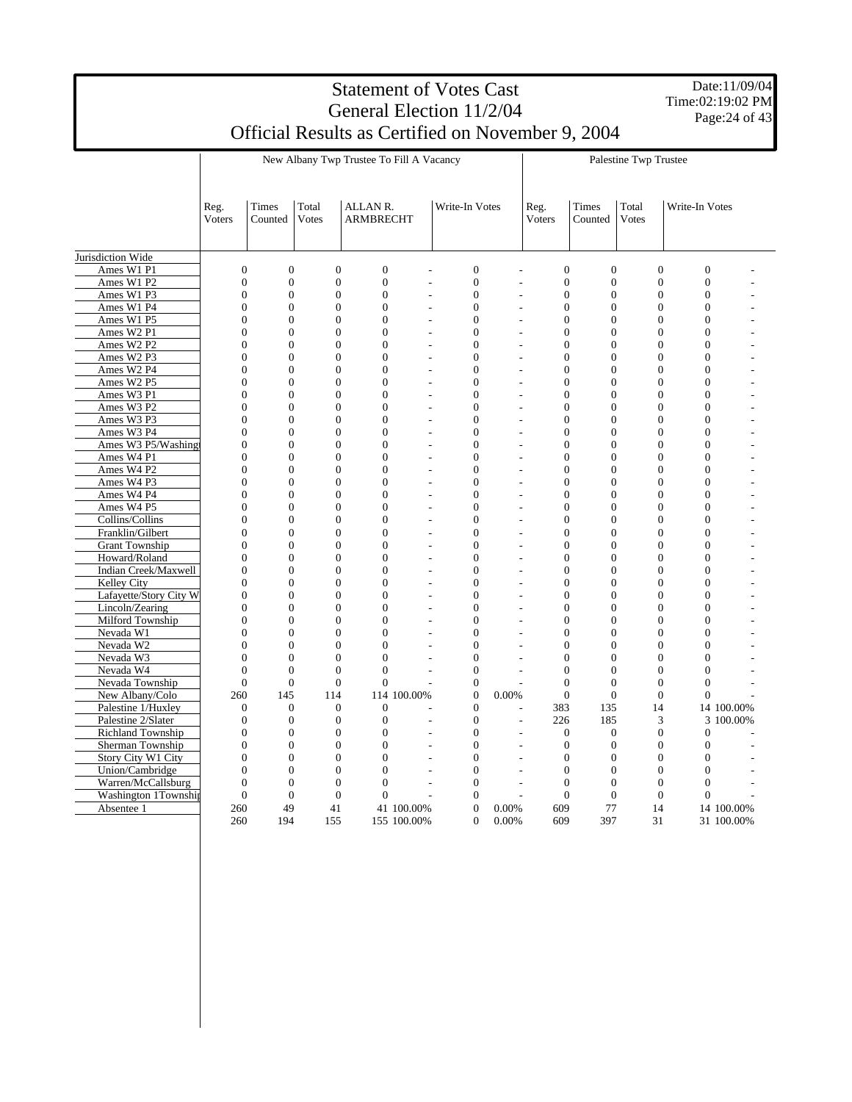Date:11/09/04 Time:02:19:02 PM Page:24 of 43

|                                    |                                  |                                  | New Albany Twp Trustee To Fill A Vacancy |                                  |                           |                          | Palestine Twp Trustee |                       |                                                                      |                       |                                                    |                          |
|------------------------------------|----------------------------------|----------------------------------|------------------------------------------|----------------------------------|---------------------------|--------------------------|-----------------------|-----------------------|----------------------------------------------------------------------|-----------------------|----------------------------------------------------|--------------------------|
|                                    |                                  |                                  |                                          |                                  |                           |                          |                       |                       |                                                                      |                       |                                                    |                          |
|                                    | Reg.<br>Voters                   | Times<br>Counted                 | Total<br><b>Votes</b>                    | ALLAN R.<br><b>ARMBRECHT</b>     |                           | Write-In Votes           |                       | Reg.<br>Voters        | Times<br>Counted                                                     | Total<br><b>Votes</b> | Write-In Votes                                     |                          |
| Jurisdiction Wide                  |                                  |                                  |                                          |                                  |                           |                          |                       |                       |                                                                      |                       |                                                    |                          |
| Ames W1 P1                         | $\overline{0}$                   | $\overline{0}$                   | $\overline{0}$                           | $\overline{0}$                   |                           | $\overline{0}$           |                       |                       | $\overline{0}$<br>$\overline{0}$                                     |                       | $\overline{0}$<br>$\overline{0}$                   |                          |
| Ames W1 P2                         | $\overline{0}$                   | $\overline{0}$                   | $\overline{0}$                           | $\overline{0}$                   | L,                        | $\overline{0}$           |                       | L,                    | $\boldsymbol{0}$<br>$\overline{0}$                                   |                       | $\boldsymbol{0}$<br>$\boldsymbol{0}$               |                          |
| Ames W1 P3                         | $\overline{0}$                   | $\overline{0}$                   | $\overline{0}$                           | $\overline{0}$                   |                           | $\overline{0}$           |                       |                       | $\boldsymbol{0}$<br>$\overline{0}$                                   |                       | $\boldsymbol{0}$<br>$\overline{0}$                 |                          |
| Ames W1 P4                         | $\boldsymbol{0}$                 | $\boldsymbol{0}$                 | $\boldsymbol{0}$                         | $\boldsymbol{0}$                 | $\overline{a}$            | $\boldsymbol{0}$         |                       | $\overline{a}$        | $\boldsymbol{0}$<br>$\boldsymbol{0}$                                 |                       | $\boldsymbol{0}$<br>$\boldsymbol{0}$               |                          |
| Ames W1 P5                         | $\overline{0}$                   | $\overline{0}$                   | $\theta$                                 | $\overline{0}$                   |                           | $\Omega$                 |                       |                       | $\overline{0}$<br>$\theta$                                           |                       | $\theta$<br>$\Omega$                               |                          |
| Ames W2 P1                         | $\overline{0}$                   | $\overline{0}$                   | $\overline{0}$                           | $\overline{0}$                   | ÷.                        | $\overline{0}$           |                       | $\overline{a}$        | $\overline{0}$<br>$\overline{0}$                                     |                       | $\overline{0}$<br>$\overline{0}$                   |                          |
| Ames W2 P2                         | $\overline{0}$                   | $\overline{0}$                   | $\theta$                                 | $\overline{0}$                   | $\overline{a}$            | $\Omega$                 |                       | $\overline{a}$        | $\overline{0}$<br>$\theta$                                           |                       | $\overline{0}$<br>$\Omega$                         |                          |
| Ames W2 P3                         | $\boldsymbol{0}$                 | $\boldsymbol{0}$                 | $\overline{0}$                           | $\overline{0}$                   | L.                        | $\mathbf{0}$             |                       | L,                    | $\boldsymbol{0}$<br>$\mathbf{0}$                                     |                       | $\boldsymbol{0}$<br>$\overline{0}$                 |                          |
| Ames W2 P4                         | $\theta$                         | $\theta$                         | $\theta$                                 | $\theta$                         |                           | $\Omega$                 |                       | $\overline{a}$        | $\boldsymbol{0}$<br>$\theta$                                         |                       | $\boldsymbol{0}$<br>$\Omega$                       |                          |
| Ames W2 P5                         | $\overline{0}$                   | $\overline{0}$                   | $\overline{0}$                           | $\overline{0}$                   |                           | $\Omega$                 |                       | L,                    | $\overline{0}$<br>$\theta$                                           |                       | $\overline{0}$<br>$\Omega$                         |                          |
| Ames W3 P1                         | $\overline{0}$                   | $\overline{0}$                   | $\overline{0}$                           | $\overline{0}$                   |                           | $\overline{0}$           |                       | $\overline{a}$        | $\boldsymbol{0}$<br>$\overline{0}$                                   |                       | $\overline{0}$<br>$\Omega$                         |                          |
| Ames W3 P2                         | $\overline{0}$                   | $\overline{0}$                   | $\overline{0}$                           | $\overline{0}$                   |                           | $\overline{0}$           |                       | $\overline{a}$        | $\overline{0}$<br>$\overline{0}$                                     |                       | $\overline{0}$<br>$\overline{0}$                   |                          |
| Ames W3 P3                         | $\boldsymbol{0}$                 | $\overline{0}$                   | $\overline{0}$                           | $\overline{0}$                   |                           | $\overline{0}$           |                       | $\overline{a}$        | $\boldsymbol{0}$<br>$\overline{0}$                                   |                       | $\boldsymbol{0}$<br>$\overline{0}$                 |                          |
| Ames W3 P4                         | $\theta$                         | $\theta$                         | $\theta$                                 | $\theta$                         |                           | $\Omega$                 |                       |                       | $\theta$<br>$\overline{0}$                                           |                       | $\theta$<br>$\overline{0}$                         |                          |
| Ames W3 P5/Washingt                | $\overline{0}$                   | $\overline{0}$                   | $\overline{0}$                           | $\overline{0}$                   |                           | $\Omega$                 |                       | L,                    | $\overline{0}$<br>$\overline{0}$                                     |                       | $\overline{0}$<br>$\Omega$                         |                          |
| Ames W4 P1                         | $\overline{0}$                   | $\overline{0}$                   | $\theta$                                 | $\theta$                         |                           | $\Omega$                 |                       | $\overline{a}$        | $\overline{0}$<br>$\theta$                                           |                       | $\overline{0}$<br>$\Omega$                         |                          |
| Ames W4 P2                         | $\overline{0}$                   | $\overline{0}$                   | $\overline{0}$                           | $\overline{0}$                   | L,                        | $\overline{0}$           |                       | $\overline{a}$        | $\overline{0}$<br>$\boldsymbol{0}$                                   |                       | $\overline{0}$<br>$\mathbf{0}$                     |                          |
| Ames W4 P3                         | $\overline{0}$                   | $\overline{0}$                   | $\overline{0}$                           | $\overline{0}$                   |                           | $\overline{0}$           |                       | $\overline{a}$        | $\boldsymbol{0}$<br>$\overline{0}$                                   |                       | $\overline{0}$<br>$\overline{0}$                   |                          |
| Ames W4 P4                         | $\overline{0}$                   | $\overline{0}$                   | $\overline{0}$                           | $\overline{0}$                   | ۳                         | $\Omega$                 |                       | $\overline{a}$        | $\overline{0}$<br>$\theta$                                           |                       | $\overline{0}$<br>$\Omega$                         |                          |
| Ames W4 P5                         | $\overline{0}$                   | $\theta$                         | $\theta$                                 | $\theta$                         |                           | $\Omega$                 |                       | L,                    | $\overline{0}$<br>$\theta$                                           |                       | $\overline{0}$<br>$\Omega$                         |                          |
| Collins/Collins                    | $\mathbf{0}$                     | $\overline{0}$                   | $\overline{0}$                           | $\overline{0}$                   |                           | $\mathbf{0}$             |                       |                       | $\overline{0}$<br>$\overline{0}$                                     |                       | $\overline{0}$<br>$\overline{0}$                   |                          |
| Franklin/Gilbert                   | $\mathbf{0}$                     | $\overline{0}$                   | $\overline{0}$                           | $\overline{0}$                   | ÷,                        | $\mathbf{0}$             |                       | $\overline{a}$        | $\boldsymbol{0}$<br>$\boldsymbol{0}$                                 |                       | $\boldsymbol{0}$<br>$\overline{0}$                 |                          |
| <b>Grant Township</b>              | $\overline{0}$                   | $\overline{0}$                   | $\overline{0}$                           | $\overline{0}$                   |                           | $\overline{0}$           |                       |                       | $\overline{0}$<br>$\overline{0}$                                     |                       | $\overline{0}$<br>$\overline{0}$                   |                          |
| Howard/Roland                      | $\overline{0}$                   | $\overline{0}$                   | $\overline{0}$                           | $\overline{0}$                   |                           | $\mathbf{0}$             |                       | $\overline{a}$        | $\overline{0}$<br>$\overline{0}$                                     |                       | $\overline{0}$<br>$\Omega$                         |                          |
| Indian Creek/Maxwell               | $\overline{0}$                   | $\theta$                         | $\theta$                                 | $\theta$                         | $\overline{a}$            | $\Omega$                 |                       | $\overline{a}$        | $\theta$<br>$\overline{0}$                                           |                       | $\theta$<br>$\theta$                               |                          |
| Kelley City                        | $\overline{0}$                   | $\overline{0}$                   | $\overline{0}$                           | $\overline{0}$                   | L.                        | $\overline{0}$           |                       | $\overline{a}$        | $\overline{0}$<br>$\mathbf{0}$                                       |                       | $\overline{0}$<br>$\mathbf{0}$                     |                          |
| Lafayette/Story City W             | $\overline{0}$                   | $\overline{0}$                   | $\overline{0}$                           | $\overline{0}$                   |                           | $\overline{0}$           |                       | L,                    | $\boldsymbol{0}$<br>$\overline{0}$                                   |                       | $\overline{0}$<br>$\overline{0}$                   |                          |
| Lincoln/Zearing                    | $\boldsymbol{0}$                 | $\overline{0}$                   | $\overline{0}$                           | $\overline{0}$                   | ۳                         | $\overline{0}$           |                       | $\overline{a}$        | $\boldsymbol{0}$<br>$\overline{0}$                                   |                       | $\overline{0}$<br>$\overline{0}$                   |                          |
| Milford Township                   | $\overline{0}$                   | $\theta$                         | $\theta$                                 | $\theta$                         |                           | $\Omega$                 |                       |                       | $\overline{0}$<br>$\theta$                                           |                       | $\overline{0}$<br>$\Omega$                         |                          |
| Nevada W1                          | $\overline{0}$                   | $\overline{0}$                   | $\overline{0}$                           | $\overline{0}$                   |                           | $\overline{0}$           |                       |                       | $\overline{0}$<br>$\overline{0}$                                     |                       | $\overline{0}$<br>$\overline{0}$                   |                          |
| Nevada W2                          | $\overline{0}$                   | $\overline{0}$                   | $\overline{0}$                           | $\overline{0}$                   |                           | $\overline{0}$           |                       | L,                    | $\boldsymbol{0}$<br>$\mathbf{0}$                                     |                       | $\mathbf{0}$<br>$\overline{0}$                     |                          |
| Nevada W3                          | $\overline{0}$                   | $\overline{0}$                   | $\overline{0}$                           | $\overline{0}$                   |                           | $\overline{0}$           |                       |                       | $\overline{0}$<br>$\overline{0}$                                     |                       | $\overline{0}$<br>$\overline{0}$                   |                          |
| Nevada W4                          | $\overline{0}$                   | $\overline{0}$                   | $\overline{0}$                           | $\overline{0}$                   |                           | $\overline{0}$           |                       | $\overline{a}$        | $\boldsymbol{0}$<br>$\overline{0}$                                   |                       | $\boldsymbol{0}$<br>$\overline{0}$                 |                          |
| Nevada Township                    | $\Omega$                         | $\overline{0}$                   | $\theta$                                 | $\theta$                         |                           | $\theta$                 |                       |                       | $\theta$<br>$\theta$                                                 |                       | $\overline{0}$<br>$\theta$                         |                          |
| New Albany/Colo                    | 260                              | 145                              | 114                                      |                                  | 114 100.00%               | $\overline{0}$           | 0.00%                 |                       | $\overline{0}$<br>$\overline{0}$                                     |                       | $\boldsymbol{0}$<br>$\overline{0}$                 |                          |
| Palestine 1/Huxley                 | $\mathbf{0}$                     | $\overline{0}$                   | $\overline{0}$                           | $\overline{0}$                   |                           | $\overline{0}$           |                       | 383                   | 135                                                                  | 14                    |                                                    | 14 100.00%               |
| Palestine 2/Slater                 | $\boldsymbol{0}$                 | $\boldsymbol{0}$                 | $\overline{0}$                           | $\boldsymbol{0}$                 |                           | $\boldsymbol{0}$         |                       | 226<br>$\overline{a}$ | 185                                                                  |                       | 3                                                  | 3 100.00%                |
| Richland Township                  | $\theta$                         | $\theta$                         | $\theta$                                 | $\theta$                         |                           | $\Omega$                 |                       | L,                    | $\boldsymbol{0}$<br>$\theta$                                         |                       | $\boldsymbol{0}$<br>$\boldsymbol{0}$               |                          |
| Sherman Township                   | $\overline{0}$                   | $\overline{0}$                   | $\overline{0}$                           | $\overline{0}$                   |                           | $\overline{0}$           |                       | $\overline{a}$        | $\overline{0}$<br>$\overline{0}$                                     |                       | $\overline{0}$<br>$\overline{0}$                   |                          |
| Story City W1 City                 | $\overline{0}$                   | $\overline{0}$                   | $\overline{0}$                           | $\overline{0}$                   |                           | $\overline{0}$           |                       | L,                    | $\overline{0}$<br>$\boldsymbol{0}$                                   |                       | $\boldsymbol{0}$<br>$\overline{0}$                 |                          |
| Union/Cambridge                    | $\overline{0}$<br>$\overline{0}$ | $\overline{0}$<br>$\overline{0}$ | $\overline{0}$<br>$\overline{0}$         | $\overline{0}$<br>$\overline{0}$ |                           | $\overline{0}$           |                       |                       | $\overline{0}$<br>$\overline{0}$                                     |                       | $\overline{0}$<br>$\overline{0}$<br>$\overline{0}$ |                          |
| Warren/McCallsburg                 | $\boldsymbol{0}$                 | $\boldsymbol{0}$                 | $\theta$                                 | $\theta$                         |                           | $\mathbf{0}$<br>$\Omega$ |                       | $\overline{a}$        | $\boldsymbol{0}$<br>$\boldsymbol{0}$<br>$\theta$<br>$\boldsymbol{0}$ |                       | $\boldsymbol{0}$<br>$\boldsymbol{0}$<br>$\theta$   |                          |
| Washington 1Township<br>Absentee 1 | 260                              | 49                               | 41                                       |                                  |                           | $\overline{0}$           | 0.00%                 | 609                   | 77                                                                   | 14                    |                                                    |                          |
|                                    | 260                              | 194                              | 155                                      |                                  | 41 100.00%<br>155 100.00% | $\Omega$                 | 0.00%                 | 609                   | 397                                                                  | 31                    |                                                    | 14 100.00%<br>31 100.00% |
|                                    |                                  |                                  |                                          |                                  |                           |                          |                       |                       |                                                                      |                       |                                                    |                          |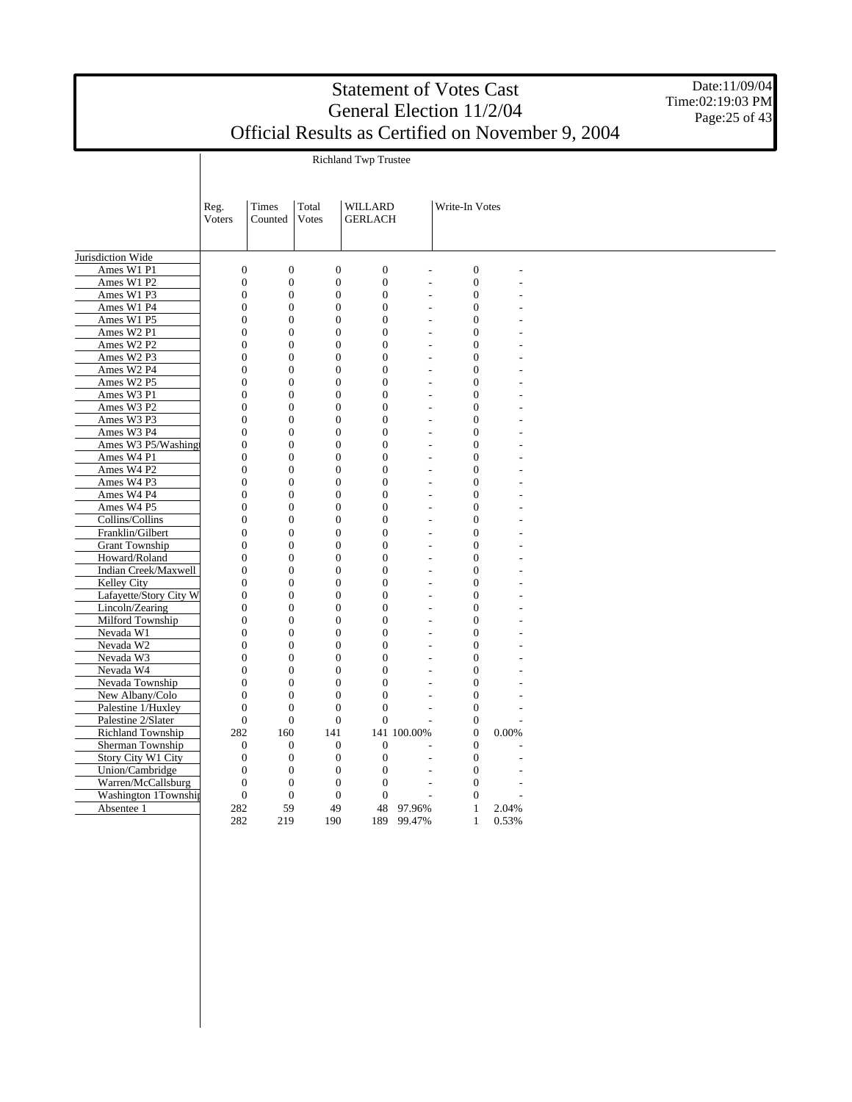Richland Twp Trustee

Date:11/09/04 Time:02:19:03 PM Page: 25 of 43

|                        | Reg.<br>Voters   | Times<br>Counted | Total<br><b>Votes</b> | WILLARD<br><b>GERLACH</b> |                          | Write-In Votes   |       |  |
|------------------------|------------------|------------------|-----------------------|---------------------------|--------------------------|------------------|-------|--|
|                        |                  |                  |                       |                           |                          |                  |       |  |
|                        |                  |                  |                       |                           |                          |                  |       |  |
| Jurisdiction Wide      |                  |                  |                       |                           |                          |                  |       |  |
| Ames W1 P1             | $\overline{0}$   | $\boldsymbol{0}$ | $\overline{0}$        | $\overline{0}$            | $\overline{a}$           | $\overline{0}$   |       |  |
| Ames W1 P2             | $\overline{0}$   | $\overline{0}$   | $\overline{0}$        | $\mathbf{0}$              | $\overline{\phantom{a}}$ | $\overline{0}$   |       |  |
| Ames W1 P3             | $\overline{0}$   | $\boldsymbol{0}$ | $\mathbf{0}$          | $\overline{0}$            | $\overline{a}$           | $\boldsymbol{0}$ |       |  |
| Ames W1 P4             | $\overline{0}$   | $\boldsymbol{0}$ | $\mathbf{0}$          | $\mathbf{0}$              | $\overline{a}$           | $\mathbf{0}$     |       |  |
| Ames W1 P5             | $\overline{0}$   | $\boldsymbol{0}$ | $\overline{0}$        | $\overline{0}$            | L.                       | $\overline{0}$   |       |  |
| Ames W2 P1             | $\overline{0}$   | $\boldsymbol{0}$ | $\mathbf{0}$          | $\overline{0}$            | $\overline{a}$           | $\overline{0}$   |       |  |
| Ames W2 P2             | $\overline{0}$   | $\overline{0}$   | $\mathbf{0}$          | $\overline{0}$            | $\overline{a}$           | $\overline{0}$   |       |  |
| Ames W2 P3             | $\boldsymbol{0}$ | $\boldsymbol{0}$ | $\mathbf{0}$          | $\overline{0}$            | L.                       | $\boldsymbol{0}$ |       |  |
| Ames W2 P4             | $\overline{0}$   | $\overline{0}$   | $\overline{0}$        | $\overline{0}$            | $\overline{a}$           | $\overline{0}$   |       |  |
| Ames W2 P5             | $\overline{0}$   | $\boldsymbol{0}$ | $\mathbf{0}$          | $\overline{0}$            | $\overline{a}$           | $\mathbf{0}$     |       |  |
| Ames W3 P1             | $\boldsymbol{0}$ | $\boldsymbol{0}$ | $\boldsymbol{0}$      | $\overline{0}$            | $\overline{a}$           | $\boldsymbol{0}$ |       |  |
| Ames W3 P2             | $\boldsymbol{0}$ | $\boldsymbol{0}$ | $\boldsymbol{0}$      | $\overline{0}$            | L.                       | $\boldsymbol{0}$ |       |  |
| Ames W3 P3             | $\overline{0}$   | $\boldsymbol{0}$ | $\mathbf{0}$          | $\overline{0}$            | $\overline{a}$           | $\boldsymbol{0}$ |       |  |
| Ames W3 P4             | $\overline{0}$   | $\boldsymbol{0}$ | $\boldsymbol{0}$      | $\overline{0}$            | $\overline{a}$           | $\boldsymbol{0}$ |       |  |
| Ames W3 P5/Washing     | $\boldsymbol{0}$ | $\boldsymbol{0}$ | $\mathbf{0}$          | $\boldsymbol{0}$          | $\overline{a}$           | $\boldsymbol{0}$ |       |  |
| Ames W4 P1             | $\boldsymbol{0}$ | $\boldsymbol{0}$ | $\boldsymbol{0}$      | $\overline{0}$            | $\overline{\phantom{a}}$ | $\boldsymbol{0}$ |       |  |
| Ames W4 P2             | $\boldsymbol{0}$ | $\boldsymbol{0}$ | $\boldsymbol{0}$      | $\theta$                  | $\overline{\phantom{a}}$ | $\theta$         |       |  |
| Ames W4 P3             | $\overline{0}$   | $\overline{0}$   | $\mathbf{0}$          | $\Omega$                  | $\overline{\phantom{a}}$ | $\overline{0}$   |       |  |
| Ames W4 P4             | $\overline{0}$   | $\overline{0}$   | $\mathbf{0}$          | $\Omega$                  | $\overline{\phantom{a}}$ | $\overline{0}$   |       |  |
| Ames W4 P5             | $\overline{0}$   | $\overline{0}$   | $\mathbf{0}$          | $\overline{0}$            | $\overline{a}$           | $\overline{0}$   |       |  |
| Collins/Collins        | $\overline{0}$   | $\overline{0}$   | $\mathbf{0}$          | $\theta$                  | $\overline{\phantom{a}}$ | $\overline{0}$   |       |  |
| Franklin/Gilbert       | $\overline{0}$   | $\overline{0}$   | $\mathbf{0}$          | $\overline{0}$            | $\overline{a}$           | $\overline{0}$   |       |  |
| <b>Grant Township</b>  | $\overline{0}$   | $\overline{0}$   | $\mathbf{0}$          | $\Omega$                  | $\overline{\phantom{a}}$ | $\overline{0}$   |       |  |
| Howard/Roland          | $\overline{0}$   | $\overline{0}$   | $\mathbf{0}$          | $\overline{0}$            | $\overline{a}$           | $\overline{0}$   |       |  |
| Indian Creek/Maxwell   | $\overline{0}$   | $\overline{0}$   | $\mathbf{0}$          | $\overline{0}$            | $\overline{\phantom{a}}$ | $\overline{0}$   |       |  |
| Kelley City            | $\overline{0}$   | $\overline{0}$   | $\overline{0}$        | $\theta$                  | $\overline{a}$           | $\mathbf{0}$     |       |  |
| Lafayette/Story City W | $\overline{0}$   | $\overline{0}$   | $\overline{0}$        | $\overline{0}$            | $\overline{\phantom{a}}$ | $\mathbf{0}$     |       |  |
| Lincoln/Zearing        | $\overline{0}$   | $\boldsymbol{0}$ | $\mathbf{0}$          | $\overline{0}$            | $\overline{a}$           | $\overline{0}$   |       |  |
| Milford Township       | $\overline{0}$   | $\boldsymbol{0}$ | $\mathbf{0}$          | $\mathbf{0}$              | $\overline{a}$           | $\boldsymbol{0}$ |       |  |
| Nevada W1              | $\overline{0}$   | $\boldsymbol{0}$ | $\overline{0}$        | $\overline{0}$            | $\overline{a}$           | $\overline{0}$   |       |  |
| Nevada W2              | $\overline{0}$   | $\boldsymbol{0}$ | $\mathbf{0}$          | $\overline{0}$            | $\overline{a}$           | $\overline{0}$   |       |  |
| Nevada W3              | $\overline{0}$   | $\overline{0}$   | $\mathbf{0}$          | $\overline{0}$            | L.                       | $\overline{0}$   |       |  |
| Nevada W4              | $\boldsymbol{0}$ | $\boldsymbol{0}$ | $\mathbf{0}$          | $\overline{0}$            | $\overline{a}$           | $\boldsymbol{0}$ |       |  |
| Nevada Township        | $\overline{0}$   | $\overline{0}$   | $\overline{0}$        | $\theta$                  | $\overline{\phantom{a}}$ | $\overline{0}$   |       |  |
| New Albany/Colo        | $\overline{0}$   | $\boldsymbol{0}$ | $\mathbf{0}$          | $\overline{0}$            | $\overline{a}$           | $\overline{0}$   |       |  |
| Palestine 1/Huxley     | $\overline{0}$   | $\boldsymbol{0}$ | $\boldsymbol{0}$      | $\overline{0}$            | $\overline{a}$           | $\mathbf{0}$     |       |  |
| Palestine 2/Slater     | $\boldsymbol{0}$ | $\boldsymbol{0}$ | $\boldsymbol{0}$      | $\overline{0}$            | L,                       | $\boldsymbol{0}$ |       |  |
| Richland Township      | 282              | 160              | 141                   | 141                       | 100.00%                  | $\mathbf{0}$     | 0.00% |  |
| Sherman Township       | $\boldsymbol{0}$ | $\boldsymbol{0}$ | $\mathbf{0}$          | $\boldsymbol{0}$          |                          | $\overline{0}$   |       |  |
| Story City W1 City     | $\boldsymbol{0}$ | $\boldsymbol{0}$ | $\mathbf{0}$          | $\boldsymbol{0}$          | $\overline{a}$           | $\mathbf{0}$     |       |  |
| Union/Cambridge        | $\boldsymbol{0}$ | $\boldsymbol{0}$ | $\boldsymbol{0}$      | $\overline{0}$            | $\overline{a}$           | $\overline{0}$   |       |  |
| Warren/McCallsburg     | $\theta$         | $\boldsymbol{0}$ | $\boldsymbol{0}$      | $\theta$                  | L,                       | $\Omega$         |       |  |
| Washington 1Township   | $\overline{0}$   | $\overline{0}$   | $\mathbf{0}$          | $\Omega$                  |                          | $\Omega$         |       |  |
| Absentee 1             | 282              | 59               | 49                    | 48                        | 97.96%                   | 1                | 2.04% |  |
|                        | 282              | 219              | 190                   | 189                       | 99.47%                   | 1                | 0.53% |  |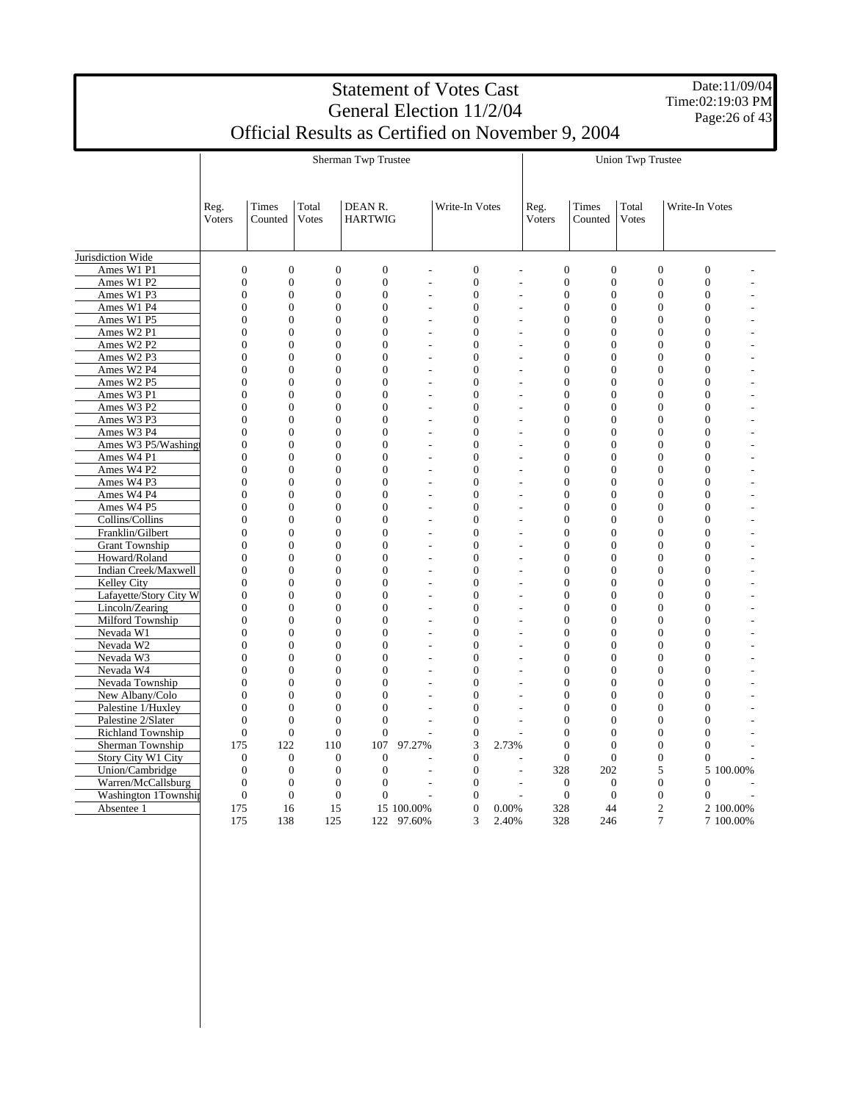Date:11/09/04 Time:02:19:03 PM Page:26 of 43

|                        |                  |                  |                  | Sherman Twp Trustee       |            |                  |                | <b>Union Twp Trustee</b> |                  |                  |                  |           |  |
|------------------------|------------------|------------------|------------------|---------------------------|------------|------------------|----------------|--------------------------|------------------|------------------|------------------|-----------|--|
|                        | Reg.<br>Voters   | Times<br>Counted | Total<br>Votes   | DEAN R.<br><b>HARTWIG</b> |            | Write-In Votes   |                | Reg.<br>Voters           | Times<br>Counted | Total<br>Votes   | Write-In Votes   |           |  |
| Jurisdiction Wide      |                  |                  |                  |                           |            |                  |                |                          |                  |                  |                  |           |  |
| Ames W1 P1             | $\boldsymbol{0}$ | $\boldsymbol{0}$ | $\boldsymbol{0}$ | $\boldsymbol{0}$          |            | $\boldsymbol{0}$ | $\overline{a}$ | $\boldsymbol{0}$         | $\boldsymbol{0}$ | $\boldsymbol{0}$ | $\boldsymbol{0}$ |           |  |
| Ames W1 P2             | $\overline{0}$   | $\overline{0}$   | $\overline{0}$   | $\mathbf{0}$              |            | $\boldsymbol{0}$ | L,             | $\overline{0}$           | $\overline{0}$   | $\overline{0}$   | $\overline{0}$   |           |  |
| Ames W1 P3             | $\theta$         | $\overline{0}$   | $\theta$         | $\overline{0}$            | L,         | $\overline{0}$   | $\overline{a}$ | $\Omega$                 | $\theta$         | $\overline{0}$   | $\theta$         |           |  |
| Ames W1 P4             | $\overline{0}$   | $\overline{0}$   | $\overline{0}$   | $\mathbf{0}$              |            | $\overline{0}$   | $\overline{a}$ | $\overline{0}$           | $\overline{0}$   | $\overline{0}$   | $\overline{0}$   |           |  |
| Ames W1 P5             | $\overline{0}$   | $\overline{0}$   | $\overline{0}$   | $\overline{0}$            |            | $\overline{0}$   | L              | $\overline{0}$           | $\Omega$         | $\overline{0}$   | $\Omega$         |           |  |
| Ames W2 P1             | $\overline{0}$   | $\overline{0}$   | $\overline{0}$   | $\overline{0}$            |            | $\overline{0}$   | L,             | $\overline{0}$           | $\Omega$         | $\overline{0}$   | $\overline{0}$   |           |  |
| Ames W2 P2             | $\theta$         | $\overline{0}$   | $\theta$         | $\overline{0}$            |            | $\overline{0}$   |                | $\theta$                 | $\Omega$         | $\overline{0}$   | $\Omega$         |           |  |
| Ames W2 P3             | $\overline{0}$   | $\overline{0}$   | $\overline{0}$   | $\overline{0}$            |            | $\overline{0}$   | L,             | $\overline{0}$           | $\overline{0}$   | $\overline{0}$   | $\overline{0}$   |           |  |
| Ames W2 P4             | $\overline{0}$   | $\overline{0}$   | $\overline{0}$   | $\overline{0}$            |            | $\overline{0}$   | L              | $\mathbf{0}$             | $\Omega$         | $\overline{0}$   | $\Omega$         |           |  |
| Ames W2 P5             | $\overline{0}$   | $\overline{0}$   | $\overline{0}$   | $\overline{0}$            |            | $\overline{0}$   | L              | $\overline{0}$           | $\overline{0}$   | $\overline{0}$   | $\overline{0}$   |           |  |
| Ames W3 P1             | $\theta$         | $\overline{0}$   | $\overline{0}$   | $\overline{0}$            |            | $\overline{0}$   | Ĭ.             | $\overline{0}$           | $\Omega$         | $\overline{0}$   | $\Omega$         |           |  |
| Ames W3 P2             | $\overline{0}$   | $\boldsymbol{0}$ | $\overline{0}$   | $\overline{0}$            |            | $\overline{0}$   | L,             | $\overline{0}$           | $\overline{0}$   | $\mathbf{0}$     | $\overline{0}$   |           |  |
| Ames W3 P3             | $\overline{0}$   | $\overline{0}$   | $\overline{0}$   | $\overline{0}$            |            | $\overline{0}$   | L              | $\overline{0}$           | $\overline{0}$   | $\overline{0}$   | $\overline{0}$   |           |  |
| Ames W3 P4             | $\overline{0}$   | $\overline{0}$   | $\mathbf{0}$     | $\overline{0}$            |            | $\overline{0}$   | L,             | $\overline{0}$           | $\overline{0}$   | $\mathbf{0}$     | $\overline{0}$   |           |  |
| Ames W3 P5/Washing     | $\overline{0}$   | $\overline{0}$   | $\overline{0}$   | $\overline{0}$            |            | $\overline{0}$   |                | $\overline{0}$           | $\theta$         | $\overline{0}$   | $\theta$         |           |  |
| Ames W4 P1             | $\overline{0}$   | $\boldsymbol{0}$ | $\overline{0}$   | $\overline{0}$            |            | $\boldsymbol{0}$ | $\overline{a}$ | $\overline{0}$           | $\overline{0}$   | $\boldsymbol{0}$ | $\overline{0}$   |           |  |
| Ames W4 P2             | $\overline{0}$   | $\boldsymbol{0}$ | $\boldsymbol{0}$ | $\overline{0}$            |            | $\mathbf{0}$     | $\overline{a}$ | $\overline{0}$           | $\overline{0}$   | $\overline{0}$   | $\overline{0}$   |           |  |
| Ames W4 P3             | $\boldsymbol{0}$ | $\boldsymbol{0}$ | $\overline{0}$   | $\overline{0}$            |            | $\boldsymbol{0}$ | L              | $\boldsymbol{0}$         | $\overline{0}$   | $\boldsymbol{0}$ | $\overline{0}$   |           |  |
| Ames W4 P4             | $\overline{0}$   | $\overline{0}$   | $\overline{0}$   | $\overline{0}$            |            | $\overline{0}$   | L,             | $\overline{0}$           | $\overline{0}$   | $\overline{0}$   | $\Omega$         |           |  |
| Ames W4 P5             | $\boldsymbol{0}$ | $\boldsymbol{0}$ | $\Omega$         | $\boldsymbol{0}$          |            | $\boldsymbol{0}$ | $\overline{a}$ | $\boldsymbol{0}$         | $\Omega$         | $\boldsymbol{0}$ | $\Omega$         |           |  |
| Collins/Collins        | $\boldsymbol{0}$ | $\boldsymbol{0}$ | $\boldsymbol{0}$ | $\mathbf{0}$              |            | $\boldsymbol{0}$ | L              | $\boldsymbol{0}$         | $\Omega$         | $\boldsymbol{0}$ | $\Omega$         |           |  |
| Franklin/Gilbert       | $\overline{0}$   | $\mathbf{0}$     | $\Omega$         | $\overline{0}$            |            | $\overline{0}$   | L              | $\overline{0}$           | $\Omega$         | $\overline{0}$   | $\Omega$         |           |  |
| <b>Grant Township</b>  | $\theta$         | $\overline{0}$   | $\theta$         | $\theta$                  |            | $\overline{0}$   |                | $\Omega$                 | $\Omega$         | $\overline{0}$   | $\theta$         |           |  |
| Howard/Roland          | $\overline{0}$   | $\mathbf{0}$     | $\mathbf{0}$     | $\overline{0}$            |            | $\overline{0}$   | $\overline{a}$ | $\overline{0}$           | $\overline{0}$   | $\overline{0}$   | $\mathbf{0}$     |           |  |
| Indian Creek/Maxwell   | $\overline{0}$   | $\mathbf{0}$     | $\mathbf{0}$     | $\overline{0}$            |            | $\overline{0}$   | L              | $\mathbf{0}$             | $\Omega$         | $\mathbf{0}$     | $\Omega$         |           |  |
| Kelley City            | $\overline{0}$   | $\mathbf{0}$     | $\overline{0}$   | $\overline{0}$            |            | $\overline{0}$   | $\overline{a}$ | $\overline{0}$           | $\overline{0}$   | $\overline{0}$   | $\overline{0}$   |           |  |
| Lafayette/Story City W | $\overline{0}$   | $\overline{0}$   | $\overline{0}$   | $\theta$                  |            | $\overline{0}$   | L,             | $\Omega$                 | $\Omega$         | $\overline{0}$   | $\Omega$         |           |  |
| Lincoln/Zearing        | $\overline{0}$   | $\overline{0}$   | $\overline{0}$   | $\overline{0}$            |            | $\overline{0}$   | $\overline{a}$ | $\overline{0}$           | $\overline{0}$   | $\overline{0}$   | $\overline{0}$   |           |  |
| Milford Township       | $\overline{0}$   | $\boldsymbol{0}$ | $\overline{0}$   | $\overline{0}$            |            | $\boldsymbol{0}$ | $\overline{a}$ | $\overline{0}$           | $\overline{0}$   | $\boldsymbol{0}$ | $\overline{0}$   |           |  |
| Nevada W1              | $\overline{0}$   | $\overline{0}$   | $\overline{0}$   | $\overline{0}$            |            | $\overline{0}$   | $\overline{a}$ | $\mathbf{0}$             | $\overline{0}$   | $\overline{0}$   | $\overline{0}$   |           |  |
| Nevada W2              | $\overline{0}$   | $\overline{0}$   | $\overline{0}$   | $\overline{0}$            |            | $\boldsymbol{0}$ | $\overline{a}$ | $\overline{0}$           | $\Omega$         | $\overline{0}$   | $\overline{0}$   |           |  |
| Nevada W3              | $\overline{0}$   | $\overline{0}$   | $\overline{0}$   | $\overline{0}$            |            | $\overline{0}$   | $\overline{a}$ | $\overline{0}$           | $\overline{0}$   | $\overline{0}$   | $\overline{0}$   |           |  |
| Nevada W4              | $\boldsymbol{0}$ | $\boldsymbol{0}$ | $\boldsymbol{0}$ | $\mathbf{0}$              |            | $\mathbf{0}$     | $\overline{a}$ | $\mathbf{0}$             | $\overline{0}$   | $\boldsymbol{0}$ | $\overline{0}$   |           |  |
| Nevada Township        | $\overline{0}$   | $\overline{0}$   | $\overline{0}$   | $\overline{0}$            |            | $\overline{0}$   |                | $\overline{0}$           | $\overline{0}$   | $\overline{0}$   | $\overline{0}$   |           |  |
| New Albany/Colo        | $\overline{0}$   | $\overline{0}$   | $\overline{0}$   | $\overline{0}$            |            | $\boldsymbol{0}$ | $\overline{a}$ | $\overline{0}$           | $\Omega$         | $\overline{0}$   | $\overline{0}$   |           |  |
| Palestine 1/Huxley     | $\overline{0}$   | $\overline{0}$   | $\overline{0}$   | $\overline{0}$            |            | $\overline{0}$   |                | $\overline{0}$           | $\overline{0}$   | $\overline{0}$   | $\overline{0}$   |           |  |
| Palestine 2/Slater     | $\overline{0}$   | $\boldsymbol{0}$ | $\overline{0}$   | $\overline{0}$            |            | $\boldsymbol{0}$ | $\overline{a}$ | $\overline{0}$           | $\overline{0}$   | $\boldsymbol{0}$ | $\overline{0}$   |           |  |
| Richland Township      | $\boldsymbol{0}$ | $\boldsymbol{0}$ | $\overline{0}$   | $\mathbf{0}$              |            | $\boldsymbol{0}$ |                | $\overline{0}$           | $\overline{0}$   | $\overline{0}$   | $\overline{0}$   |           |  |
| Sherman Township       | 175              | 122              | 110              | 107                       | 97.27%     | 3                | 2.73%          | $\theta$                 | $\theta$         | $\boldsymbol{0}$ | $\boldsymbol{0}$ |           |  |
| Story City W1 City     | $\theta$         | $\boldsymbol{0}$ | $\Omega$         | $\theta$                  |            | $\boldsymbol{0}$ |                | $\Omega$                 | $\Omega$         | $\boldsymbol{0}$ | $\theta$         |           |  |
| Union/Cambridge        | $\overline{0}$   | $\overline{0}$   | $\overline{0}$   | $\mathbf{0}$              |            | $\mathbf{0}$     | $\overline{a}$ | 328                      | 202              | 5                |                  | 5 100,00% |  |
| Warren/McCallsburg     | $\overline{0}$   | $\overline{0}$   | $\overline{0}$   | $\mathbf{0}$              |            | $\overline{0}$   | $\overline{a}$ | $\mathbf{0}$             | $\Omega$         | $\overline{0}$   | $\Omega$         |           |  |
| Washington 1Township   | $\overline{0}$   | $\overline{0}$   | $\overline{0}$   | $\theta$                  |            | $\overline{0}$   |                | $\mathbf{0}$             | $\overline{0}$   | $\overline{0}$   | $\overline{0}$   |           |  |
| Absentee 1             | 175              | 16               | 15               |                           | 15 100.00% | $\overline{0}$   | 0.00%          | 328                      | 44               | $\overline{2}$   |                  | 2 100.00% |  |
|                        | 175              | 138              | 125              | 122                       | 97.60%     | 3                | 2.40%          | 328                      | 246              | 7                |                  | 7 100.00% |  |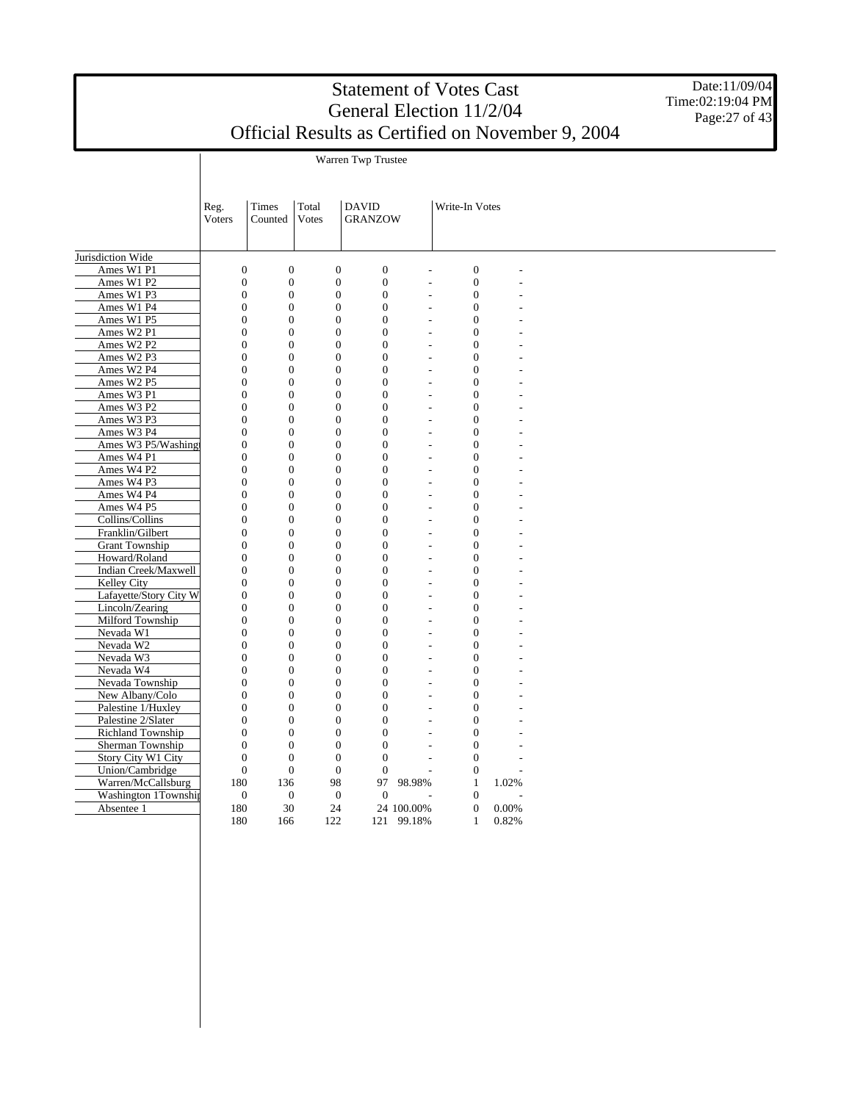Warren Twp Trustee

Date:11/09/04 Time:02:19:04 PM Page: 27 of 43

|                        | Reg.<br><b>Voters</b> | Times<br>Counted | Total<br><b>Votes</b> | <b>DAVID</b><br><b>GRANZOW</b> |                          | Write-In Votes   |       |  |
|------------------------|-----------------------|------------------|-----------------------|--------------------------------|--------------------------|------------------|-------|--|
|                        |                       |                  |                       |                                |                          |                  |       |  |
|                        |                       |                  |                       |                                |                          |                  |       |  |
| Jurisdiction Wide      |                       |                  |                       |                                |                          |                  |       |  |
| Ames W1 P1             | $\overline{0}$        | $\boldsymbol{0}$ | $\overline{0}$        | $\overline{0}$                 | L,                       | $\overline{0}$   |       |  |
| Ames W1 P2             | $\overline{0}$        | $\overline{0}$   | $\overline{0}$        | $\overline{0}$                 | L,                       | $\overline{0}$   |       |  |
| Ames W1 P3             | $\overline{0}$        | $\overline{0}$   | $\overline{0}$        | $\mathbf{0}$                   | $\overline{a}$           | $\mathbf{0}$     |       |  |
| Ames W1 P4             | $\overline{0}$        | $\boldsymbol{0}$ | $\boldsymbol{0}$      | $\overline{0}$                 | $\overline{\phantom{a}}$ | $\mathbf{0}$     |       |  |
| Ames W1 P5             | $\overline{0}$        | $\boldsymbol{0}$ | $\boldsymbol{0}$      | $\overline{0}$                 | L,                       | $\mathbf{0}$     |       |  |
| Ames W2 P1             | $\overline{0}$        | $\overline{0}$   | $\overline{0}$        | $\overline{0}$                 | $\overline{\phantom{a}}$ | $\mathbf{0}$     |       |  |
| Ames W2 P2             | $\overline{0}$        | $\overline{0}$   | $\overline{0}$        | $\mathbf{0}$                   | $\overline{\phantom{a}}$ | $\mathbf{0}$     |       |  |
| Ames W2 P3             | $\overline{0}$        | $\boldsymbol{0}$ | $\overline{0}$        | $\mathbf{0}$                   | $\overline{\phantom{a}}$ | $\overline{0}$   |       |  |
| Ames W2 P4             | $\overline{0}$        | $\overline{0}$   | $\overline{0}$        | $\theta$                       | $\overline{\phantom{a}}$ | $\overline{0}$   |       |  |
| Ames W2 P5             | $\overline{0}$        | $\overline{0}$   | $\overline{0}$        | $\theta$                       | $\overline{\phantom{a}}$ | $\overline{0}$   |       |  |
| Ames W3 P1             | $\overline{0}$        | $\overline{0}$   | $\overline{0}$        | $\overline{0}$                 | $\overline{\phantom{a}}$ | $\overline{0}$   |       |  |
| Ames W3 P2             | $\overline{0}$        | $\boldsymbol{0}$ | $\boldsymbol{0}$      | $\overline{0}$                 | $\overline{a}$           | $\boldsymbol{0}$ |       |  |
| Ames W3 P3             | $\overline{0}$        | $\boldsymbol{0}$ | $\boldsymbol{0}$      | $\overline{0}$                 | $\overline{a}$           | $\mathbf{0}$     |       |  |
| Ames W3 P4             | $\overline{0}$        | $\boldsymbol{0}$ | $\boldsymbol{0}$      | $\overline{0}$                 | $\overline{a}$           | $\overline{0}$   |       |  |
| Ames W3 P5/Washing     | $\overline{0}$        | $\boldsymbol{0}$ | $\boldsymbol{0}$      | $\mathbf{0}$                   | $\overline{a}$           | $\mathbf{0}$     |       |  |
| Ames W4 P1             | $\overline{0}$        | $\boldsymbol{0}$ | $\overline{0}$        | $\overline{0}$                 | $\overline{a}$           | $\mathbf{0}$     |       |  |
| Ames W4 P2             | $\overline{0}$        | $\boldsymbol{0}$ | $\boldsymbol{0}$      | $\overline{0}$                 | L.                       | $\overline{0}$   |       |  |
| Ames W4 P3             | $\overline{0}$        | $\overline{0}$   | $\overline{0}$        | $\overline{0}$                 | $\overline{a}$           | $\overline{0}$   |       |  |
| Ames W4 P4             | $\overline{0}$        | $\boldsymbol{0}$ | $\overline{0}$        | $\overline{0}$                 | $\overline{a}$           | $\mathbf{0}$     |       |  |
| Ames W4 P5             | $\overline{0}$        | $\boldsymbol{0}$ | $\boldsymbol{0}$      | $\overline{0}$                 | $\overline{a}$           | $\boldsymbol{0}$ |       |  |
| Collins/Collins        | $\overline{0}$        | $\boldsymbol{0}$ | $\boldsymbol{0}$      | $\overline{0}$                 | $\overline{a}$           | $\mathbf{0}$     |       |  |
| Franklin/Gilbert       | $\overline{0}$        | $\boldsymbol{0}$ | $\boldsymbol{0}$      | $\overline{0}$                 | $\overline{a}$           | $\boldsymbol{0}$ |       |  |
| <b>Grant Township</b>  | $\overline{0}$        | $\boldsymbol{0}$ | $\boldsymbol{0}$      | $\overline{0}$                 | $\overline{a}$           | $\mathbf{0}$     |       |  |
| Howard/Roland          | $\overline{0}$        | $\boldsymbol{0}$ | $\boldsymbol{0}$      | $\mathbf{0}$                   | L.                       | $\boldsymbol{0}$ |       |  |
| Indian Creek/Maxwell   | $\overline{0}$        | $\boldsymbol{0}$ | $\boldsymbol{0}$      | $\overline{0}$                 | $\overline{\phantom{a}}$ | $\boldsymbol{0}$ |       |  |
| Kelley City            | $\overline{0}$        | $\boldsymbol{0}$ | $\boldsymbol{0}$      | $\overline{0}$                 | $\overline{a}$           | $\overline{0}$   |       |  |
| Lafayette/Story City W | $\overline{0}$        | $\boldsymbol{0}$ | $\boldsymbol{0}$      | $\overline{0}$                 | $\overline{\phantom{a}}$ | $\mathbf{0}$     |       |  |
| Lincoln/Zearing        | $\overline{0}$        | $\boldsymbol{0}$ | $\boldsymbol{0}$      | $\overline{0}$                 | $\overline{a}$           | $\boldsymbol{0}$ |       |  |
| Milford Township       | $\boldsymbol{0}$      | $\boldsymbol{0}$ | $\boldsymbol{0}$      | $\boldsymbol{0}$               | L.                       | $\boldsymbol{0}$ |       |  |
| Nevada W1              | $\overline{0}$        | $\boldsymbol{0}$ | $\boldsymbol{0}$      | $\overline{0}$                 | $\overline{a}$           | $\boldsymbol{0}$ |       |  |
| Nevada W2              | $\overline{0}$        | $\boldsymbol{0}$ | $\boldsymbol{0}$      | $\mathbf{0}$                   | $\overline{a}$           | $\boldsymbol{0}$ |       |  |
| Nevada W3              | $\overline{0}$        | $\boldsymbol{0}$ | $\boldsymbol{0}$      | $\overline{0}$                 | $\overline{a}$           | $\boldsymbol{0}$ |       |  |
| Nevada W4              | $\boldsymbol{0}$      | $\boldsymbol{0}$ | $\boldsymbol{0}$      | $\overline{0}$                 | $\overline{a}$           | $\boldsymbol{0}$ |       |  |
| Nevada Township        | $\overline{0}$        | $\boldsymbol{0}$ | $\boldsymbol{0}$      | $\overline{0}$                 | $\overline{\phantom{a}}$ | $\mathbf{0}$     |       |  |
| New Albany/Colo        | $\overline{0}$        | $\boldsymbol{0}$ | $\boldsymbol{0}$      | $\mathbf{0}$                   | $\overline{\phantom{a}}$ | $\mathbf{0}$     |       |  |
| Palestine 1/Huxley     | $\boldsymbol{0}$      | $\boldsymbol{0}$ | $\boldsymbol{0}$      | $\boldsymbol{0}$               | $\overline{\phantom{a}}$ | $\boldsymbol{0}$ |       |  |
| Palestine 2/Slater     | $\boldsymbol{0}$      | $\boldsymbol{0}$ | $\boldsymbol{0}$      | $\boldsymbol{0}$               | $\overline{\phantom{a}}$ | $\boldsymbol{0}$ |       |  |
| Richland Township      | $\theta$              | $\boldsymbol{0}$ | $\boldsymbol{0}$      | $\boldsymbol{0}$               | L,                       | $\boldsymbol{0}$ |       |  |
| Sherman Township       | $\theta$              | $\boldsymbol{0}$ | $\boldsymbol{0}$      | $\Omega$                       | $\overline{a}$           | $\boldsymbol{0}$ |       |  |
| Story City W1 City     | $\overline{0}$        | $\overline{0}$   | $\mathbf{0}$          | $\mathbf{0}$                   | $\overline{a}$           | $\mathbf{0}$     |       |  |
| Union/Cambridge        | $\overline{0}$        | $\overline{0}$   | $\overline{0}$        | $\mathbf{0}$                   | $\overline{\phantom{a}}$ | $\Omega$         |       |  |
| Warren/McCallsburg     | 180                   | 136              | 98                    | 97                             | 98.98%                   | $\mathbf{1}$     | 1.02% |  |
| Washington 1Township   | $\overline{0}$        | $\overline{0}$   | $\mathbf{0}$          | $\overline{0}$                 |                          | $\Omega$         |       |  |
| Absentee 1             | 180                   | 30               | 24                    |                                | 24 100.00%               | $\Omega$         | 0.00% |  |
|                        | 180                   | 166              | 122                   | 121                            | 99.18%                   | $\mathbf{1}$     | 0.82% |  |
|                        |                       |                  |                       |                                |                          |                  |       |  |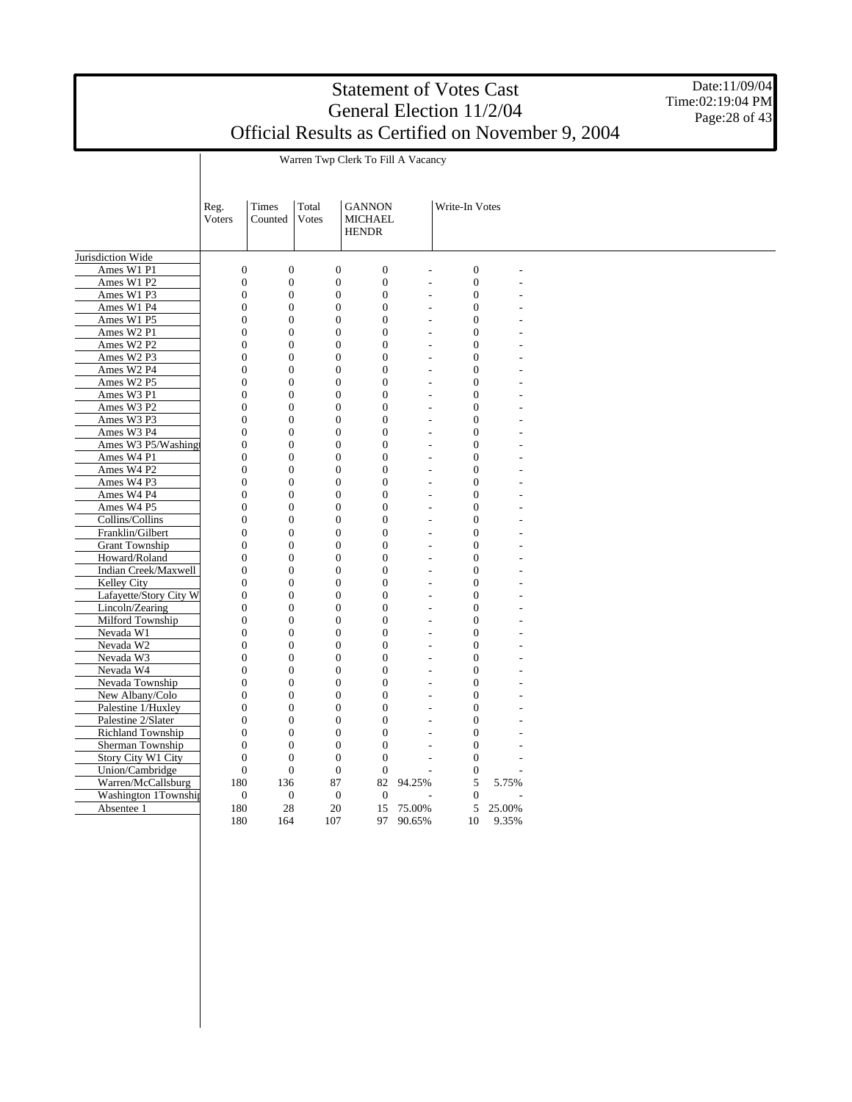Date:11/09/04 Time:02:19:04 PM Page: 28 of 43

|                        | Reg.<br>Voters   | Times<br>Counted | Total<br><b>Votes</b> | <b>GANNON</b><br><b>MICHAEL</b><br><b>HENDR</b> |                          | Write-In Votes   |        |  |
|------------------------|------------------|------------------|-----------------------|-------------------------------------------------|--------------------------|------------------|--------|--|
| Jurisdiction Wide      |                  |                  |                       |                                                 |                          |                  |        |  |
| Ames W1 P1             | $\boldsymbol{0}$ | $\boldsymbol{0}$ | $\overline{0}$        | $\boldsymbol{0}$                                |                          | $\boldsymbol{0}$ |        |  |
| Ames W1 P2             | $\boldsymbol{0}$ | $\overline{0}$   | $\overline{0}$        | $\overline{0}$                                  |                          | $\overline{0}$   |        |  |
| Ames W1 P3             | $\boldsymbol{0}$ | $\boldsymbol{0}$ | $\boldsymbol{0}$      | $\boldsymbol{0}$                                | L,                       | $\boldsymbol{0}$ |        |  |
| Ames W1 P4             | $\boldsymbol{0}$ | $\boldsymbol{0}$ | $\boldsymbol{0}$      | $\boldsymbol{0}$                                | L,                       | $\boldsymbol{0}$ |        |  |
| Ames W1 P5             | $\boldsymbol{0}$ | $\boldsymbol{0}$ | $\overline{0}$        | $\boldsymbol{0}$                                |                          | $\boldsymbol{0}$ |        |  |
| Ames W2 P1             | $\overline{0}$   | $\boldsymbol{0}$ | $\overline{0}$        | $\overline{0}$                                  | L,                       | $\mathbf{0}$     |        |  |
| Ames W2 P2             | $\mathbf{0}$     | $\overline{0}$   | $\overline{0}$        | $\overline{0}$                                  | $\overline{\phantom{a}}$ | $\mathbf{0}$     |        |  |
| Ames W2 P3             | $\overline{0}$   | $\mathbf{0}$     | $\overline{0}$        | $\overline{0}$                                  | $\overline{a}$           | $\mathbf{0}$     |        |  |
| Ames W2 P4             | $\boldsymbol{0}$ | $\boldsymbol{0}$ | $\boldsymbol{0}$      | $\boldsymbol{0}$                                |                          | $\boldsymbol{0}$ |        |  |
| Ames W2 P5             | $\boldsymbol{0}$ | $\boldsymbol{0}$ | $\boldsymbol{0}$      | $\boldsymbol{0}$                                | L,                       | $\boldsymbol{0}$ |        |  |
| Ames W3 P1             | $\boldsymbol{0}$ | $\boldsymbol{0}$ | $\boldsymbol{0}$      | $\boldsymbol{0}$                                | L,                       | $\boldsymbol{0}$ |        |  |
| Ames W3 P2             | $\boldsymbol{0}$ | $\boldsymbol{0}$ | $\overline{0}$        | $\boldsymbol{0}$                                | L                        | $\boldsymbol{0}$ |        |  |
| Ames W3 P3             | $\overline{0}$   | $\overline{0}$   | $\overline{0}$        | $\overline{0}$                                  | $\overline{a}$           | $\overline{0}$   |        |  |
| Ames W3 P4             | $\overline{0}$   | $\overline{0}$   | $\overline{0}$        | $\overline{0}$                                  | $\overline{\phantom{a}}$ | $\mathbf{0}$     |        |  |
| Ames W3 P5/Washing     | $\boldsymbol{0}$ | $\boldsymbol{0}$ | $\theta$              | $\boldsymbol{0}$                                | L,                       | $\boldsymbol{0}$ |        |  |
| Ames W4 P1             | $\boldsymbol{0}$ | $\boldsymbol{0}$ | $\overline{0}$        | $\boldsymbol{0}$                                |                          | $\boldsymbol{0}$ |        |  |
| Ames W4 P2             | $\boldsymbol{0}$ | $\boldsymbol{0}$ | $\boldsymbol{0}$      | $\boldsymbol{0}$                                | L,                       | $\boldsymbol{0}$ |        |  |
| Ames W4 P3             | $\boldsymbol{0}$ | $\boldsymbol{0}$ | $\overline{0}$        | $\boldsymbol{0}$                                | J.                       | $\boldsymbol{0}$ |        |  |
| Ames W4 P4             | $\boldsymbol{0}$ | $\boldsymbol{0}$ | $\overline{0}$        | $\overline{0}$                                  |                          | $\overline{0}$   |        |  |
| Ames W4 P5             | $\overline{0}$   | $\overline{0}$   | $\overline{0}$        | $\overline{0}$                                  | $\overline{a}$           | $\overline{0}$   |        |  |
| Collins/Collins        | $\mathbf{0}$     | $\overline{0}$   | $\overline{0}$        | $\overline{0}$                                  | $\overline{\phantom{a}}$ | $\mathbf{0}$     |        |  |
| Franklin/Gilbert       | $\boldsymbol{0}$ | $\boldsymbol{0}$ | $\overline{0}$        | $\overline{0}$                                  | L,                       | $\overline{0}$   |        |  |
| <b>Grant Township</b>  | $\boldsymbol{0}$ | $\boldsymbol{0}$ | $\overline{0}$        | $\overline{0}$                                  |                          | $\mathbf{0}$     |        |  |
| Howard/Roland          | $\boldsymbol{0}$ | $\boldsymbol{0}$ | $\boldsymbol{0}$      | $\boldsymbol{0}$                                | L,                       | $\boldsymbol{0}$ |        |  |
| Indian Creek/Maxwell   | $\boldsymbol{0}$ | $\boldsymbol{0}$ | $\overline{0}$        | $\boldsymbol{0}$                                | L.                       | $\boldsymbol{0}$ |        |  |
| Kelley City            | $\overline{0}$   | $\boldsymbol{0}$ | $\overline{0}$        | $\overline{0}$                                  |                          | $\overline{0}$   |        |  |
| Lafayette/Story City W | $\overline{0}$   | $\mathbf{0}$     | $\overline{0}$        | $\mathbf{0}$                                    | $\overline{a}$           | $\mathbf{0}$     |        |  |
| Lincoln/Zearing        | $\boldsymbol{0}$ | $\boldsymbol{0}$ | $\boldsymbol{0}$      | $\boldsymbol{0}$                                | ÷.                       | $\boldsymbol{0}$ |        |  |
| Milford Township       | $\boldsymbol{0}$ | $\boldsymbol{0}$ | $\overline{0}$        | $\overline{0}$                                  | L,                       | $\overline{0}$   |        |  |
| Nevada W1              | $\boldsymbol{0}$ | $\boldsymbol{0}$ | $\overline{0}$        | $\overline{0}$                                  |                          | $\mathbf{0}$     |        |  |
| Nevada W2              | $\boldsymbol{0}$ | $\boldsymbol{0}$ | $\boldsymbol{0}$      | $\boldsymbol{0}$                                | L,                       | $\boldsymbol{0}$ |        |  |
| Nevada W3              | $\boldsymbol{0}$ | $\boldsymbol{0}$ | $\overline{0}$        | $\boldsymbol{0}$                                |                          | $\overline{0}$   |        |  |
| Nevada W4              | $\overline{0}$   | $\overline{0}$   | $\overline{0}$        | $\overline{0}$                                  |                          | $\overline{0}$   |        |  |
| Nevada Township        | $\boldsymbol{0}$ | $\boldsymbol{0}$ | $\boldsymbol{0}$      | $\boldsymbol{0}$                                | $\overline{a}$           | $\boldsymbol{0}$ |        |  |
| New Albany/Colo        | $\boldsymbol{0}$ | $\boldsymbol{0}$ | $\boldsymbol{0}$      | $\boldsymbol{0}$                                | $\overline{a}$           | $\boldsymbol{0}$ |        |  |
| Palestine 1/Huxley     | $\boldsymbol{0}$ | $\boldsymbol{0}$ | $\overline{0}$        | $\overline{0}$                                  | L,                       | $\mathbf{0}$     |        |  |
| Palestine 2/Slater     | $\boldsymbol{0}$ | $\overline{0}$   | $\overline{0}$        | $\overline{0}$                                  | $\overline{a}$           | $\mathbf{0}$     |        |  |
| Richland Township      | $\overline{0}$   | $\overline{0}$   | $\overline{0}$        | $\boldsymbol{0}$                                | $\overline{a}$           | $\mathbf{0}$     |        |  |
| Sherman Township       | $\overline{0}$   | $\overline{0}$   | $\overline{0}$        | $\boldsymbol{0}$                                |                          | $\overline{0}$   |        |  |
| Story City W1 City     | $\boldsymbol{0}$ | $\boldsymbol{0}$ | $\boldsymbol{0}$      | $\boldsymbol{0}$                                |                          | $\boldsymbol{0}$ |        |  |
| Union/Cambridge        | $\boldsymbol{0}$ | $\boldsymbol{0}$ | $\boldsymbol{0}$      | $\boldsymbol{0}$                                |                          | $\boldsymbol{0}$ |        |  |
| Warren/McCallsburg     | 180              | 136              | 87                    | 82                                              | 94.25%                   | 5                | 5.75%  |  |
| Washington 1Township   | $\boldsymbol{0}$ | $\boldsymbol{0}$ | $\boldsymbol{0}$      | $\mathbf{0}$                                    |                          | $\overline{0}$   |        |  |
| Absentee 1             | 180              | 28               | 20                    | 15                                              | 75.00%                   | 5                | 25.00% |  |
|                        | 180              | 164              | 107                   | 97                                              | 90.65%                   | 10               | 9.35%  |  |

Warren Twp Clerk To Fill A Vacancy

 $\overline{\phantom{a}}$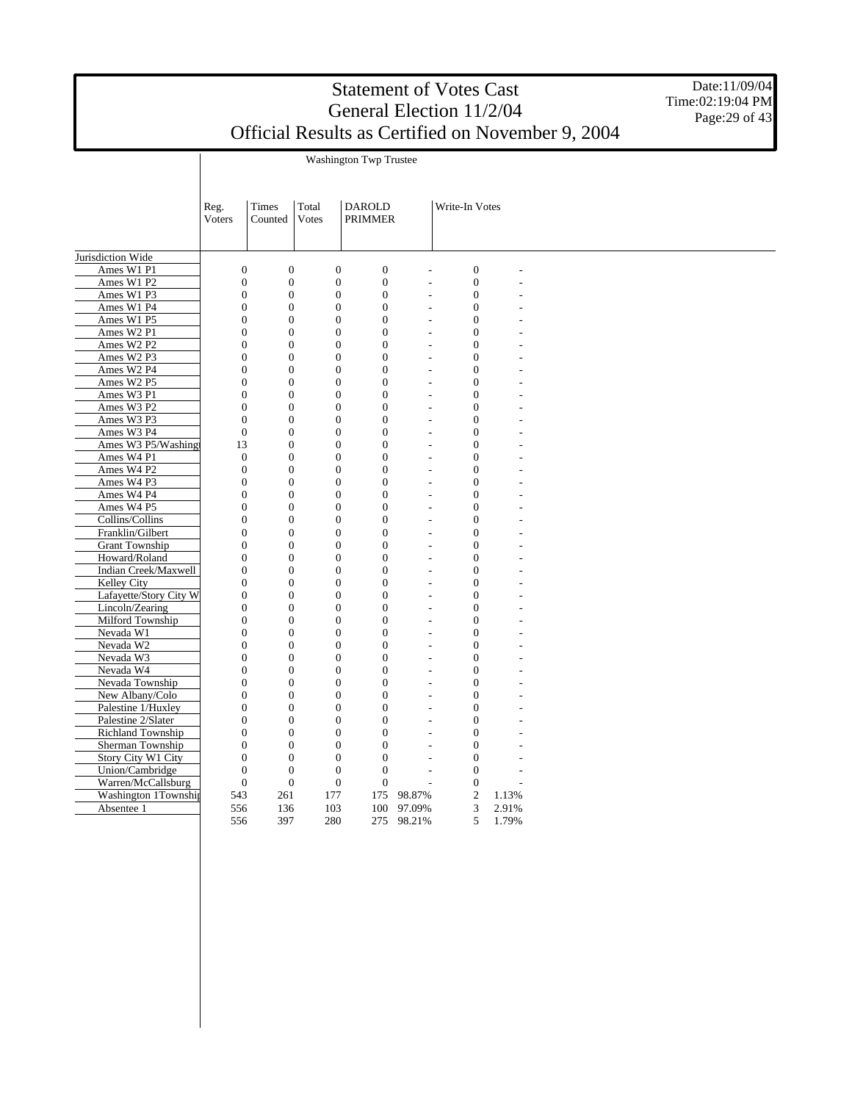Washington Twp Trustee

Date:11/09/04 Time:02:19:04 PM Page: 29 of 43

|                        |                  | Times            | Total            | <b>DAROLD</b>    |                          | Write-In Votes   |       |  |
|------------------------|------------------|------------------|------------------|------------------|--------------------------|------------------|-------|--|
|                        | Reg.<br>Voters   | Counted          | <b>Votes</b>     | <b>PRIMMER</b>   |                          |                  |       |  |
|                        |                  |                  |                  |                  |                          |                  |       |  |
|                        |                  |                  |                  |                  |                          |                  |       |  |
| Jurisdiction Wide      |                  |                  |                  |                  |                          |                  |       |  |
| Ames W1 P1             | $\overline{0}$   | $\boldsymbol{0}$ | $\overline{0}$   | $\overline{0}$   | $\overline{a}$           | $\boldsymbol{0}$ |       |  |
| Ames W1 P2             | $\overline{0}$   | $\boldsymbol{0}$ | $\overline{0}$   | $\boldsymbol{0}$ | $\overline{a}$           | $\mathbf{0}$     |       |  |
| Ames W1 P3             | $\overline{0}$   | $\boldsymbol{0}$ | $\boldsymbol{0}$ | $\overline{0}$   | ÷.                       | $\boldsymbol{0}$ |       |  |
| Ames W1 P4             | $\boldsymbol{0}$ | $\boldsymbol{0}$ | $\boldsymbol{0}$ | $\overline{0}$   | ÷,                       | $\boldsymbol{0}$ |       |  |
| Ames W1 P5             | $\overline{0}$   | $\boldsymbol{0}$ | $\boldsymbol{0}$ | $\boldsymbol{0}$ | $\overline{a}$           | $\overline{0}$   |       |  |
| Ames W2 P1             | $\overline{0}$   | $\boldsymbol{0}$ | $\boldsymbol{0}$ | $\boldsymbol{0}$ | $\overline{a}$           | $\mathbf{0}$     |       |  |
| Ames W2 P2             | $\overline{0}$   | $\boldsymbol{0}$ | $\boldsymbol{0}$ | $\overline{0}$   | $\overline{a}$           | $\overline{0}$   |       |  |
| Ames W2 P3             | $\boldsymbol{0}$ | $\boldsymbol{0}$ | $\boldsymbol{0}$ | $\boldsymbol{0}$ | ÷,                       | $\mathbf{0}$     |       |  |
| Ames W2 P4             | $\overline{0}$   | $\boldsymbol{0}$ | $\overline{0}$   | $\overline{0}$   | $\overline{a}$           | $\overline{0}$   |       |  |
| Ames W2 P5             | $\overline{0}$   | $\boldsymbol{0}$ | $\boldsymbol{0}$ | $\overline{0}$   | $\overline{a}$           | $\overline{0}$   |       |  |
| Ames W3 P1             | $\boldsymbol{0}$ | $\boldsymbol{0}$ | $\boldsymbol{0}$ | $\boldsymbol{0}$ | $\overline{a}$           | $\boldsymbol{0}$ |       |  |
| Ames W3 P2             | $\boldsymbol{0}$ | $\boldsymbol{0}$ | $\boldsymbol{0}$ | $\boldsymbol{0}$ | L,                       | $\boldsymbol{0}$ |       |  |
| Ames W3 P3             | $\overline{0}$   | $\boldsymbol{0}$ | $\boldsymbol{0}$ | $\boldsymbol{0}$ | $\overline{a}$           | $\mathbf{0}$     |       |  |
| Ames W3 P4             | $\overline{0}$   | $\boldsymbol{0}$ | $\boldsymbol{0}$ | $\boldsymbol{0}$ | $\overline{a}$           | $\overline{0}$   |       |  |
| Ames W3 P5/Washing     | 13               | $\boldsymbol{0}$ | $\boldsymbol{0}$ | $\boldsymbol{0}$ | L.                       | $\boldsymbol{0}$ |       |  |
| Ames W4 P1             | $\mathbf{0}$     | $\boldsymbol{0}$ | $\boldsymbol{0}$ | $\boldsymbol{0}$ | $\overline{\phantom{a}}$ | $\overline{0}$   |       |  |
| Ames W4 P2             | $\boldsymbol{0}$ | $\boldsymbol{0}$ | $\boldsymbol{0}$ | $\boldsymbol{0}$ | L,                       | $\Omega$         |       |  |
| Ames W4 P3             | $\overline{0}$   | $\overline{0}$   | $\overline{0}$   | $\overline{0}$   | $\overline{a}$           | $\Omega$         |       |  |
| Ames W4 P4             | $\overline{0}$   | $\overline{0}$   | $\overline{0}$   | $\overline{0}$   | L,                       | $\mathbf{0}$     |       |  |
| Ames W4 P5             | $\overline{0}$   | $\overline{0}$   | $\overline{0}$   | $\overline{0}$   | ÷,                       | $\overline{0}$   |       |  |
| Collins/Collins        | $\overline{0}$   | $\overline{0}$   | $\boldsymbol{0}$ | $\overline{0}$   | L.                       | $\Omega$         |       |  |
| Franklin/Gilbert       | $\overline{0}$   | $\boldsymbol{0}$ | $\overline{0}$   | $\overline{0}$   | L,                       | $\mathbf{0}$     |       |  |
| <b>Grant Township</b>  | $\overline{0}$   | $\overline{0}$   | $\overline{0}$   | $\overline{0}$   | $\overline{a}$           | $\overline{0}$   |       |  |
| Howard/Roland          | $\overline{0}$   | $\overline{0}$   | $\overline{0}$   | $\overline{0}$   | ÷,                       | $\overline{0}$   |       |  |
| Indian Creek/Maxwell   | $\overline{0}$   | $\overline{0}$   | $\overline{0}$   | $\overline{0}$   | $\overline{\phantom{a}}$ | $\Omega$         |       |  |
| Kelley City            | $\overline{0}$   | $\overline{0}$   | $\overline{0}$   | $\overline{0}$   | ÷,                       | $\overline{0}$   |       |  |
| Lafayette/Story City W | $\overline{0}$   | $\overline{0}$   | $\overline{0}$   | $\overline{0}$   | $\overline{a}$           | $\overline{0}$   |       |  |
| Lincoln/Zearing        | $\overline{0}$   | $\boldsymbol{0}$ | $\boldsymbol{0}$ | $\overline{0}$   | $\overline{a}$           | $\overline{0}$   |       |  |
| Milford Township       | $\boldsymbol{0}$ | $\boldsymbol{0}$ | $\boldsymbol{0}$ | $\overline{0}$   | ÷,                       | $\mathbf{0}$     |       |  |
| Nevada W1              | $\overline{0}$   | $\boldsymbol{0}$ | $\boldsymbol{0}$ | $\boldsymbol{0}$ | $\overline{a}$           | $\overline{0}$   |       |  |
| Nevada W2              | $\overline{0}$   | $\boldsymbol{0}$ | $\boldsymbol{0}$ | $\boldsymbol{0}$ | $\overline{a}$           | $\overline{0}$   |       |  |
| Nevada W3              | $\overline{0}$   | $\boldsymbol{0}$ | $\boldsymbol{0}$ | $\overline{0}$   | $\overline{a}$           | $\overline{0}$   |       |  |
| Nevada W4              | $\boldsymbol{0}$ | $\boldsymbol{0}$ | $\boldsymbol{0}$ | $\overline{0}$   | ÷,                       | $\overline{0}$   |       |  |
| Nevada Township        | $\overline{0}$   | $\boldsymbol{0}$ | $\overline{0}$   | $\overline{0}$   | $\overline{a}$           | $\overline{0}$   |       |  |
| New Albany/Colo        | $\overline{0}$   | $\boldsymbol{0}$ | $\boldsymbol{0}$ | $\overline{0}$   | $\overline{a}$           | $\overline{0}$   |       |  |
| Palestine 1/Huxley     | $\boldsymbol{0}$ | $\boldsymbol{0}$ | $\boldsymbol{0}$ | $\boldsymbol{0}$ | L,                       | $\boldsymbol{0}$ |       |  |
| Palestine 2/Slater     | $\boldsymbol{0}$ | $\boldsymbol{0}$ | $\boldsymbol{0}$ | $\boldsymbol{0}$ | L,                       | $\boldsymbol{0}$ |       |  |
| Richland Township      | $\boldsymbol{0}$ | $\boldsymbol{0}$ | $\boldsymbol{0}$ | $\boldsymbol{0}$ | L,                       | $\mathbf{0}$     |       |  |
| Sherman Township       | $\overline{0}$   | $\boldsymbol{0}$ | $\boldsymbol{0}$ | $\boldsymbol{0}$ |                          | $\overline{0}$   |       |  |
| Story City W1 City     | $\boldsymbol{0}$ | $\boldsymbol{0}$ | $\boldsymbol{0}$ | $\boldsymbol{0}$ | L.                       | $\boldsymbol{0}$ |       |  |
| Union/Cambridge        | $\boldsymbol{0}$ | $\boldsymbol{0}$ | $\boldsymbol{0}$ | $\boldsymbol{0}$ | $\overline{\phantom{a}}$ | $\overline{0}$   |       |  |
| Warren/McCallsburg     | $\boldsymbol{0}$ | $\mathbf{0}$     | $\boldsymbol{0}$ | $\boldsymbol{0}$ | $\overline{a}$           | $\Omega$         |       |  |
| Washington 1Township   | 543              | 261              | 177              | 175              | 98.87%                   | $\boldsymbol{2}$ | 1.13% |  |
| Absentee 1             | 556              | 136              | 103              | 100              | 97.09%                   | 3                | 2.91% |  |
|                        | 556              | 397              | 280              |                  | 275 98.21%               | 5                | 1.79% |  |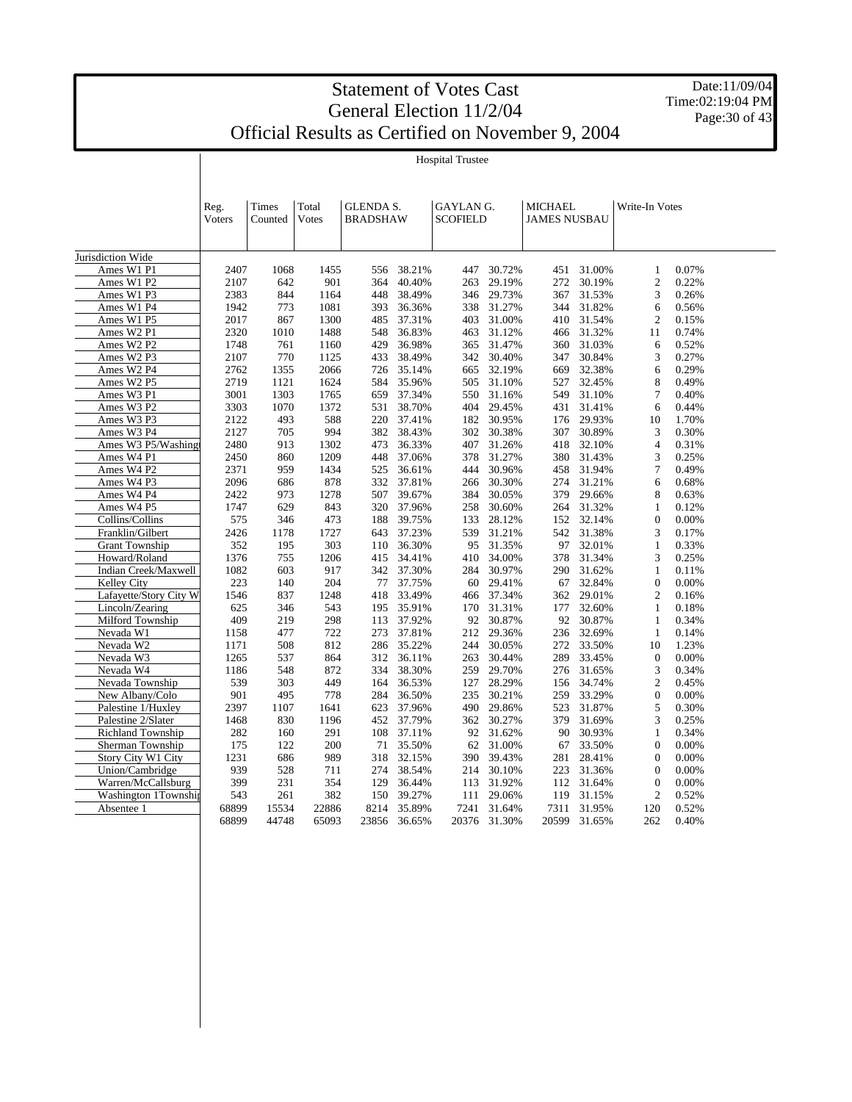Date:11/09/04 Time:02:19:04 PM Page: 30 of 43

Hospital Trustee

|                        | Reg.<br>Voters | Times<br>Counted | Total<br><b>V</b> otes | <b>GLENDA S.</b><br><b>BRADSHAW</b> |        | GAYLAN G.<br><b>SCOFIELD</b> |        | <b>MICHAEL</b><br><b>JAMES NUSBAU</b> |        | Write-In Votes   |       |  |
|------------------------|----------------|------------------|------------------------|-------------------------------------|--------|------------------------------|--------|---------------------------------------|--------|------------------|-------|--|
| Jurisdiction Wide      |                |                  |                        |                                     |        |                              |        |                                       |        |                  |       |  |
| Ames W1 P1             | 2407           | 1068             | 1455                   | 556                                 | 38.21% | 447                          | 30.72% | 451                                   | 31.00% | 1                | 0.07% |  |
| Ames W1 P2             | 2107           | 642              | 901                    | 364                                 | 40.40% | 263                          | 29.19% | 272                                   | 30.19% | $\mathbf{2}$     | 0.22% |  |
| Ames W1 P3             | 2383           | 844              | 1164                   | 448                                 | 38.49% | 346                          | 29.73% | 367                                   | 31.53% | 3                | 0.26% |  |
| Ames W1 P4             | 1942           | 773              | 1081                   | 393                                 | 36.36% | 338                          | 31.27% | 344                                   | 31.82% | 6                | 0.56% |  |
| Ames W1 P5             | 2017           | 867              | 1300                   | 485                                 | 37.31% | 403                          | 31.00% | 410                                   | 31.54% | $\overline{2}$   | 0.15% |  |
| Ames W2 P1             | 2320           | 1010             | 1488                   | 548                                 | 36.83% | 463                          | 31.12% | 466                                   | 31.32% | 11               | 0.74% |  |
| Ames W2 P2             | 1748           | 761              | 1160                   | 429                                 | 36.98% | 365                          | 31.47% | 360                                   | 31.03% | 6                | 0.52% |  |
| Ames W2 P3             | 2107           | 770              | 1125                   | 433                                 | 38.49% | 342                          | 30.40% | 347                                   | 30.84% | 3                | 0.27% |  |
| Ames W2 P4             | 2762           | 1355             | 2066                   | 726                                 | 35.14% | 665                          | 32.19% | 669                                   | 32.38% | 6                | 0.29% |  |
| Ames W2 P5             | 2719           | 1121             | 1624                   | 584                                 | 35.96% | 505                          | 31.10% | 527                                   | 32.45% | 8                | 0.49% |  |
| Ames W3 P1             | 3001           | 1303             | 1765                   | 659                                 | 37.34% | 550                          | 31.16% | 549                                   | 31.10% | 7                | 0.40% |  |
| Ames W3 P2             | 3303           | 1070             | 1372                   | 531                                 | 38.70% | 404                          | 29.45% | 431                                   | 31.41% | 6                | 0.44% |  |
| Ames W3 P3             | 2122           | 493              | 588                    | 220                                 | 37.41% | 182                          | 30.95% | 176                                   | 29.93% | 10               | 1.70% |  |
| Ames W3 P4             | 2127           | 705              | 994                    | 382                                 | 38.43% | 302                          | 30.38% | 307                                   | 30.89% | 3                | 0.30% |  |
| Ames W3 P5/Washingt    | 2480           | 913              | 1302                   | 473                                 | 36.33% | 407                          | 31.26% | 418                                   | 32.10% | 4                | 0.31% |  |
| Ames W4 P1             | 2450           | 860              | 1209                   | 448                                 | 37.06% | 378                          | 31.27% | 380                                   | 31.43% | 3                | 0.25% |  |
| Ames W4 P2             | 2371           | 959              | 1434                   | 525                                 | 36.61% | 444                          | 30.96% | 458                                   | 31.94% | 7                | 0.49% |  |
| Ames W4 P3             | 2096           | 686              | 878                    | 332                                 | 37.81% | 266                          | 30.30% | 274                                   | 31.21% | 6                | 0.68% |  |
| Ames W4 P4             | 2422           | 973              | 1278                   | 507                                 | 39.67% | 384                          | 30.05% | 379                                   | 29.66% | 8                | 0.63% |  |
| Ames W4 P5             | 1747           | 629              | 843                    | 320                                 | 37.96% | 258                          | 30.60% | 264                                   | 31.32% | 1                | 0.12% |  |
| Collins/Collins        | 575            | 346              | 473                    | 188                                 | 39.75% | 133                          | 28.12% | 152                                   | 32.14% | $\boldsymbol{0}$ | 0.00% |  |
| Franklin/Gilbert       | 2426           | 1178             | 1727                   | 643                                 | 37.23% | 539                          | 31.21% | 542                                   | 31.38% | 3                | 0.17% |  |
| <b>Grant Township</b>  | 352            | 195              | 303                    | 110                                 | 36.30% | 95                           | 31.35% | 97                                    | 32.01% | $\mathbf{1}$     | 0.33% |  |
| Howard/Roland          | 1376           | 755              | 1206                   | 415                                 | 34.41% | 410                          | 34.00% | 378                                   | 31.34% | 3                | 0.25% |  |
| Indian Creek/Maxwell   | 1082           | 603              | 917                    | 342                                 | 37.30% | 284                          | 30.97% | 290                                   | 31.62% | $\mathbf{1}$     | 0.11% |  |
| <b>Kelley City</b>     | 223            | 140              | 204                    | 77                                  | 37.75% | 60                           | 29.41% | 67                                    | 32.84% | $\overline{0}$   | 0.00% |  |
| Lafayette/Story City W | 1546           | 837              | 1248                   | 418                                 | 33.49% | 466                          | 37.34% | 362                                   | 29.01% | $\overline{2}$   | 0.16% |  |
| Lincoln/Zearing        | 625            | 346              | 543                    | 195                                 | 35.91% | 170                          | 31.31% | 177                                   | 32.60% | $\mathbf{1}$     | 0.18% |  |
| Milford Township       | 409            | 219              | 298                    | 113                                 | 37.92% | 92                           | 30.87% | 92                                    | 30.87% | 1                | 0.34% |  |
| Nevada W1              | 1158           | 477              | 722                    | 273                                 | 37.81% | 212                          | 29.36% | 236                                   | 32.69% | $\mathbf{1}$     | 0.14% |  |
| Nevada W2              | 1171           | 508              | 812                    | 286                                 | 35.22% | 244                          | 30.05% | 272                                   | 33.50% | 10               | 1.23% |  |
| Nevada W3              | 1265           | 537              | 864                    | 312                                 | 36.11% | 263                          | 30.44% | 289                                   | 33.45% | $\mathbf{0}$     | 0.00% |  |
| Nevada W4              | 1186           | 548              | 872                    | 334                                 | 38.30% | 259                          | 29.70% | 276                                   | 31.65% | 3                | 0.34% |  |
| Nevada Township        | 539            | 303              | 449                    | 164                                 | 36.53% | 127                          | 28.29% | 156                                   | 34.74% | $\overline{c}$   | 0.45% |  |
| New Albany/Colo        | 901            | 495              | 778                    | 284                                 | 36.50% | 235                          | 30.21% | 259                                   | 33.29% | $\boldsymbol{0}$ | 0.00% |  |
| Palestine 1/Huxley     | 2397           | 1107             | 1641                   | 623                                 | 37.96% | 490                          | 29.86% | 523                                   | 31.87% | 5                | 0.30% |  |
| Palestine 2/Slater     | 1468           | 830              | 1196                   | 452                                 | 37.79% | 362                          | 30.27% | 379                                   | 31.69% | 3                | 0.25% |  |
| Richland Township      | 282            | 160              | 291                    | 108                                 | 37.11% | 92                           | 31.62% | 90                                    | 30.93% | $\mathbf{1}$     | 0.34% |  |
| Sherman Township       | 175            | 122              | 200                    | 71                                  | 35.50% | 62                           | 31.00% | 67                                    | 33.50% | $\overline{0}$   | 0.00% |  |
| Story City W1 City     | 1231           | 686              | 989                    | 318                                 | 32.15% | 390                          | 39.43% | 281                                   | 28.41% | $\overline{0}$   | 0.00% |  |
| Union/Cambridge        | 939            | 528              | 711                    | 274                                 | 38.54% | 214                          | 30.10% | 223                                   | 31.36% | $\mathbf{0}$     | 0.00% |  |
| Warren/McCallsburg     | 399            | 231              | 354                    | 129                                 | 36.44% | 113                          | 31.92% | 112                                   | 31.64% | $\overline{0}$   | 0.00% |  |
| Washington 1Township   | 543            | 261              | 382                    | 150                                 | 39.27% | 111                          | 29.06% | 119                                   | 31.15% | $\overline{c}$   | 0.52% |  |
| Absentee 1             | 68899          | 15534            | 22886                  | 8214                                | 35.89% | 7241                         | 31.64% | 7311                                  | 31.95% | 120              | 0.52% |  |
|                        | 68899          | 44748            | 65093                  | 23856                               | 36.65% | 20376                        | 31.30% | 20599                                 | 31.65% | 262              | 0.40% |  |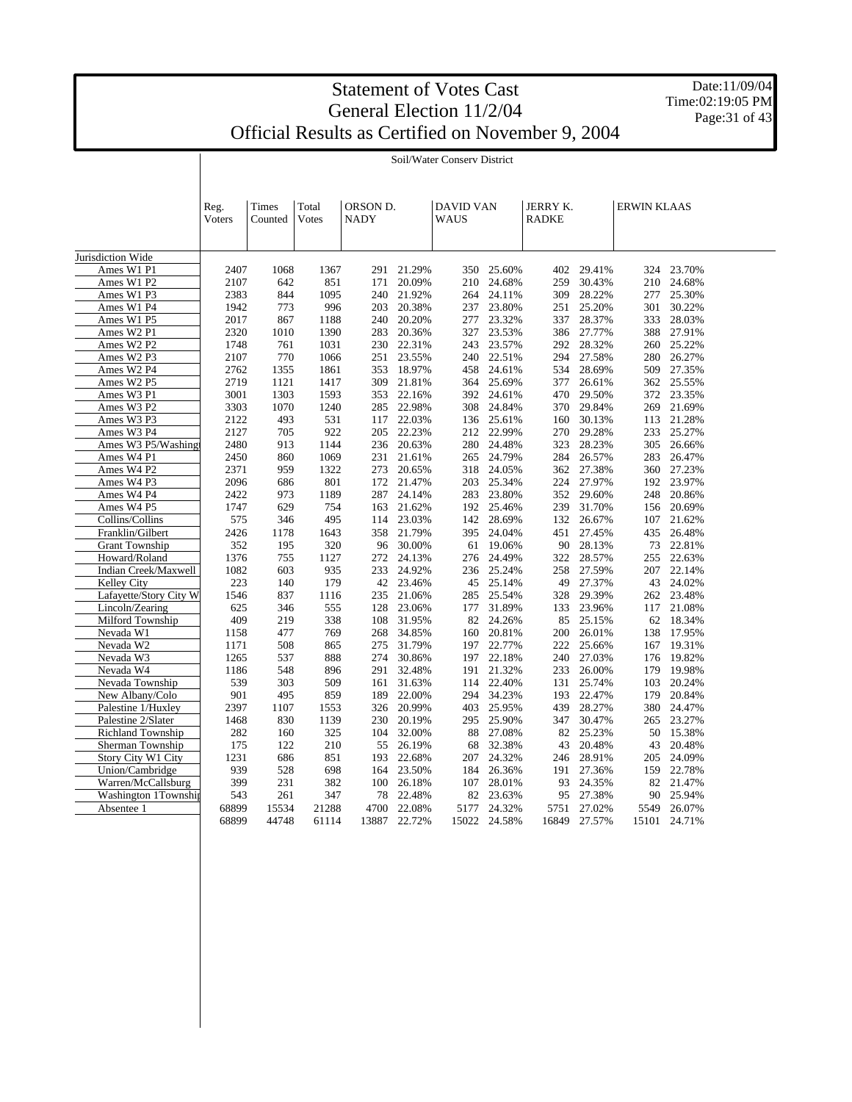Date:11/09/04 Time:02:19:05 PM Page: 31 of 43

|                        | Reg.<br><b>Voters</b> | Times<br>Counted | Total<br>Votes | ORSON D.<br>NADY |        | <b>DAVID VAN</b><br>WAUS |        | JERRY K.<br><b>RADKE</b> |        | <b>ERWIN KLAAS</b> |        |  |
|------------------------|-----------------------|------------------|----------------|------------------|--------|--------------------------|--------|--------------------------|--------|--------------------|--------|--|
| Jurisdiction Wide      |                       |                  |                |                  |        |                          |        |                          |        |                    |        |  |
| Ames W1 P1             | 2407                  | 1068             | 1367           | 291              | 21.29% | 350                      | 25.60% | 402                      | 29.41% | 324                | 23.70% |  |
| Ames W1 P2             | 2107                  | 642              | 851            | 171              | 20.09% | 210                      | 24.68% | 259                      | 30.43% | 210                | 24.68% |  |
| Ames W1 P3             | 2383                  | 844              | 1095           | 240              | 21.92% | 264                      | 24.11% | 309                      | 28.22% | 277                | 25.30% |  |
| Ames W1 P4             | 1942                  | 773              | 996            | 203              | 20.38% | 237                      | 23.80% | 251                      | 25.20% | 301                | 30.22% |  |
| Ames W1 P5             | 2017                  | 867              | 1188           | 240              | 20.20% | 277                      | 23.32% | 337                      | 28.37% | 333                | 28.03% |  |
| Ames W2 P1             | 2320                  | 1010             | 1390           | 283              | 20.36% | 327                      | 23.53% | 386                      | 27.77% | 388                | 27.91% |  |
| Ames W2 P2             | 1748                  | 761              | 1031           | 230              | 22.31% | 243                      | 23.57% | 292                      | 28.32% | 260                | 25.22% |  |
| Ames W2 P3             | 2107                  | 770              | 1066           | 251              | 23.55% | 240                      | 22.51% | 294                      | 27.58% | 280                | 26.27% |  |
| Ames W2 P4             | 2762                  | 1355             | 1861           | 353              | 18.97% | 458                      | 24.61% | 534                      | 28.69% | 509                | 27.35% |  |
| Ames W2 P5             | 2719                  | 1121             | 1417           | 309              | 21.81% | 364                      | 25.69% | 377                      | 26.61% | 362                | 25.55% |  |
| Ames W3 P1             | 3001                  | 1303             | 1593           | 353              | 22.16% | 392                      | 24.61% | 470                      | 29.50% | 372                | 23.35% |  |
| Ames W3 P2             | 3303                  | 1070             | 1240           | 285              | 22.98% | 308                      | 24.84% | 370                      | 29.84% | 269                | 21.69% |  |
| Ames W3 P3             | 2122                  | 493              | 531            | 117              | 22.03% | 136                      | 25.61% | 160                      | 30.13% | 113                | 21.28% |  |
| Ames W3 P4             | 2127                  | 705              | 922            | 205              | 22.23% | 212                      | 22.99% | 270                      | 29.28% | 233                | 25.27% |  |
| Ames W3 P5/Washing     | 2480                  | 913              | 1144           | 236              | 20.63% | 280                      | 24.48% | 323                      | 28.23% | 305                | 26.66% |  |
| Ames W4 P1             | 2450                  | 860              | 1069           | 231              | 21.61% | 265                      | 24.79% | 284                      | 26.57% | 283                | 26.47% |  |
| Ames W4 P2             | 2371                  | 959              | 1322           | 273              | 20.65% | 318                      | 24.05% | 362                      | 27.38% | 360                | 27.23% |  |
| Ames W4 P3             | 2096                  | 686              | 801            | 172              | 21.47% | 203                      | 25.34% | 224                      | 27.97% | 192                | 23.97% |  |
| Ames W4 P4             | 2422                  | 973              | 1189           | 287              | 24.14% | 283                      | 23.80% | 352                      | 29.60% | 248                | 20.86% |  |
| Ames W4 P5             | 1747                  | 629              | 754            | 163              | 21.62% | 192                      | 25.46% | 239                      | 31.70% | 156                | 20.69% |  |
| Collins/Collins        | 575                   | 346              | 495            | 114              | 23.03% | 142                      | 28.69% | 132                      | 26.67% | 107                | 21.62% |  |
| Franklin/Gilbert       | 2426                  | 1178             | 1643           | 358              | 21.79% | 395                      | 24.04% | 451                      | 27.45% | 435                | 26.48% |  |
| <b>Grant Township</b>  | 352                   | 195              | 320            | 96               | 30.00% | 61                       | 19.06% | 90                       | 28.13% | 73                 | 22.81% |  |
| Howard/Roland          | 1376                  | 755              | 1127           | 272              | 24.13% | 276                      | 24.49% | 322                      | 28.57% | 255                | 22.63% |  |
| Indian Creek/Maxwell   | 1082                  | 603              | 935            | 233              | 24.92% | 236                      | 25.24% | 258                      | 27.59% | 207                | 22.14% |  |
| Kelley City            | 223                   | 140              | 179            | 42               | 23.46% | 45                       | 25.14% | 49                       | 27.37% | 43                 | 24.02% |  |
| Lafayette/Story City W | 1546                  | 837              | 1116           | 235              | 21.06% | 285                      | 25.54% | 328                      | 29.39% | 262                | 23.48% |  |
| Lincoln/Zearing        | 625                   | 346              | 555            | 128              | 23.06% | 177                      | 31.89% | 133                      | 23.96% | 117                | 21.08% |  |
| Milford Township       | 409                   | 219              | 338            | 108              | 31.95% | 82                       | 24.26% | 85                       | 25.15% | 62                 | 18.34% |  |
| Nevada W1              | 1158                  | 477              | 769            | 268              | 34.85% | 160                      | 20.81% | 200                      | 26.01% | 138                | 17.95% |  |
| Nevada W2              | 1171                  | 508              | 865            | 275              | 31.79% | 197                      | 22.77% | 222                      | 25.66% | 167                | 19.31% |  |
| Nevada W3              | 1265                  | 537              | 888            | 274              | 30.86% | 197                      | 22.18% | 240                      | 27.03% | 176                | 19.82% |  |
| Nevada W4              | 1186                  | 548              | 896            | 291              | 32.48% | 191                      | 21.32% | 233                      | 26.00% | 179                | 19.98% |  |
| Nevada Township        | 539                   | 303              | 509            | 161              | 31.63% | 114                      | 22.40% | 131                      | 25.74% | 103                | 20.24% |  |
| New Albany/Colo        | 901                   | 495              | 859            | 189              | 22.00% | 294                      | 34.23% | 193                      | 22.47% | 179                | 20.84% |  |
| Palestine 1/Huxley     | 2397                  | 1107             | 1553           | 326              | 20.99% | 403                      | 25.95% | 439                      | 28.27% | 380                | 24.47% |  |
| Palestine 2/Slater     | 1468                  | 830              | 1139           | 230              | 20.19% | 295                      | 25.90% | 347                      | 30.47% | 265                | 23.27% |  |
| Richland Township      | 282                   | 160              | 325            | 104              | 32.00% | 88                       | 27.08% | 82                       | 25.23% | 50                 | 15.38% |  |
| Sherman Township       | 175                   | 122              | 210            | 55               | 26.19% | 68                       | 32.38% | 43                       | 20.48% | 43                 | 20.48% |  |
| Story City W1 City     | 1231                  | 686              | 851            | 193              | 22.68% | 207                      | 24.32% | 246                      | 28.91% | 205                | 24.09% |  |
| Union/Cambridge        | 939                   | 528              | 698            | 164              | 23.50% | 184                      | 26.36% | 191                      | 27.36% | 159                | 22.78% |  |
| Warren/McCallsburg     | 399                   | 231              | 382            | 100              | 26.18% | 107                      | 28.01% | 93                       | 24.35% | 82                 | 21.47% |  |
| Washington 1Township   | 543                   | 261              | 347            | 78               | 22.48% | 82                       | 23.63% | 95                       | 27.38% | 90                 | 25.94% |  |
| Absentee 1             | 68899                 | 15534            | 21288          | 4700             | 22.08% | 5177                     | 24.32% | 5751                     | 27.02% | 5549               | 26.07% |  |
|                        | 68899                 | 44748            | 61114          | 13887            | 22.72% | 15022                    | 24.58% | 16849                    | 27.57% | 15101              | 24.71% |  |

Soil/Water Conserv District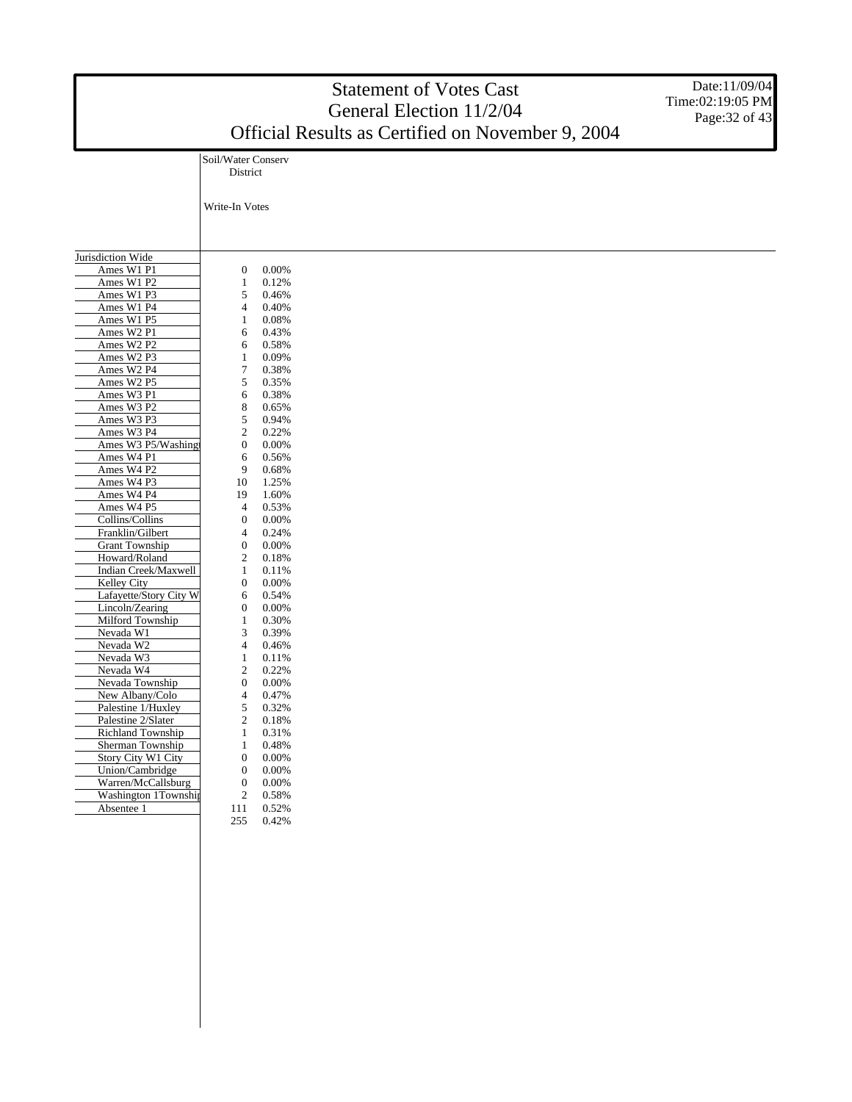|                                         |                                  |                | <b>Statement of Votes Cast</b><br>General Election 11/2/04<br>Official Results as Certified on November 9, 2004 | Date:11/09/04<br>Time:02:19:05 PM<br>Page: 32 of 43 |
|-----------------------------------------|----------------------------------|----------------|-----------------------------------------------------------------------------------------------------------------|-----------------------------------------------------|
|                                         | Soil/Water Conserv               |                |                                                                                                                 |                                                     |
|                                         | District                         |                |                                                                                                                 |                                                     |
|                                         |                                  |                |                                                                                                                 |                                                     |
|                                         | Write-In Votes                   |                |                                                                                                                 |                                                     |
|                                         |                                  |                |                                                                                                                 |                                                     |
|                                         |                                  |                |                                                                                                                 |                                                     |
|                                         |                                  |                |                                                                                                                 |                                                     |
| Jurisdiction Wide                       |                                  |                |                                                                                                                 |                                                     |
| Ames W1 P1<br>Ames W1 P2                | 0<br>1                           | 0.00%<br>0.12% |                                                                                                                 |                                                     |
| Ames W1 P3                              | 5                                | 0.46%          |                                                                                                                 |                                                     |
| Ames W1 P4                              | 4                                | 0.40%          |                                                                                                                 |                                                     |
| Ames W1 P5                              | 1                                | 0.08%          |                                                                                                                 |                                                     |
| Ames W2 P1                              | 6                                | 0.43%          |                                                                                                                 |                                                     |
| Ames W2 P2                              | 6                                | 0.58%          |                                                                                                                 |                                                     |
| Ames W2 P3                              | 1                                | 0.09%          |                                                                                                                 |                                                     |
| Ames W2 P4                              | 7                                | 0.38%          |                                                                                                                 |                                                     |
| Ames W2 P5                              | 5                                | 0.35%          |                                                                                                                 |                                                     |
| Ames W3 P1                              | 6                                | 0.38%          |                                                                                                                 |                                                     |
| Ames W3 P2<br>Ames W3 P3                | 8<br>5                           | 0.65%<br>0.94% |                                                                                                                 |                                                     |
| Ames W3 P4                              | $\boldsymbol{2}$                 | 0.22%          |                                                                                                                 |                                                     |
| Ames W3 P5/Washingt                     | $\boldsymbol{0}$                 | 0.00%          |                                                                                                                 |                                                     |
| Ames W4 P1                              | 6                                | 0.56%          |                                                                                                                 |                                                     |
| Ames W4 P2                              | 9                                | 0.68%          |                                                                                                                 |                                                     |
| Ames W4 P3                              | 10                               | 1.25%          |                                                                                                                 |                                                     |
| Ames W4 P4                              | 19                               | 1.60%          |                                                                                                                 |                                                     |
| Ames W4 P5                              | 4                                | 0.53%          |                                                                                                                 |                                                     |
| Collins/Collins                         | $\boldsymbol{0}$                 | 0.00%          |                                                                                                                 |                                                     |
| Franklin/Gilbert                        | 4                                | 0.24%          |                                                                                                                 |                                                     |
| <b>Grant Township</b>                   | $\boldsymbol{0}$                 | 0.00%          |                                                                                                                 |                                                     |
| Howard/Roland                           | 2                                | 0.18%          |                                                                                                                 |                                                     |
| Indian Creek/Maxwell                    | $\mathbf{1}$<br>$\boldsymbol{0}$ | 0.11%          |                                                                                                                 |                                                     |
| Kelley City<br>Lafayette/Story City W   | 6                                | 0.00%<br>0.54% |                                                                                                                 |                                                     |
| Lincoln/Zearing                         | $\boldsymbol{0}$                 | 0.00%          |                                                                                                                 |                                                     |
| Milford Township                        | 1                                | 0.30%          |                                                                                                                 |                                                     |
| Nevada W1                               | 3                                | 0.39%          |                                                                                                                 |                                                     |
| Nevada W2                               | 4                                | 0.46%          |                                                                                                                 |                                                     |
| Nevada W3                               | 1                                | 0.11%          |                                                                                                                 |                                                     |
| Nevada W4                               | 2                                | 0.22%          |                                                                                                                 |                                                     |
| Nevada Township                         | $\boldsymbol{0}$                 | 0.00%          |                                                                                                                 |                                                     |
| New Albany/Colo                         | 4                                | 0.47%          |                                                                                                                 |                                                     |
| Palestine 1/Huxley                      | 5                                | 0.32%          |                                                                                                                 |                                                     |
| Palestine 2/Slater<br>Richland Township | $\sqrt{2}$<br>$\mathbf{1}$       | 0.18%<br>0.31% |                                                                                                                 |                                                     |
| Sherman Township                        | $\mathbf{1}$                     | 0.48%          |                                                                                                                 |                                                     |
| Story City W1 City                      | $\boldsymbol{0}$                 | $0.00\%$       |                                                                                                                 |                                                     |
| Union/Cambridge                         | $\mathbf{0}$                     | 0.00%          |                                                                                                                 |                                                     |
| Warren/McCallsburg                      | $\boldsymbol{0}$                 | $0.00\%$       |                                                                                                                 |                                                     |
| Washington 1Township                    | $\boldsymbol{2}$                 | 0.58%          |                                                                                                                 |                                                     |
| Absentee 1                              | 111                              | 0.52%          |                                                                                                                 |                                                     |
|                                         | 255                              | 0.42%          |                                                                                                                 |                                                     |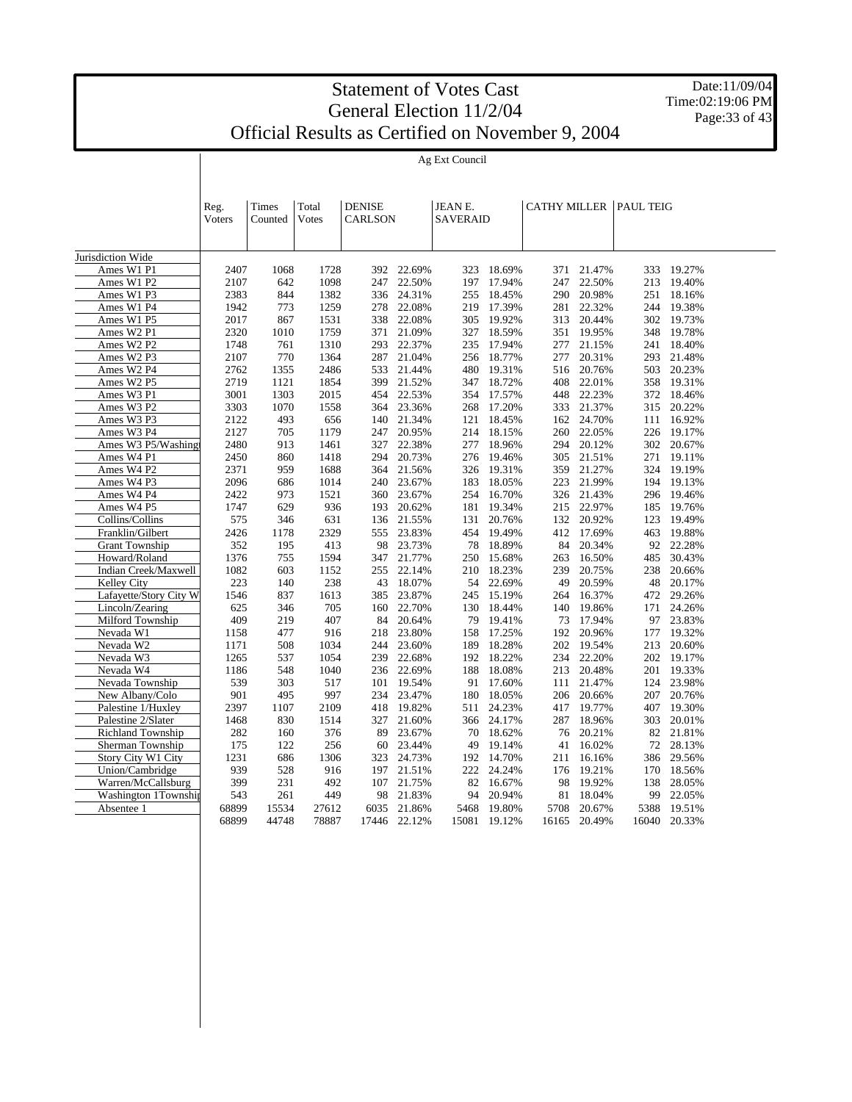Date:11/09/04 Time:02:19:06 PM Page: 33 of 43

Ag Ext Council

|                          | Reg.<br><b>V</b> oters | Times<br>Counted | Total<br><b>Votes</b> | <b>DENISE</b><br><b>CARLSON</b> |        | JEAN E.<br>SAVERAID |        |       |        | <b>CATHY MILLER PAUL TEIG</b> |        |  |
|--------------------------|------------------------|------------------|-----------------------|---------------------------------|--------|---------------------|--------|-------|--------|-------------------------------|--------|--|
| Jurisdiction Wide        |                        |                  |                       |                                 |        |                     |        |       |        |                               |        |  |
| Ames W1 P1               | 2407                   | 1068             | 1728                  | 392                             | 22.69% | 323                 | 18.69% | 371   | 21.47% | 333                           | 19.27% |  |
| Ames W1 P2               | 2107                   | 642              | 1098                  | 247                             | 22.50% | 197                 | 17.94% | 247   | 22.50% | 213                           | 19.40% |  |
| Ames W1 P3               | 2383                   | 844              | 1382                  | 336                             | 24.31% | 255                 | 18.45% | 290   | 20.98% | 251                           | 18.16% |  |
|                          | 1942                   | 773              | 1259                  | 278                             | 22.08% | 219                 | 17.39% | 281   | 22.32% | 244                           | 19.38% |  |
| Ames W1 P4               |                        |                  |                       |                                 |        |                     |        |       |        |                               |        |  |
| Ames W1 P5               | 2017                   | 867              | 1531                  | 338                             | 22.08% | 305                 | 19.92% | 313   | 20.44% | 302                           | 19.73% |  |
| Ames W2 P1               | 2320                   | 1010             | 1759                  | 371                             | 21.09% | 327                 | 18.59% | 351   | 19.95% | 348                           | 19.78% |  |
| Ames W2 P2               | 1748                   | 761              | 1310                  | 293                             | 22.37% | 235                 | 17.94% | 277   | 21.15% | 241                           | 18.40% |  |
| Ames W2 P3               | 2107                   | 770              | 1364                  | 287                             | 21.04% | 256                 | 18.77% | 277   | 20.31% | 293                           | 21.48% |  |
| Ames W2 P4               | 2762                   | 1355             | 2486                  | 533                             | 21.44% | 480                 | 19.31% | 516   | 20.76% | 503                           | 20.23% |  |
| Ames W2 P5               | 2719                   | 1121             | 1854                  | 399                             | 21.52% | 347                 | 18.72% | 408   | 22.01% | 358                           | 19.31% |  |
| Ames W3 P1               | 3001                   | 1303             | 2015                  | 454                             | 22.53% | 354                 | 17.57% | 448   | 22.23% | 372                           | 18.46% |  |
| Ames W3 P2               | 3303                   | 1070             | 1558                  | 364                             | 23.36% | 268                 | 17.20% | 333   | 21.37% | 315                           | 20.22% |  |
| Ames W3 P3               | 2122                   | 493              | 656                   | 140                             | 21.34% | 121                 | 18.45% | 162   | 24.70% | 111                           | 16.92% |  |
| Ames W3 P4               | 2127                   | 705              | 1179                  | 247                             | 20.95% | 214                 | 18.15% | 260   | 22.05% | 226                           | 19.17% |  |
| Ames W3 P5/Washing       | 2480                   | 913              | 1461                  | 327                             | 22.38% | 277                 | 18.96% | 294   | 20.12% | 302                           | 20.67% |  |
| Ames W4 P1               | 2450                   | 860              | 1418                  | 294                             | 20.73% | 276                 | 19.46% | 305   | 21.51% | 271                           | 19.11% |  |
| Ames W4 P2               | 2371                   | 959              | 1688                  | 364                             | 21.56% | 326                 | 19.31% | 359   | 21.27% | 324                           | 19.19% |  |
| Ames W4 P3               | 2096                   | 686              | 1014                  | 240                             | 23.67% | 183                 | 18.05% | 223   | 21.99% | 194                           | 19.13% |  |
| Ames W4 P4               | 2422                   | 973              | 1521                  | 360                             | 23.67% | 254                 | 16.70% | 326   | 21.43% | 296                           | 19.46% |  |
| Ames W4 P5               | 1747                   | 629              | 936                   | 193                             | 20.62% | 181                 | 19.34% | 215   | 22.97% | 185                           | 19.76% |  |
| Collins/Collins          | 575                    | 346              | 631                   | 136                             | 21.55% | 131                 | 20.76% | 132   | 20.92% | 123                           | 19.49% |  |
| Franklin/Gilbert         | 2426                   | 1178             | 2329                  | 555                             | 23.83% | 454                 | 19.49% | 412   | 17.69% | 463                           | 19.88% |  |
| <b>Grant Township</b>    | 352                    | 195              | 413                   | 98                              | 23.73% | 78                  | 18.89% | 84    | 20.34% | 92                            | 22.28% |  |
| Howard/Roland            | 1376                   | 755              | 1594                  | 347                             | 21.77% | 250                 | 15.68% | 263   | 16.50% | 485                           | 30.43% |  |
| Indian Creek/Maxwell     | 1082                   | 603              | 1152                  | 255                             | 22.14% | 210                 | 18.23% | 239   | 20.75% | 238                           | 20.66% |  |
| Kelley City              | 223                    | 140              | 238                   | 43                              | 18.07% | 54                  | 22.69% | 49    | 20.59% | 48                            | 20.17% |  |
| Lafayette/Story City W   | 1546                   | 837              | 1613                  | 385                             | 23.87% | 245                 | 15.19% | 264   | 16.37% | 472                           | 29.26% |  |
| Lincoln/Zearing          | 625                    | 346              | 705                   | 160                             | 22.70% | 130                 | 18.44% | 140   | 19.86% | 171                           | 24.26% |  |
| Milford Township         | 409                    | 219              | 407                   | 84                              | 20.64% | 79                  | 19.41% | 73    | 17.94% | 97                            | 23.83% |  |
| Nevada W1                | 1158                   | 477              | 916                   | 218                             | 23.80% | 158                 | 17.25% | 192   | 20.96% | 177                           | 19.32% |  |
| Nevada W2                | 1171                   | 508              | 1034                  | 244                             | 23.60% | 189                 | 18.28% | 202   | 19.54% | 213                           | 20.60% |  |
| Nevada W3                | 1265                   | 537              | 1054                  | 239                             | 22.68% | 192                 | 18.22% | 234   | 22.20% | 202                           | 19.17% |  |
| Nevada W4                | 1186                   | 548              | 1040                  | 236                             | 22.69% | 188                 | 18.08% | 213   | 20.48% | 201                           | 19.33% |  |
| Nevada Township          | 539                    | 303              | 517                   | 101                             | 19.54% | 91                  | 17.60% | 111   | 21.47% | 124                           | 23.98% |  |
| New Albany/Colo          | 901                    | 495              | 997                   | 234                             | 23.47% | 180                 | 18.05% | 206   | 20.66% | 207                           | 20.76% |  |
| Palestine 1/Huxley       | 2397                   | 1107             | 2109                  | 418                             | 19.82% | 511                 | 24.23% | 417   | 19.77% | 407                           | 19.30% |  |
| Palestine 2/Slater       | 1468                   | 830              | 1514                  | 327                             | 21.60% | 366                 | 24.17% | 287   | 18.96% | 303                           | 20.01% |  |
| <b>Richland Township</b> | 282                    | 160              | 376                   | 89                              | 23.67% | 70                  | 18.62% | 76    | 20.21% | 82                            | 21.81% |  |
| Sherman Township         | 175                    | 122              | 256                   | 60                              | 23.44% | 49                  | 19.14% | 41    | 16.02% | 72                            | 28.13% |  |
| Story City W1 City       | 1231                   | 686              | 1306                  | 323                             | 24.73% | 192                 | 14.70% | 211   | 16.16% | 386                           | 29.56% |  |
| Union/Cambridge          | 939                    | 528              | 916                   | 197                             | 21.51% | 222                 | 24.24% | 176   | 19.21% | 170                           | 18.56% |  |
| Warren/McCallsburg       | 399                    | 231              | 492                   | 107                             | 21.75% | 82                  | 16.67% | 98    | 19.92% | 138                           | 28.05% |  |
| Washington 1Township     | 543                    | 261              | 449                   | 98                              | 21.83% | 94                  | 20.94% | 81    | 18.04% | 99                            | 22.05% |  |
| Absentee 1               | 68899                  | 15534            | 27612                 | 6035                            | 21.86% | 5468                | 19.80% | 5708  | 20.67% | 5388                          | 19.51% |  |
|                          | 68899                  | 44748            | 78887                 | 17446                           | 22.12% | 15081               | 19.12% | 16165 | 20.49% | 16040                         | 20.33% |  |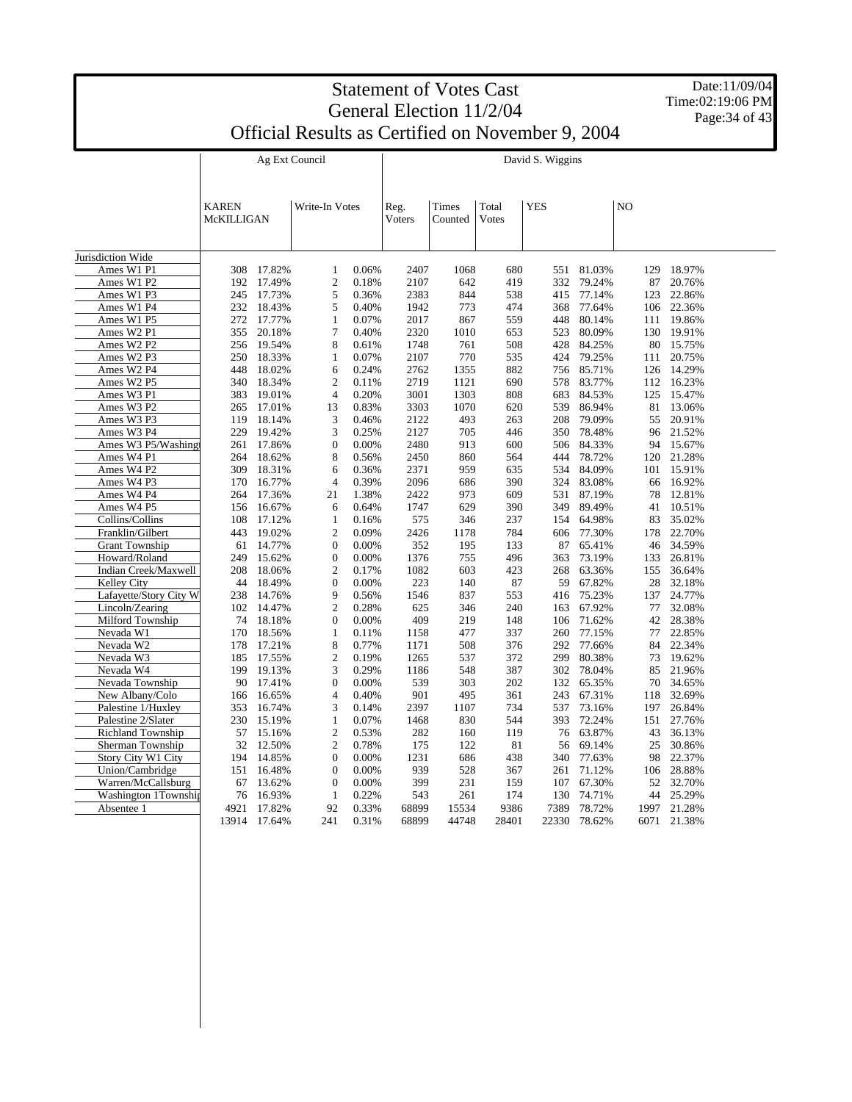|                                            |              | Date:11/09/04    |                                                   |                |                          |              |             |                  |                  |                |                       |                |
|--------------------------------------------|--------------|------------------|---------------------------------------------------|----------------|--------------------------|--------------|-------------|------------------|------------------|----------------|-----------------------|----------------|
|                                            |              | Time:02:19:06 PM |                                                   |                |                          |              |             |                  |                  |                |                       |                |
|                                            |              |                  |                                                   |                | General Election 11/2/04 |              |             |                  |                  |                |                       | Page: 34 of 43 |
|                                            |              |                  | Official Results as Certified on November 9, 2004 |                |                          |              |             |                  |                  |                |                       |                |
|                                            |              |                  | Ag Ext Council                                    |                |                          |              |             | David S. Wiggins |                  |                |                       |                |
|                                            |              |                  |                                                   |                |                          |              |             |                  |                  |                |                       |                |
|                                            |              |                  |                                                   |                |                          |              |             |                  |                  |                |                       |                |
|                                            | <b>KAREN</b> |                  | Write-In Votes                                    |                | Reg.                     | Times        | Total       | <b>YES</b>       |                  | N <sub>O</sub> |                       |                |
|                                            | McKILLIGAN   |                  |                                                   |                | Voters                   | Counted      | Votes       |                  |                  |                |                       |                |
|                                            |              |                  |                                                   |                |                          |              |             |                  |                  |                |                       |                |
| Jurisdiction Wide                          |              |                  |                                                   |                |                          |              |             |                  |                  |                |                       |                |
| Ames W1 P1                                 | 308          | 17.82%           | 1                                                 | 0.06%          | 2407                     | 1068         | 680         | 551              | 81.03%           | 129            | 18.97%                |                |
| Ames W1 P2                                 | 192          | 17.49%           | $\boldsymbol{2}$                                  | 0.18%          | 2107                     | 642          | 419         | 332              | 79.24%           | 87             | 20.76%                |                |
| Ames W1 P3                                 |              | 245 17.73%       | 5                                                 | 0.36%          | 2383                     | 844          | 538         | 415              | 77.14%           | 123            | 22.86%                |                |
| Ames W1 P4                                 | 232          | 18.43%           | 5                                                 | 0.40%          | 1942                     | 773          | 474         | 368              | 77.64%           | 106            | 22.36%                |                |
| Ames W1 P5                                 | 272          | 17.77%           | 1                                                 | 0.07%          | 2017                     | 867          | 559         | 448              | 80.14%           | 111            | 19.86%                |                |
| Ames W2 P1                                 | 355          | 20.18%           | 7                                                 | 0.40%          | 2320                     | 1010         | 653         | 523              | 80.09%           | 130            | 19.91%                |                |
| Ames W2 P2                                 |              | 256 19.54%       | 8                                                 | 0.61%          | 1748                     | 761          | 508         | 428              | 84.25%           | 80             | 15.75%                |                |
| Ames W2 P3                                 | 250          | 18.33%           | 1                                                 | 0.07%          | 2107                     | 770          | 535         | 424              | 79.25%           | 111            | 20.75%                |                |
| Ames W2 P4<br>Ames W2 P5                   | 448<br>340   | 18.02%<br>18.34% | 6<br>2                                            | 0.24%<br>0.11% | 2762<br>2719             | 1355<br>1121 | 882<br>690  | 756<br>578       | 85.71%<br>83.77% | 126<br>112     | 14.29%<br>16.23%      |                |
| Ames W3 P1                                 |              | 383 19.01%       | 4                                                 | 0.20%          | 3001                     | 1303         | 808         | 683              | 84.53%           | 125            | 15.47%                |                |
| Ames W3 P2                                 | 265          | 17.01%           | 13                                                | 0.83%          | 3303                     | 1070         | 620         | 539              | 86.94%           | 81             | 13.06%                |                |
| Ames W3 P3                                 |              | 119 18.14%       | 3                                                 | 0.46%          | 2122                     | 493          | 263         | 208              | 79.09%           | 55             | 20.91%                |                |
| Ames W3 P4                                 | 229          | 19.42%           | 3                                                 | 0.25%          | 2127                     | 705          | 446         | 350              | 78.48%           | 96             | 21.52%                |                |
| Ames W3 P5/Washing                         |              | 261 17.86%       | $\boldsymbol{0}$                                  | 0.00%          | 2480                     | 913          | 600         | 506              | 84.33%           | 94             | 15.67%                |                |
| Ames W4 P1                                 | 264          | 18.62%           | 8                                                 | 0.56%          | 2450                     | 860          | 564         | 444              | 78.72%           | 120            | 21.28%                |                |
| Ames W4 P2                                 | 309          | 18.31%           | 6                                                 | 0.36%          | 2371                     | 959          | 635         | 534              | 84.09%           | 101            | 15.91%                |                |
| Ames W4 P3                                 | 170          | 16.77%           | 4                                                 | 0.39%          | 2096                     | 686          | 390         | 324              | 83.08%           | 66             | 16.92%                |                |
| Ames W4 P4                                 | 264          | 17.36%           | 21                                                | 1.38%          | 2422                     | 973          | 609         | 531              | 87.19%           | 78             | 12.81%                |                |
| Ames W4 P5                                 | 156          | 16.67%           | 6                                                 | 0.64%          | 1747                     | 629          | 390         | 349              | 89.49%           | 41             | 10.51%                |                |
| Collins/Collins                            | 108          | 17.12%           | 1                                                 | 0.16%          | 575                      | 346          | 237         | 154              | 64.98%           | 83             | 35.02%                |                |
| Franklin/Gilbert                           | 443          | 19.02%           | $\mathfrak{2}$                                    | 0.09%          | 2426                     | 1178         | 784         | 606              | 77.30%           | 178            | 22.70%                |                |
| <b>Grant Township</b>                      | 61           | 14.77%           | $\boldsymbol{0}$                                  | 0.00%          | 352                      | 195          | 133         | 87               | 65.41%           | 46             | 34.59%                |                |
| Howard/Roland                              | 249          | 15.62%           | $\boldsymbol{0}$                                  | 0.00%          | 1376                     | 755          | 496         | 363              | 73.19%           | 133            | 26.81%                |                |
| Indian Creek/Maxwell                       | 208          | 18.06%           | $\overline{2}$                                    | 0.17%          | 1082                     | 603          | 423         | 268              | 63.36%           | 155            | 36.64%                |                |
| Kelley City<br>Lafayette/Story City W      | 44<br>238    | 18.49%<br>14.76% | $\boldsymbol{0}$<br>9                             | 0.00%<br>0.56% | 223<br>1546              | 140<br>837   | 87<br>553   | 59<br>416        | 67.82%<br>75.23% | 28<br>137      | 32.18%<br>24.77%      |                |
| Lincoln/Zearing                            | 102          | 14.47%           | $\mathfrak{2}$                                    | 0.28%          | 625                      | 346          | 240         | 163              | 67.92%           | 77             | 32.08%                |                |
| Milford Township                           | 74           | 18.18%           | $\mathbf{0}$                                      | 0.00%          | 409                      | 219          | 148         | 106              | 71.62%           | 42             | 28.38%                |                |
| Nevada W1                                  | 170          | 18.56%           | 1                                                 | 0.11%          | 1158                     | 477          | 337         | 260              | 77.15%           | 77             | 22.85%                |                |
| Nevada W2                                  | 178          | 17.21%           | 8                                                 | 0.77%          | 1171                     | 508          | 376         | 292              | 77.66%           | 84             | 22.34%                |                |
| Nevada W3                                  | 185          | 17.55%           | 2                                                 | 0.19%          | 1265                     | 537          | 372         | 299              | 80.38%           | 73             | 19.62%                |                |
| Nevada W4                                  | 199          | 19.13%           | 3                                                 | 0.29%          | 1186                     | 548          | 387         | 302              | 78.04%           | 85             | 21.96%                |                |
| Nevada Township                            | 90           | 17.41%           | 0                                                 | $0.00\%$       | 539                      | 303          | 202         | 132              | 65.35%           | 70             | 34.65%                |                |
| New Albany/Colo                            | 166          | 16.65%           | 4                                                 | 0.40%          | 901                      | 495          | 361         | 243              | 67.31%           | 118            | 32.69%                |                |
| Palestine 1/Huxley                         |              | 353 16.74%       | 3                                                 | 0.14%          | 2397                     | 1107         | 734         | 537              | 73.16%           |                | 197 26.84%            |                |
| Palestine 2/Slater                         |              | 230 15.19%       | 1                                                 | 0.07%          | 1468                     | 830          | 544         | 393              | 72.24%           | 151            | 27.76%                |                |
| Richland Township                          | 57           | 15.16%           | $\boldsymbol{2}$                                  | 0.53%          | 282                      | 160          | 119         | 76               | 63.87%           | 43             | 36.13%                |                |
| Sherman Township                           | 32           | 12.50%           | 2                                                 | 0.78%          | 175                      | 122          | 81          | 56               | 69.14%           | 25             | 30.86%                |                |
| Story City W1 City                         | 194          | 14.85%           | $\boldsymbol{0}$                                  | 0.00%          | 1231                     | 686          | 438         | 340              | 77.63%           | 98             | 22.37%                |                |
| Union/Cambridge                            | 151          | 16.48%           | $\boldsymbol{0}$                                  | 0.00%          | 939                      | 528          | 367         | 261              | 71.12%           | 106            | 28.88%                |                |
| Warren/McCallsburg<br>Washington 1Township | 67           | 13.62%           | $\boldsymbol{0}$                                  | 0.00%          | 399                      | 231          | 159         | 107              | 67.30%           | 52             | 32.70%                |                |
| Absentee 1                                 | 76<br>4921   | 16.93%<br>17.82% | $\mathbf{1}$<br>92                                | 0.22%<br>0.33% | 543<br>68899             | 261<br>15534 | 174<br>9386 | 130<br>7389      | 74.71%<br>78.72% | 44             | 25.29%<br>1997 21.28% |                |
|                                            |              | 13914 17.64%     | 241                                               | 0.31%          | 68899                    | 44748        | 28401       |                  | 22330 78.62%     |                | 6071 21.38%           |                |
|                                            |              |                  |                                                   |                |                          |              |             |                  |                  |                |                       |                |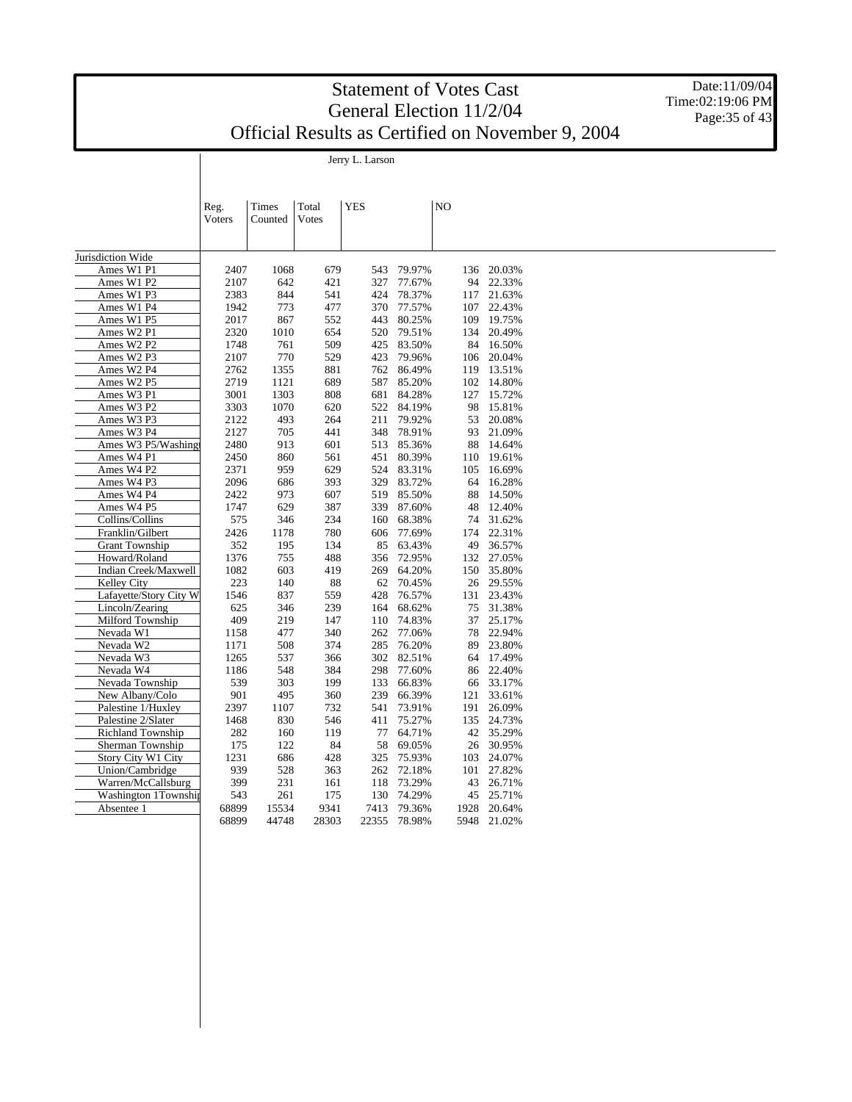Jerry L. Larson

Date:11/09/04 Time:02:19:06 PM Page: 35 of 43

|                          | Reg.   | Times   | Total | <b>YES</b> |        | N <sub>O</sub> |           |  |
|--------------------------|--------|---------|-------|------------|--------|----------------|-----------|--|
|                          | Voters | Counted | Votes |            |        |                |           |  |
|                          |        |         |       |            |        |                |           |  |
| Jurisdiction Wide        |        |         |       |            |        |                |           |  |
| Ames W1 P1               | 2407   | 1068    | 679   | 543        | 79.97% | 136            | 20.03%    |  |
| Ames W1 P2               | 2107   | 642     | 421   | 327        | 77.67% | 94             | 22.33%    |  |
| Ames W1 P3               | 2383   | 844     | 541   | 424        | 78.37% | 117            | 21.63%    |  |
| Ames W1 P4               | 1942   | 773     | 477   | 370        | 77.57% | 107            | 22.43%    |  |
| Ames W1 P5               | 2017   | 867     | 552   | 443        | 80.25% | 109            | 19.75%    |  |
| Ames W2 P1               | 2320   | 1010    | 654   | 520        | 79.51% | 134            | 20.49%    |  |
| Ames W2 P2               | 1748   | 761     | 509   | 425        | 83.50% | 84             | 16.50%    |  |
| Ames W2 P3               | 2107   | 770     | 529   | 423        | 79.96% | 106            | 20.04%    |  |
| Ames W2 P4               | 2762   | 1355    | 881   | 762        | 86.49% | 119            | 13.51%    |  |
| Ames W2 P5               | 2719   | 1121    | 689   | 587        | 85.20% | 102            | 14.80%    |  |
| Ames W3 P1               | 3001   | 1303    | 808   | 681        | 84.28% | 127            | 15.72%    |  |
| Ames W3 P2               | 3303   | 1070    | 620   | 522        | 84.19% | 98             | 15.81%    |  |
| Ames W3 P3               | 2122   | 493     | 264   | 211        | 79.92% | 53             | 20.08%    |  |
| Ames W3 P4               | 2127   | 705     | 441   | 348        | 78.91% | 93             | 21.09%    |  |
| Ames W3 P5/Washing       | 2480   | 913     | 601   | 513        | 85.36% | 88             | 14.64%    |  |
| Ames W4 P1               | 2450   | 860     | 561   | 451        | 80.39% | 110            | 19.61%    |  |
| Ames W4 P2               | 2371   | 959     | 629   | 524        | 83.31% | 105            | 16.69%    |  |
| Ames W4 P3               | 2096   | 686     | 393   | 329        | 83.72% | 64             | 16.28%    |  |
| Ames W4 P4               | 2422   | 973     | 607   | 519        | 85.50% | 88             | 14.50%    |  |
| Ames W4 P5               | 1747   | 629     | 387   | 339        | 87.60% | 48             | 12.40%    |  |
| Collins/Collins          | 575    | 346     | 234   | 160        | 68.38% | 74             | 31.62%    |  |
| Franklin/Gilbert         | 2426   | 1178    | 780   | 606        | 77.69% | 174            | 22.31%    |  |
| <b>Grant Township</b>    | 352    | 195     | 134   | 85         | 63.43% | 49             | 36.57%    |  |
| Howard/Roland            | 1376   | 755     | 488   | 356        | 72.95% | 132            | 27.05%    |  |
| Indian Creek/Maxwell     | 1082   | 603     | 419   | 269        | 64.20% | 150            | 35.80%    |  |
| Kelley City              | 223    | 140     | 88    | 62         | 70.45% | 26             | 29.55%    |  |
| Lafayette/Story City W   | 1546   | 837     | 559   | 428        | 76.57% | 131            | 23.43%    |  |
| Lincoln/Zearing          | 625    | 346     | 239   | 164        | 68.62% | 75             | 31.38%    |  |
| Milford Township         | 409    | 219     | 147   | 110        | 74.83% | 37             | 25.17%    |  |
| Nevada W1                | 1158   | 477     | 340   | 262        | 77.06% | 78             | 22.94%    |  |
| Nevada W2                | 1171   | 508     | 374   | 285        | 76.20% | 89             | 23.80%    |  |
| Nevada W3                | 1265   | 537     | 366   | 302        | 82.51% | 64             | 17.49%    |  |
| Nevada W4                | 1186   | 548     | 384   | 298        | 77.60% | 86             | 22.40%    |  |
| Nevada Township          | 539    | 303     | 199   | 133        | 66.83% |                | 66 33.17% |  |
| New Albany/Colo          | 901    | 495     | 360   | 239        | 66.39% | 121            | 33.61%    |  |
| Palestine 1/Huxley       | 2397   | 1107    | 732   | 541        | 73.91% | 191            | 26.09%    |  |
| Palestine 2/Slater       | 1468   | 830     | 546   | 411        | 75.27% | 135            | 24.73%    |  |
| <b>Richland Township</b> | 282    | 160     | 119   | 77         | 64.71% | 42             | 35.29%    |  |
| Sherman Township         | 175    | 122     | 84    | 58         | 69.05% |                | 26 30.95% |  |
| Story City W1 City       | 1231   | 686     | 428   | 325        | 75.93% | 103            | 24.07%    |  |
| Union/Cambridge          | 939    | 528     | 363   | 262        | 72.18% | 101            | 27.82%    |  |
| Warren/McCallsburg       | 399    | 231     | 161   | 118        | 73.29% | 43             | 26.71%    |  |
| Washington 1Township     | 543    | 261     | 175   | 130        | 74.29% | 45             | 25.71%    |  |
| Absentee 1               | 68899  | 15534   | 9341  | 7413       | 79.36% | 1928           | 20.64%    |  |
|                          | 68899  | 44748   | 28303 | 22355      | 78.98% | 5948           | 21.02%    |  |
|                          |        |         |       |            |        |                |           |  |
|                          |        |         |       |            |        |                |           |  |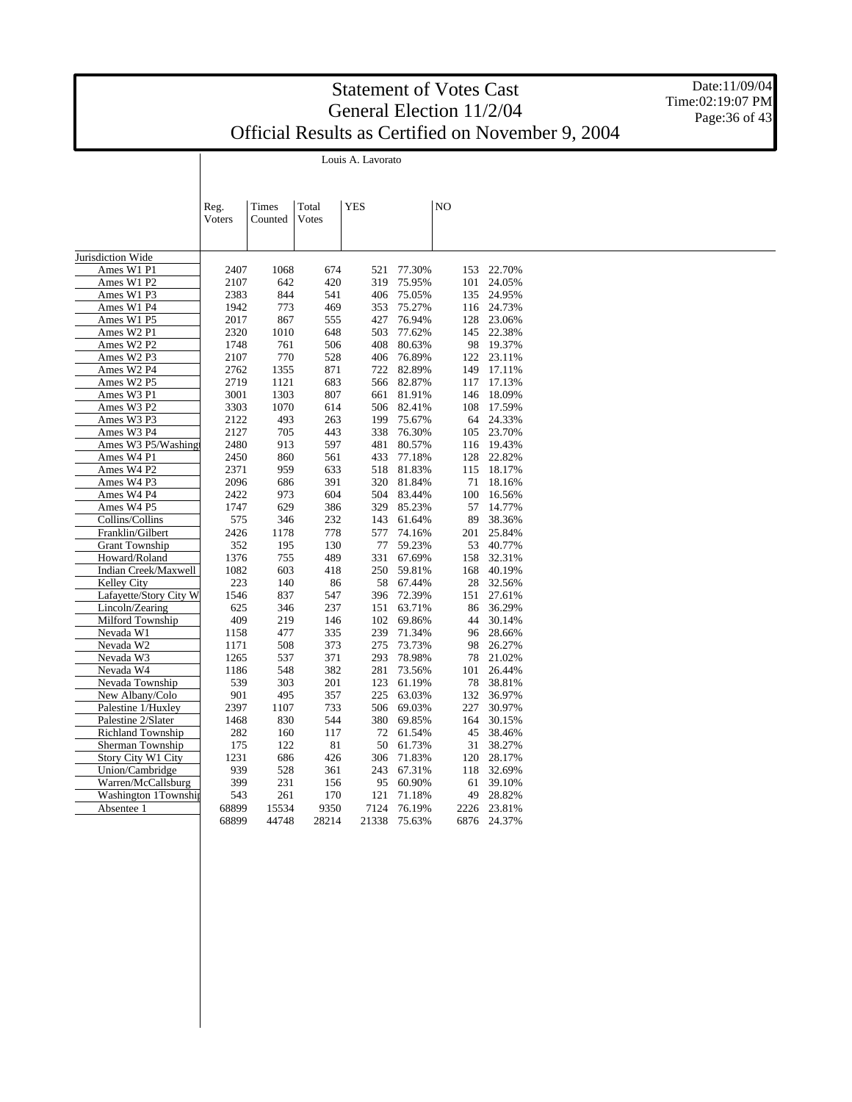Louis A. Lavorato

Date:11/09/04 Time:02:19:07 PM Page: 36 of 43

|                          | Reg.<br>Voters | Times<br>Counted | Total<br>Votes | <b>YES</b> |        | N <sub>O</sub> |             |  |  |
|--------------------------|----------------|------------------|----------------|------------|--------|----------------|-------------|--|--|
|                          |                |                  |                |            |        |                |             |  |  |
|                          |                |                  |                |            |        |                |             |  |  |
| Jurisdiction Wide        |                |                  |                |            |        |                |             |  |  |
| Ames W1 P1               | 2407           | 1068             | 674            | 521        | 77.30% | 153            | 22.70%      |  |  |
| Ames W1 P2               | 2107           | 642              | 420            | 319        | 75.95% | 101            | 24.05%      |  |  |
| Ames W1 P3               | 2383           | 844              | 541            | 406        | 75.05% | 135            | 24.95%      |  |  |
| Ames W1 P4               | 1942           | 773              | 469            | 353        | 75.27% | 116            | 24.73%      |  |  |
| Ames W1 P5               | 2017           | 867              | 555            | 427        | 76.94% | 128            | 23.06%      |  |  |
| Ames W2 P1               | 2320           | 1010             | 648            | 503        | 77.62% | 145            | 22.38%      |  |  |
| Ames W2 P2               | 1748           | 761              | 506            | 408        | 80.63% | 98             | 19.37%      |  |  |
| Ames W2 P3               | 2107           | 770              | 528            | 406        | 76.89% | 122            | 23.11%      |  |  |
| Ames W2 P4               | 2762           | 1355             | 871            | 722        | 82.89% | 149            | 17.11%      |  |  |
| Ames W2 P5               | 2719           | 1121             | 683            | 566        | 82.87% | 117            | 17.13%      |  |  |
| Ames W3 P1               | 3001           | 1303             | 807            | 661        | 81.91% | 146            | 18.09%      |  |  |
| Ames W3 P2               | 3303           | 1070             | 614            | 506        | 82.41% | 108            | 17.59%      |  |  |
| Ames W3 P3               | 2122           | 493              | 263            | 199        | 75.67% | 64             | 24.33%      |  |  |
| Ames W3 P4               | 2127           | 705              | 443            | 338        | 76.30% | 105            | 23.70%      |  |  |
| Ames W3 P5/Washing       | 2480           | 913              | 597            | 481        | 80.57% | 116            | 19.43%      |  |  |
| Ames W4 P1               | 2450           | 860              | 561            | 433        | 77.18% | 128            | 22.82%      |  |  |
| Ames W4 P2               | 2371           | 959              | 633            | 518        | 81.83% | 115            | 18.17%      |  |  |
| Ames W4 P3               | 2096           | 686              | 391            | 320        | 81.84% | 71             | 18.16%      |  |  |
| Ames W4 P4               | 2422           | 973              | 604            | 504        | 83.44% | 100            | 16.56%      |  |  |
| Ames W4 P5               | 1747           | 629              | 386            | 329        | 85.23% | 57             | 14.77%      |  |  |
| Collins/Collins          | 575            | 346              | 232            | 143        | 61.64% | 89             | 38.36%      |  |  |
| Franklin/Gilbert         | 2426           | 1178             | 778            | 577        | 74.16% | 201            | 25.84%      |  |  |
| <b>Grant Township</b>    | 352            | 195              | 130            | 77         | 59.23% | 53             | 40.77%      |  |  |
| Howard/Roland            | 1376           | 755              | 489            | 331        | 67.69% | 158            | 32.31%      |  |  |
| Indian Creek/Maxwell     | 1082           | 603              | 418            | 250        | 59.81% | 168            | 40.19%      |  |  |
| <b>Kelley City</b>       | 223            | 140              | 86             | 58         | 67.44% | 28             | 32.56%      |  |  |
| Lafayette/Story City W   | 1546           | 837              | 547            | 396        | 72.39% | 151            | 27.61%      |  |  |
| Lincoln/Zearing          | 625            | 346              | 237            | 151        | 63.71% | 86             | 36.29%      |  |  |
| Milford Township         | 409            | 219              | 146            | 102        | 69.86% | 44             | 30.14%      |  |  |
| Nevada W1                | 1158           | 477              | 335            | 239        | 71.34% | 96             | 28.66%      |  |  |
| Nevada W2                | 1171           | 508              | 373            | 275        | 73.73% | 98             | 26.27%      |  |  |
| Nevada W3                | 1265           | 537              | 371            | 293        | 78.98% | 78             | 21.02%      |  |  |
| Nevada W4                | 1186           | 548              | 382            | 281        | 73.56% | 101            | 26.44%      |  |  |
| Nevada Township          | 539            | 303              | 201            | 123        | 61.19% | 78             | 38.81%      |  |  |
| New Albany/Colo          | 901            | 495              | 357            | 225        | 63.03% | 132            | 36.97%      |  |  |
| Palestine 1/Huxley       | 2397           | 1107             | 733            | 506        | 69.03% | 227            | 30.97%      |  |  |
| Palestine 2/Slater       | 1468           | 830              | 544            | 380        | 69.85% | 164            | 30.15%      |  |  |
| <b>Richland Township</b> | 282            | 160              | 117            | 72         | 61.54% | 45             | 38.46%      |  |  |
| Sherman Township         | 175            | 122              | 81             | 50         | 61.73% | 31             | 38.27%      |  |  |
| Story City W1 City       | 1231           | 686              | 426            | 306        | 71.83% | 120            | 28.17%      |  |  |
| Union/Cambridge          | 939            | 528              | 361            | 243        | 67.31% | 118            | 32.69%      |  |  |
| Warren/McCallsburg       | 399            | 231              | 156            | 95         | 60.90% | 61             | 39.10%      |  |  |
| Washington 1Township     | 543            | 261              | 170            | 121        | 71.18% | 49             | 28.82%      |  |  |
| Absentee 1               | 68899          | 15534            | 9350           | 7124       | 76.19% | 2226           | 23.81%      |  |  |
|                          | 68899          | 44748            | 28214          | 21338      | 75.63% |                | 6876 24.37% |  |  |
|                          |                |                  |                |            |        |                |             |  |  |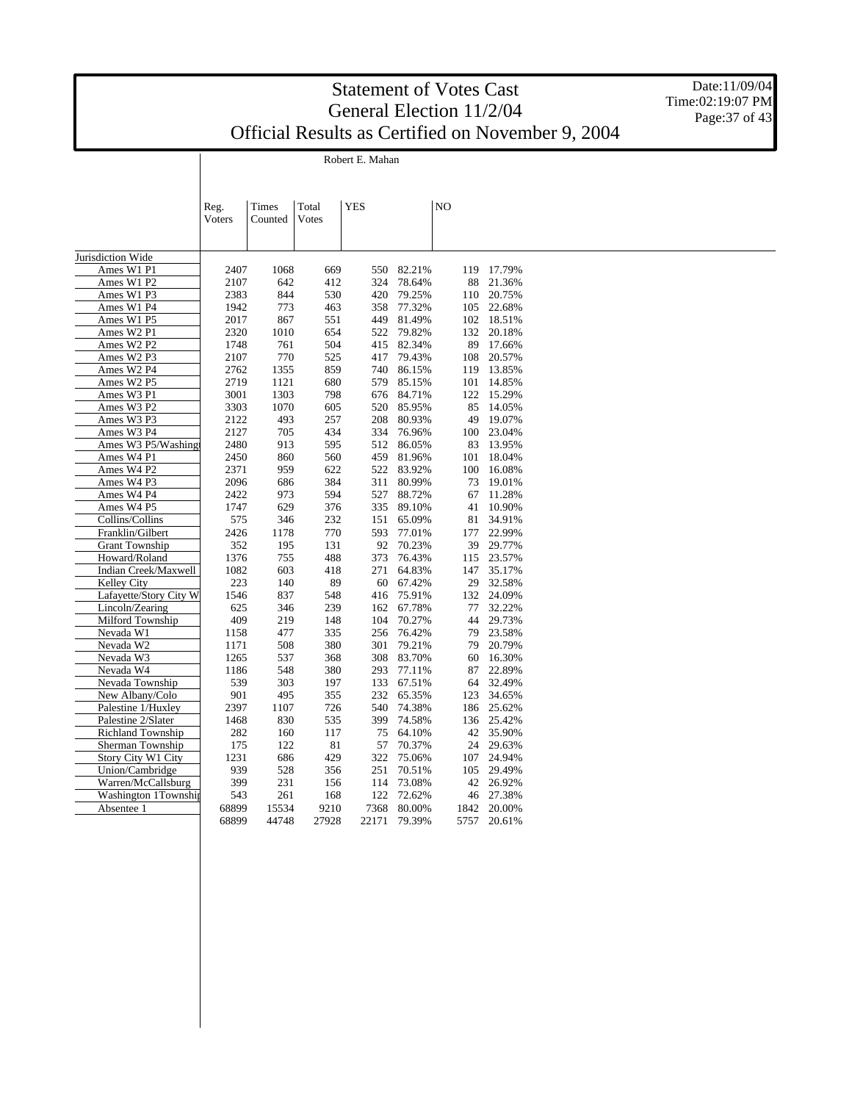Robert E. Mahan

 $\overline{\phantom{a}}$ 

Date:11/09/04 Time:02:19:07 PM Page: 37 of 43

|                           | Reg.          | Times   | Total | YES   |        | N <sub>O</sub> |        |  |
|---------------------------|---------------|---------|-------|-------|--------|----------------|--------|--|
|                           | <b>Voters</b> | Counted | Votes |       |        |                |        |  |
|                           |               |         |       |       |        |                |        |  |
|                           |               |         |       |       |        |                |        |  |
| Jurisdiction Wide         |               |         |       |       |        |                |        |  |
| Ames W1 P1                | 2407          | 1068    | 669   | 550   | 82.21% | 119            | 17.79% |  |
| Ames W1 P2                | 2107          | 642     | 412   | 324   | 78.64% | 88             | 21.36% |  |
| Ames W1 P3                | 2383          | 844     | 530   | 420   | 79.25% | 110            | 20.75% |  |
| Ames W1 P4                | 1942          | 773     | 463   | 358   | 77.32% | 105            | 22.68% |  |
| Ames W1 P5                | 2017          | 867     | 551   | 449   | 81.49% | 102            | 18.51% |  |
| Ames W2 P1                | 2320          | 1010    | 654   | 522   | 79.82% | 132            | 20.18% |  |
| Ames W2 P2                | 1748          | 761     | 504   | 415   | 82.34% | 89             | 17.66% |  |
| Ames W2 P3                | 2107          | 770     | 525   | 417   | 79.43% | 108            | 20.57% |  |
| Ames W2 P4                | 2762          | 1355    | 859   | 740   | 86.15% | 119            | 13.85% |  |
| Ames W2 P5                | 2719          | 1121    | 680   | 579   | 85.15% | 101            | 14.85% |  |
| Ames W3 P1                | 3001          | 1303    | 798   | 676   | 84.71% | 122            | 15.29% |  |
| Ames W3 P2                | 3303          | 1070    | 605   | 520   | 85.95% | 85             | 14.05% |  |
| Ames W3 P3                | 2122          | 493     | 257   | 208   | 80.93% | 49             | 19.07% |  |
| Ames W3 P4                | 2127          | 705     | 434   | 334   | 76.96% | 100            | 23.04% |  |
| Ames W3 P5/Washing        | 2480          | 913     | 595   | 512   | 86.05% | 83             | 13.95% |  |
| Ames W4 P1                | 2450          | 860     | 560   | 459   | 81.96% | 101            | 18.04% |  |
| Ames W4 P2                | 2371          | 959     | 622   | 522   | 83.92% | 100            | 16.08% |  |
| Ames W4 P3                | 2096          | 686     | 384   | 311   | 80.99% | 73             | 19.01% |  |
| Ames W4 P4                | 2422          | 973     | 594   | 527   | 88.72% | 67             | 11.28% |  |
| Ames W4 P5                | 1747          | 629     | 376   | 335   | 89.10% | 41             | 10.90% |  |
| Collins/Collins           | 575           | 346     | 232   | 151   | 65.09% | 81             | 34.91% |  |
| Franklin/Gilbert          | 2426          | 1178    | 770   | 593   | 77.01% | 177            | 22.99% |  |
| <b>Grant Township</b>     | 352           | 195     | 131   | 92    | 70.23% | 39             | 29.77% |  |
| Howard/Roland             | 1376          | 755     | 488   | 373   | 76.43% | 115            | 23.57% |  |
| Indian Creek/Maxwell      | 1082          | 603     | 418   | 271   | 64.83% | 147            | 35.17% |  |
| Kelley City               | 223           | 140     | 89    | 60    | 67.42% | 29             | 32.58% |  |
| Lafayette/Story City W    | 1546          | 837     | 548   | 416   | 75.91% | 132            | 24.09% |  |
| Lincoln/Zearing           | 625           | 346     | 239   | 162   | 67.78% | 77             | 32.22% |  |
| Milford Township          | 409           | 219     | 148   | 104   | 70.27% | 44             | 29.73% |  |
| Nevada W1                 | 1158          | 477     | 335   | 256   | 76.42% | 79             | 23.58% |  |
| Nevada W2                 | 1171          | 508     | 380   | 301   | 79.21% | 79             | 20.79% |  |
| Nevada W3                 | 1265          | 537     | 368   | 308   | 83.70% | 60             | 16.30% |  |
| Nevada W4                 | 1186          | 548     | 380   | 293   | 77.11% | 87             | 22.89% |  |
| Nevada Township           | 539           | 303     | 197   | 133   | 67.51% | 64             | 32.49% |  |
| New Albany/Colo           | 901           | 495     | 355   | 232   | 65.35% | 123            | 34.65% |  |
| Palestine 1/Huxley        | 2397          | 1107    | 726   | 540   | 74.38% | 186            | 25.62% |  |
| Palestine 2/Slater        | 1468          | 830     | 535   | 399   | 74.58% | 136            | 25.42% |  |
| Richland Township         | 282           | 160     | 117   | 75    | 64.10% | 42             | 35.90% |  |
| Sherman Township          | 175           | 122     | 81    | 57    | 70.37% | 24             | 29.63% |  |
| <b>Story City W1 City</b> | 1231          | 686     | 429   | 322   | 75.06% | 107            | 24.94% |  |
| Union/Cambridge           | 939           | 528     | 356   | 251   | 70.51% | 105            | 29.49% |  |
| Warren/McCallsburg        | 399           | 231     | 156   | 114   | 73.08% | 42             | 26.92% |  |
| Washington 1Township      | 543           | 261     | 168   | 122   | 72.62% | 46             | 27.38% |  |
| Absentee 1                | 68899         | 15534   | 9210  | 7368  | 80.00% | 1842           | 20.00% |  |
|                           | 68899         | 44748   | 27928 | 22171 | 79.39% | 5757           | 20.61% |  |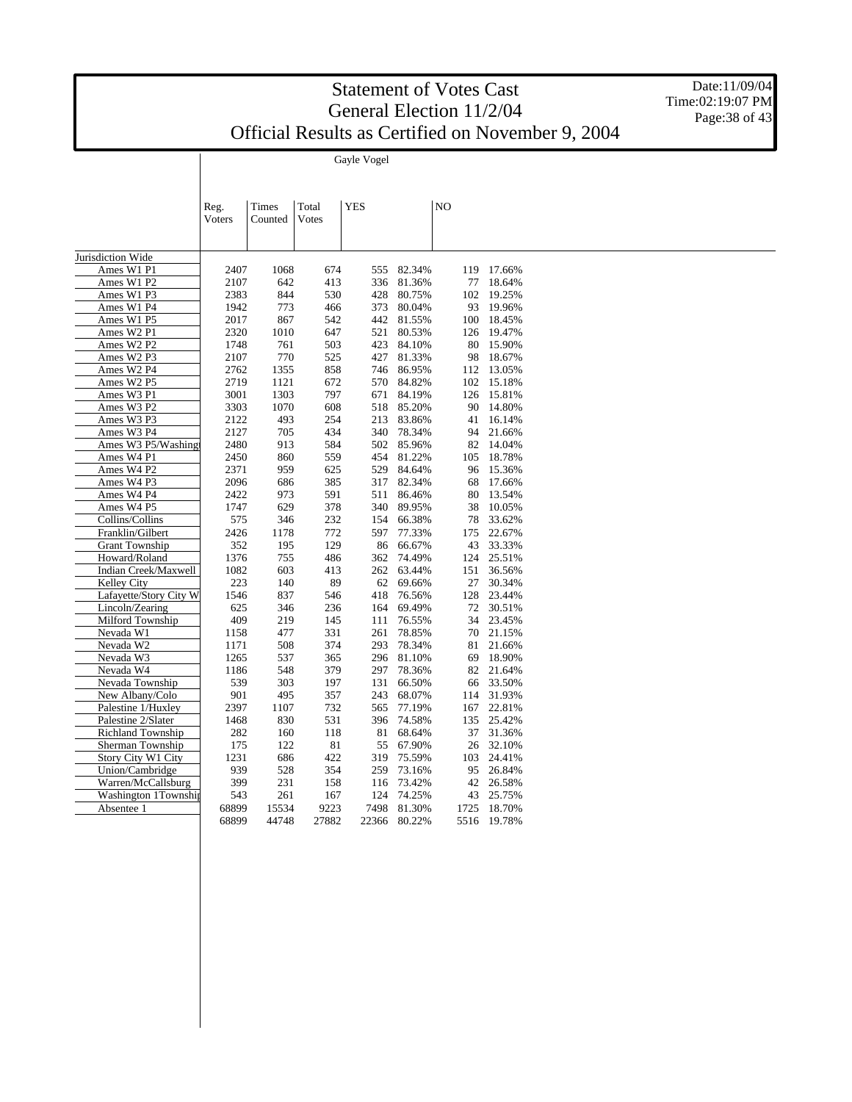Date:11/09/04 Time:02:19:07 PM Page: 38 of 43

Gayle Vogel

|                        | Reg.<br>Voters | Times<br>Counted | Total<br>Votes | <b>YES</b> |            | N <sub>O</sub> |             |
|------------------------|----------------|------------------|----------------|------------|------------|----------------|-------------|
|                        |                |                  |                |            |            |                |             |
| Jurisdiction Wide      |                |                  |                |            |            |                |             |
| Ames W1 P1             | 2407           | 1068             | 674            | 555        | 82.34%     |                | 119 17.66%  |
| Ames W1 P2             | 2107           | 642              | 413            | 336        | 81.36%     | 77             | 18.64%      |
| Ames W1 P3             | 2383           | 844              | 530            | 428        | 80.75%     |                | 102 19.25%  |
| Ames W1 P4             | 1942           | 773              | 466            | 373        | 80.04%     | 93             | 19.96%      |
| Ames W1 P5             | 2017           | 867              | 542            | 442        | 81.55%     |                | 100 18.45%  |
| Ames W2 P1             | 2320           | 1010             | 647            | 521        | 80.53%     |                | 126 19.47%  |
| Ames W2 P2             | 1748           | 761              | 503            | 423        | 84.10%     |                | 80 15.90%   |
| Ames W2 P3             | 2107           | 770              | 525            | 427        | 81.33%     | 98             | 18.67%      |
| Ames W2 P4             | 2762           | 1355             | 858            | 746        | 86.95%     |                | 112 13.05%  |
| Ames W2 P5             | 2719           | 1121             | 672            | 570        | 84.82%     |                | 102 15.18%  |
| Ames W3 P1             | 3001           | 1303             | 797            | 671        | 84.19%     |                | 126 15.81%  |
| Ames W3 P2             | 3303           | 1070             | 608            | 518        | 85.20%     | 90             | 14.80%      |
| Ames W3 P3             | 2122           | 493              | 254            | 213        | 83.86%     | 41             | 16.14%      |
| Ames W3 P4             | 2127           | 705              | 434            |            | 340 78.34% | 94             | 21.66%      |
| Ames W3 P5/Washing     | 2480           | 913              | 584            | 502        | 85.96%     | 82             | 14.04%      |
| Ames W4 P1             | 2450           | 860              | 559            | 454        | 81.22%     |                | 105 18.78%  |
| Ames W4 P2             | 2371           | 959              | 625            | 529        | 84.64%     |                | 96 15.36%   |
| Ames W4 P3             | 2096           | 686              | 385            | 317        | 82.34%     | 68             | 17.66%      |
| Ames W4 P4             | 2422           | 973              | 591            | 511        | 86.46%     | 80             | 13.54%      |
|                        | 1747           | 629              | 378            | 340        | 89.95%     | 38             | 10.05%      |
| Ames W4 P5             |                |                  |                |            |            |                |             |
| Collins/Collins        | 575            | 346              | 232            | 154        | 66.38%     | 78             | 33.62%      |
| Franklin/Gilbert       | 2426           | 1178             | 772            | 597        | 77.33%     | 175            | 22.67%      |
| <b>Grant Township</b>  | 352            | 195              | 129            | 86         | 66.67%     | 43             | 33.33%      |
| Howard/Roland          | 1376           | 755              | 486            | 362        | 74.49%     | 124            | 25.51%      |
| Indian Creek/Maxwell   | 1082           | 603              | 413            |            | 262 63.44% | 151            | 36.56%      |
| Kelley City            | 223            | 140              | 89             | 62         | 69.66%     | 27             | 30.34%      |
| Lafayette/Story City W | 1546           | 837              | 546            | 418        | 76.56%     | 128            | 23.44%      |
| Lincoln/Zearing        | 625            | 346              | 236            | 164        | 69.49%     |                | 72 30.51%   |
| Milford Township       | 409            | 219              | 145            | 111        | 76.55%     | 34             | 23.45%      |
| Nevada W1              | 1158           | 477              | 331            | 261        | 78.85%     |                | 70 21.15%   |
| Nevada W2              | 1171           | 508              | 374            | 293        | 78.34%     | 81             | 21.66%      |
| Nevada W3              | 1265           | 537              | 365            |            | 296 81.10% | 69             | 18.90%      |
| Nevada W4              | 1186           | 548              | 379            | 297        | 78.36%     | 82             | 21.64%      |
| Nevada Township        | 539            | 303              | 197            | 131        | 66.50%     |                | 66 33.50%   |
| New Albany/Colo        | 901            | 495              | 357            | 243        | 68.07%     |                | 114 31.93%  |
| Palestine 1/Huxley     | 2397           | 1107             | 732            | 565        | 77.19%     | 167            | 22.81%      |
| Palestine 2/Slater     | 1468           | 830              | 531            | 396        | 74.58%     |                | 135 25.42%  |
| Richland Township      | 282            | 160              | 118            | 81         | 68.64%     | 37             | 31.36%      |
| Sherman Township       | 175            | 122              | 81             | 55         | 67.90%     | 26             | 32.10%      |
| Story City W1 City     | 1231           | 686              | 422            | 319        | 75.59%     | 103            | 24.41%      |
| Union/Cambridge        | 939            | 528              | 354            | 259        | 73.16%     | 95             | 26.84%      |
| Warren/McCallsburg     | 399            | 231              | 158            | 116        | 73.42%     | 42             | 26.58%      |
| Washington 1Township   | 543            | 261              | 167            | 124        | 74.25%     | 43             | 25.75%      |
| Absentee 1             | 68899          | 15534            | 9223           | 7498       | 81.30%     | 1725           | 18.70%      |
|                        | 68899          | 44748            | 27882          |            |            |                |             |
|                        |                |                  |                | 22366      | 80.22%     |                | 5516 19.78% |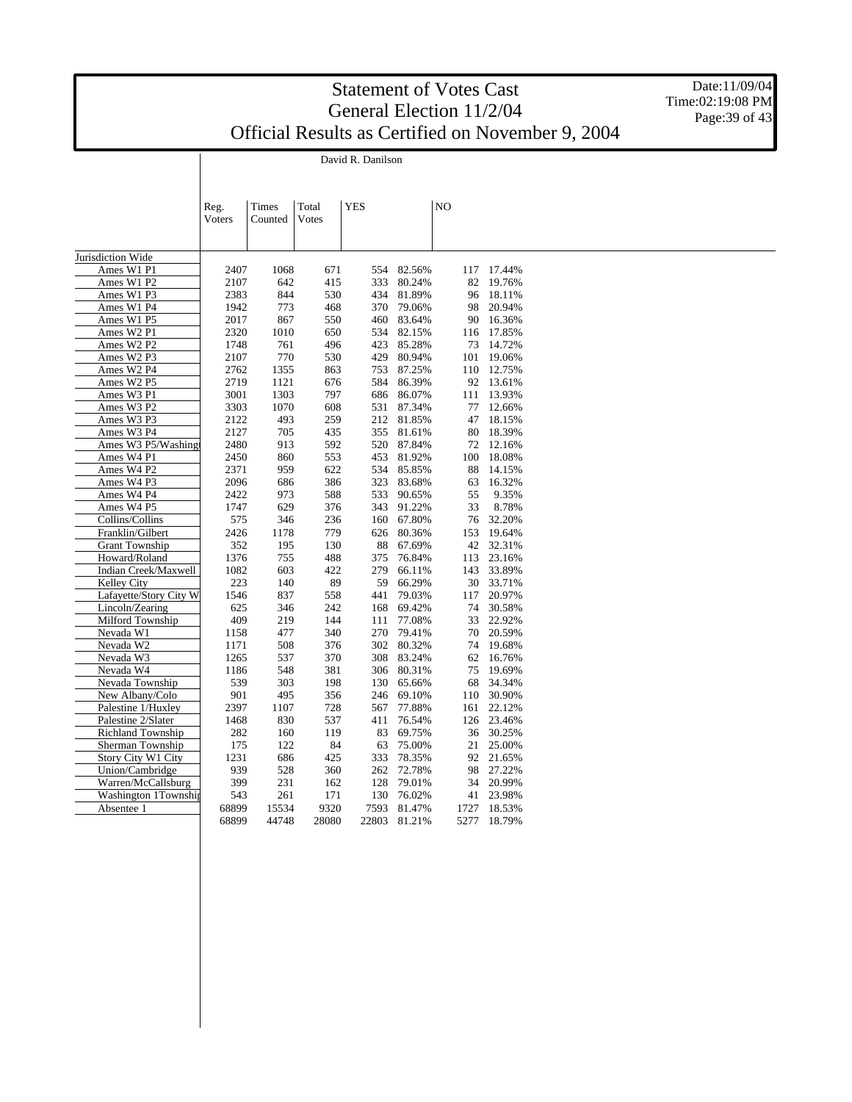David R. Danilson

 $\overline{\phantom{a}}$ 

Date:11/09/04 Time:02:19:08 PM Page: 39 of 43

|                          | Reg.<br><b>Voters</b> | Times<br>Counted | Total<br>Votes | <b>YES</b> |              | N <sub>O</sub> |            |  |
|--------------------------|-----------------------|------------------|----------------|------------|--------------|----------------|------------|--|
|                          |                       |                  |                |            |              |                |            |  |
|                          |                       |                  |                |            |              |                |            |  |
| Jurisdiction Wide        |                       |                  |                |            |              |                |            |  |
| Ames W1 P1               | 2407                  | 1068             | 671            | 554        | 82.56%       | 117            | 17.44%     |  |
| Ames W1 P2               | 2107                  | 642              | 415            | 333        | 80.24%       | 82             | 19.76%     |  |
| Ames W1 P3               | 2383                  | 844              | 530            | 434        | 81.89%       | 96             | 18.11%     |  |
| Ames W1 P4               | 1942                  | 773              | 468            | 370        | 79.06%       | 98             | 20.94%     |  |
| Ames W1 P5               | 2017                  | 867              | 550            | 460        | 83.64%       |                | 90 16.36%  |  |
| Ames W2 P1               | 2320                  | 1010             | 650            | 534        | 82.15%       |                | 116 17.85% |  |
| Ames W2 P2               | 1748                  | 761              | 496            | 423        | 85.28%       | 73             | 14.72%     |  |
| Ames W2 P3               | 2107                  | 770              | 530            | 429        | 80.94%       | 101            | 19.06%     |  |
| Ames W2 P4               | 2762                  | 1355             | 863            | 753        | 87.25%       |                | 110 12.75% |  |
| Ames W2 P5               | 2719                  | 1121             | 676            | 584        | 86.39%       |                | 92 13.61%  |  |
| Ames W3 P1               | 3001                  | 1303             | 797            | 686        | 86.07%       | 111            | 13.93%     |  |
| Ames W3 P2               | 3303                  | 1070             | 608            | 531        | 87.34%       | 77             | 12.66%     |  |
| Ames W3 P3               | 2122                  | 493              | 259            | 212        | 81.85%       | 47             | 18.15%     |  |
| Ames W3 P4               | 2127                  | 705              | 435            | 355        | 81.61%       | 80             | 18.39%     |  |
| Ames W3 P5/Washingt      | 2480                  | 913              | 592            | 520        | 87.84%       | 72             | 12.16%     |  |
| Ames W4 P1               | 2450                  | 860              | 553            | 453        | 81.92%       | 100            | 18.08%     |  |
| Ames W4 P2               | 2371                  | 959              | 622            | 534        | 85.85%       | 88             | 14.15%     |  |
| Ames W4 P3               | 2096                  | 686              | 386            | 323        | 83.68%       | 63             | 16.32%     |  |
| Ames W4 P4               | 2422                  | 973              | 588            | 533        | 90.65%       | 55             | 9.35%      |  |
| Ames W4 P5               | 1747                  | 629              | 376            | 343        | 91.22%       | 33             | 8.78%      |  |
| Collins/Collins          | 575                   | 346              | 236            | 160        | 67.80%       | 76             | 32.20%     |  |
| Franklin/Gilbert         | 2426                  | 1178             | 779            | 626        | 80.36%       | 153            | 19.64%     |  |
| <b>Grant Township</b>    | 352                   | 195              | 130            | 88         | 67.69%       | 42             | 32.31%     |  |
| Howard/Roland            | 1376                  | 755              | 488            | 375        | 76.84%       | 113            | 23.16%     |  |
| Indian Creek/Maxwell     | 1082                  | 603              | 422            | 279        | 66.11%       | 143            | 33.89%     |  |
| Kelley City              | 223                   | 140              | 89             | 59         | 66.29%       |                | 30 33.71%  |  |
| Lafayette/Story City W   | 1546                  | 837              | 558            | 441        | 79.03%       | 117            | 20.97%     |  |
| Lincoln/Zearing          | 625                   | 346              | 242            | 168        | 69.42%       | 74             | 30.58%     |  |
| Milford Township         | 409                   | 219              | 144            | 111        | 77.08%       | 33             | 22.92%     |  |
| Nevada W1                | 1158                  | 477              | 340            | 270        | 79.41%       | 70             | 20.59%     |  |
| Nevada W2                | 1171                  | 508              | 376            | 302        | 80.32%       | 74             | 19.68%     |  |
| Nevada W3                | 1265                  | 537              | 370            | 308        | 83.24%       | 62             | 16.76%     |  |
| Nevada W4                | 1186                  | 548              | 381            | 306        | 80.31%       | 75             | 19.69%     |  |
| Nevada Township          | 539                   | 303              | 198            | 130        | 65.66%       | 68             | 34.34%     |  |
| New Albany/Colo          | 901                   | 495              | 356            | 246        | 69.10%       |                | 110 30.90% |  |
| Palestine 1/Huxley       | 2397                  | 1107             | 728            | 567        | 77.88%       | 161            | 22.12%     |  |
| Palestine 2/Slater       | 1468                  | 830              | 537            | 411        | 76.54%       | 126            | 23.46%     |  |
| <b>Richland Township</b> | 282                   | 160              | 119            | 83         | 69.75%       | 36             | 30.25%     |  |
| Sherman Township         | 175                   | 122              | 84             | 63         | 75.00%       | 21             | 25.00%     |  |
| Story City W1 City       | 1231                  | 686              | 425            | 333        | 78.35%       | 92             | 21.65%     |  |
| Union/Cambridge          | 939                   | 528              | 360            | 262        | 72.78%       | 98             | 27.22%     |  |
| Warren/McCallsburg       | 399                   | 231              | 162            | 128        | 79.01%       | 34             | 20.99%     |  |
| Washington 1Township     | 543                   | 261              | 171            | 130        | 76.02%       | 41             | 23.98%     |  |
| Absentee 1               | 68899                 | 15534            | 9320           | 7593       | 81.47%       | 1727           | 18.53%     |  |
|                          | 68899                 | 44748            | 28080          |            | 22803 81.21% | 5277           | 18.79%     |  |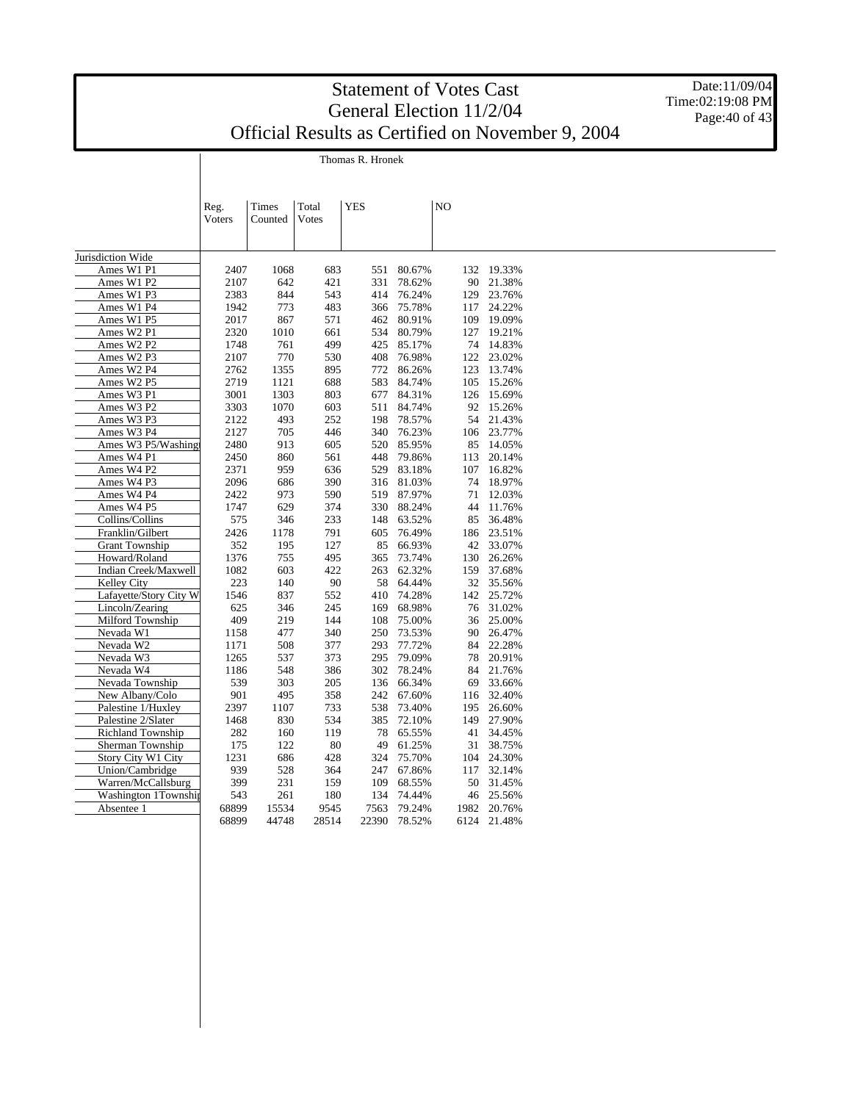Date:11/09/04 Time:02:19:08 PM Page:40 of 43

| Reg.<br><b>V</b> oters | <b>Times</b><br>Counted | Total<br><b>V</b> otes | <b>YES</b> |     |        | N <sub>O</sub> |     |            |
|------------------------|-------------------------|------------------------|------------|-----|--------|----------------|-----|------------|
|                        |                         |                        |            |     |        |                |     |            |
| 2407                   | 1068                    | 683                    |            | 551 | 80.67% |                |     | 132 19.33% |
| 2107                   | 642                     | 421                    |            | 331 | 78.62% |                | 90  | 21.38%     |
| 2383                   | 844                     | 543                    |            | 414 | 76.24% |                | 129 | 23.76%     |
| 1942                   | 773                     | 483                    |            | 366 | 75.78% |                | 117 | 24.22%     |
| 2017                   | 867                     | 571                    |            | 462 | 80.91% |                | 109 | 19.09%     |
| 2320                   | 1010                    | 661                    |            | 534 | 80.79% |                | 127 | 19.21%     |
|                        |                         |                        |            |     |        |                |     |            |

Thomas R. Hronek

Jurisdiction Wide Ames W1 P1

| Ames W1 P2                         | 2107  | 642   | 421   | 331   | 78.62% | 90   | 21.38% |
|------------------------------------|-------|-------|-------|-------|--------|------|--------|
| Ames W1 P3                         | 2383  | 844   | 543   | 414   | 76.24% | 129  | 23.76% |
| Ames W1 P4                         | 1942  | 773   | 483   | 366   | 75.78% | 117  | 24.22% |
| Ames W1 P5                         | 2017  | 867   | 571   | 462   | 80.91% | 109  | 19.09% |
| Ames W2 P1                         | 2320  | 1010  | 661   | 534   | 80.79% | 127  | 19.21% |
| Ames W2 P2                         | 1748  | 761   | 499   | 425   | 85.17% | 74   | 14.83% |
| Ames W2 P3                         | 2107  | 770   | 530   | 408   | 76.98% | 122  | 23.02% |
| Ames W2 P4                         | 2762  | 1355  | 895   | 772   | 86.26% | 123  | 13.74% |
| Ames W <sub>2</sub> P <sub>5</sub> | 2719  | 1121  | 688   | 583   | 84.74% | 105  | 15.26% |
| Ames W3 P1                         | 3001  | 1303  | 803   | 677   | 84.31% | 126  | 15.69% |
| Ames W3 P2                         | 3303  | 1070  | 603   | 511   | 84.74% | 92   | 15.26% |
| Ames W3 P3                         | 2122  | 493   | 252   | 198   | 78.57% | 54   | 21.43% |
| Ames W3 P4                         | 2127  | 705   | 446   | 340   | 76.23% | 106  | 23.77% |
| Ames W3 P5/Washing                 | 2480  | 913   | 605   | 520   | 85.95% | 85   | 14.05% |
| Ames W4 P1                         | 2450  | 860   | 561   | 448   | 79.86% | 113  | 20.14% |
| Ames W4 P2                         | 2371  | 959   | 636   | 529   | 83.18% | 107  | 16.82% |
| Ames W4 P3                         | 2096  | 686   | 390   | 316   | 81.03% | 74   | 18.97% |
| Ames W4 P4                         | 2422  | 973   | 590   | 519   | 87.97% | 71   | 12.03% |
| Ames W4 P5                         | 1747  | 629   | 374   | 330   | 88.24% | 44   | 11.76% |
| Collins/Collins                    | 575   | 346   | 233   | 148   | 63.52% | 85   | 36.48% |
| Franklin/Gilbert                   | 2426  | 1178  | 791   | 605   | 76.49% | 186  | 23.51% |
| <b>Grant Township</b>              | 352   | 195   | 127   | 85    | 66.93% | 42   | 33.07% |
| Howard/Roland                      | 1376  | 755   | 495   | 365   | 73.74% | 130  | 26.26% |
| Indian Creek/Maxwell               | 1082  | 603   | 422   | 263   | 62.32% | 159  | 37.68% |
| Kelley City                        | 223   | 140   | 90    | 58    | 64.44% | 32   | 35.56% |
| Lafayette/Story City W             | 1546  | 837   | 552   | 410   | 74.28% | 142  | 25.72% |
| Lincoln/Zearing                    | 625   | 346   | 245   | 169   | 68.98% | 76   | 31.02% |
| Milford Township                   | 409   | 219   | 144   | 108   | 75.00% | 36   | 25.00% |
| Nevada W1                          | 1158  | 477   | 340   | 250   | 73.53% | 90   | 26.47% |
| Nevada W2                          | 1171  | 508   | 377   | 293   | 77.72% | 84   | 22.28% |
| Nevada W3                          | 1265  | 537   | 373   | 295   | 79.09% | 78   | 20.91% |
| Nevada W4                          | 1186  | 548   | 386   | 302   | 78.24% | 84   | 21.76% |
| Nevada Township                    | 539   | 303   | 205   | 136   | 66.34% | 69   | 33.66% |
| New Albany/Colo                    | 901   | 495   | 358   | 242   | 67.60% | 116  | 32.40% |
| Palestine 1/Huxley                 | 2397  | 1107  | 733   | 538   | 73.40% | 195  | 26.60% |
| Palestine 2/Slater                 | 1468  | 830   | 534   | 385   | 72.10% | 149  | 27.90% |
| <b>Richland Township</b>           | 282   | 160   | 119   | 78    | 65.55% | 41   | 34.45% |
| Sherman Township                   | 175   | 122   | 80    | 49    | 61.25% | 31   | 38.75% |
| Story City W1 City                 | 1231  | 686   | 428   | 324   | 75.70% | 104  | 24.30% |
| Union/Cambridge                    | 939   | 528   | 364   | 247   | 67.86% | 117  | 32.14% |
| Warren/McCallsburg                 | 399   | 231   | 159   | 109   | 68.55% | 50   | 31.45% |
| Washington 1Township               | 543   | 261   | 180   | 134   | 74.44% | 46   | 25.56% |
| Absentee 1                         | 68899 | 15534 | 9545  | 7563  | 79.24% | 1982 | 20.76% |
|                                    | 68899 | 44748 | 28514 | 22390 | 78.52% | 6124 | 21.48% |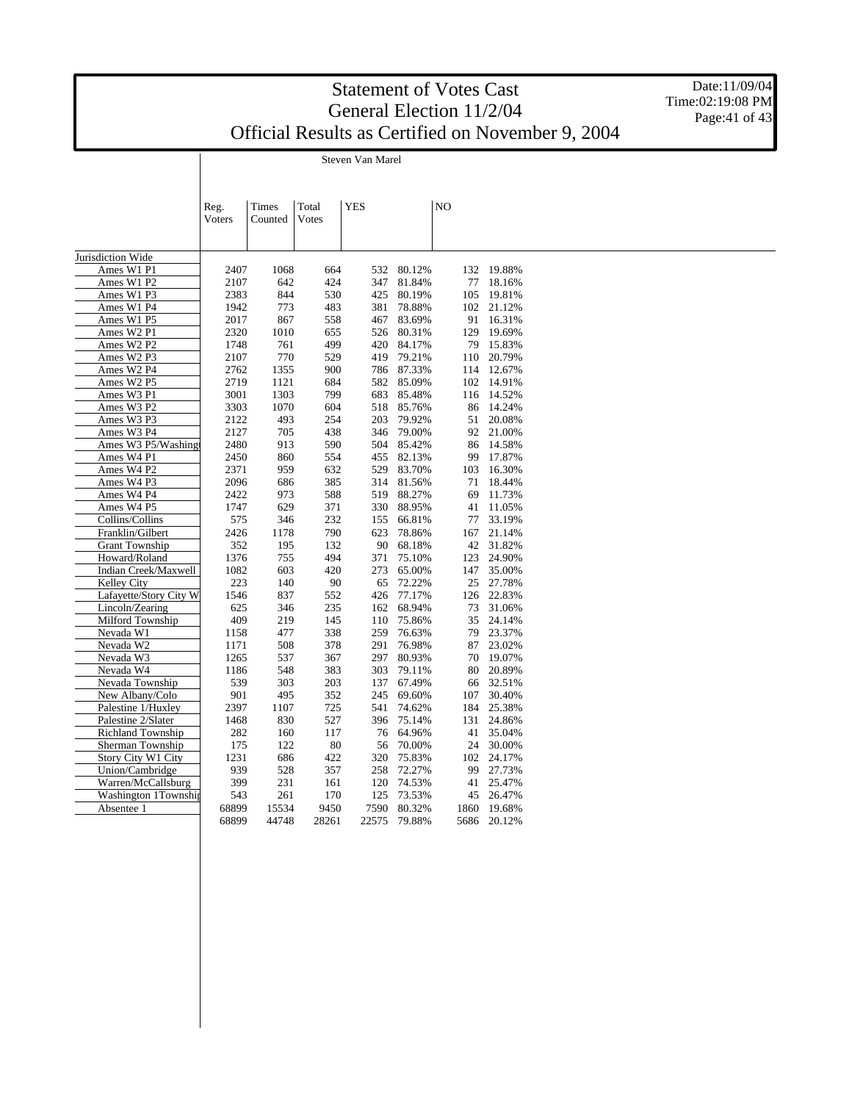Steven Van Marel

 $\overline{\phantom{a}}$ 

Date:11/09/04 Time:02:19:08 PM Page: 41 of 43

|                                            | Reg.       | Times      | Total        | <b>YES</b> |                  | NO |          |                  |  |  |  |
|--------------------------------------------|------------|------------|--------------|------------|------------------|----|----------|------------------|--|--|--|
|                                            | Voters     | Counted    | <b>Votes</b> |            |                  |    |          |                  |  |  |  |
|                                            |            |            |              |            |                  |    |          |                  |  |  |  |
|                                            |            |            |              |            |                  |    |          |                  |  |  |  |
| Jurisdiction Wide                          |            |            |              |            |                  |    |          |                  |  |  |  |
| Ames W1 P1                                 | 2407       | 1068       | 664          | 532        | 80.12%           |    | 132      | 19.88%           |  |  |  |
| Ames W1 P2                                 | 2107       | 642        | 424          | 347        | 81.84%           |    | 77       | 18.16%           |  |  |  |
| Ames W1 P3                                 | 2383       | 844        | 530          | 425        | 80.19%           |    | 105      | 19.81%           |  |  |  |
| Ames W1 P4                                 | 1942       | 773        | 483          | 381        | 78.88%           |    | 102      | 21.12%           |  |  |  |
| Ames W1 P5                                 | 2017       | 867        | 558          | 467        | 83.69%           |    | 91       | 16.31%           |  |  |  |
| Ames W2 P1                                 | 2320       | 1010       | 655          | 526        | 80.31%           |    | 129      | 19.69%           |  |  |  |
| Ames W2 P2                                 | 1748       | 761        | 499          | 420        | 84.17%           |    | 79       | 15.83%           |  |  |  |
| Ames W2 P3                                 | 2107       | 770        | 529          | 419        | 79.21%           |    | 110      | 20.79%           |  |  |  |
| Ames W2 P4                                 | 2762       | 1355       | 900          |            | 786 87.33%       |    | 114      | 12.67%           |  |  |  |
| Ames W2 P5                                 | 2719       | 1121       | 684          | 582        | 85.09%           |    | 102      | 14.91%           |  |  |  |
| Ames W3 P1                                 | 3001       | 1303       | 799          | 683        | 85.48%           |    | 116      | 14.52%           |  |  |  |
| Ames W3 P2                                 | 3303       | 1070       | 604          | 518        | 85.76%           |    | 86       | 14.24%           |  |  |  |
| Ames W3 P3                                 | 2122       | 493        | 254          | 203        | 79.92%           |    | 51       | 20.08%           |  |  |  |
| Ames W3 P4                                 | 2127       | 705        | 438          | 346        | 79.00%           |    | 92       | 21.00%           |  |  |  |
| Ames W3 P5/Washing                         | 2480       | 913        | 590          | 504        | 85.42%           |    | 86       | 14.58%           |  |  |  |
| Ames W4 P1                                 | 2450       | 860        | 554          | 455        | 82.13%           |    | 99       | 17.87%           |  |  |  |
| Ames W4 P2                                 | 2371       | 959        | 632          | 529        | 83.70%           |    | 103      | 16.30%           |  |  |  |
| Ames W4 P3                                 | 2096       | 686        | 385          | 314        | 81.56%           |    | 71       | 18.44%           |  |  |  |
| Ames W4 P4                                 | 2422       | 973        | 588          | 519        | 88.27%           |    | 69       | 11.73%           |  |  |  |
| Ames W4 P5                                 | 1747       | 629        | 371          | 330        | 88.95%           |    | 41       | 11.05%           |  |  |  |
| Collins/Collins                            | 575        | 346        | 232          | 155        | 66.81%           |    | 77       | 33.19%           |  |  |  |
| Franklin/Gilbert                           | 2426       | 1178       | 790          | 623        | 78.86%           |    | 167      | 21.14%           |  |  |  |
| <b>Grant Township</b>                      | 352        | 195        | 132          | 90         | 68.18%           |    | 42       | 31.82%           |  |  |  |
| Howard/Roland                              | 1376       | 755        | 494          | 371        | 75.10%           |    | 123      | 24.90%           |  |  |  |
| Indian Creek/Maxwell                       | 1082       | 603        | 420          | 273        | 65.00%           |    | 147      | 35.00%           |  |  |  |
| <b>Kelley City</b>                         | 223        | 140        | 90           | 65         | 72.22%           |    | 25       | 27.78%           |  |  |  |
| Lafayette/Story City W                     | 1546       | 837        | 552          | 426        | 77.17%           |    | 126      | 22.83%           |  |  |  |
| Lincoln/Zearing                            | 625        | 346        | 235          | 162        | 68.94%           |    | 73       | 31.06%           |  |  |  |
| Milford Township                           | 409        | 219        | 145          | 110        | 75.86%           |    | 35       | 24.14%           |  |  |  |
| Nevada W1                                  | 1158       | 477        | 338          | 259        | 76.63%           |    | 79       | 23.37%           |  |  |  |
| Nevada W2                                  | 1171       | 508        | 378          | 291        | 76.98%           |    | 87       | 23.02%           |  |  |  |
| Nevada W3                                  | 1265       | 537        | 367          | 297        | 80.93%           |    | 70       | 19.07%           |  |  |  |
| Nevada W4                                  | 1186       | 548        | 383          | 303        | 79.11%           |    | 80       | 20.89%           |  |  |  |
| Nevada Township                            | 539        | 303        | 203          | 137        | 67.49%           |    | 66       | 32.51%           |  |  |  |
| New Albany/Colo                            | 901        | 495        | 352          | 245        | 69.60%           |    | 107      | 30.40%           |  |  |  |
| Palestine 1/Huxley                         | 2397       | 1107       | 725          | 541        | 74.62%           |    | 184      | 25.38%           |  |  |  |
| Palestine 2/Slater                         | 1468       | 830        | 527          | 396        | 75.14%           |    | 131      | 24.86%           |  |  |  |
| Richland Township                          | 282        | 160        | 117          | 76         | 64.96%           |    | 41       | 35.04%           |  |  |  |
| Sherman Township                           | 175        | 122        | 80           | 56         | 70.00%           |    | 24       | 30.00%           |  |  |  |
| Story City W1 City                         | 1231       | 686        | 422          | 320        | 75.83%           |    | 102      | 24.17%           |  |  |  |
| Union/Cambridge                            | 939<br>399 | 528<br>231 | 357          | 258<br>120 | 72.27%<br>74.53% |    | 99       | 27.73%<br>25.47% |  |  |  |
| Warren/McCallsburg<br>Washington 1Township | 543        | 261        | 161<br>170   | 125        | 73.53%           |    | 41<br>45 | 26.47%           |  |  |  |
| Absentee 1                                 | 68899      | 15534      | 9450         | 7590       | 80.32%           |    | 1860     | 19.68%           |  |  |  |
|                                            | 68899      | 44748      | 28261        | 22575      | 79.88%           |    | 5686     | 20.12%           |  |  |  |
|                                            |            |            |              |            |                  |    |          |                  |  |  |  |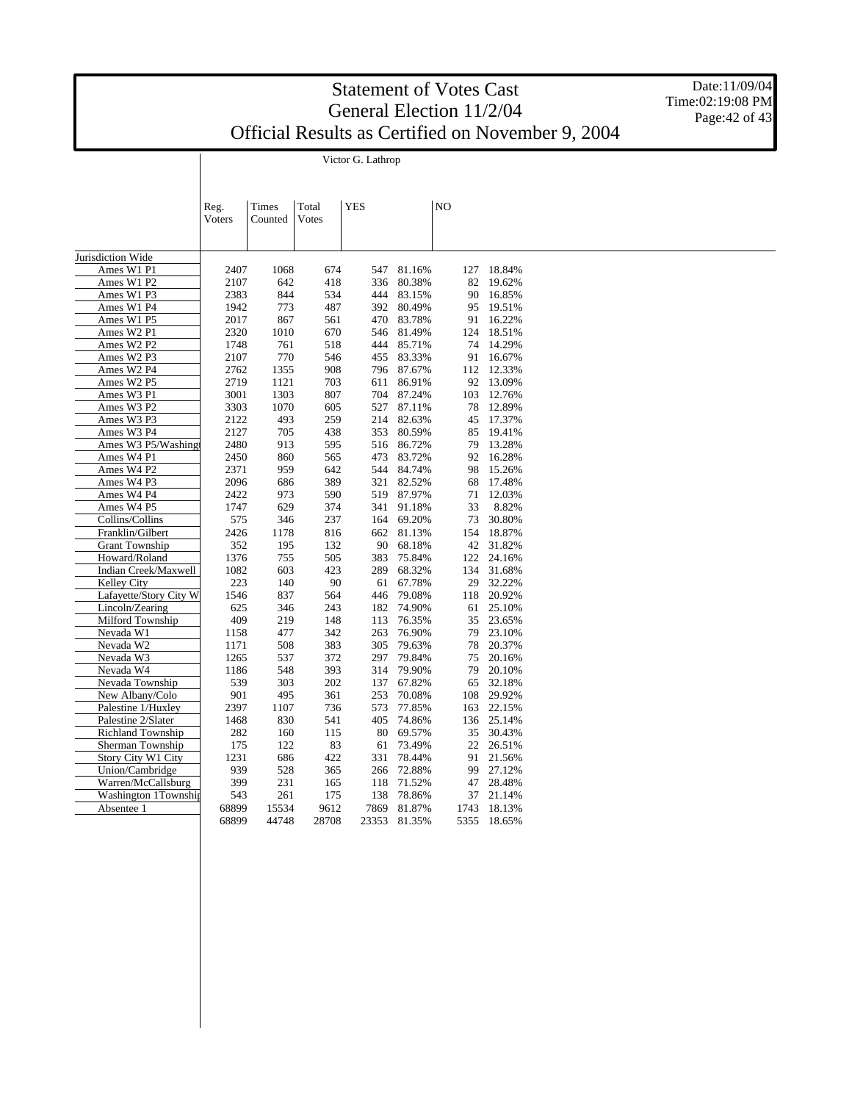Victor G. Lathrop

Date:11/09/04 Time:02:19:08 PM Page: 42 of 43

|                        | Reg.   | Times   | Total | <b>YES</b> |        | N <sub>O</sub> |        |  |  |
|------------------------|--------|---------|-------|------------|--------|----------------|--------|--|--|
|                        | Voters | Counted | Votes |            |        |                |        |  |  |
|                        |        |         |       |            |        |                |        |  |  |
|                        |        |         |       |            |        |                |        |  |  |
| Jurisdiction Wide      |        |         |       |            |        |                |        |  |  |
| Ames W1 P1             | 2407   | 1068    | 674   | 547        | 81.16% | 127            | 18.84% |  |  |
| Ames W1 P2             | 2107   | 642     | 418   | 336        | 80.38% | 82             | 19.62% |  |  |
| Ames W1 P3             | 2383   | 844     | 534   | 444        | 83.15% | 90             | 16.85% |  |  |
| Ames W1 P4             | 1942   | 773     | 487   | 392        | 80.49% | 95             | 19.51% |  |  |
| Ames W1 P5             | 2017   | 867     | 561   | 470        | 83.78% | 91             | 16.22% |  |  |
| Ames W2 P1             | 2320   | 1010    | 670   | 546        | 81.49% | 124            | 18.51% |  |  |
| Ames W2 P2             | 1748   | 761     | 518   | 444        | 85.71% | 74             | 14.29% |  |  |
| Ames W2 P3             | 2107   | 770     | 546   | 455        | 83.33% | 91             | 16.67% |  |  |
| Ames W2 P4             | 2762   | 1355    | 908   | 796        | 87.67% | 112            | 12.33% |  |  |
| Ames W2 P5             | 2719   | 1121    | 703   | 611        | 86.91% | 92             | 13.09% |  |  |
| Ames W3 P1             | 3001   | 1303    | 807   | 704        | 87.24% | 103            | 12.76% |  |  |
| Ames W3 P2             | 3303   | 1070    | 605   | 527        | 87.11% | 78             | 12.89% |  |  |
| Ames W3 P3             | 2122   | 493     | 259   | 214        | 82.63% | 45             | 17.37% |  |  |
| Ames W3 P4             | 2127   | 705     | 438   | 353        | 80.59% | 85             | 19.41% |  |  |
| Ames W3 P5/Washing     | 2480   | 913     | 595   | 516        | 86.72% | 79             | 13.28% |  |  |
| Ames W4 P1             | 2450   | 860     | 565   | 473        | 83.72% | 92             | 16.28% |  |  |
| Ames W4 P2             | 2371   | 959     | 642   | 544        | 84.74% | 98             | 15.26% |  |  |
| Ames W4 P3             | 2096   | 686     | 389   | 321        | 82.52% | 68             | 17.48% |  |  |
| Ames W4 P4             | 2422   | 973     | 590   | 519        | 87.97% | 71             | 12.03% |  |  |
| Ames W4 P5             | 1747   | 629     | 374   | 341        | 91.18% | 33             | 8.82%  |  |  |
| Collins/Collins        | 575    | 346     | 237   | 164        | 69.20% | 73             | 30.80% |  |  |
| Franklin/Gilbert       | 2426   | 1178    | 816   | 662        | 81.13% | 154            | 18.87% |  |  |
| <b>Grant Township</b>  | 352    | 195     | 132   | 90         | 68.18% | 42             | 31.82% |  |  |
| Howard/Roland          | 1376   | 755     | 505   | 383        | 75.84% | 122            | 24.16% |  |  |
| Indian Creek/Maxwell   | 1082   | 603     | 423   | 289        | 68.32% | 134            | 31.68% |  |  |
| <b>Kelley City</b>     | 223    | 140     | 90    | 61         | 67.78% | 29             | 32.22% |  |  |
| Lafayette/Story City W | 1546   | 837     | 564   | 446        | 79.08% | 118            | 20.92% |  |  |
| Lincoln/Zearing        | 625    | 346     | 243   | 182        | 74.90% | 61             | 25.10% |  |  |
| Milford Township       | 409    | 219     | 148   | 113        | 76.35% | 35             | 23.65% |  |  |
| Nevada W1              | 1158   | 477     | 342   | 263        | 76.90% | 79             | 23.10% |  |  |
| Nevada W2              | 1171   | 508     | 383   | 305        | 79.63% | 78             | 20.37% |  |  |
| Nevada W3              | 1265   | 537     | 372   | 297        | 79.84% | 75             | 20.16% |  |  |
| Nevada W4              | 1186   | 548     | 393   | 314        | 79.90% | 79             | 20.10% |  |  |
| Nevada Township        | 539    | 303     | 202   | 137        | 67.82% | 65             | 32.18% |  |  |
| New Albany/Colo        | 901    | 495     | 361   | 253        | 70.08% | 108            | 29.92% |  |  |
| Palestine 1/Huxley     | 2397   | 1107    | 736   | 573        | 77.85% | 163            | 22.15% |  |  |
| Palestine 2/Slater     | 1468   | 830     | 541   | 405        | 74.86% | 136            | 25.14% |  |  |
| Richland Township      | 282    | 160     | 115   | 80         | 69.57% | 35             | 30.43% |  |  |
| Sherman Township       | 175    | 122     | 83    | 61         | 73.49% | 22             | 26.51% |  |  |
| Story City W1 City     | 1231   | 686     | 422   | 331        | 78.44% | 91             | 21.56% |  |  |
| Union/Cambridge        | 939    | 528     | 365   | 266        | 72.88% | 99             | 27.12% |  |  |
| Warren/McCallsburg     | 399    | 231     | 165   | 118        | 71.52% | 47             | 28.48% |  |  |
| Washington 1Township   | 543    | 261     | 175   | 138        | 78.86% | 37             | 21.14% |  |  |
| Absentee 1             | 68899  | 15534   | 9612  | 7869       | 81.87% | 1743           | 18.13% |  |  |
|                        | 68899  | 44748   | 28708 | 23353      | 81.35% | 5355           | 18.65% |  |  |